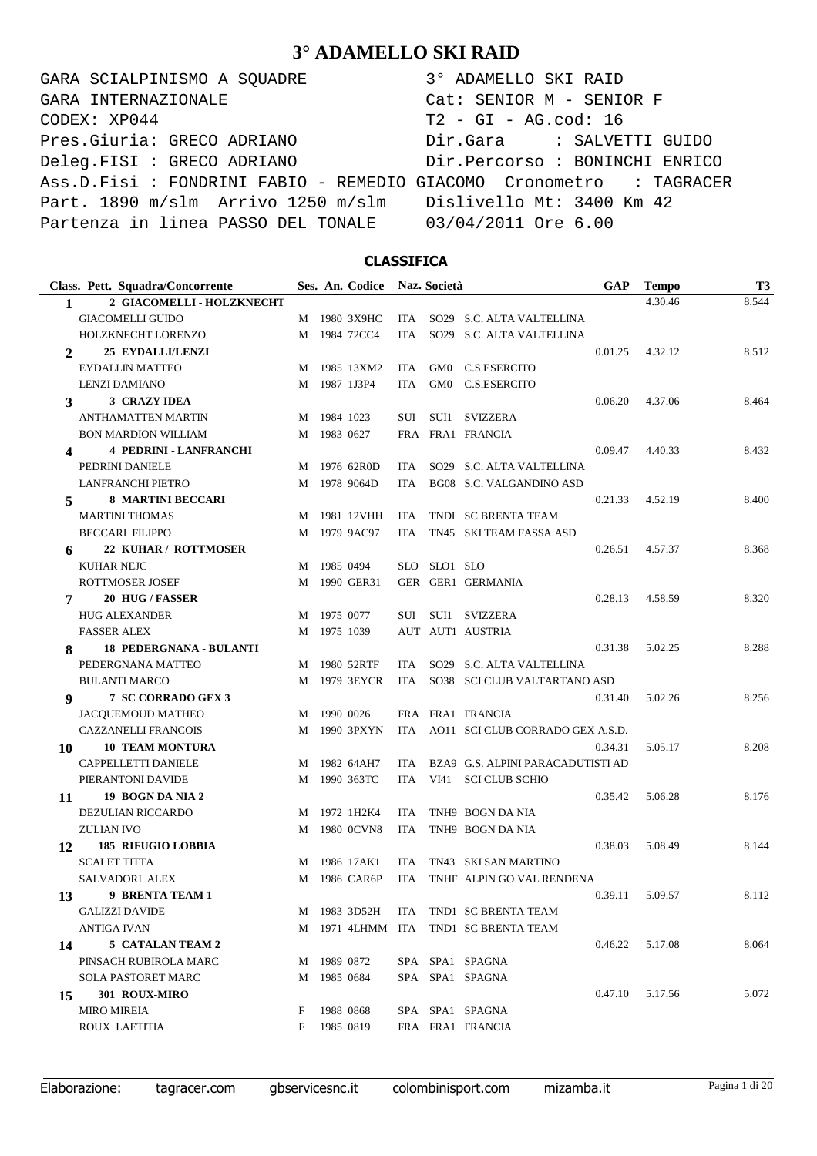GARA SCIALPINISMO A SQUADRE 3° ADAMELLO SKI RAID CODEX: XP044 T2 - GI - AG.cod: 16 Pres.Giuria: GRECO ADRIANO Dir.Gara : SALVETTI GUIDO Deleg.FISI : GRECO ADRIANO Dir.Percorso : BONINCHI ENRICO Ass.D.Fisi : FONDRINI FABIO - REMEDIO GIACOMO Cronometro : TAGRACER Part. 1890 m/slm Arrivo 1250 m/slm Dislivello Mt: 3400 Km 42 Partenza in linea PASSO DEL TONALE 03/04/2011 Ore 6.00 GARA INTERNAZIONALE Cat: SENIOR M - SENIOR F

### **CLASSIFICA**

| 4.30.46<br>2 GIACOMELLI - HOLZKNECHT<br>1<br><b>GIACOMELLI GUIDO</b><br>1980 3X9HC<br>SO29 S.C. ALTA VALTELLINA<br>ITA.<br>M<br>1984 72CC4<br>SO29 S.C. ALTA VALTELLINA<br>HOLZKNECHT LORENZO<br>M<br><b>ITA</b><br><b>25 EYDALLI/LENZI</b><br>4.32.12<br>0.01.25<br>2<br><b>EYDALLIN MATTEO</b><br>1985 13XM2<br><b>ITA</b><br>GM0<br>C.S.ESERCITO<br>M<br>1987 1J3P4<br>C.S.ESERCITO<br>LENZI DAMIANO<br><b>ITA</b><br>GM0<br>M<br><b>3 CRAZY IDEA</b><br>4.37.06<br>0.06.20<br>3<br>ANTHAMATTEN MARTIN<br>1984 1023<br>SVIZZERA<br>SUI<br>SUI1<br>M<br>1983 0627<br>FRA FRA1 FRANCIA<br><b>BON MARDION WILLIAM</b><br>M<br><b>4 PEDRINI - LANFRANCHI</b><br>0.09.47<br>4.40.33<br>4<br>PEDRINI DANIELE<br>1976 62R0D<br>SO29 S.C. ALTA VALTELLINA<br>ITA<br>M<br>1978 9064D<br><b>LANFRANCHI PIETRO</b><br>BG08 S.C. VALGANDINO ASD<br>M<br>ITA<br><b>8 MARTINI BECCARI</b><br>0.21.33<br>4.52.19<br>5<br><b>MARTINI THOMAS</b><br>1981 12VHH<br>TNDI SC BRENTA TEAM<br><b>ITA</b><br>M<br>1979 9AC97<br><b>BECCARI FILIPPO</b><br>TN45 SKI TEAM FASSA ASD<br>M<br>ITA<br>22 KUHAR / ROTTMOSER<br>0.26.51<br>4.57.37<br>6<br><b>KUHAR NEJC</b><br>1985 0494<br>SLO SLO1 SLO<br>M<br>GER GER1 GERMANIA<br>ROTTMOSER JOSEF<br>1990 GER31<br>M<br>20 HUG / FASSER<br>0.28.13<br>4.58.59<br>7<br><b>HUG ALEXANDER</b><br>1975 0077<br>SUI SUI1 SVIZZERA<br>M<br><b>FASSER ALEX</b><br>1975 1039<br>AUT AUT1 AUSTRIA<br>М<br><b>18 PEDERGNANA - BULANTI</b><br>0.31.38<br>5.02.25<br>8<br>PEDERGNANA MATTEO<br>1980 52RTF<br>SO29 S.C. ALTA VALTELLINA<br>ITA<br>M<br><b>BULANTI MARCO</b><br>1979 3EYCR<br>SO38 SCI CLUB VALTARTANO ASD<br>M<br>ITA<br>7 SC CORRADO GEX 3<br>5.02.26<br>9<br>0.31.40<br><b>JACQUEMOUD MATHEO</b><br>1990 0026<br>FRA FRA1 FRANCIA<br>M<br>AO11 SCI CLUB CORRADO GEX A.S.D.<br><b>CAZZANELLI FRANCOIS</b><br>1990 3PXYN<br>M<br>ITA<br><b>10 TEAM MONTURA</b><br>0.34.31<br>5.05.17<br>10<br>CAPPELLETTI DANIELE<br>1982 64AH7<br>BZA9 G.S. ALPINI PARACADUTISTI AD<br><b>ITA</b><br>M | 8.544<br>8.512<br>8.464<br>8.432<br>8.400 |
|----------------------------------------------------------------------------------------------------------------------------------------------------------------------------------------------------------------------------------------------------------------------------------------------------------------------------------------------------------------------------------------------------------------------------------------------------------------------------------------------------------------------------------------------------------------------------------------------------------------------------------------------------------------------------------------------------------------------------------------------------------------------------------------------------------------------------------------------------------------------------------------------------------------------------------------------------------------------------------------------------------------------------------------------------------------------------------------------------------------------------------------------------------------------------------------------------------------------------------------------------------------------------------------------------------------------------------------------------------------------------------------------------------------------------------------------------------------------------------------------------------------------------------------------------------------------------------------------------------------------------------------------------------------------------------------------------------------------------------------------------------------------------------------------------------------------------------------------------------------------------------------------------------------------------------------------------------------------------------------------------------------------|-------------------------------------------|
|                                                                                                                                                                                                                                                                                                                                                                                                                                                                                                                                                                                                                                                                                                                                                                                                                                                                                                                                                                                                                                                                                                                                                                                                                                                                                                                                                                                                                                                                                                                                                                                                                                                                                                                                                                                                                                                                                                                                                                                                                      |                                           |
|                                                                                                                                                                                                                                                                                                                                                                                                                                                                                                                                                                                                                                                                                                                                                                                                                                                                                                                                                                                                                                                                                                                                                                                                                                                                                                                                                                                                                                                                                                                                                                                                                                                                                                                                                                                                                                                                                                                                                                                                                      |                                           |
|                                                                                                                                                                                                                                                                                                                                                                                                                                                                                                                                                                                                                                                                                                                                                                                                                                                                                                                                                                                                                                                                                                                                                                                                                                                                                                                                                                                                                                                                                                                                                                                                                                                                                                                                                                                                                                                                                                                                                                                                                      |                                           |
|                                                                                                                                                                                                                                                                                                                                                                                                                                                                                                                                                                                                                                                                                                                                                                                                                                                                                                                                                                                                                                                                                                                                                                                                                                                                                                                                                                                                                                                                                                                                                                                                                                                                                                                                                                                                                                                                                                                                                                                                                      |                                           |
|                                                                                                                                                                                                                                                                                                                                                                                                                                                                                                                                                                                                                                                                                                                                                                                                                                                                                                                                                                                                                                                                                                                                                                                                                                                                                                                                                                                                                                                                                                                                                                                                                                                                                                                                                                                                                                                                                                                                                                                                                      |                                           |
|                                                                                                                                                                                                                                                                                                                                                                                                                                                                                                                                                                                                                                                                                                                                                                                                                                                                                                                                                                                                                                                                                                                                                                                                                                                                                                                                                                                                                                                                                                                                                                                                                                                                                                                                                                                                                                                                                                                                                                                                                      |                                           |
|                                                                                                                                                                                                                                                                                                                                                                                                                                                                                                                                                                                                                                                                                                                                                                                                                                                                                                                                                                                                                                                                                                                                                                                                                                                                                                                                                                                                                                                                                                                                                                                                                                                                                                                                                                                                                                                                                                                                                                                                                      |                                           |
|                                                                                                                                                                                                                                                                                                                                                                                                                                                                                                                                                                                                                                                                                                                                                                                                                                                                                                                                                                                                                                                                                                                                                                                                                                                                                                                                                                                                                                                                                                                                                                                                                                                                                                                                                                                                                                                                                                                                                                                                                      |                                           |
|                                                                                                                                                                                                                                                                                                                                                                                                                                                                                                                                                                                                                                                                                                                                                                                                                                                                                                                                                                                                                                                                                                                                                                                                                                                                                                                                                                                                                                                                                                                                                                                                                                                                                                                                                                                                                                                                                                                                                                                                                      |                                           |
|                                                                                                                                                                                                                                                                                                                                                                                                                                                                                                                                                                                                                                                                                                                                                                                                                                                                                                                                                                                                                                                                                                                                                                                                                                                                                                                                                                                                                                                                                                                                                                                                                                                                                                                                                                                                                                                                                                                                                                                                                      |                                           |
|                                                                                                                                                                                                                                                                                                                                                                                                                                                                                                                                                                                                                                                                                                                                                                                                                                                                                                                                                                                                                                                                                                                                                                                                                                                                                                                                                                                                                                                                                                                                                                                                                                                                                                                                                                                                                                                                                                                                                                                                                      |                                           |
|                                                                                                                                                                                                                                                                                                                                                                                                                                                                                                                                                                                                                                                                                                                                                                                                                                                                                                                                                                                                                                                                                                                                                                                                                                                                                                                                                                                                                                                                                                                                                                                                                                                                                                                                                                                                                                                                                                                                                                                                                      |                                           |
|                                                                                                                                                                                                                                                                                                                                                                                                                                                                                                                                                                                                                                                                                                                                                                                                                                                                                                                                                                                                                                                                                                                                                                                                                                                                                                                                                                                                                                                                                                                                                                                                                                                                                                                                                                                                                                                                                                                                                                                                                      |                                           |
|                                                                                                                                                                                                                                                                                                                                                                                                                                                                                                                                                                                                                                                                                                                                                                                                                                                                                                                                                                                                                                                                                                                                                                                                                                                                                                                                                                                                                                                                                                                                                                                                                                                                                                                                                                                                                                                                                                                                                                                                                      |                                           |
|                                                                                                                                                                                                                                                                                                                                                                                                                                                                                                                                                                                                                                                                                                                                                                                                                                                                                                                                                                                                                                                                                                                                                                                                                                                                                                                                                                                                                                                                                                                                                                                                                                                                                                                                                                                                                                                                                                                                                                                                                      |                                           |
|                                                                                                                                                                                                                                                                                                                                                                                                                                                                                                                                                                                                                                                                                                                                                                                                                                                                                                                                                                                                                                                                                                                                                                                                                                                                                                                                                                                                                                                                                                                                                                                                                                                                                                                                                                                                                                                                                                                                                                                                                      | 8.368                                     |
|                                                                                                                                                                                                                                                                                                                                                                                                                                                                                                                                                                                                                                                                                                                                                                                                                                                                                                                                                                                                                                                                                                                                                                                                                                                                                                                                                                                                                                                                                                                                                                                                                                                                                                                                                                                                                                                                                                                                                                                                                      |                                           |
|                                                                                                                                                                                                                                                                                                                                                                                                                                                                                                                                                                                                                                                                                                                                                                                                                                                                                                                                                                                                                                                                                                                                                                                                                                                                                                                                                                                                                                                                                                                                                                                                                                                                                                                                                                                                                                                                                                                                                                                                                      |                                           |
|                                                                                                                                                                                                                                                                                                                                                                                                                                                                                                                                                                                                                                                                                                                                                                                                                                                                                                                                                                                                                                                                                                                                                                                                                                                                                                                                                                                                                                                                                                                                                                                                                                                                                                                                                                                                                                                                                                                                                                                                                      | 8.320                                     |
|                                                                                                                                                                                                                                                                                                                                                                                                                                                                                                                                                                                                                                                                                                                                                                                                                                                                                                                                                                                                                                                                                                                                                                                                                                                                                                                                                                                                                                                                                                                                                                                                                                                                                                                                                                                                                                                                                                                                                                                                                      |                                           |
|                                                                                                                                                                                                                                                                                                                                                                                                                                                                                                                                                                                                                                                                                                                                                                                                                                                                                                                                                                                                                                                                                                                                                                                                                                                                                                                                                                                                                                                                                                                                                                                                                                                                                                                                                                                                                                                                                                                                                                                                                      |                                           |
|                                                                                                                                                                                                                                                                                                                                                                                                                                                                                                                                                                                                                                                                                                                                                                                                                                                                                                                                                                                                                                                                                                                                                                                                                                                                                                                                                                                                                                                                                                                                                                                                                                                                                                                                                                                                                                                                                                                                                                                                                      | 8.288                                     |
|                                                                                                                                                                                                                                                                                                                                                                                                                                                                                                                                                                                                                                                                                                                                                                                                                                                                                                                                                                                                                                                                                                                                                                                                                                                                                                                                                                                                                                                                                                                                                                                                                                                                                                                                                                                                                                                                                                                                                                                                                      |                                           |
|                                                                                                                                                                                                                                                                                                                                                                                                                                                                                                                                                                                                                                                                                                                                                                                                                                                                                                                                                                                                                                                                                                                                                                                                                                                                                                                                                                                                                                                                                                                                                                                                                                                                                                                                                                                                                                                                                                                                                                                                                      |                                           |
|                                                                                                                                                                                                                                                                                                                                                                                                                                                                                                                                                                                                                                                                                                                                                                                                                                                                                                                                                                                                                                                                                                                                                                                                                                                                                                                                                                                                                                                                                                                                                                                                                                                                                                                                                                                                                                                                                                                                                                                                                      | 8.256                                     |
|                                                                                                                                                                                                                                                                                                                                                                                                                                                                                                                                                                                                                                                                                                                                                                                                                                                                                                                                                                                                                                                                                                                                                                                                                                                                                                                                                                                                                                                                                                                                                                                                                                                                                                                                                                                                                                                                                                                                                                                                                      |                                           |
|                                                                                                                                                                                                                                                                                                                                                                                                                                                                                                                                                                                                                                                                                                                                                                                                                                                                                                                                                                                                                                                                                                                                                                                                                                                                                                                                                                                                                                                                                                                                                                                                                                                                                                                                                                                                                                                                                                                                                                                                                      |                                           |
|                                                                                                                                                                                                                                                                                                                                                                                                                                                                                                                                                                                                                                                                                                                                                                                                                                                                                                                                                                                                                                                                                                                                                                                                                                                                                                                                                                                                                                                                                                                                                                                                                                                                                                                                                                                                                                                                                                                                                                                                                      | 8.208                                     |
|                                                                                                                                                                                                                                                                                                                                                                                                                                                                                                                                                                                                                                                                                                                                                                                                                                                                                                                                                                                                                                                                                                                                                                                                                                                                                                                                                                                                                                                                                                                                                                                                                                                                                                                                                                                                                                                                                                                                                                                                                      |                                           |
| 1990 363TC<br>PIERANTONI DAVIDE<br>VI41 SCI CLUB SCHIO<br>M<br>ITA                                                                                                                                                                                                                                                                                                                                                                                                                                                                                                                                                                                                                                                                                                                                                                                                                                                                                                                                                                                                                                                                                                                                                                                                                                                                                                                                                                                                                                                                                                                                                                                                                                                                                                                                                                                                                                                                                                                                                   |                                           |
| 19 BOGN DA NIA 2<br>0.35.42<br>5.06.28<br>11                                                                                                                                                                                                                                                                                                                                                                                                                                                                                                                                                                                                                                                                                                                                                                                                                                                                                                                                                                                                                                                                                                                                                                                                                                                                                                                                                                                                                                                                                                                                                                                                                                                                                                                                                                                                                                                                                                                                                                         | 8.176                                     |
| DEZULIAN RICCARDO<br>1972 1H2K4<br>TNH9 BOGN DA NIA<br>ITA<br>M                                                                                                                                                                                                                                                                                                                                                                                                                                                                                                                                                                                                                                                                                                                                                                                                                                                                                                                                                                                                                                                                                                                                                                                                                                                                                                                                                                                                                                                                                                                                                                                                                                                                                                                                                                                                                                                                                                                                                      |                                           |
| <b>ZULIAN IVO</b><br>1980 0CVN8<br>TNH9 BOGN DA NIA<br>ITA<br>M                                                                                                                                                                                                                                                                                                                                                                                                                                                                                                                                                                                                                                                                                                                                                                                                                                                                                                                                                                                                                                                                                                                                                                                                                                                                                                                                                                                                                                                                                                                                                                                                                                                                                                                                                                                                                                                                                                                                                      |                                           |
| <b>185 RIFUGIO LOBBIA</b><br>0.38.03<br>5.08.49<br>12                                                                                                                                                                                                                                                                                                                                                                                                                                                                                                                                                                                                                                                                                                                                                                                                                                                                                                                                                                                                                                                                                                                                                                                                                                                                                                                                                                                                                                                                                                                                                                                                                                                                                                                                                                                                                                                                                                                                                                | 8.144                                     |
| <b>SCALET TITTA</b><br>1986 17AK1<br>TN43 SKI SAN MARTINO<br>ITA<br>M                                                                                                                                                                                                                                                                                                                                                                                                                                                                                                                                                                                                                                                                                                                                                                                                                                                                                                                                                                                                                                                                                                                                                                                                                                                                                                                                                                                                                                                                                                                                                                                                                                                                                                                                                                                                                                                                                                                                                |                                           |
| <b>SALVADORI ALEX</b><br>1986 CAR6P<br>TNHF ALPIN GO VAL RENDENA<br>M<br>ITA                                                                                                                                                                                                                                                                                                                                                                                                                                                                                                                                                                                                                                                                                                                                                                                                                                                                                                                                                                                                                                                                                                                                                                                                                                                                                                                                                                                                                                                                                                                                                                                                                                                                                                                                                                                                                                                                                                                                         |                                           |
| 9 BRENTA TEAM 1<br>0.39.11<br>5.09.57<br>13                                                                                                                                                                                                                                                                                                                                                                                                                                                                                                                                                                                                                                                                                                                                                                                                                                                                                                                                                                                                                                                                                                                                                                                                                                                                                                                                                                                                                                                                                                                                                                                                                                                                                                                                                                                                                                                                                                                                                                          | 8.112                                     |
| <b>GALIZZI DAVIDE</b><br>M 1983 3D52H<br>ITA<br>TND1 SC BRENTA TEAM                                                                                                                                                                                                                                                                                                                                                                                                                                                                                                                                                                                                                                                                                                                                                                                                                                                                                                                                                                                                                                                                                                                                                                                                                                                                                                                                                                                                                                                                                                                                                                                                                                                                                                                                                                                                                                                                                                                                                  |                                           |
| ANTIGA IVAN<br>M 1971 4LHMM ITA<br>TND1 SC BRENTA TEAM                                                                                                                                                                                                                                                                                                                                                                                                                                                                                                                                                                                                                                                                                                                                                                                                                                                                                                                                                                                                                                                                                                                                                                                                                                                                                                                                                                                                                                                                                                                                                                                                                                                                                                                                                                                                                                                                                                                                                               |                                           |
| 5 CATALAN TEAM 2<br>0.46.22<br>5.17.08<br>14                                                                                                                                                                                                                                                                                                                                                                                                                                                                                                                                                                                                                                                                                                                                                                                                                                                                                                                                                                                                                                                                                                                                                                                                                                                                                                                                                                                                                                                                                                                                                                                                                                                                                                                                                                                                                                                                                                                                                                         | 8.064                                     |
| PINSACH RUBIROLA MARC<br>1989 0872<br>SPA SPA1 SPAGNA<br>M                                                                                                                                                                                                                                                                                                                                                                                                                                                                                                                                                                                                                                                                                                                                                                                                                                                                                                                                                                                                                                                                                                                                                                                                                                                                                                                                                                                                                                                                                                                                                                                                                                                                                                                                                                                                                                                                                                                                                           |                                           |
| SPA SPA1 SPAGNA<br>SOLA PASTORET MARC<br>1985 0684<br>M                                                                                                                                                                                                                                                                                                                                                                                                                                                                                                                                                                                                                                                                                                                                                                                                                                                                                                                                                                                                                                                                                                                                                                                                                                                                                                                                                                                                                                                                                                                                                                                                                                                                                                                                                                                                                                                                                                                                                              |                                           |
| 301 ROUX-MIRO<br>0.47.10<br>5.17.56<br>15                                                                                                                                                                                                                                                                                                                                                                                                                                                                                                                                                                                                                                                                                                                                                                                                                                                                                                                                                                                                                                                                                                                                                                                                                                                                                                                                                                                                                                                                                                                                                                                                                                                                                                                                                                                                                                                                                                                                                                            | 5.072                                     |
| 1988 0868<br>SPA SPA1 SPAGNA<br><b>MIRO MIREIA</b><br>F                                                                                                                                                                                                                                                                                                                                                                                                                                                                                                                                                                                                                                                                                                                                                                                                                                                                                                                                                                                                                                                                                                                                                                                                                                                                                                                                                                                                                                                                                                                                                                                                                                                                                                                                                                                                                                                                                                                                                              |                                           |
| 1985 0819<br>FRA FRA1 FRANCIA<br>ROUX LAETITIA<br>F                                                                                                                                                                                                                                                                                                                                                                                                                                                                                                                                                                                                                                                                                                                                                                                                                                                                                                                                                                                                                                                                                                                                                                                                                                                                                                                                                                                                                                                                                                                                                                                                                                                                                                                                                                                                                                                                                                                                                                  |                                           |

Elaborazione: tagracer.com gbservicesnc.it colombinisport.com mizamba.it Pagina 1 di 20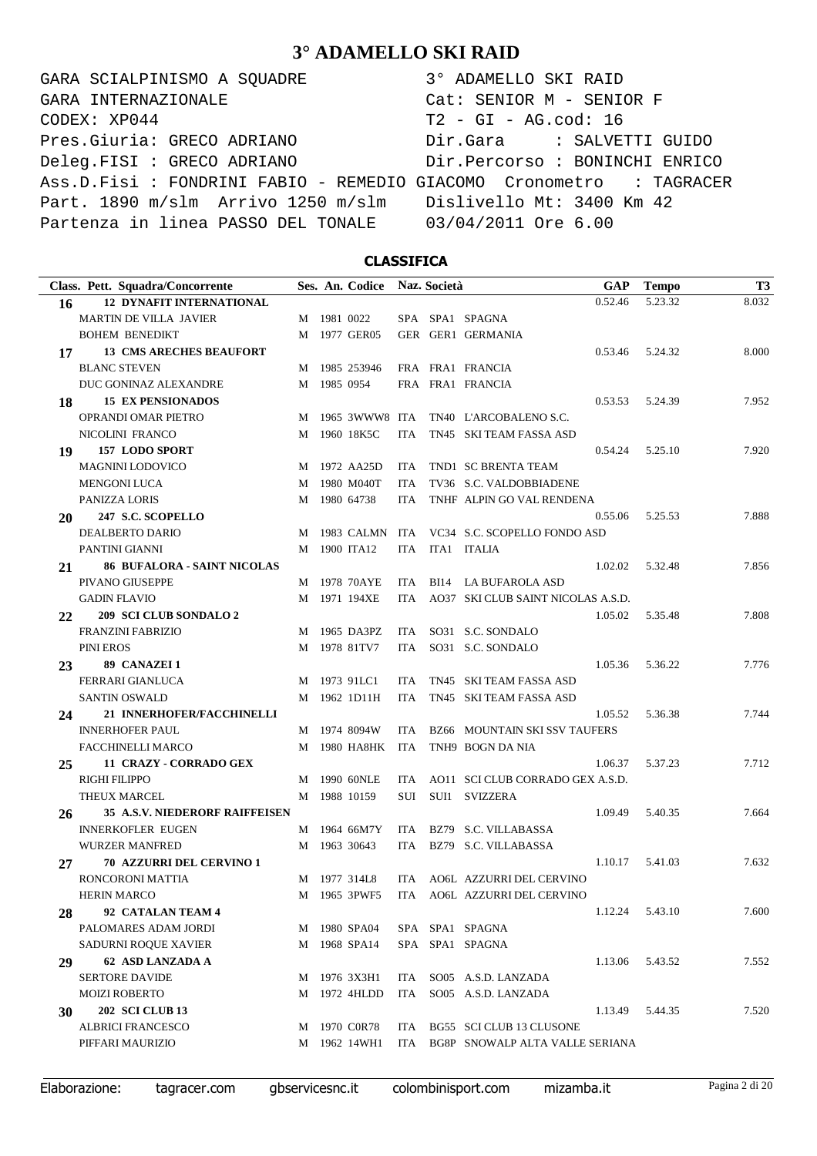GARA SCIALPINISMO A SQUADRE  $CODEX: XP044$ Pres.Giuria: GRECO ADRIANO Deleg.FISI : GRECO ADRIANO Ass.D.Fisi : FONDRINI FABIO - REMEDIO G Part. 1890 m/slm Arrivo 1250 m/slm Partenza in linea PASSO DEL TONALE GARA INTERNAZIONALE

| $Cat:$ SENIOR $M -$ SENIOR F<br>$T2 - GI - AG.cod: 16$<br>Dir.Gara : SALVETTI GUIDO<br>Dir.Percorso : BONINCHI ENRICO<br>GIACOMO Cronometro : TAGRACER |
|--------------------------------------------------------------------------------------------------------------------------------------------------------|
|                                                                                                                                                        |
|                                                                                                                                                        |
|                                                                                                                                                        |
|                                                                                                                                                        |
|                                                                                                                                                        |
| Dislivello Mt: 3400 Km 42                                                                                                                              |
| 03/04/2011 Ore 6.00                                                                                                                                    |

### **CLASSIFICA**

|    | Class. Pett. Squadra/Concorrente                   |   |             | Ses. An. Codice Naz. Società |            | <b>GAP</b>                           | <b>Tempo</b> | T <sub>3</sub> |
|----|----------------------------------------------------|---|-------------|------------------------------|------------|--------------------------------------|--------------|----------------|
| 16 | <b>12 DYNAFIT INTERNATIONAL</b>                    |   |             |                              |            | 0.52.46                              | 5.23.32      | 8.032          |
|    | <b>MARTIN DE VILLA JAVIER</b>                      |   | M 1981 0022 |                              |            | SPA SPA1 SPAGNA                      |              |                |
|    | <b>BOHEM BENEDIKT</b>                              |   |             | M 1977 GER05                 |            | GER GER1 GERMANIA                    |              |                |
| 17 | <b>13 CMS ARECHES BEAUFORT</b>                     |   |             |                              |            | 0.53.46                              | 5.24.32      | 8.000          |
|    | <b>BLANC STEVEN</b>                                |   |             | M 1985 253946                |            | FRA FRA1 FRANCIA                     |              |                |
|    | DUC GONINAZ ALEXANDRE                              |   | M 1985 0954 |                              |            | FRA FRA1 FRANCIA                     |              |                |
| 18 | <b>15 EX PENSIONADOS</b>                           |   |             |                              |            | 0.53.53                              | 5.24.39      | 7.952          |
|    | <b>OPRANDI OMAR PIETRO</b>                         |   |             | M 1965 3WWW8 ITA             |            | TN40 L'ARCOBALENO S.C.               |              |                |
|    | NICOLINI FRANCO                                    |   |             | M 1960 18K5C                 | <b>ITA</b> | TN45 SKI TEAM FASSA ASD              |              |                |
| 19 | 157 LODO SPORT                                     |   |             |                              |            | 0.54.24                              | 5.25.10      | 7.920          |
|    | <b>MAGNINI LODOVICO</b>                            |   |             | M 1972 AA25D                 | <b>ITA</b> | TND1 SC BRENTA TEAM                  |              |                |
|    | <b>MENGONI LUCA</b>                                |   |             | M 1980 M040T                 | <b>ITA</b> | TV36 S.C. VALDOBBIADENE              |              |                |
|    | PANIZZA LORIS                                      |   |             | M 1980 64738                 | <b>ITA</b> | TNHF ALPIN GO VAL RENDENA            |              |                |
| 20 | 247 S.C. SCOPELLO                                  |   |             |                              |            | 0.55.06                              | 5.25.53      | 7.888          |
|    | DEALBERTO DARIO                                    | M |             | 1983 CALMN ITA               |            | VC34 S.C. SCOPELLO FONDO ASD         |              |                |
|    | PANTINI GIANNI                                     |   |             | M 1900 ITA12                 | <b>ITA</b> | ITA1 ITALIA                          |              |                |
| 21 | <b>86 BUFALORA - SAINT NICOLAS</b>                 |   |             |                              |            | 1.02.02                              | 5.32.48      | 7.856          |
|    | PIVANO GIUSEPPE                                    |   |             | M 1978 70AYE                 | ITA        | BI14 LA BUFAROLA ASD                 |              |                |
|    | <b>GADIN FLAVIO</b>                                |   |             | M 1971 194XE                 | <b>ITA</b> | AO37 SKI CLUB SAINT NICOLAS A.S.D.   |              |                |
| 22 | 209 SCI CLUB SONDALO 2                             |   |             |                              |            | 1.05.02                              | 5.35.48      | 7.808          |
|    | <b>FRANZINI FABRIZIO</b>                           |   |             | M 1965 DA3PZ                 | ITA        | SO31 S.C. SONDALO                    |              |                |
|    | PINI EROS                                          |   |             | M 1978 81TV7                 | <b>ITA</b> | SO31 S.C. SONDALO                    |              |                |
| 23 | 89 CANAZEI 1                                       |   |             |                              |            | 1.05.36                              | 5.36.22      | 7.776          |
|    | FERRARI GIANLUCA                                   |   |             | M 1973 91LC1                 | ITA        | TN45 SKI TEAM FASSA ASD              |              |                |
|    | <b>SANTIN OSWALD</b>                               |   |             | M 1962 1D11H                 | <b>ITA</b> | TN45 SKI TEAM FASSA ASD              |              |                |
| 24 | 21 INNERHOFER/FACCHINELLI                          |   |             |                              |            | 1.05.52                              | 5.36.38      | 7.744          |
|    | <b>INNERHOFER PAUL</b>                             |   |             | M 1974 8094W                 | <b>ITA</b> | <b>BZ66 MOUNTAIN SKI SSV TAUFERS</b> |              |                |
|    | <b>FACCHINELLI MARCO</b>                           |   |             | M 1980 HA8HK                 | ITA        | TNH9 BOGN DA NIA                     |              |                |
| 25 | 11 CRAZY - CORRADO GEX                             |   |             |                              |            | 1.06.37                              | 5.37.23      | 7.712          |
|    | <b>RIGHI FILIPPO</b>                               |   |             | M 1990 60NLE                 | ITA.       | AO11 SCI CLUB CORRADO GEX A.S.D.     |              |                |
|    | THEUX MARCEL                                       |   |             | M 1988 10159                 | <b>SUI</b> | SUI1 SVIZZERA                        |              |                |
|    | <b>35 A.S.V. NIEDERORF RAIFFEISEN</b>              |   |             |                              |            | 1.09.49                              | 5.40.35      | 7.664          |
| 26 | <b>INNERKOFLER EUGEN</b>                           |   |             | M 1964 66M7Y                 | ITA        | BZ79 S.C. VILLABASSA                 |              |                |
|    | <b>WURZER MANFRED</b>                              |   |             | M 1963 30643                 | <b>ITA</b> | BZ79 S.C. VILLABASSA                 |              |                |
|    | <b>70 AZZURRI DEL CERVINO 1</b>                    |   |             |                              |            | 1.10.17                              | 5.41.03      | 7.632          |
| 27 | RONCORONI MATTIA                                   |   |             | M 1977 314L8                 | ITA        | AO6L AZZURRI DEL CERVINO             |              |                |
|    | <b>HERIN MARCO</b>                                 |   |             | M 1965 3PWF5                 |            | ITA AO6L AZZURRI DEL CERVINO         |              |                |
|    | 92 CATALAN TEAM 4                                  |   |             |                              |            | 1.12.24                              | 5.43.10      | 7.600          |
| 28 | PALOMARES ADAM JORDI                               | M |             | 1980 SPA04                   |            | SPA SPA1 SPAGNA                      |              |                |
|    | SADURNI ROQUE XAVIER                               |   |             | M 1968 SPA14                 |            | SPA SPA1 SPAGNA                      |              |                |
|    | 62 ASD LANZADA A                                   |   |             |                              |            | 1.13.06                              | 5.43.52      | 7.552          |
| 29 | <b>SERTORE DAVIDE</b>                              |   |             |                              |            | SO05 A.S.D. LANZADA                  |              |                |
|    | <b>MOIZI ROBERTO</b>                               | M |             | 1976 3X3H1<br>1972 4HLDD     | ITA        | SO05 A.S.D. LANZADA                  |              |                |
|    |                                                    | M |             |                              | ITA        |                                      |              |                |
| 30 | <b>202 SCI CLUB 13</b><br><b>ALBRICI FRANCESCO</b> |   |             |                              |            | 1.13.49                              | 5.44.35      | 7.520          |
|    |                                                    | M |             | 1970 COR78                   | ITA        | BG55 SCI CLUB 13 CLUSONE             |              |                |
|    | PIFFARI MAURIZIO                                   |   |             | M 1962 14WH1                 | ITA        | BG8P SNOWALP ALTA VALLE SERIANA      |              |                |

Elaborazione: tagracer.com gbservicesnc.it colombinisport.com mizamba.it Pagina 2 di 20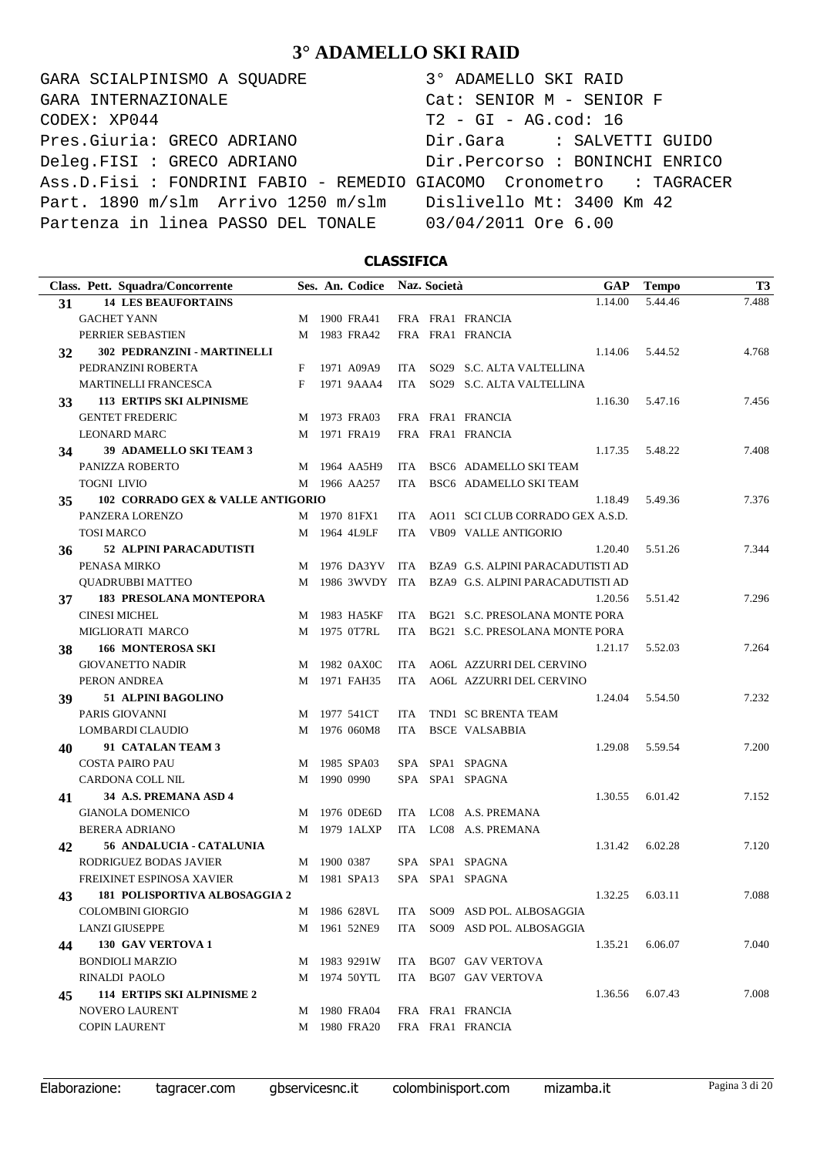GARA SCIALPINISMO A SQUADRE 3° ADAMELLO SKI RAID CODEX: XP044 T2 - GI - AG.cod: 16 Pres.Giuria: GRECO ADRIANO Dir.Gara : SALVETTI GUIDO Deleg.FISI : GRECO ADRIANO Dir.Percorso : BONINCHI ENRICO Ass.D.Fisi : FONDRINI FABIO - REMEDIO GIACOMO Cronometro : TAGRACER Part. 1890 m/slm Arrivo 1250 m/slm Dislivello Mt: 3400 Km 42 Partenza in linea PASSO DEL TONALE 03/04/2011 Ore 6.00 GARA INTERNAZIONALE Cat: SENIOR M - SENIOR F

### **CLASSIFICA**

|    | Class. Pett. Squadra/Concorrente  |   |             | Ses. An. Codice |      | Naz. Società |                                       | GAP     | <b>Tempo</b> | T <sub>3</sub> |
|----|-----------------------------------|---|-------------|-----------------|------|--------------|---------------------------------------|---------|--------------|----------------|
| 31 | <b>14 LES BEAUFORTAINS</b>        |   |             |                 |      |              |                                       | 1.14.00 | 5.44.46      | 7.488          |
|    | <b>GACHET YANN</b>                |   |             | M 1900 FRA41    |      |              | FRA FRA1 FRANCIA                      |         |              |                |
|    | PERRIER SEBASTIEN                 | M |             | 1983 FRA42      |      |              | FRA FRA1 FRANCIA                      |         |              |                |
| 32 | 302 PEDRANZINI - MARTINELLI       |   |             |                 |      |              |                                       | 1.14.06 | 5.44.52      | 4.768          |
|    | PEDRANZINI ROBERTA                | F |             | 1971 A09A9      | ITA  |              | SO29 S.C. ALTA VALTELLINA             |         |              |                |
|    | <b>MARTINELLI FRANCESCA</b>       | F |             | 1971 9AAA4      | ITA. |              | SO29 S.C. ALTA VALTELLINA             |         |              |                |
| 33 | <b>113 ERTIPS SKI ALPINISME</b>   |   |             |                 |      |              |                                       | 1.16.30 | 5.47.16      | 7.456          |
|    | <b>GENTET FREDERIC</b>            | M |             | 1973 FRA03      |      |              | FRA FRA1 FRANCIA                      |         |              |                |
|    | <b>LEONARD MARC</b>               |   |             | M 1971 FRA19    |      |              | FRA FRA1 FRANCIA                      |         |              |                |
| 34 | 39 ADAMELLO SKI TEAM 3            |   |             |                 |      |              |                                       | 1.17.35 | 5.48.22      | 7.408          |
|    | PANIZZA ROBERTO                   |   |             | M 1964 AA5H9    | ITA  |              | BSC6 ADAMELLO SKI TEAM                |         |              |                |
|    | <b>TOGNI LIVIO</b>                |   |             | M 1966 AA257    | ITA. |              | BSC6 ADAMELLO SKI TEAM                |         |              |                |
| 35 | 102 CORRADO GEX & VALLE ANTIGORIO |   |             |                 |      |              |                                       | 1.18.49 | 5.49.36      | 7.376          |
|    | PANZERA LORENZO                   |   |             | M 1970 81FX1    | ITA  |              | AO11 SCI CLUB CORRADO GEX A.S.D.      |         |              |                |
|    | <b>TOSI MARCO</b>                 |   |             | M 1964 4L9LF    | ITA. |              | <b>VB09 VALLE ANTIGORIO</b>           |         |              |                |
| 36 | 52 ALPINI PARACADUTISTI           |   |             |                 |      |              |                                       | 1.20.40 | 5.51.26      | 7.344          |
|    | PENASA MIRKO                      |   |             | M 1976 DA3YV    |      |              | ITA BZA9 G.S. ALPINI PARACADUTISTI AD |         |              |                |
|    | <b>QUADRUBBI MATTEO</b>           | M |             | 1986 3WVDY ITA  |      |              | BZA9 G.S. ALPINI PARACADUTISTI AD     |         |              |                |
| 37 | <b>183 PRESOLANA MONTEPORA</b>    |   |             |                 |      |              |                                       | 1.20.56 | 5.51.42      | 7.296          |
|    | <b>CINESI MICHEL</b>              |   |             | M 1983 HA5KF    | ITA  |              | BG21 S.C. PRESOLANA MONTE PORA        |         |              |                |
|    | MIGLIORATI MARCO                  | M |             | 1975 0T7RL      | ITA  |              | BG21 S.C. PRESOLANA MONTE PORA        |         |              |                |
| 38 | <b>166 MONTEROSA SKI</b>          |   |             |                 |      |              |                                       | 1.21.17 | 5.52.03      | 7.264          |
|    | <b>GIOVANETTO NADIR</b>           |   |             | M 1982 0AX0C    | ITA  |              | AO6L AZZURRI DEL CERVINO              |         |              |                |
|    | PERON ANDREA                      | M |             | 1971 FAH35      | ITA  |              | AO6L AZZURRI DEL CERVINO              |         |              |                |
| 39 | 51 ALPINI BAGOLINO                |   |             |                 |      |              |                                       | 1.24.04 | 5.54.50      | 7.232          |
|    | PARIS GIOVANNI                    |   |             | M 1977 541CT    | ITA. |              | TND1 SC BRENTA TEAM                   |         |              |                |
|    | LOMBARDI CLAUDIO                  | M |             | 1976 060M8      | ITA  |              | <b>BSCE VALSABBIA</b>                 |         |              |                |
| 40 | 91 CATALAN TEAM 3                 |   |             |                 |      |              |                                       | 1.29.08 | 5.59.54      | 7.200          |
|    | <b>COSTA PAIRO PAU</b>            | M |             | 1985 SPA03      |      |              | SPA SPA1 SPAGNA                       |         |              |                |
|    | CARDONA COLL NIL                  | M |             | 1990 0990       |      |              | SPA SPA1 SPAGNA                       |         |              |                |
| 41 | 34 A.S. PREMANA ASD 4             |   |             |                 |      |              |                                       | 1.30.55 | 6.01.42      | 7.152          |
|    | <b>GIANOLA DOMENICO</b>           | M |             | 1976 0DE6D      |      |              | ITA LC08 A.S. PREMANA                 |         |              |                |
|    | <b>BERERA ADRIANO</b>             | M |             | 1979 1ALXP      | ITA  |              | LC08 A.S. PREMANA                     |         |              |                |
| 42 | 56 ANDALUCIA - CATALUNIA          |   |             |                 |      |              |                                       | 1.31.42 | 6.02.28      | 7.120          |
|    | RODRIGUEZ BODAS JAVIER            |   | M 1900 0387 |                 |      |              | SPA SPA1 SPAGNA                       |         |              |                |
|    | FREIXINET ESPINOSA XAVIER         |   |             | M 1981 SPA13    |      |              | SPA SPA1 SPAGNA                       |         |              |                |
| 43 | 181 POLISPORTIVA ALBOSAGGIA 2     |   |             |                 |      |              |                                       | 1.32.25 | 6.03.11      | 7.088          |
|    | <b>COLOMBINI GIORGIO</b>          |   |             | M 1986 628VL    |      |              | ITA SO09 ASD POL. ALBOSAGGIA          |         |              |                |
|    | <b>LANZI GIUSEPPE</b>             | M |             | 1961 52NE9      | ITA  |              | SO09 ASD POL. ALBOSAGGIA              |         |              |                |
| 44 | <b>130 GAV VERTOVA 1</b>          |   |             |                 |      |              |                                       | 1.35.21 | 6.06.07      | 7.040          |
|    | <b>BONDIOLI MARZIO</b>            |   |             | M 1983 9291W    |      |              | ITA BG07 GAV VERTOVA                  |         |              |                |
|    | RINALDI PAOLO                     | M |             | 1974 50YTL      |      |              | ITA BG07 GAV VERTOVA                  |         |              |                |
| 45 | <b>114 ERTIPS SKI ALPINISME 2</b> |   |             |                 |      |              |                                       | 1.36.56 | 6.07.43      | 7.008          |
|    | <b>NOVERO LAURENT</b>             |   |             | M 1980 FRA04    |      |              | FRA FRA1 FRANCIA                      |         |              |                |
|    | <b>COPIN LAURENT</b>              |   |             | M 1980 FRA20    |      |              | FRA FRA1 FRANCIA                      |         |              |                |

Elaborazione: tagracer.com gbservicesnc.it colombinisport.com mizamba.it Pagina 3 di 20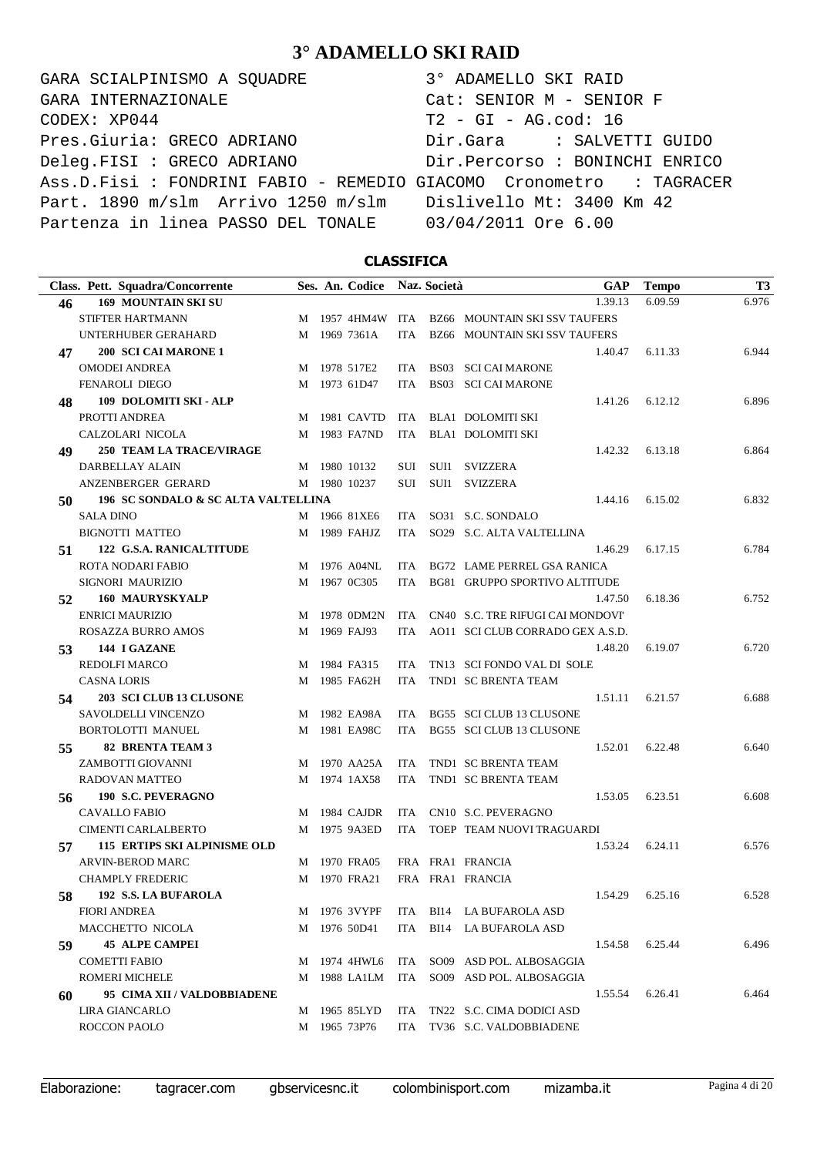GARA SCIALPINISMO A SQUADRE  $CODEX: XP044$ Pres.Giuria: GRECO ADRIANO Deleg.FISI : GRECO ADRIANO Ass.D.Fisi : FONDRINI FABIO - REMEDIO G Part. 1890 m/slm Arrivo 1250 m/slm Partenza in linea PASSO DEL TONALE GARA INTERNAZIONALE

| 3° ADAMELLO SKI RAID      |                                |
|---------------------------|--------------------------------|
| Cat: SENIOR M - SENIOR F  |                                |
| $T2 - GI - AG.cod: 16$    |                                |
|                           | Dir.Gara : SALVETTI GUIDO      |
|                           | Dir.Percorso : BONINCHI ENRICO |
|                           | GIACOMO Cronometro : TAGRACER  |
| Dislivello Mt: 3400 Km 42 |                                |
| 03/04/2011 Ore 6.00       |                                |
|                           |                                |

### **CLASSIFICA**

|    | Class. Pett. Squadra/Concorrente    |   | Ses. An. Codice Naz. Società |            | <b>GAP</b>                           | <b>Tempo</b> | T <sub>3</sub> |
|----|-------------------------------------|---|------------------------------|------------|--------------------------------------|--------------|----------------|
| 46 | <b>169 MOUNTAIN SKI SU</b>          |   |                              |            | 1.39.13                              | 6.09.59      | 6.976          |
|    | STIFTER HARTMANN                    |   | M 1957 4HM4W                 |            | ITA BZ66 MOUNTAIN SKI SSV TAUFERS    |              |                |
|    | UNTERHUBER GERAHARD                 |   | M 1969 7361A                 | <b>ITA</b> | <b>BZ66 MOUNTAIN SKI SSV TAUFERS</b> |              |                |
| 47 | 200 SCI CAI MARONE 1                |   |                              |            | 1.40.47                              | 6.11.33      | 6.944          |
|    | <b>OMODEI ANDREA</b>                |   | M 1978 517E2                 | ITA.       | <b>BS03 SCI CAI MARONE</b>           |              |                |
|    | <b>FENAROLI DIEGO</b>               |   | M 1973 61D47                 | <b>ITA</b> | <b>BS03 SCI CAI MARONE</b>           |              |                |
| 48 | 109 DOLOMITI SKI - ALP              |   |                              |            | 1.41.26                              | 6.12.12      | 6.896          |
|    | PROTTI ANDREA                       |   | M 1981 CAVTD                 | ITA        | BLA1 DOLOMITI SKI                    |              |                |
|    | CALZOLARI NICOLA                    |   | M 1983 FA7ND                 | ITA        | <b>BLA1 DOLOMITI SKI</b>             |              |                |
| 49 | <b>250 TEAM LA TRACE/VIRAGE</b>     |   |                              |            | 1.42.32                              | 6.13.18      | 6.864          |
|    | DARBELLAY ALAIN                     |   | M 1980 10132                 | SUI        | SUI1 SVIZZERA                        |              |                |
|    | ANZENBERGER GERARD                  |   | M 1980 10237                 | <b>SUI</b> | SUI1 SVIZZERA                        |              |                |
| 50 | 196 SC SONDALO & SC ALTA VALTELLINA |   |                              |            | 1.44.16                              | 6.15.02      | 6.832          |
|    | <b>SALA DINO</b>                    |   | M 1966 81XE6                 | <b>ITA</b> | SO31 S.C. SONDALO                    |              |                |
|    | <b>BIGNOTTI MATTEO</b>              |   | M 1989 FAHJZ                 | <b>ITA</b> | SO29 S.C. ALTA VALTELLINA            |              |                |
| 51 | 122 G.S.A. RANICALTITUDE            |   |                              |            | 1.46.29                              | 6.17.15      | 6.784          |
|    | <b>ROTA NODARI FABIO</b>            |   | M 1976 A04NL                 | ITA.       | BG72 LAME PERREL GSA RANICA          |              |                |
|    | SIGNORI MAURIZIO                    |   | M 1967 0C305                 | <b>ITA</b> | BG81 GRUPPO SPORTIVO ALTITUDE        |              |                |
| 52 | <b>160 MAURYSKYALP</b>              |   |                              |            | 1.47.50                              | 6.18.36      | 6.752          |
|    | <b>ENRICI MAURIZIO</b>              | M | 1978 0DM2N                   | ITA        | CN40 S.C. TRE RIFUGI CAI MONDOVI'    |              |                |
|    | ROSAZZA BURRO AMOS                  |   | M 1969 FAJ93                 | <b>ITA</b> | AO11 SCI CLUB CORRADO GEX A.S.D.     |              |                |
| 53 | 144 I GAZANE                        |   |                              |            | 1.48.20                              | 6.19.07      | 6.720          |
|    | <b>REDOLFI MARCO</b>                |   | M 1984 FA315                 | <b>ITA</b> | TN13 SCI FONDO VAL DI SOLE           |              |                |
|    | <b>CASNA LORIS</b>                  |   | M 1985 FA62H                 | <b>ITA</b> | TND1 SC BRENTA TEAM                  |              |                |
| 54 | 203 SCI CLUB 13 CLUSONE             |   |                              |            | 1.51.11                              | 6.21.57      | 6.688          |
|    | SAVOLDELLI VINCENZO                 |   | M 1982 EA98A                 | ITA        | BG55 SCI CLUB 13 CLUSONE             |              |                |
|    | BORTOLOTTI MANUEL                   |   | M 1981 EA98C                 | <b>ITA</b> | BG55 SCI CLUB 13 CLUSONE             |              |                |
| 55 | <b>82 BRENTA TEAM 3</b>             |   |                              |            | 1.52.01                              | 6.22.48      | 6.640          |
|    | ZAMBOTTI GIOVANNI                   | M | 1970 AA25A                   | ITA        | TND1 SC BRENTA TEAM                  |              |                |
|    | RADOVAN MATTEO                      |   | M 1974 1AX58                 | ITA        | TND1 SC BRENTA TEAM                  |              |                |
| 56 | 190 S.C. PEVERAGNO                  |   |                              |            | 1.53.05                              | 6.23.51      | 6.608          |
|    | <b>CAVALLO FABIO</b>                | M | 1984 CAJDR                   | <b>ITA</b> | CN10 S.C. PEVERAGNO                  |              |                |
|    | CIMENTI CARLALBERTO                 |   | M 1975 9A3ED                 | <b>ITA</b> | TOEP TEAM NUOVI TRAGUARDI            |              |                |
| 57 | <b>115 ERTIPS SKI ALPINISME OLD</b> |   |                              |            | 1.53.24                              | 6.24.11      | 6.576          |
|    | <b>ARVIN-BEROD MARC</b>             | M | 1970 FRA05                   |            | FRA FRA1 FRANCIA                     |              |                |
|    | <b>CHAMPLY FREDERIC</b>             |   | M 1970 FRA21                 |            | FRA FRA1 FRANCIA                     |              |                |
| 58 | 192 S.S. LA BUFAROLA                |   |                              |            | 1.54.29                              | 6.25.16      | 6.528          |
|    | <b>FIORI ANDREA</b>                 |   | M 1976 3VYPF                 |            | ITA BI14 LA BUFAROLA ASD             |              |                |
|    | MACCHETTO NICOLA                    |   | M 1976 50D41                 | ITA        | BI14 LA BUFAROLA ASD                 |              |                |
| 59 | <b>45 ALPE CAMPEI</b>               |   |                              |            | 1.54.58                              | 6.25.44      | 6.496          |
|    | <b>COMETTI FABIO</b>                |   | M 1974 4HWL6                 | ITA        | SO09 ASD POL. ALBOSAGGIA             |              |                |
|    | ROMERI MICHELE                      |   | M 1988 LA1LM                 | ITA        | SO09 ASD POL. ALBOSAGGIA             |              |                |
| 60 | 95 CIMA XII / VALDOBBIADENE         |   |                              |            | 1.55.54                              | 6.26.41      | 6.464          |
|    | <b>LIRA GIANCARLO</b>               |   | M 1965 85LYD                 | ITA        | TN22 S.C. CIMA DODICI ASD            |              |                |
|    | ROCCON PAOLO                        |   | M 1965 73P76                 |            | ITA TV36 S.C. VALDOBBIADENE          |              |                |
|    |                                     |   |                              |            |                                      |              |                |

Elaborazione: tagracer.com gbservicesnc.it colombinisport.com mizamba.it Pagina 4 di 20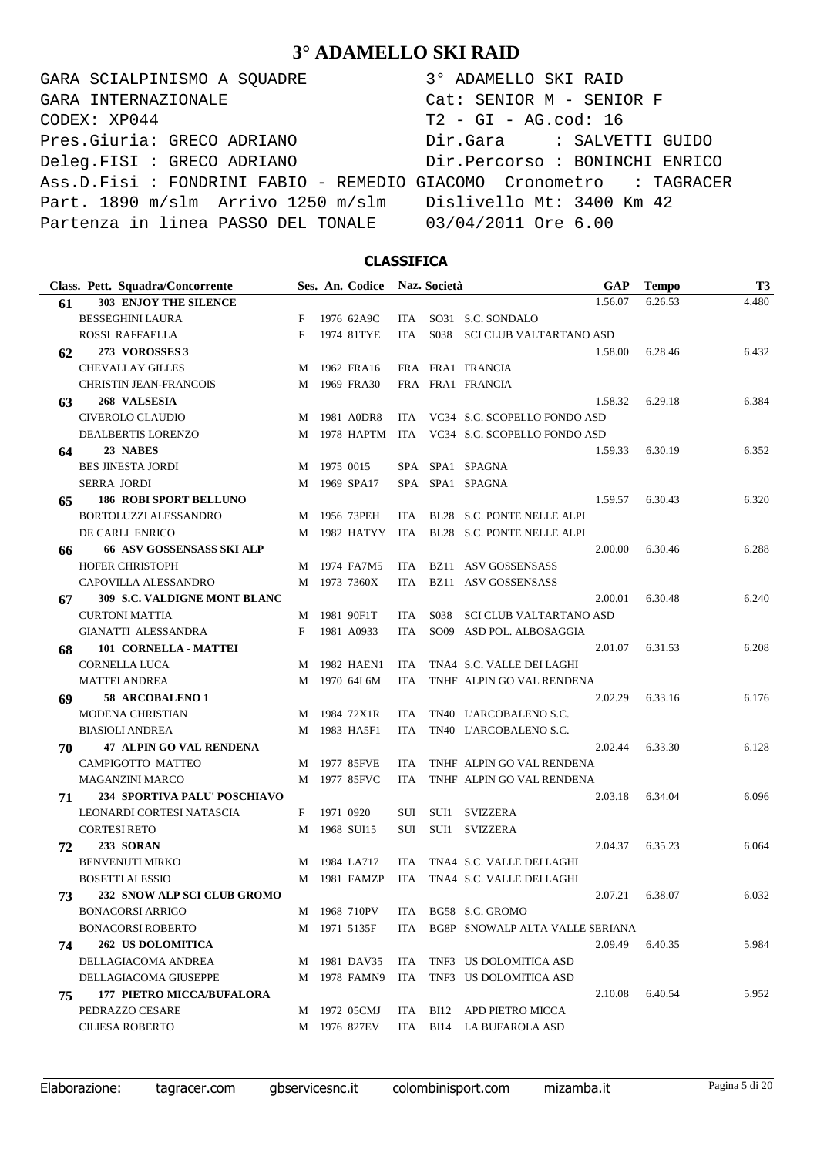GARA SCIALPINISMO A SQUADRE  $CODEX: XP044$ Pres.Giuria: GRECO ADRIANO Deleg.FISI : GRECO ADRIANO Ass.D.Fisi : FONDRINI FABIO - REMEDIO G Part. 1890 m/slm Arrivo 1250 m/slm Partenza in linea PASSO DEL TONALE GARA INTERNAZIONALE

| 3° ADAMELLO SKI RAID           |
|--------------------------------|
| Cat: SENIOR M - SENIOR F       |
| $T2 - GI - AG.cod: 16$         |
| Dir.Gara : SALVETTI GUIDO      |
| Dir.Percorso : BONINCHI ENRICO |
| HACOMO Cronometro : TAGRACER   |
| Dislivello Mt: 3400 Km 42      |
| 03/04/2011 Ore 6.00            |

### **CLASSIFICA**

|    | Class. Pett. Squadra/Concorrente    |   | Ses. An. Codice Naz. Società |            |      | GAP                                           | <b>Tempo</b> | T <sub>3</sub> |
|----|-------------------------------------|---|------------------------------|------------|------|-----------------------------------------------|--------------|----------------|
| 61 | <b>303 ENJOY THE SILENCE</b>        |   |                              |            |      | 1.56.07                                       | 6.26.53      | 4.480          |
|    | <b>BESSEGHINI LAURA</b>             | F | 1976 62A9C                   | ITA        |      | SO31 S.C. SONDALO                             |              |                |
|    | ROSSI RAFFAELLA                     | F | 1974 81TYE                   | ITA        |      | S038 SCI CLUB VALTARTANO ASD                  |              |                |
| 62 | 273 VOROSSES 3                      |   |                              |            |      | 1.58.00                                       | 6.28.46      | 6.432          |
|    | <b>CHEVALLAY GILLES</b>             |   | M 1962 FRA16                 |            |      | FRA FRA1 FRANCIA                              |              |                |
|    | <b>CHRISTIN JEAN-FRANCOIS</b>       |   | M 1969 FRA30                 |            |      | FRA FRA1 FRANCIA                              |              |                |
| 63 | 268 VALSESIA                        |   |                              |            |      | 1.58.32                                       | 6.29.18      | 6.384          |
|    | CIVEROLO CLAUDIO                    |   | M 1981 A0DR8                 |            |      | ITA VC34 S.C. SCOPELLO FONDO ASD              |              |                |
|    | DEALBERTIS LORENZO                  |   |                              |            |      | M 1978 HAPTM ITA VC34 S.C. SCOPELLO FONDO ASD |              |                |
| 64 | 23 NABES                            |   |                              |            |      | 1.59.33                                       | 6.30.19      | 6.352          |
|    | <b>BES JINESTA JORDI</b>            |   | M 1975 0015                  |            |      | SPA SPA1 SPAGNA                               |              |                |
|    | <b>SERRA JORDI</b>                  |   | M 1969 SPA17                 |            |      | SPA SPA1 SPAGNA                               |              |                |
| 65 | <b>186 ROBI SPORT BELLUNO</b>       |   |                              |            |      | 1.59.57                                       | 6.30.43      | 6.320          |
|    | BORTOLUZZI ALESSANDRO               |   | M 1956 73PEH                 | ITA        |      | BL28 S.C. PONTE NELLE ALPI                    |              |                |
|    | DE CARLI ENRICO                     |   | M 1982 HATYY                 |            |      | ITA BL28 S.C. PONTE NELLE ALPI                |              |                |
| 66 | <b>66 ASV GOSSENSASS SKI ALP</b>    |   |                              |            |      | 2.00.00                                       | 6.30.46      | 6.288          |
|    | <b>HOFER CHRISTOPH</b>              |   | M 1974 FA7M5                 | ITA        |      | BZ11 ASV GOSSENSASS                           |              |                |
|    | CAPOVILLA ALESSANDRO                |   | M 1973 7360X                 | ITA        |      | BZ11 ASV GOSSENSASS                           |              |                |
| 67 | <b>309 S.C. VALDIGNE MONT BLANC</b> |   |                              |            |      | 2.00.01                                       | 6.30.48      | 6.240          |
|    | <b>CURTONI MATTIA</b>               |   | M 1981 90F1T                 | ITA        | S038 | SCI CLUB VALTARTANO ASD                       |              |                |
|    | <b>GIANATTI ALESSANDRA</b>          | F | 1981 A0933                   | ITA        |      | SO09 ASD POL. ALBOSAGGIA                      |              |                |
| 68 | 101 CORNELLA - MATTEI               |   |                              |            |      | 2.01.07                                       | 6.31.53      | 6.208          |
|    | CORNELLA LUCA                       |   | M 1982 HAEN1                 | ITA        |      | TNA4 S.C. VALLE DEI LAGHI                     |              |                |
|    | <b>MATTEI ANDREA</b>                |   | M 1970 64L6M                 | ITA        |      | TNHF ALPIN GO VAL RENDENA                     |              |                |
| 69 | 58 ARCOBALENO 1                     |   |                              |            |      | 2.02.29                                       | 6.33.16      | 6.176          |
|    | <b>MODENA CHRISTIAN</b>             |   | M 1984 72X1R                 | ITA.       |      | TN40 L'ARCOBALENO S.C.                        |              |                |
|    | <b>BIASIOLI ANDREA</b>              |   | M 1983 HA5F1                 | ITA.       |      | TN40 L'ARCOBALENO S.C.                        |              |                |
| 70 | <b>47 ALPIN GO VAL RENDENA</b>      |   |                              |            |      | 2.02.44                                       | 6.33.30      | 6.128          |
|    | CAMPIGOTTO MATTEO                   |   | M 1977 85FVE                 | <b>ITA</b> |      | TNHF ALPIN GO VAL RENDENA                     |              |                |
|    | <b>MAGANZINI MARCO</b>              |   | M 1977 85FVC                 | ITA.       |      | TNHF ALPIN GO VAL RENDENA                     |              |                |
| 71 | 234 SPORTIVA PALU' POSCHIAVO        |   |                              |            |      | 2.03.18                                       | 6.34.04      | 6.096          |
|    | LEONARDI CORTESI NATASCIA           | F | 1971 0920                    | SUI        |      | SUI1 SVIZZERA                                 |              |                |
|    | <b>CORTESI RETO</b>                 |   | M 1968 SUI15                 | SUI        |      | SUI1 SVIZZERA                                 |              |                |
| 72 | 233 SORAN                           |   |                              |            |      | 2.04.37                                       | 6.35.23      | 6.064          |
|    | <b>BENVENUTI MIRKO</b>              |   | M 1984 LA717                 | <b>ITA</b> |      | TNA4 S.C. VALLE DEI LAGHI                     |              |                |
|    | <b>BOSETTI ALESSIO</b>              |   | M 1981 FAMZP                 | ITA.       |      | TNA4 S.C. VALLE DEI LAGHI                     |              |                |
| 73 | 232 SNOW ALP SCI CLUB GROMO         |   |                              |            |      | 2.07.21                                       | 6.38.07      | 6.032          |
|    | <b>BONACORSI ARRIGO</b>             |   | M 1968 710PV                 |            |      | ITA BG58 S.C. GROMO                           |              |                |
|    | <b>BONACORSI ROBERTO</b>            |   | M 1971 5135F                 | ITA        |      | BG8P SNOWALP ALTA VALLE SERIANA               |              |                |
| 74 | <b>262 US DOLOMITICA</b>            |   |                              |            |      | 2.09.49                                       | 6.40.35      | 5.984          |
|    | DELLAGIACOMA ANDREA                 |   | M 1981 DAV35                 |            |      | ITA TNF3 US DOLOMITICA ASD                    |              |                |
|    | DELLAGIACOMA GIUSEPPE               |   | M 1978 FAMN9                 | ITA        |      | TNF3 US DOLOMITICA ASD                        |              |                |
| 75 | <b>177 PIETRO MICCA/BUFALORA</b>    |   |                              |            |      | 2.10.08                                       | 6.40.54      | 5.952          |
|    | PEDRAZZO CESARE                     |   | M 1972 05CMJ                 |            |      | ITA BI12 APD PIETRO MICCA                     |              |                |
|    | <b>CILIESA ROBERTO</b>              |   | M 1976 827EV                 |            |      | ITA BI14 LA BUFAROLA ASD                      |              |                |

Elaborazione: tagracer.com gbservicesnc.it colombinisport.com mizamba.it Pagina 5 di 20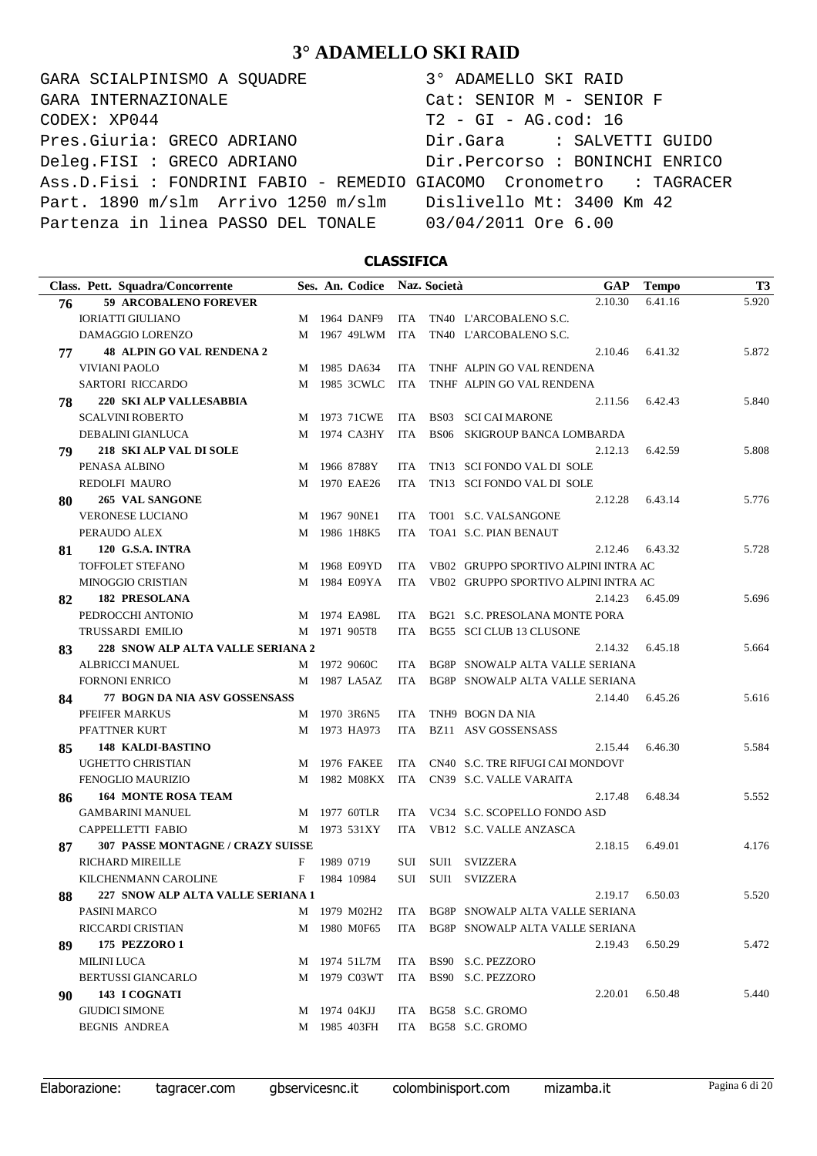GARA SCIALPINISMO A SQUADRE  $CODEX: XP044$ Pres.Giuria: GRECO ADRIANO Deleg.FISI : GRECO ADRIANO Ass.D.Fisi : FONDRINI FABIO - REMEDIO G Part. 1890 m/slm Arrivo 1250 m/slm Partenza in linea PASSO DEL TONALE GARA INTERNAZIONALE

| 3° ADAMELLO SKI RAID           |  |
|--------------------------------|--|
| Cat: SENIOR M - SENIOR F       |  |
| $T2 - GI - AG.cod: 16$         |  |
| Dir.Gara : SALVETTI GUIDO      |  |
| Dir.Percorso : BONINCHI ENRICO |  |
| GIACOMO Cronometro : TAGRACER  |  |
| Dislivello Mt: 3400 Km 42      |  |
| 03/04/2011 Ore 6.00            |  |

### **CLASSIFICA**

|    | Class. Pett. Squadra/Concorrente         |   | Ses. An. Codice Naz. Società |            |      | GAP                                  | <b>Tempo</b> | T <sub>3</sub> |
|----|------------------------------------------|---|------------------------------|------------|------|--------------------------------------|--------------|----------------|
| 76 | <b>59 ARCOBALENO FOREVER</b>             |   |                              |            |      | 2.10.30                              | 6.41.16      | 5.920          |
|    | <b>IORIATTI GIULIANO</b>                 |   | M 1964 DANF9                 |            |      | ITA TN40 L'ARCOBALENO S.C.           |              |                |
|    | DAMAGGIO LORENZO                         |   | M 1967 49LWM ITA             |            |      | TN40 L'ARCOBALENO S.C.               |              |                |
| 77 | <b>48 ALPIN GO VAL RENDENA 2</b>         |   |                              |            |      | 2.10.46                              | 6.41.32      | 5.872          |
|    | VIVIANI PAOLO                            |   | M 1985 DA634                 | ITA.       |      | TNHF ALPIN GO VAL RENDENA            |              |                |
|    | SARTORI RICCARDO                         |   | M 1985 3CWLC                 | ITA        |      | TNHF ALPIN GO VAL RENDENA            |              |                |
| 78 | <b>220 SKI ALP VALLESABBIA</b>           |   |                              |            |      | 2.11.56                              | 6.42.43      | 5.840          |
|    | <b>SCALVINI ROBERTO</b>                  |   | M 1973 71CWE                 | ITA        |      | BS03 SCI CAI MARONE                  |              |                |
|    | DEBALINI GIANLUCA                        |   | M 1974 CA3HY                 | ITA        |      | <b>BS06 SKIGROUP BANCA LOMBARDA</b>  |              |                |
| 79 | 218 SKI ALP VAL DI SOLE                  |   |                              |            |      | 2.12.13                              | 6.42.59      | 5.808          |
|    | PENASA ALBINO                            |   | M 1966 8788Y                 | ITA.       |      | TN13 SCI FONDO VAL DI SOLE           |              |                |
|    | <b>REDOLFI MAURO</b>                     |   | M 1970 EAE26                 | ITA.       |      | TN13 SCI FONDO VAL DI SOLE           |              |                |
| 80 | 265 VAL SANGONE                          |   |                              |            |      | 2.12.28                              | 6.43.14      | 5.776          |
|    | <b>VERONESE LUCIANO</b>                  |   | M 1967 90NE1                 | ITA        |      | TO01 S.C. VALSANGONE                 |              |                |
|    | PERAUDO ALEX                             |   | M 1986 1H8K5                 | ITA.       |      | TOA1 S.C. PIAN BENAUT                |              |                |
| 81 | <b>120 G.S.A. INTRA</b>                  |   |                              |            |      | 2.12.46                              | 6.43.32      | 5.728          |
|    | TOFFOLET STEFANO                         |   | M 1968 E09YD                 | ITA.       |      | VB02 GRUPPO SPORTIVO ALPINI INTRA AC |              |                |
|    | <b>MINOGGIO CRISTIAN</b>                 |   | M 1984 E09YA                 | ITA        |      | VB02 GRUPPO SPORTIVO ALPINI INTRA AC |              |                |
| 82 | <b>182 PRESOLANA</b>                     |   |                              |            |      | 2.14.23                              | 6.45.09      | 5.696          |
|    | PEDROCCHI ANTONIO                        |   | M 1974 EA98L                 | ITA.       |      | BG21 S.C. PRESOLANA MONTE PORA       |              |                |
|    | <b>TRUSSARDI EMILIO</b>                  |   | M 1971 905T8                 | ITA.       |      | BG55 SCI CLUB 13 CLUSONE             |              |                |
| 83 | 228 SNOW ALP ALTA VALLE SERIANA 2        |   |                              |            |      | 2.14.32                              | 6.45.18      | 5.664          |
|    | <b>ALBRICCI MANUEL</b>                   |   | M 1972 9060C                 | ITA.       |      | BG8P SNOWALP ALTA VALLE SERIANA      |              |                |
|    | <b>FORNONI ENRICO</b>                    |   | M 1987 LA5AZ                 | ITA        |      | BG8P SNOWALP ALTA VALLE SERIANA      |              |                |
| 84 | <b>77 BOGN DA NIA ASV GOSSENSASS</b>     |   |                              |            |      | 2.14.40                              | 6.45.26      | 5.616          |
|    | PFEIFER MARKUS                           |   | M 1970 3R6N5                 | ITA        |      | TNH9 BOGN DA NIA                     |              |                |
|    | PFATTNER KURT                            |   | M 1973 HA973                 | ITA        |      | BZ11 ASV GOSSENSASS                  |              |                |
| 85 | <b>148 KALDI-BASTINO</b>                 |   |                              |            |      | 2.15.44                              | 6.46.30      | 5.584          |
|    | UGHETTO CHRISTIAN                        |   | M 1976 FAKEE                 | ITA.       |      | CN40 S.C. TRE RIFUGI CAI MONDOVI'    |              |                |
|    | <b>FENOGLIO MAURIZIO</b>                 |   | M 1982 M08KX                 |            |      | ITA CN39 S.C. VALLE VARAITA          |              |                |
| 86 | <b>164 MONTE ROSA TEAM</b>               |   |                              |            |      | 2.17.48                              | 6.48.34      | 5.552          |
|    | <b>GAMBARINI MANUEL</b>                  |   | M 1977 60TLR                 | ITA.       |      | VC34 S.C. SCOPELLO FONDO ASD         |              |                |
|    | CAPPELLETTI FABIO                        |   | M 1973 531XY                 | ITA        |      | VB12 S.C. VALLE ANZASCA              |              |                |
| 87 | <b>307 PASSE MONTAGNE / CRAZY SUISSE</b> |   |                              |            |      | 2.18.15                              | 6.49.01      | 4.176          |
|    | <b>RICHARD MIREILLE</b>                  | F | 1989 0719                    | SUI        | SUI1 | SVIZZERA                             |              |                |
|    | KILCHENMANN CAROLINE                     | F | 1984 10984                   | SUI        | SUI1 | SVIZZERA                             |              |                |
| 88 | 227 SNOW ALP ALTA VALLE SERIANA 1        |   |                              |            |      | 2.19.17                              | 6.50.03      | 5.520          |
|    | PASINI MARCO                             |   | M 1979 M02H2                 | ITA        |      | BG8P SNOWALP ALTA VALLE SERIANA      |              |                |
|    | RICCARDI CRISTIAN                        |   | M 1980 M0F65                 | ITA        |      | BG8P SNOWALP ALTA VALLE SERIANA      |              |                |
| 89 | 175 PEZZORO 1                            |   |                              |            |      | 2.19.43                              | 6.50.29      | 5.472          |
|    | <b>MILINI LUCA</b>                       |   | M 1974 51L7M                 |            |      | ITA BS90 S.C. PEZZORO                |              |                |
|    | BERTUSSI GIANCARLO                       |   | M 1979 C03WT                 | ITA        |      | BS90 S.C. PEZZORO                    |              |                |
| 90 | 143 I COGNATI                            |   |                              |            |      | 2.20.01                              | 6.50.48      | 5.440          |
|    | <b>GIUDICI SIMONE</b>                    |   | M 1974 04KJJ                 | <b>ITA</b> |      | BG58 S.C. GROMO                      |              |                |
|    | <b>BEGNIS ANDREA</b>                     |   | M 1985 403FH                 | ITA        |      | BG58 S.C. GROMO                      |              |                |

Elaborazione: tagracer.com gbservicesnc.it colombinisport.com mizamba.it Pagina 6 di 20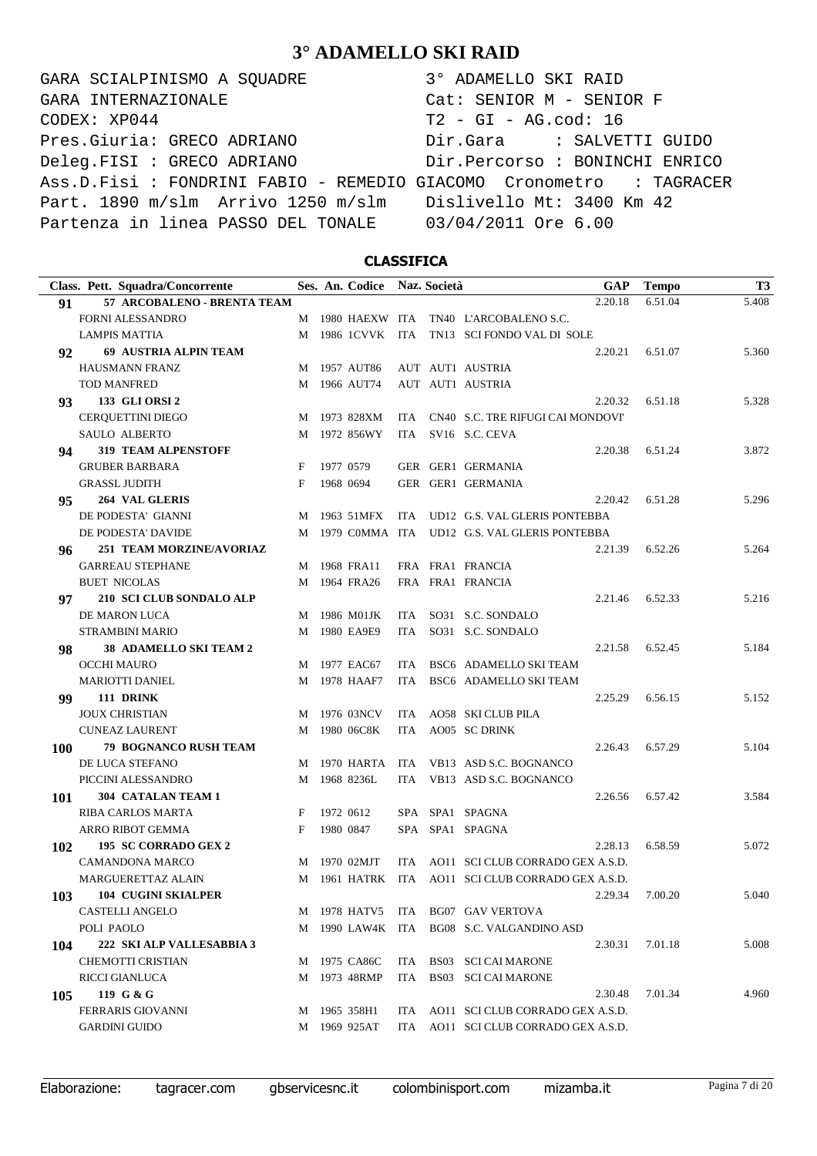GARA SCIALPINISMO A SQUADRE 3° ADAMELLO SKI RAID CODEX: XP044 T2 - GI - AG.cod: 16 Pres.Giuria: GRECO ADRIANO Dir.Gara : SALVETTI GUIDO Deleg.FISI : GRECO ADRIANO Dir.Percorso : BONINCHI ENRICO Ass.D.Fisi : FONDRINI FABIO - REMEDIO GIACOMO Cronometro : TAGRACER Part. 1890 m/slm Arrivo 1250 m/slm Dislivello Mt: 3400 Km 42 Partenza in linea PASSO DEL TONALE 03/04/2011 Ore 6.00 GARA INTERNAZIONALE Cat: SENIOR M - SENIOR F

### **CLASSIFICA**

|     | Class. Pett. Squadra/Concorrente |   | Ses. An. Codice |            | Naz. Società | <b>GAP</b>                                      | <b>Tempo</b> | T <sub>3</sub> |
|-----|----------------------------------|---|-----------------|------------|--------------|-------------------------------------------------|--------------|----------------|
| 91  | 57 ARCOBALENO - BRENTA TEAM      |   |                 |            |              | 2.20.18                                         | 6.51.04      | 5.408          |
|     | FORNI ALESSANDRO                 | M | 1980 HAEXW ITA  |            |              | TN40 L'ARCOBALENO S.C.                          |              |                |
|     | <b>LAMPIS MATTIA</b>             | М | 1986 1CVVK ITA  |            |              | TN13 SCI FONDO VAL DI SOLE                      |              |                |
| 92  | <b>69 AUSTRIA ALPIN TEAM</b>     |   |                 |            |              | 2.20.21                                         | 6.51.07      | 5.360          |
|     | <b>HAUSMANN FRANZ</b>            | M | 1957 AUT86      |            |              | AUT AUT1 AUSTRIA                                |              |                |
|     | <b>TOD MANFRED</b>               | М | 1966 AUT74      |            |              | AUT AUT1 AUSTRIA                                |              |                |
| 93  | 133 GLI ORSI 2                   |   |                 |            |              | 2.20.32                                         | 6.51.18      | 5.328          |
|     | CERQUETTINI DIEGO                | M | 1973 828XM      | ITA        |              | CN40 S.C. TRE RIFUGI CAI MONDOVI'               |              |                |
|     | SAULO ALBERTO                    | М | 1972 856WY      | ITA        |              | SV16 S.C. CEVA                                  |              |                |
| 94  | <b>319 TEAM ALPENSTOFF</b>       |   |                 |            |              | 2.20.38                                         | 6.51.24      | 3.872          |
|     | <b>GRUBER BARBARA</b>            | F | 1977 0579       |            |              | GER GER1 GERMANIA                               |              |                |
|     | <b>GRASSL JUDITH</b>             | F | 1968 0694       |            |              | GER GER1 GERMANIA                               |              |                |
| 95  | 264 VAL GLERIS                   |   |                 |            |              | 2.20.42                                         | 6.51.28      | 5.296          |
|     | DE PODESTA' GIANNI               | М | 1963 51MFX      | ITA        |              | UD12 G.S. VAL GLERIS PONTEBBA                   |              |                |
|     | DE PODESTA' DAVIDE               | M | 1979 COMMA ITA  |            |              | UD12 G.S. VAL GLERIS PONTEBBA                   |              |                |
| 96  | <b>251 TEAM MORZINE/AVORIAZ</b>  |   |                 |            |              | 2.21.39                                         | 6.52.26      | 5.264          |
|     | <b>GARREAU STEPHANE</b>          | М | 1968 FRA11      |            |              | FRA FRA1 FRANCIA                                |              |                |
|     | <b>BUET NICOLAS</b>              | М | 1964 FRA26      |            |              | FRA FRA1 FRANCIA                                |              |                |
| 97  | 210 SCI CLUB SONDALO ALP         |   |                 |            |              | 2.21.46                                         | 6.52.33      | 5.216          |
|     | DE MARON LUCA                    | М | 1986 M01JK      | ITA        |              | SO31 S.C. SONDALO                               |              |                |
|     | <b>STRAMBINI MARIO</b>           | М | 1980 EA9E9      | ITA        |              | SO31 S.C. SONDALO                               |              |                |
| 98  | <b>38 ADAMELLO SKI TEAM 2</b>    |   |                 |            |              | 2.21.58                                         | 6.52.45      | 5.184          |
|     | OCCHI MAURO                      | М | 1977 EAC67      | <b>ITA</b> |              | BSC6 ADAMELLO SKI TEAM                          |              |                |
|     | <b>MARIOTTI DANIEL</b>           | М | 1978 HAAF7      | ITA        |              | BSC6 ADAMELLO SKI TEAM                          |              |                |
| 99  | 111 DRINK                        |   |                 |            |              | 2.25.29                                         | 6.56.15      | 5.152          |
|     | <b>JOUX CHRISTIAN</b>            | М | 1976 03NCV      | ITA        |              | AO58 SKI CLUB PILA                              |              |                |
|     | <b>CUNEAZ LAURENT</b>            | М | 1980 06C8K      | ITA        |              | AO05 SC DRINK                                   |              |                |
| 100 | 79 BOGNANCO RUSH TEAM            |   |                 |            |              | 2.26.43                                         | 6.57.29      | 5.104          |
|     | DE LUCA STEFANO                  | M | 1970 HARTA      | ITA        |              | VB13 ASD S.C. BOGNANCO                          |              |                |
|     | PICCINI ALESSANDRO               | М | 1968 8236L      | <b>ITA</b> |              | VB13 ASD S.C. BOGNANCO                          |              |                |
| 101 | 304 CATALAN TEAM 1               |   |                 |            |              | 2.26.56                                         | 6.57.42      | 3.584          |
|     | RIBA CARLOS MARTA                | F | 1972 0612       |            |              | SPA SPA1 SPAGNA                                 |              |                |
|     | <b>ARRO RIBOT GEMMA</b>          | F | 1980 0847       |            |              | SPA SPA1 SPAGNA                                 |              |                |
| 102 | 195 SC CORRADO GEX 2             |   |                 |            |              | 2.28.13                                         | 6.58.59      | 5.072          |
|     | CAMANDONA MARCO                  | M | 1970 02MJT      | ITA        |              | AO11 SCI CLUB CORRADO GEX A.S.D.                |              |                |
|     | <b>MARGUERETTAZ ALAIN</b>        | M |                 |            |              | 1961 HATRK ITA AO11 SCI CLUB CORRADO GEX A.S.D. |              |                |
| 103 | <b>104 CUGINI SKIALPER</b>       |   |                 |            |              | 2.29.34                                         | 7.00.20      | 5.040          |
|     | CASTELLI ANGELO                  | М | 1978 HATV5      |            |              | ITA BG07 GAV VERTOVA                            |              |                |
|     | POLI PAOLO                       | М | 1990 LAW4K ITA  |            |              | BG08 S.C. VALGANDINO ASD                        |              |                |
| 104 | 222 SKI ALP VALLESABBIA 3        |   |                 |            |              | 2.30.31                                         | 7.01.18      | 5.008          |
|     | CHEMOTTI CRISTIAN                | М | 1975 CA86C      | ITA        |              | BS03 SCI CAI MARONE                             |              |                |
|     | RICCI GIANLUCA                   | М | 1973 48RMP      | ITA        |              | BS03 SCI CAI MARONE                             |              |                |
| 105 | 119 G & G                        |   |                 |            |              | 2.30.48                                         | 7.01.34      | 4.960          |
|     | <b>FERRARIS GIOVANNI</b>         | М | 1965 358H1      | ITA        |              | AO11 SCI CLUB CORRADO GEX A.S.D.                |              |                |
|     | <b>GARDINI GUIDO</b>             | М | 1969 925AT      | ITA        |              | AO11 SCI CLUB CORRADO GEX A.S.D.                |              |                |

Elaborazione: tagracer.com gbservicesnc.it colombinisport.com mizamba.it Pagina 7 di 20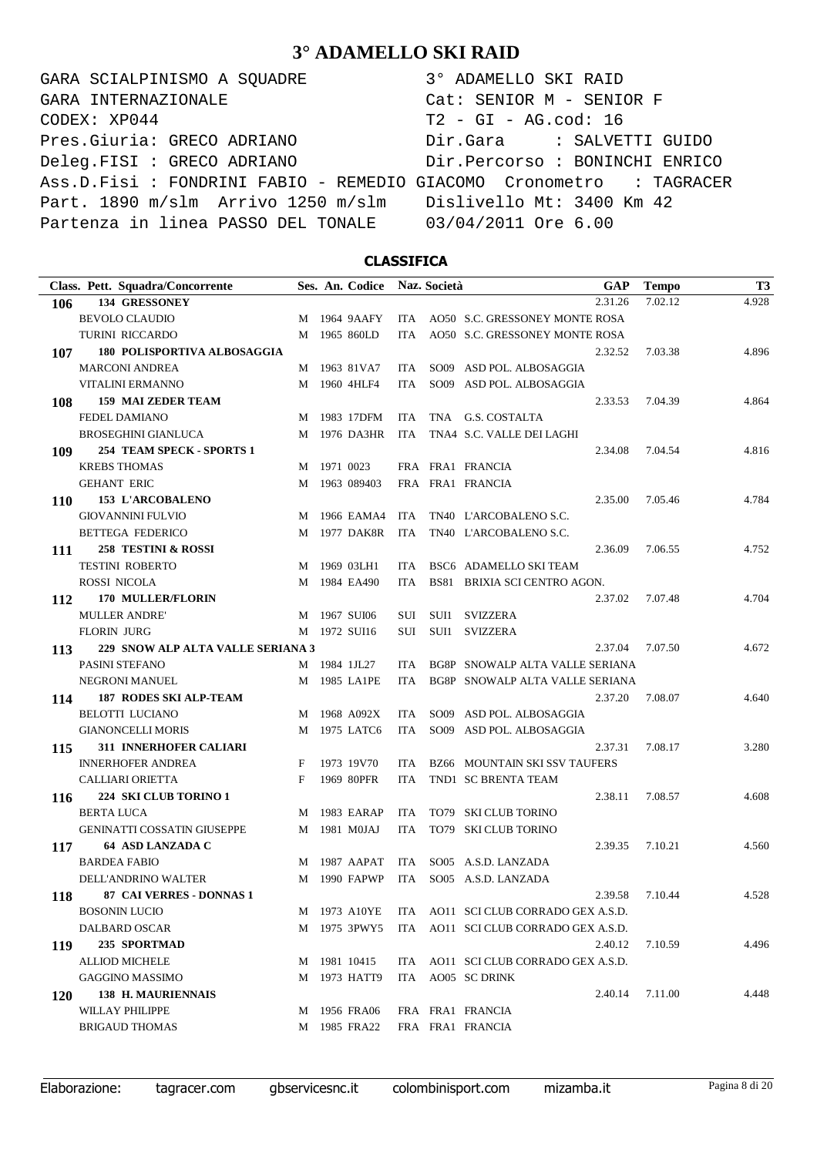GARA SCIALPINISMO A SQUADRE 3° ADAMELLO SKI RAID CODEX: XP044 T2 - GI - AG.cod: 16 Pres.Giuria: GRECO ADRIANO Dir.Gara : SALVETTI GUIDO Deleg.FISI : GRECO ADRIANO Dir.Percorso : BONINCHI ENRICO Ass.D.Fisi : FONDRINI FABIO - REMEDIO GIACOMO Cronometro : TAGRACER Part. 1890 m/slm Arrivo 1250 m/slm Dislivello Mt: 3400 Km 42 Partenza in linea PASSO DEL TONALE 03/04/2011 Ore 6.00 GARA INTERNAZIONALE Cat: SENIOR M - SENIOR F

### **CLASSIFICA**

| 134 GRESSONEY<br>2.31.26<br>7.02.12<br>106<br>ITA AO50 S.C. GRESSONEY MONTE ROSA<br><b>BEVOLO CLAUDIO</b><br>1964 9AAFY<br>M<br>1965 860LD<br>AO50 S.C. GRESSONEY MONTE ROSA<br><b>TURINI RICCARDO</b><br>М<br>ITA<br>180 POLISPORTIVA ALBOSAGGIA<br>2.32.52<br>7.03.38<br>107<br><b>MARCONI ANDREA</b><br>M 1963 81VA7<br>SO09 ASD POL. ALBOSAGGIA<br>ITA.<br>VITALINI ERMANNO<br>1960 4HLF4<br>SO09 ASD POL. ALBOSAGGIA<br><b>ITA</b><br>М<br><b>159 MAI ZEDER TEAM</b><br>2.33.53<br>7.04.39<br>108<br>TNA G.S. COSTALTA<br><b>FEDEL DAMIANO</b><br>1983 17DFM<br><b>ITA</b><br>M<br>1976 DA3HR<br><b>ITA</b><br>TNA4 S.C. VALLE DEI LAGHI<br><b>BROSEGHINI GIANLUCA</b><br>M<br>254 TEAM SPECK - SPORTS 1<br>2.34.08<br>7.04.54<br>109<br><b>KREBS THOMAS</b><br>1971 0023<br>FRA FRA1 FRANCIA<br>M<br><b>GEHANT ERIC</b><br>1963 089403<br>FRA FRA1 FRANCIA<br>M<br><b>153 L'ARCOBALENO</b><br>2.35.00<br>7.05.46<br><b>110</b><br><b>GIOVANNINI FULVIO</b><br>1966 EAMA4<br>ITA<br>TN40 L'ARCOBALENO S.C.<br>М<br>1977 DAK8R<br>TN40 L'ARCOBALENO S.C.<br><b>BETTEGA FEDERICO</b><br><b>ITA</b><br>M<br>258 TESTINI & ROSSI<br>7.06.55<br>2.36.09<br>111<br><b>TESTINI ROBERTO</b><br>1969 03LH1<br>BSC6 ADAMELLO SKI TEAM<br><b>ITA</b><br>М<br><b>ROSSI NICOLA</b><br>1984 EA490<br><b>BS81 BRIXIA SCI CENTRO AGON.</b><br><b>ITA</b><br>M | 4.928<br>4.896<br>4.864<br>4.816 |
|----------------------------------------------------------------------------------------------------------------------------------------------------------------------------------------------------------------------------------------------------------------------------------------------------------------------------------------------------------------------------------------------------------------------------------------------------------------------------------------------------------------------------------------------------------------------------------------------------------------------------------------------------------------------------------------------------------------------------------------------------------------------------------------------------------------------------------------------------------------------------------------------------------------------------------------------------------------------------------------------------------------------------------------------------------------------------------------------------------------------------------------------------------------------------------------------------------------------------------------------------------------------------------------------------------------------------------------------------|----------------------------------|
|                                                                                                                                                                                                                                                                                                                                                                                                                                                                                                                                                                                                                                                                                                                                                                                                                                                                                                                                                                                                                                                                                                                                                                                                                                                                                                                                                    |                                  |
|                                                                                                                                                                                                                                                                                                                                                                                                                                                                                                                                                                                                                                                                                                                                                                                                                                                                                                                                                                                                                                                                                                                                                                                                                                                                                                                                                    |                                  |
|                                                                                                                                                                                                                                                                                                                                                                                                                                                                                                                                                                                                                                                                                                                                                                                                                                                                                                                                                                                                                                                                                                                                                                                                                                                                                                                                                    |                                  |
|                                                                                                                                                                                                                                                                                                                                                                                                                                                                                                                                                                                                                                                                                                                                                                                                                                                                                                                                                                                                                                                                                                                                                                                                                                                                                                                                                    |                                  |
|                                                                                                                                                                                                                                                                                                                                                                                                                                                                                                                                                                                                                                                                                                                                                                                                                                                                                                                                                                                                                                                                                                                                                                                                                                                                                                                                                    |                                  |
|                                                                                                                                                                                                                                                                                                                                                                                                                                                                                                                                                                                                                                                                                                                                                                                                                                                                                                                                                                                                                                                                                                                                                                                                                                                                                                                                                    |                                  |
|                                                                                                                                                                                                                                                                                                                                                                                                                                                                                                                                                                                                                                                                                                                                                                                                                                                                                                                                                                                                                                                                                                                                                                                                                                                                                                                                                    |                                  |
|                                                                                                                                                                                                                                                                                                                                                                                                                                                                                                                                                                                                                                                                                                                                                                                                                                                                                                                                                                                                                                                                                                                                                                                                                                                                                                                                                    |                                  |
|                                                                                                                                                                                                                                                                                                                                                                                                                                                                                                                                                                                                                                                                                                                                                                                                                                                                                                                                                                                                                                                                                                                                                                                                                                                                                                                                                    |                                  |
|                                                                                                                                                                                                                                                                                                                                                                                                                                                                                                                                                                                                                                                                                                                                                                                                                                                                                                                                                                                                                                                                                                                                                                                                                                                                                                                                                    |                                  |
|                                                                                                                                                                                                                                                                                                                                                                                                                                                                                                                                                                                                                                                                                                                                                                                                                                                                                                                                                                                                                                                                                                                                                                                                                                                                                                                                                    |                                  |
|                                                                                                                                                                                                                                                                                                                                                                                                                                                                                                                                                                                                                                                                                                                                                                                                                                                                                                                                                                                                                                                                                                                                                                                                                                                                                                                                                    |                                  |
|                                                                                                                                                                                                                                                                                                                                                                                                                                                                                                                                                                                                                                                                                                                                                                                                                                                                                                                                                                                                                                                                                                                                                                                                                                                                                                                                                    | 4.784                            |
|                                                                                                                                                                                                                                                                                                                                                                                                                                                                                                                                                                                                                                                                                                                                                                                                                                                                                                                                                                                                                                                                                                                                                                                                                                                                                                                                                    |                                  |
|                                                                                                                                                                                                                                                                                                                                                                                                                                                                                                                                                                                                                                                                                                                                                                                                                                                                                                                                                                                                                                                                                                                                                                                                                                                                                                                                                    |                                  |
|                                                                                                                                                                                                                                                                                                                                                                                                                                                                                                                                                                                                                                                                                                                                                                                                                                                                                                                                                                                                                                                                                                                                                                                                                                                                                                                                                    | 4.752                            |
|                                                                                                                                                                                                                                                                                                                                                                                                                                                                                                                                                                                                                                                                                                                                                                                                                                                                                                                                                                                                                                                                                                                                                                                                                                                                                                                                                    |                                  |
|                                                                                                                                                                                                                                                                                                                                                                                                                                                                                                                                                                                                                                                                                                                                                                                                                                                                                                                                                                                                                                                                                                                                                                                                                                                                                                                                                    |                                  |
| 170 MULLER/FLORIN<br>2.37.02<br>7.07.48<br>112                                                                                                                                                                                                                                                                                                                                                                                                                                                                                                                                                                                                                                                                                                                                                                                                                                                                                                                                                                                                                                                                                                                                                                                                                                                                                                     | 4.704                            |
| <b>MULLER ANDRE'</b><br><b>SVIZZERA</b><br>1967 SUI06<br>SUI1<br>SUI<br>M                                                                                                                                                                                                                                                                                                                                                                                                                                                                                                                                                                                                                                                                                                                                                                                                                                                                                                                                                                                                                                                                                                                                                                                                                                                                          |                                  |
| <b>FLORIN JURG</b><br>1972 SUI16<br>SUI1<br><b>SVIZZERA</b><br>SUI<br>М                                                                                                                                                                                                                                                                                                                                                                                                                                                                                                                                                                                                                                                                                                                                                                                                                                                                                                                                                                                                                                                                                                                                                                                                                                                                            |                                  |
| 229 SNOW ALP ALTA VALLE SERIANA 3<br>2.37.04<br>7.07.50<br>113                                                                                                                                                                                                                                                                                                                                                                                                                                                                                                                                                                                                                                                                                                                                                                                                                                                                                                                                                                                                                                                                                                                                                                                                                                                                                     | 4.672                            |
| PASINI STEFANO<br>1984 1JL27<br>BG8P SNOWALP ALTA VALLE SERIANA<br>ITA.<br>M                                                                                                                                                                                                                                                                                                                                                                                                                                                                                                                                                                                                                                                                                                                                                                                                                                                                                                                                                                                                                                                                                                                                                                                                                                                                       |                                  |
| NEGRONI MANUEL<br>1985 LA1PE<br>BG8P SNOWALP ALTA VALLE SERIANA<br><b>ITA</b><br>М                                                                                                                                                                                                                                                                                                                                                                                                                                                                                                                                                                                                                                                                                                                                                                                                                                                                                                                                                                                                                                                                                                                                                                                                                                                                 |                                  |
| <b>187 RODES SKI ALP-TEAM</b><br>2.37.20<br>7.08.07<br>114                                                                                                                                                                                                                                                                                                                                                                                                                                                                                                                                                                                                                                                                                                                                                                                                                                                                                                                                                                                                                                                                                                                                                                                                                                                                                         | 4.640                            |
| <b>BELOTTI LUCIANO</b><br>1968 A092X<br>SO09 ASD POL. ALBOSAGGIA<br><b>ITA</b><br>М                                                                                                                                                                                                                                                                                                                                                                                                                                                                                                                                                                                                                                                                                                                                                                                                                                                                                                                                                                                                                                                                                                                                                                                                                                                                |                                  |
| <b>GIANONCELLI MORIS</b><br>1975 LATC6<br>SO09 ASD POL. ALBOSAGGIA<br><b>ITA</b><br>М                                                                                                                                                                                                                                                                                                                                                                                                                                                                                                                                                                                                                                                                                                                                                                                                                                                                                                                                                                                                                                                                                                                                                                                                                                                              |                                  |
| 311 INNERHOFER CALIARI<br>7.08.17<br>2.37.31<br>115                                                                                                                                                                                                                                                                                                                                                                                                                                                                                                                                                                                                                                                                                                                                                                                                                                                                                                                                                                                                                                                                                                                                                                                                                                                                                                | 3.280                            |
| <b>INNERHOFER ANDREA</b><br>1973 19V70<br>F<br><b>BZ66 MOUNTAIN SKI SSV TAUFERS</b><br><b>ITA</b>                                                                                                                                                                                                                                                                                                                                                                                                                                                                                                                                                                                                                                                                                                                                                                                                                                                                                                                                                                                                                                                                                                                                                                                                                                                  |                                  |
| <b>CALLIARI ORIETTA</b><br>1969 80PFR<br>TND1 SC BRENTA TEAM<br>F<br><b>ITA</b>                                                                                                                                                                                                                                                                                                                                                                                                                                                                                                                                                                                                                                                                                                                                                                                                                                                                                                                                                                                                                                                                                                                                                                                                                                                                    |                                  |
| 224 SKI CLUB TORINO 1<br>7.08.57<br>2.38.11<br>116                                                                                                                                                                                                                                                                                                                                                                                                                                                                                                                                                                                                                                                                                                                                                                                                                                                                                                                                                                                                                                                                                                                                                                                                                                                                                                 | 4.608                            |
| <b>BERTA LUCA</b><br>1983 EARAP<br><b>ITA</b><br>TO79 SKI CLUB TORINO<br>М                                                                                                                                                                                                                                                                                                                                                                                                                                                                                                                                                                                                                                                                                                                                                                                                                                                                                                                                                                                                                                                                                                                                                                                                                                                                         |                                  |
| GENINATTI COSSATIN GIUSEPPE<br>1981 M0JAJ<br>TO79 SKI CLUB TORINO<br><b>ITA</b><br>М                                                                                                                                                                                                                                                                                                                                                                                                                                                                                                                                                                                                                                                                                                                                                                                                                                                                                                                                                                                                                                                                                                                                                                                                                                                               |                                  |
| <b>64 ASD LANZADA C</b><br>7.10.21<br>2.39.35<br>117                                                                                                                                                                                                                                                                                                                                                                                                                                                                                                                                                                                                                                                                                                                                                                                                                                                                                                                                                                                                                                                                                                                                                                                                                                                                                               | 4.560                            |
| <b>BARDEA FABIO</b><br>1987 AAPAT<br>ITA<br>SO05 A.S.D. LANZADA<br>М                                                                                                                                                                                                                                                                                                                                                                                                                                                                                                                                                                                                                                                                                                                                                                                                                                                                                                                                                                                                                                                                                                                                                                                                                                                                               |                                  |
| DELL'ANDRINO WALTER<br>1990 FAPWP<br>ITA<br>SO05 A.S.D. LANZADA<br>М                                                                                                                                                                                                                                                                                                                                                                                                                                                                                                                                                                                                                                                                                                                                                                                                                                                                                                                                                                                                                                                                                                                                                                                                                                                                               |                                  |
| 87 CAI VERRES - DONNAS 1<br>2.39.58<br>7.10.44<br>118                                                                                                                                                                                                                                                                                                                                                                                                                                                                                                                                                                                                                                                                                                                                                                                                                                                                                                                                                                                                                                                                                                                                                                                                                                                                                              | 4.528                            |
| <b>BOSONIN LUCIO</b><br>ITA AO11 SCI CLUB CORRADO GEX A.S.D.<br>M 1973 A10YE                                                                                                                                                                                                                                                                                                                                                                                                                                                                                                                                                                                                                                                                                                                                                                                                                                                                                                                                                                                                                                                                                                                                                                                                                                                                       |                                  |
| 1975 3PWY5<br>DALBARD OSCAR<br>ITA AO11 SCI CLUB CORRADO GEX A.S.D.<br>М                                                                                                                                                                                                                                                                                                                                                                                                                                                                                                                                                                                                                                                                                                                                                                                                                                                                                                                                                                                                                                                                                                                                                                                                                                                                           |                                  |
| 235 SPORTMAD<br>7.10.59<br>2.40.12<br>119                                                                                                                                                                                                                                                                                                                                                                                                                                                                                                                                                                                                                                                                                                                                                                                                                                                                                                                                                                                                                                                                                                                                                                                                                                                                                                          | 4.496                            |
| <b>ALLIOD MICHELE</b><br>1981 10415<br>ITA AO11 SCI CLUB CORRADO GEX A.S.D.<br>M                                                                                                                                                                                                                                                                                                                                                                                                                                                                                                                                                                                                                                                                                                                                                                                                                                                                                                                                                                                                                                                                                                                                                                                                                                                                   |                                  |
| <b>GAGGINO MASSIMO</b><br>1973 HATT9<br>ITA AO05 SC DRINK<br>М                                                                                                                                                                                                                                                                                                                                                                                                                                                                                                                                                                                                                                                                                                                                                                                                                                                                                                                                                                                                                                                                                                                                                                                                                                                                                     |                                  |
| <b>138 H. MAURIENNAIS</b><br>2.40.14<br>7.11.00<br><b>120</b>                                                                                                                                                                                                                                                                                                                                                                                                                                                                                                                                                                                                                                                                                                                                                                                                                                                                                                                                                                                                                                                                                                                                                                                                                                                                                      |                                  |
| WILLAY PHILIPPE<br>M 1956 FRA06<br>FRA FRA1 FRANCIA                                                                                                                                                                                                                                                                                                                                                                                                                                                                                                                                                                                                                                                                                                                                                                                                                                                                                                                                                                                                                                                                                                                                                                                                                                                                                                |                                  |
| <b>BRIGAUD THOMAS</b><br>M 1985 FRA22<br>FRA FRA1 FRANCIA                                                                                                                                                                                                                                                                                                                                                                                                                                                                                                                                                                                                                                                                                                                                                                                                                                                                                                                                                                                                                                                                                                                                                                                                                                                                                          | 4.448                            |

Elaborazione: tagracer.com gbservicesnc.it colombinisport.com mizamba.it Pagina 8 di 20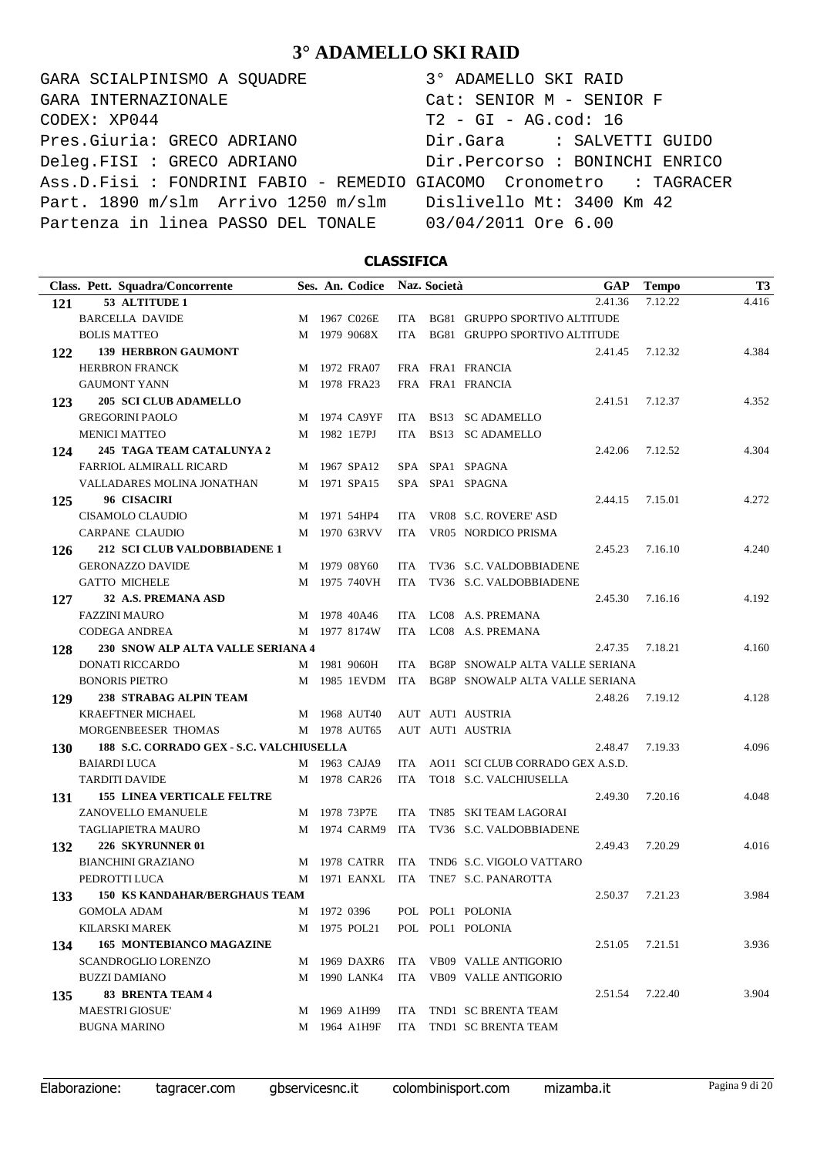GARA SCIALPINISMO A SQUADRE 3° ADAMELLO SKI RAID CODEX: XP044 T2 - GI - AG.cod: 16 Pres.Giuria: GRECO ADRIANO Dir.Gara : SALVETTI GUIDO Deleg.FISI : GRECO ADRIANO Dir.Percorso : BONINCHI ENRICO Ass.D.Fisi : FONDRINI FABIO - REMEDIO GIACOMO Cronometro : TAGRACER Part. 1890 m/slm Arrivo 1250 m/slm Dislivello Mt: 3400 Km 42 Partenza in linea PASSO DEL TONALE 03/04/2011 Ore 6.00 GARA INTERNAZIONALE Cat: SENIOR M - SENIOR F

### **CLASSIFICA**

| Class. Pett. Squadra/Concorrente                       |  | Ses. An. Codice  |            | Naz. Società |                                                  | GAP     | <b>Tempo</b> | <b>T3</b> |
|--------------------------------------------------------|--|------------------|------------|--------------|--------------------------------------------------|---------|--------------|-----------|
| 53 ALTITUDE 1<br>121                                   |  |                  |            |              |                                                  | 2.41.36 | 7.12.22      | 4.416     |
| <b>BARCELLA DAVIDE</b>                                 |  | M 1967 C026E     |            |              | ITA BG81 GRUPPO SPORTIVO ALTITUDE                |         |              |           |
| <b>BOLIS MATTEO</b>                                    |  | M 1979 9068X     | ITA.       |              | BG81 GRUPPO SPORTIVO ALTITUDE                    |         |              |           |
| <b>139 HERBRON GAUMONT</b><br>122                      |  |                  |            |              |                                                  | 2.41.45 | 7.12.32      | 4.384     |
| <b>HERBRON FRANCK</b>                                  |  | M 1972 FRA07     |            |              | FRA FRA1 FRANCIA                                 |         |              |           |
| <b>GAUMONT YANN</b>                                    |  | M 1978 FRA23     |            |              | FRA FRA1 FRANCIA                                 |         |              |           |
| <b>205 SCI CLUB ADAMELLO</b><br>123                    |  |                  |            |              |                                                  | 2.41.51 | 7.12.37      | 4.352     |
| <b>GREGORINI PAOLO</b>                                 |  | M 1974 CA9YF     |            |              | ITA BS13 SC ADAMELLO                             |         |              |           |
| <b>MENICI MATTEO</b>                                   |  | M 1982 1E7PJ     | ITA        |              | BS13 SC ADAMELLO                                 |         |              |           |
| 245 TAGA TEAM CATALUNYA 2<br>124                       |  |                  |            |              |                                                  | 2.42.06 | 7.12.52      | 4.304     |
| <b>FARRIOL ALMIRALL RICARD</b>                         |  | M 1967 SPA12     |            |              | SPA SPA1 SPAGNA                                  |         |              |           |
| VALLADARES MOLINA JONATHAN                             |  | M 1971 SPA15     |            |              | SPA SPA1 SPAGNA                                  |         |              |           |
| 96 CISACIRI<br>125                                     |  |                  |            |              |                                                  | 2.44.15 | 7.15.01      | 4.272     |
| CISAMOLO CLAUDIO                                       |  | M 1971 54HP4     | ITA.       |              | VR08 S.C. ROVERE' ASD                            |         |              |           |
| <b>CARPANE CLAUDIO</b>                                 |  | M 1970 63RVV     | ITA        |              | VR05 NORDICO PRISMA                              |         |              |           |
| 212 SCI CLUB VALDOBBIADENE 1<br>126                    |  |                  |            |              |                                                  | 2.45.23 | 7.16.10      | 4.240     |
| <b>GERONAZZO DAVIDE</b>                                |  | M 1979 08Y60     | ITA.       |              | TV36 S.C. VALDOBBIADENE                          |         |              |           |
| <b>GATTO MICHELE</b>                                   |  | M 1975 740VH     | ITA        |              | TV36 S.C. VALDOBBIADENE                          |         |              |           |
| 32 A.S. PREMANA ASD<br>127                             |  |                  |            |              |                                                  | 2.45.30 | 7.16.16      | 4.192     |
| <b>FAZZINI MAURO</b>                                   |  | M 1978 40A46     |            |              | ITA LC08 A.S. PREMANA                            |         |              |           |
| <b>CODEGA ANDREA</b>                                   |  | M 1977 8174W     |            |              | ITA LC08 A.S. PREMANA                            |         |              |           |
| 230 SNOW ALP ALTA VALLE SERIANA 4<br>128               |  |                  |            |              |                                                  | 2.47.35 | 7.18.21      | 4.160     |
| <b>DONATI RICCARDO</b>                                 |  | M 1981 9060H     |            |              | ITA BG8P SNOWALP ALTA VALLE SERIANA              |         |              |           |
| <b>BONORIS PIETRO</b>                                  |  |                  |            |              | M 1985 1EVDM ITA BG8P SNOWALP ALTA VALLE SERIANA |         |              |           |
| 238 STRABAG ALPIN TEAM<br>129                          |  |                  |            |              |                                                  | 2.48.26 | 7.19.12      | 4.128     |
| <b>KRAEFTNER MICHAEL</b>                               |  | M 1968 AUT40     |            |              | AUT AUT1 AUSTRIA                                 |         |              |           |
| MORGENBEESER THOMAS                                    |  | M 1978 AUT65     |            |              | AUT AUT1 AUSTRIA                                 |         |              |           |
| 188 S.C. CORRADO GEX - S.C. VALCHIUSELLA<br><b>130</b> |  |                  |            |              |                                                  | 2.48.47 | 7.19.33      | 4.096     |
| <b>BAIARDI LUCA</b>                                    |  | M 1963 CAJA9     |            |              | ITA AO11 SCI CLUB CORRADO GEX A.S.D.             |         |              |           |
| <b>TARDITI DAVIDE</b>                                  |  | M 1978 CAR26     |            |              | ITA TO18 S.C. VALCHIUSELLA                       |         |              |           |
| <b>155 LINEA VERTICALE FELTRE</b><br>131               |  |                  |            |              |                                                  | 2.49.30 | 7.20.16      | 4.048     |
| ZANOVELLO EMANUELE                                     |  | M 1978 73P7E     | <b>ITA</b> |              | TN85 SKI TEAM LAGORAI                            |         |              |           |
| <b>TAGLIAPIETRA MAURO</b>                              |  | M 1974 CARM9 ITA |            |              | TV36 S.C. VALDOBBIADENE                          |         |              |           |
| 226 SKYRUNNER 01<br>132                                |  |                  |            |              |                                                  | 2.49.43 | 7.20.29      | 4.016     |
| <b>BIANCHINI GRAZIANO</b>                              |  | M 1978 CATRR     | ITA        |              | TND6 S.C. VIGOLO VATTARO                         |         |              |           |
| PEDROTTI LUCA                                          |  | M 1971 EANXL ITA |            |              | TNE7 S.C. PANAROTTA                              |         |              |           |
| <b>150 KS KANDAHAR/BERGHAUS TEAM</b><br>133            |  |                  |            |              |                                                  | 2.50.37 | 7.21.23      | 3.984     |
| <b>GOMOLA ADAM</b>                                     |  | M 1972 0396      |            |              | POL POL1 POLONIA                                 |         |              |           |
| <b>KILARSKI MAREK</b>                                  |  | M 1975 POL21     |            |              | POL POL1 POLONIA                                 |         |              |           |
| <b>165 MONTEBIANCO MAGAZINE</b><br>134                 |  |                  |            |              |                                                  | 2.51.05 | 7.21.51      | 3.936     |
| SCANDROGLIO LORENZO                                    |  | M 1969 DAXR6     |            |              | ITA VB09 VALLE ANTIGORIO                         |         |              |           |
| <b>BUZZI DAMIANO</b>                                   |  | M 1990 LANK4     |            |              | ITA VB09 VALLE ANTIGORIO                         |         |              |           |
| <b>83 BRENTA TEAM 4</b><br>135                         |  |                  |            |              |                                                  | 2.51.54 | 7.22.40      | 3.904     |
| <b>MAESTRI GIOSUE'</b>                                 |  | M 1969 A1H99     | ITA        |              | TND1 SC BRENTA TEAM                              |         |              |           |
| <b>BUGNA MARINO</b>                                    |  | M 1964 A1H9F     | ITA        |              | TND1 SC BRENTA TEAM                              |         |              |           |
|                                                        |  |                  |            |              |                                                  |         |              |           |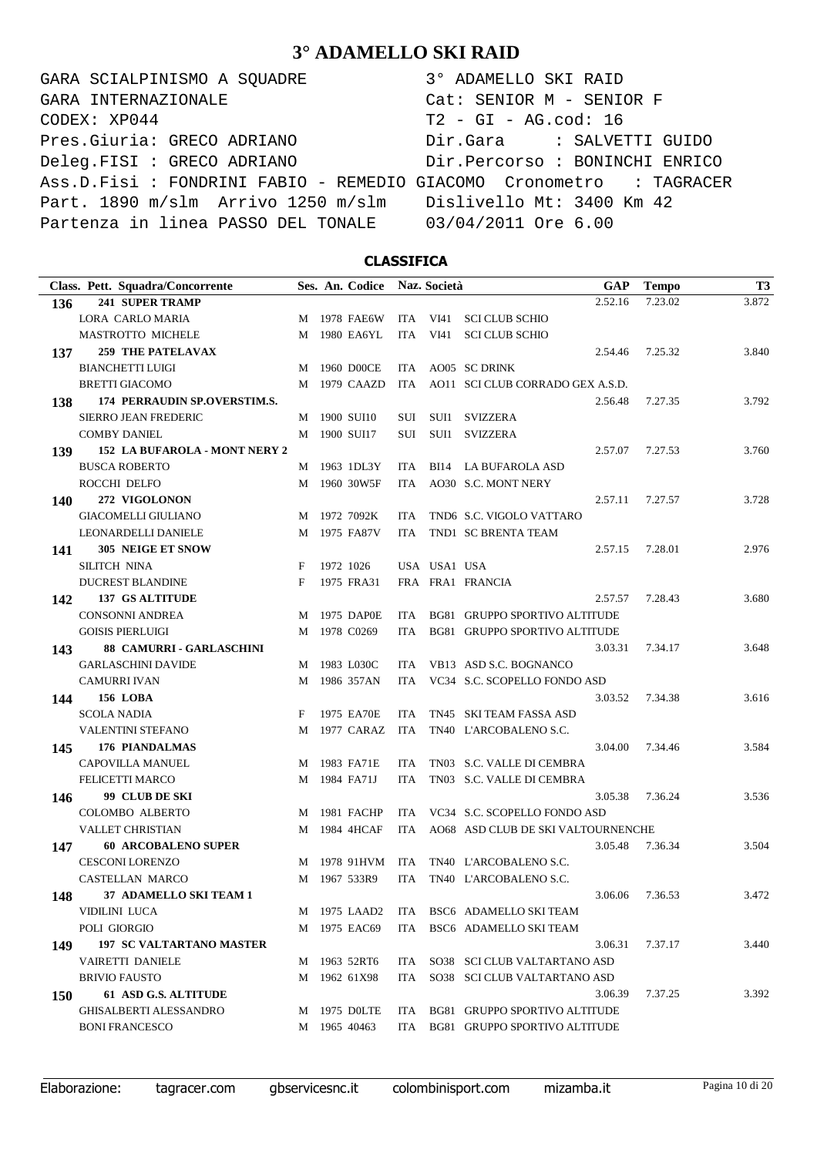GARA SCIALPINISMO A SQUADRE 3° ADAMELLO SKI RAID CODEX: XP044 T2 - GI - AG.cod: 16 Pres.Giuria: GRECO ADRIANO Dir.Gara : SALVETTI GUIDO Deleg.FISI : GRECO ADRIANO Dir.Percorso : BONINCHI ENRICO Ass.D.Fisi : FONDRINI FABIO - REMEDIO GIACOMO Cronometro : TAGRACER Part. 1890 m/slm Arrivo 1250 m/slm Dislivello Mt: 3400 Km 42 Partenza in linea PASSO DEL TONALE 03/04/2011 Ore 6.00 GARA INTERNAZIONALE Cat: SENIOR M - SENIOR F

### **CLASSIFICA**

| Class. Pett. Squadra/Concorrente       |   | Ses. An. Codice Naz. Società |            |              | <b>GAP</b>                           | <b>Tempo</b> | T <sub>3</sub> |
|----------------------------------------|---|------------------------------|------------|--------------|--------------------------------------|--------------|----------------|
| <b>241 SUPER TRAMP</b><br>136          |   |                              |            |              | 2.52.16                              | 7.23.02      | 3.872          |
| LORA CARLO MARIA                       |   | M 1978 FAE6W                 |            |              | ITA VI41 SCI CLUB SCHIO              |              |                |
| MASTROTTO MICHELE                      |   | M 1980 EA6YL                 | ITA        | VI41         | <b>SCI CLUB SCHIO</b>                |              |                |
| <b>259 THE PATELAVAX</b><br>137        |   |                              |            |              | 2.54.46                              | 7.25.32      | 3.840          |
| <b>BIANCHETTI LUIGI</b>                |   | M 1960 D00CE                 |            |              | ITA AO05 SC DRINK                    |              |                |
| <b>BRETTI GIACOMO</b>                  | M | 1979 CAAZD                   | ITA        |              | AO11 SCI CLUB CORRADO GEX A.S.D.     |              |                |
| 174 PERRAUDIN SP.OVERSTIM.S.<br>138    |   |                              |            |              | 2.56.48                              | 7.27.35      | 3.792          |
| <b>SIERRO JEAN FREDERIC</b>            |   | M 1900 SUI10                 |            |              | SUI SUI1 SVIZZERA                    |              |                |
| <b>COMBY DANIEL</b>                    |   | M 1900 SUI17                 | SUI        | SUI1         | <b>SVIZZERA</b>                      |              |                |
| 152 LA BUFAROLA - MONT NERY 2<br>139   |   |                              |            |              | 2.57.07                              | 7.27.53      | 3.760          |
| <b>BUSCA ROBERTO</b>                   |   | M 1963 1DL3Y                 | ITA        |              | BI14 LA BUFAROLA ASD                 |              |                |
| ROCCHI DELFO                           | M | 1960 30W5F                   | ITA        |              | AO30 S.C. MONT NERY                  |              |                |
| 272 VIGOLONON<br>140                   |   |                              |            |              | 2.57.11                              | 7.27.57      | 3.728          |
| <b>GIACOMELLI GIULIANO</b>             |   | M 1972 7092K                 | ITA.       |              | TND6 S.C. VIGOLO VATTARO             |              |                |
| LEONARDELLI DANIELE                    | M | 1975 FA87V                   | ITA        |              | TND1 SC BRENTA TEAM                  |              |                |
| 305 NEIGE ET SNOW<br>141               |   |                              |            |              | 2.57.15                              | 7.28.01      | 2.976          |
| <b>SILITCH NINA</b>                    | F | 1972 1026                    |            | USA USA1 USA |                                      |              |                |
| <b>DUCREST BLANDINE</b>                | F | 1975 FRA31                   |            |              | FRA FRA1 FRANCIA                     |              |                |
| <b>137 GS ALTITUDE</b><br>142          |   |                              |            |              | 2.57.57                              | 7.28.43      | 3.680          |
| <b>CONSONNI ANDREA</b>                 |   | M 1975 DAP0E                 | ITA.       |              | <b>BG81 GRUPPO SPORTIVO ALTITUDE</b> |              |                |
| <b>GOISIS PIERLUIGI</b>                | M | 1978 C0269                   | ITA        |              | BG81 GRUPPO SPORTIVO ALTITUDE        |              |                |
| 88 CAMURRI - GARLASCHINI<br>143        |   |                              |            |              | 3.03.31                              | 7.34.17      | 3.648          |
| <b>GARLASCHINI DAVIDE</b>              |   | M 1983 L030C                 | ITA.       |              | VB13 ASD S.C. BOGNANCO               |              |                |
| <b>CAMURRI IVAN</b>                    | M | 1986 357AN                   | ITA        |              | VC34 S.C. SCOPELLO FONDO ASD         |              |                |
| <b>156 LOBA</b><br>144                 |   |                              |            |              | 3.03.52                              | 7.34.38      | 3.616          |
| <b>SCOLA NADIA</b>                     | F | 1975 EA70E                   | ITA        |              | TN45 SKI TEAM FASSA ASD              |              |                |
| <b>VALENTINI STEFANO</b>               | M | 1977 CARAZ                   | ITA        |              | TN40 L'ARCOBALENO S.C.               |              |                |
| <b>176 PIANDALMAS</b><br>145           |   |                              |            |              | 3.04.00                              | 7.34.46      | 3.584          |
| CAPOVILLA MANUEL                       |   | M 1983 FA71E                 | ITA.       |              | TN03 S.C. VALLE DI CEMBRA            |              |                |
| <b>FELICETTI MARCO</b>                 | M | 1984 FA71J                   | <b>ITA</b> |              | TN03 S.C. VALLE DI CEMBRA            |              |                |
| 99 CLUB DE SKI<br>146                  |   |                              |            |              | 3.05.38                              | 7.36.24      | 3.536          |
| COLOMBO ALBERTO                        |   | M 1981 FACHP                 | ITA.       |              | VC34 S.C. SCOPELLO FONDO ASD         |              |                |
| <b>VALLET CHRISTIAN</b>                | M | 1984 4HCAF                   | ITA        |              | AO68 ASD CLUB DE SKI VALTOURNENCHE   |              |                |
| <b>60 ARCOBALENO SUPER</b><br>147      |   |                              |            |              | 3.05.48                              | 7.36.34      | 3.504          |
| <b>CESCONI LORENZO</b>                 |   | M 1978 91HVM                 | ITA        |              | TN40 L'ARCOBALENO S.C.               |              |                |
| <b>CASTELLAN MARCO</b>                 |   | M 1967 533R9                 | ITA        |              | TN40 L'ARCOBALENO S.C.               |              |                |
| 37 ADAMELLO SKI TEAM 1<br>148          |   |                              |            |              | 3.06.06                              | 7.36.53      | 3.472          |
| <b>VIDILINI LUCA</b>                   |   | M 1975 LAAD2                 |            |              | ITA BSC6 ADAMELLO SKI TEAM           |              |                |
| POLI GIORGIO                           |   | M 1975 EAC69                 |            |              | ITA BSC6 ADAMELLO SKI TEAM           |              |                |
| <b>197 SC VALTARTANO MASTER</b><br>149 |   |                              |            |              | 3.06.31                              | 7.37.17      | 3.440          |
| VAIRETTI DANIELE                       |   | M 1963 52RT6                 | ITA        |              | SO38 SCI CLUB VALTARTANO ASD         |              |                |
| <b>BRIVIO FAUSTO</b>                   |   | M 1962 61X98                 |            |              | ITA SO38 SCI CLUB VALTARTANO ASD     |              |                |
| 61 ASD G.S. ALTITUDE<br>150            |   |                              |            |              | 3.06.39                              | 7.37.25      | 3.392          |
| <b>GHISALBERTI ALESSANDRO</b>          |   | M 1975 DOLTE                 | ITA        |              | BG81 GRUPPO SPORTIVO ALTITUDE        |              |                |
| <b>BONI FRANCESCO</b>                  |   | M 1965 40463                 |            |              | ITA BG81 GRUPPO SPORTIVO ALTITUDE    |              |                |

Elaborazione: tagracer.com gbservicesnc.it colombinisport.com mizamba.it Pagina 10 di 20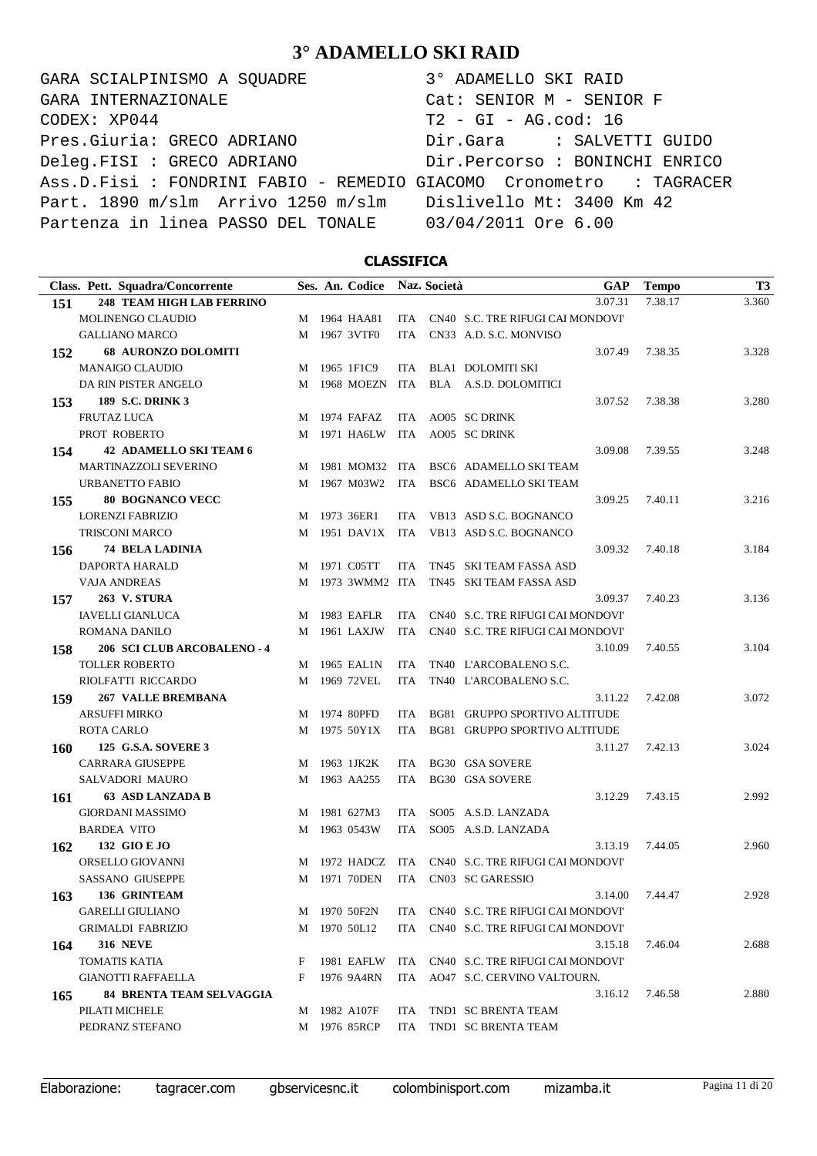GARA SCIALPINISMO A SQUADRE  $CODEX: XP044$ Pres.Giuria: GRECO ADRIANO Deleg.FISI : GRECO ADRIANO Ass.D.Fisi : FONDRINI FABIO - REMEDIO G Part. 1890 m/slm Arrivo 1250 m/slm Partenza in linea PASSO DEL TONALE GARA INTERNAZIONALE

| 3° ADAMELLO SKI RAID           |
|--------------------------------|
| $Cat:$ SENIOR $M -$ SENIOR F   |
| $T2 - GI - AG.cod: 16$         |
| Dir.Gara : SALVETTI GUIDO      |
| Dir.Percorso : BONINCHI ENRICO |
| GIACOMO Cronometro : TAGRACER  |
| Dislivello Mt: 3400 Km 42      |
| 03/04/2011 Ore 6.00            |

### **CLASSIFICA**

|            | Class. Pett. Squadra/Concorrente |   | Ses. An. Codice Naz. Società |            | GAP                                    | <b>Tempo</b> | <b>T3</b> |
|------------|----------------------------------|---|------------------------------|------------|----------------------------------------|--------------|-----------|
| 151        | <b>248 TEAM HIGH LAB FERRINO</b> |   |                              |            | 3.07.31                                | 7.38.17      | 3.360     |
|            | MOLINENGO CLAUDIO                |   | M 1964 HAA81                 |            | ITA CN40 S.C. TRE RIFUGI CAI MONDOVI   |              |           |
|            | <b>GALLIANO MARCO</b>            |   | M 1967 3VTF0                 | ITA.       | CN33 A.D. S.C. MONVISO                 |              |           |
| 152        | <b>68 AURONZO DOLOMITI</b>       |   |                              |            | 3.07.49                                | 7.38.35      | 3.328     |
|            | <b>MANAIGO CLAUDIO</b>           |   | M 1965 1F1C9                 | ITA        | BLA1 DOLOMITI SKI                      |              |           |
|            | DA RIN PISTER ANGELO             |   | M 1968 MOEZN                 |            | ITA BLA A.S.D. DOLOMITICI              |              |           |
| 153        | <b>189 S.C. DRINK 3</b>          |   |                              |            | 3.07.52                                | 7.38.38      | 3.280     |
|            | <b>FRUTAZ LUCA</b>               |   | M 1974 FAFAZ                 | ITA        | AO05 SC DRINK                          |              |           |
|            | PROT ROBERTO                     |   | M 1971 HA6LW                 | ITA        | AO05 SC DRINK                          |              |           |
| 154        | <b>42 ADAMELLO SKI TEAM 6</b>    |   |                              |            | 3.09.08                                | 7.39.55      | 3.248     |
|            | <b>MARTINAZZOLI SEVERINO</b>     |   |                              |            | M 1981 MOM32 ITA BSC6 ADAMELLO SKITEAM |              |           |
|            | URBANETTO FABIO                  |   |                              |            | M 1967 M03W2 ITA BSC6 ADAMELLO SKITEAM |              |           |
| 155        | <b>80 BOGNANCO VECC</b>          |   |                              |            | 3.09.25                                | 7.40.11      | 3.216     |
|            | <b>LORENZI FABRIZIO</b>          |   | M 1973 36ER1                 | ITA        | VB13 ASD S.C. BOGNANCO                 |              |           |
|            | <b>TRISCONI MARCO</b>            |   | M 1951 DAV1X                 |            | ITA VB13 ASD S.C. BOGNANCO             |              |           |
| 156        | <b>74 BELA LADINIA</b>           |   |                              |            | 3.09.32                                | 7.40.18      | 3.184     |
|            | DAPORTA HARALD                   |   | M 1971 C05TT                 | ITA.       | TN45 SKI TEAM FASSA ASD                |              |           |
|            | <b>VAJA ANDREAS</b>              |   | M 1973 3WMM2 ITA             |            | TN45 SKI TEAM FASSA ASD                |              |           |
| 157        | <b>263 V. STURA</b>              |   |                              |            | 3.09.37                                | 7.40.23      | 3.136     |
|            | <b>IAVELLI GIANLUCA</b>          |   | M 1983 EAFLR                 | ITA        | CN40 S.C. TRE RIFUGI CAI MONDOVI'      |              |           |
|            | ROMANA DANILO                    |   | M 1961 LAXJW                 |            | ITA CN40 S.C. TRE RIFUGI CAI MONDOVI'  |              |           |
| 158        | 206 SCI CLUB ARCOBALENO - 4      |   |                              |            | 3.10.09                                | 7.40.55      | 3.104     |
|            | <b>TOLLER ROBERTO</b>            |   | M 1965 EAL1N                 | ITA        | TN40 L'ARCOBALENO S.C.                 |              |           |
|            | RIOLFATTI RICCARDO               |   | M 1969 72VEL                 | ITA        | TN40 L'ARCOBALENO S.C.                 |              |           |
| 159        | <b>267 VALLE BREMBANA</b>        |   |                              |            | 3.11.22                                | 7.42.08      | 3.072     |
|            | <b>ARSUFFI MIRKO</b>             | M | 1974 80PFD                   | ITA.       | BG81 GRUPPO SPORTIVO ALTITUDE          |              |           |
|            | <b>ROTA CARLO</b>                |   | M 1975 50Y1X                 | ITA        | BG81 GRUPPO SPORTIVO ALTITUDE          |              |           |
| <b>160</b> | 125 G.S.A. SOVERE 3              |   |                              |            | 3.11.27                                | 7.42.13      | 3.024     |
|            | <b>CARRARA GIUSEPPE</b>          |   | M 1963 1JK2K                 | ITA        | <b>BG30 GSA SOVERE</b>                 |              |           |
|            | SALVADORI MAURO                  |   | M 1963 AA255                 | <b>ITA</b> | <b>BG30 GSA SOVERE</b>                 |              |           |
| 161        | 63 ASD LANZADA B                 |   |                              |            | 3.12.29                                | 7.43.15      | 2.992     |
|            | <b>GIORDANI MASSIMO</b>          | M | 1981 627M3                   | ITA        | SO05 A.S.D. LANZADA                    |              |           |
|            | <b>BARDEA VITO</b>               |   | M 1963 0543W                 | <b>ITA</b> | SO05 A.S.D. LANZADA                    |              |           |
| 162        | 132 GIO E JO                     |   |                              |            | 3.13.19                                | 7.44.05      | 2.960     |
|            | ORSELLO GIOVANNI                 |   | M 1972 HADCZ                 | <b>ITA</b> | CN40 S.C. TRE RIFUGI CAI MONDOVI'      |              |           |
|            | <b>SASSANO GIUSEPPE</b>          |   | M 1971 70DEN                 | <b>ITA</b> | CN03 SC GARESSIO                       |              |           |
| 163        | 136 GRINTEAM                     |   |                              |            | 3.14.00                                | 7.44.47      | 2.928     |
|            | <b>GARELLI GIULIANO</b>          |   | M 1970 50F2N                 |            | ITA CN40 S.C. TRE RIFUGI CAI MONDOVI   |              |           |
|            | <b>GRIMALDI FABRIZIO</b>         |   | M 1970 50L12                 |            | ITA CN40 S.C. TRE RIFUGI CAI MONDOVI   |              |           |
| 164        | <b>316 NEVE</b>                  |   |                              |            | 3.15.18                                | 7.46.04      | 2.688     |
|            | <b>TOMATIS KATIA</b>             | F | 1981 EAFLW                   |            | ITA CN40 S.C. TRE RIFUGI CAI MONDOVI   |              |           |
|            | <b>GIANOTTI RAFFAELLA</b>        | F | 1976 9A4RN                   |            | ITA AO47 S.C. CERVINO VALTOURN.        |              |           |
| 165        | <b>84 BRENTA TEAM SELVAGGIA</b>  |   |                              |            | 3.16.12                                | 7.46.58      | 2.880     |
|            | PILATI MICHELE                   |   | M 1982 A107F                 | ITA        | TND1 SC BRENTA TEAM                    |              |           |
|            | PEDRANZ STEFANO                  |   | M 1976 85RCP                 | ITA        | TND1 SC BRENTA TEAM                    |              |           |

Elaborazione: tagracer.com gbservicesnc.it colombinisport.com mizamba.it Pagina 11 di 20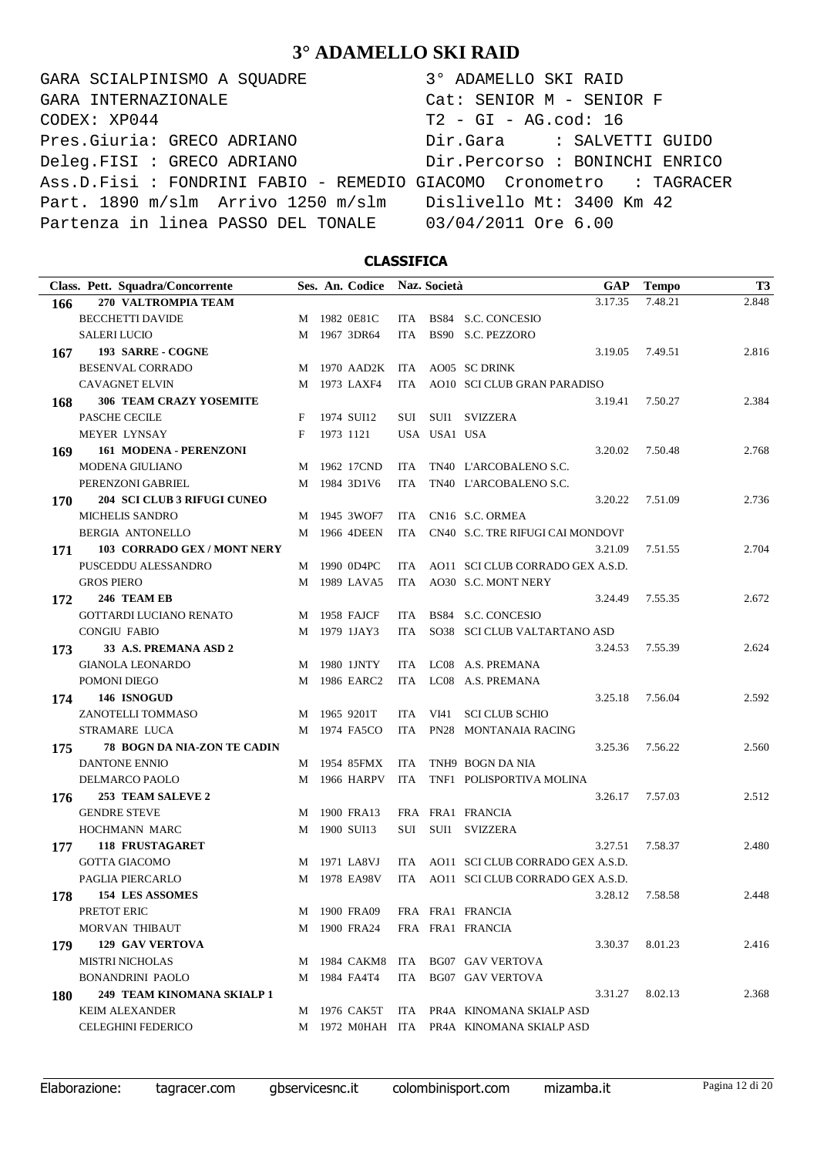GARA SCIALPINISMO A SQUADRE  $CODEX: XP044$ Pres.Giuria: GRECO ADRIANO Deleg.FISI : GRECO ADRIANO Ass.D.Fisi : FONDRINI FABIO - REMEDIO G Part. 1890 m/slm Arrivo 1250 m/slm Partenza in linea PASSO DEL TONALE GARA INTERNAZIONALE

| 3° ADAMELLO SKI RAID           |
|--------------------------------|
| $Cat:$ SENIOR $M -$ SENIOR F   |
| $T2 - GI - AG.cod: 16$         |
| Dir.Gara : SALVETTI GUIDO      |
| Dir.Percorso : BONINCHI ENRICO |
| HACOMO Cronometro : TAGRACER;  |
| Dislivello Mt: 3400 Km 42      |
| 03/04/2011 Ore 6.00            |
|                                |

### **CLASSIFICA**

| Class. Pett. Squadra/Concorrente   |   | Ses. An. Codice Naz. Società |            |              | <b>GAP</b>                                | <b>Tempo</b>    | T <sub>3</sub> |
|------------------------------------|---|------------------------------|------------|--------------|-------------------------------------------|-----------------|----------------|
| 270 VALTROMPIA TEAM<br>166         |   |                              |            |              | 3.17.35                                   | 7.48.21         | 2.848          |
| <b>BECCHETTI DAVIDE</b>            | M | 1982 0E81C                   | ITA.       |              | BS84 S.C. CONCESIO                        |                 |                |
| <b>SALERI LUCIO</b>                | M | 1967 3DR64                   | <b>ITA</b> |              | BS90 S.C. PEZZORO                         |                 |                |
| 193 SARRE - COGNE<br>167           |   |                              |            |              | 3.19.05                                   | 7.49.51         | 2.816          |
| <b>BESENVAL CORRADO</b>            | M | 1970 AAD2K                   | ITA        |              | AO05 SC DRINK                             |                 |                |
| <b>CAVAGNET ELVIN</b>              | M | 1973 LAXF4                   | <b>ITA</b> |              | AO10 SCI CLUB GRAN PARADISO               |                 |                |
| 306 TEAM CRAZY YOSEMITE<br>168     |   |                              |            |              | 3.19.41                                   | 7.50.27         | 2.384          |
| PASCHE CECILE                      | F | 1974 SUI12                   | SUI        |              | SUI1 SVIZZERA                             |                 |                |
| MEYER LYNSAY                       | F | 1973 1121                    |            | USA USA1 USA |                                           |                 |                |
| 161 MODENA - PERENZONI<br>169      |   |                              |            |              | 3.20.02                                   | 7.50.48         | 2.768          |
| MODENA GIULIANO                    | М | 1962 17CND                   | <b>ITA</b> |              | TN40 L'ARCOBALENO S.C.                    |                 |                |
| PERENZONI GABRIEL                  | M | 1984 3D1V6                   | <b>ITA</b> |              | TN40 L'ARCOBALENO S.C.                    |                 |                |
| 204 SCI CLUB 3 RIFUGI CUNEO<br>170 |   |                              |            |              | 3.20.22                                   | 7.51.09         | 2.736          |
| MICHELIS SANDRO                    | M | 1945 3WOF7                   | <b>ITA</b> |              | CN16 S.C. ORMEA                           |                 |                |
| <b>BERGIA ANTONELLO</b>            | M | 1966 4DEEN                   | <b>ITA</b> |              | CN40 S.C. TRE RIFUGI CAI MONDOVI'         |                 |                |
| 103 CORRADO GEX / MONT NERY<br>171 |   |                              |            |              | 3.21.09                                   | 7.51.55         | 2.704          |
| PUSCEDDU ALESSANDRO                | M | 1990 0D4PC                   | ITA.       |              | AO11 SCI CLUB CORRADO GEX A.S.D.          |                 |                |
| <b>GROS PIERO</b>                  | M | 1989 LAVA5                   | <b>ITA</b> |              | AO30 S.C. MONT NERY                       |                 |                |
| 246 TEAM EB<br>172                 |   |                              |            |              | 3.24.49                                   | 7.55.35         | 2.672          |
| <b>GOTTARDI LUCIANO RENATO</b>     | М | 1958 FAJCF                   | <b>ITA</b> |              | BS84 S.C. CONCESIO                        |                 |                |
| <b>CONGIU FABIO</b>                | M | 1979 1JAY3                   | <b>ITA</b> |              | SO38 SCI CLUB VALTARTANO ASD              |                 |                |
| 33 A.S. PREMANA ASD 2<br>173       |   |                              |            |              | 3.24.53                                   | 7.55.39         | 2.624          |
| <b>GIANOLA LEONARDO</b>            | М | 1980 1JNTY                   | ITA.       |              | LC08 A.S. PREMANA                         |                 |                |
| POMONI DIEGO                       | M | 1986 EARC2                   | <b>ITA</b> |              | LC08 A.S. PREMANA                         |                 |                |
| 146 ISNOGUD<br>174                 |   |                              |            |              | 3.25.18                                   | 7.56.04         | 2.592          |
| ZANOTELLI TOMMASO                  | М | 1965 9201T                   | <b>ITA</b> | VI41         | <b>SCI CLUB SCHIO</b>                     |                 |                |
| STRAMARE LUCA                      | M | 1974 FA5CO                   | <b>ITA</b> |              | PN28 MONTANAIA RACING                     |                 |                |
| 78 BOGN DA NIA-ZON TE CADIN<br>175 |   |                              |            |              | 3.25.36                                   | 7.56.22         | 2.560          |
| DANTONE ENNIO                      | M | 1954 85FMX                   | <b>ITA</b> |              | TNH9 BOGN DA NIA                          |                 |                |
| DELMARCO PAOLO                     | M | 1966 HARPV                   | <b>ITA</b> |              | TNF1 POLISPORTIVA MOLINA                  |                 |                |
| 253 TEAM SALEVE 2<br>176           |   |                              |            |              | 3.26.17                                   | 7.57.03         | 2.512          |
| <b>GENDRE STEVE</b>                | М | 1900 FRA13                   |            |              | FRA FRA1 FRANCIA                          |                 |                |
| HOCHMANN MARC                      | M | 1900 SUI13                   | SUI        | SUI1         | <b>SVIZZERA</b>                           |                 |                |
| <b>118 FRUSTAGARET</b><br>177      |   |                              |            |              | 3.27.51                                   | 7.58.37         | 2.480          |
| <b>GOTTA GIACOMO</b>               | M | 1971 LA8VJ                   | <b>ITA</b> |              | AO11 SCI CLUB CORRADO GEX A.S.D.          |                 |                |
| PAGLIA PIERCARLO                   | М | 1978 EA98V                   | <b>ITA</b> |              | AO11 SCI CLUB CORRADO GEX A.S.D.          |                 |                |
| <b>154 LES ASSOMES</b><br>178      |   |                              |            |              |                                           | 3.28.12 7.58.58 | 2.448          |
| PRETOT ERIC                        |   | M 1900 FRA09                 |            |              | FRA FRA1 FRANCIA                          |                 |                |
| MORVAN THIBAUT                     |   | M 1900 FRA24                 |            |              | FRA FRA1 FRANCIA                          |                 |                |
| <b>129 GAV VERTOVA</b><br>179      |   |                              |            |              | 3.30.37                                   | 8.01.23         | 2.416          |
| <b>MISTRI NICHOLAS</b>             |   | M 1984 CAKM8                 | ITA        |              | <b>BG07 GAV VERTOVA</b>                   |                 |                |
| <b>BONANDRINI PAOLO</b>            |   | M 1984 FA4T4                 | ITA        |              | <b>BG07 GAV VERTOVA</b>                   |                 |                |
| 249 TEAM KINOMANA SKIALP 1<br>180  |   |                              |            |              | 3.31.27                                   | 8.02.13         | 2.368          |
| <b>KEIM ALEXANDER</b>              |   | M 1976 CAK5T                 | ITA        |              | PR4A KINOMANA SKIALP ASD                  |                 |                |
| <b>CELEGHINI FEDERICO</b>          |   |                              |            |              | M 1972 MOHAH ITA PR4A KINOMANA SKIALP ASD |                 |                |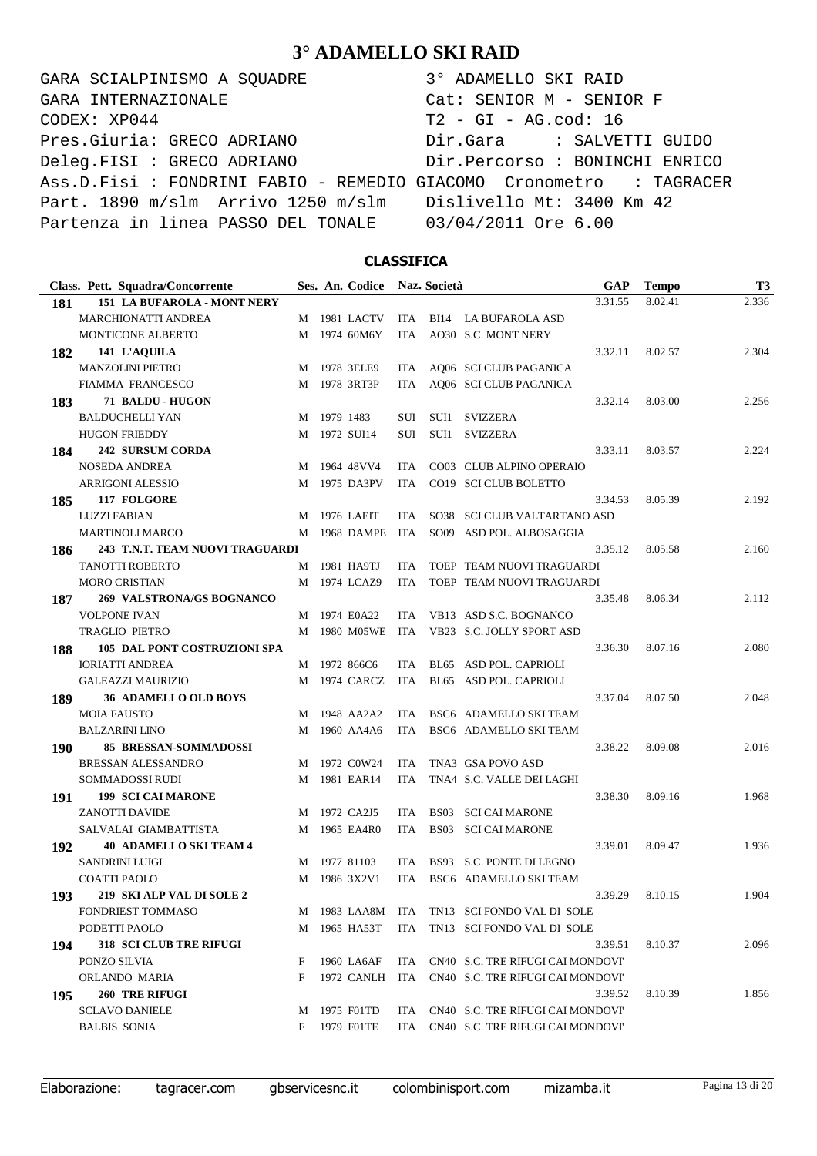GARA SCIALPINISMO A SQUADRE 3° ADAMELLO SKI RAID CODEX: XP044 T2 - GI - AG.cod: 16 Pres.Giuria: GRECO ADRIANO Dir.Gara : SALVETTI GUIDO Deleg.FISI : GRECO ADRIANO Dir.Percorso : BONINCHI ENRICO Ass.D.Fisi : FONDRINI FABIO - REMEDIO GIACOMO Cronometro : TAGRACER Part. 1890 m/slm Arrivo 1250 m/slm Dislivello Mt: 3400 Km 42 Partenza in linea PASSO DEL TONALE 03/04/2011 Ore 6.00 GARA INTERNAZIONALE Cat: SENIOR M - SENIOR F

### **CLASSIFICA**

|            | Class. Pett. Squadra/Concorrente   |   |             | Ses. An. Codice |            | Naz. Società     |                                   | <b>GAP</b> | <b>Tempo</b> | T <sub>3</sub> |
|------------|------------------------------------|---|-------------|-----------------|------------|------------------|-----------------------------------|------------|--------------|----------------|
| 181        | <b>151 LA BUFAROLA - MONT NERY</b> |   |             |                 |            |                  |                                   | 3.31.55    | 8.02.41      | 2.336          |
|            | <b>MARCHIONATTI ANDREA</b>         |   |             | M 1981 LACTV    | ITA        |                  | BI14 LA BUFAROLA ASD              |            |              |                |
|            | MONTICONE ALBERTO                  |   |             | M 1974 60M6Y    | <b>ITA</b> |                  | AO30 S.C. MONT NERY               |            |              |                |
| 182        | 141 L'AQUILA                       |   |             |                 |            |                  |                                   | 3.32.11    | 8.02.57      | 2.304          |
|            | <b>MANZOLINI PIETRO</b>            |   |             | M 1978 3ELE9    | ITA.       |                  | AQ06 SCI CLUB PAGANICA            |            |              |                |
|            | FIAMMA FRANCESCO                   | M |             | 1978 3RT3P      | ITA        |                  | AQ06 SCI CLUB PAGANICA            |            |              |                |
| 183        | 71 BALDU - HUGON                   |   |             |                 |            |                  |                                   | 3.32.14    | 8.03.00      | 2.256          |
|            | <b>BALDUCHELLI YAN</b>             |   | M 1979 1483 |                 | SUI        | SUI1             | SVIZZERA                          |            |              |                |
|            | <b>HUGON FRIEDDY</b>               |   |             | M 1972 SUI14    | SUI        | SUI1             | <b>SVIZZERA</b>                   |            |              |                |
| 184        | <b>242 SURSUM CORDA</b>            |   |             |                 |            |                  |                                   | 3.33.11    | 8.03.57      | 2.224          |
|            | <b>NOSEDA ANDREA</b>               |   |             | M 1964 48VV4    | <b>ITA</b> |                  | CO03 CLUB ALPINO OPERAIO          |            |              |                |
|            | <b>ARRIGONI ALESSIO</b>            | M |             | 1975 DA3PV      | <b>ITA</b> |                  | CO19 SCI CLUB BOLETTO             |            |              |                |
| 185        | 117 FOLGORE                        |   |             |                 |            |                  |                                   | 3.34.53    | 8.05.39      | 2.192          |
|            | <b>LUZZI FABIAN</b>                | M |             | 1976 LAEIT      | ITA        |                  | SO38 SCI CLUB VALTARTANO ASD      |            |              |                |
|            | <b>MARTINOLI MARCO</b>             | M |             | 1968 DAMPE      | ITA        |                  | SO09 ASD POL. ALBOSAGGIA          |            |              |                |
| 186        | 243 T.N.T. TEAM NUOVI TRAGUARDI    |   |             |                 |            |                  |                                   | 3.35.12    | 8.05.58      | 2.160          |
|            | <b>TANOTTI ROBERTO</b>             | M |             | 1981 HA9TJ      | ITA        |                  | TOEP TEAM NUOVI TRAGUARDI         |            |              |                |
|            | <b>MORO CRISTIAN</b>               | M |             | 1974 LCAZ9      | <b>ITA</b> |                  | TOEP TEAM NUOVI TRAGUARDI         |            |              |                |
| 187        | 269 VALSTRONA/GS BOGNANCO          |   |             |                 |            |                  |                                   | 3.35.48    | 8.06.34      | 2.112          |
|            | <b>VOLPONE IVAN</b>                |   |             | M 1974 E0A22    | ITA        |                  | VB13 ASD S.C. BOGNANCO            |            |              |                |
|            | <b>TRAGLIO PIETRO</b>              | M |             | 1980 M05WE      | ITA        |                  | VB23 S.C. JOLLY SPORT ASD         |            |              |                |
| 188        | 105 DAL PONT COSTRUZIONI SPA       |   |             |                 |            |                  |                                   | 3.36.30    | 8.07.16      | 2.080          |
|            | <b>IORIATTI ANDREA</b>             |   |             | M 1972 866C6    | ITA        |                  | BL65 ASD POL. CAPRIOLI            |            |              |                |
|            | <b>GALEAZZI MAURIZIO</b>           |   |             | M 1974 CARCZ    | ITA        |                  | BL65 ASD POL. CAPRIOLI            |            |              |                |
| 189        | <b>36 ADAMELLO OLD BOYS</b>        |   |             |                 |            |                  |                                   | 3.37.04    | 8.07.50      | 2.048          |
|            | <b>MOIA FAUSTO</b>                 | M |             | 1948 AA2A2      | <b>ITA</b> |                  | BSC6 ADAMELLO SKI TEAM            |            |              |                |
|            | <b>BALZARINI LINO</b>              | M |             | 1960 AA4A6      | <b>ITA</b> |                  | BSC6 ADAMELLO SKI TEAM            |            |              |                |
| <b>190</b> | <b>85 BRESSAN-SOMMADOSSI</b>       |   |             |                 |            |                  |                                   | 3.38.22    | 8.09.08      | 2.016          |
|            | BRESSAN ALESSANDRO                 | M |             | 1972 C0W24      | <b>ITA</b> |                  | TNA3 GSA POVO ASD                 |            |              |                |
|            | SOMMADOSSI RUDI                    | M |             | 1981 EAR14      | ITA        |                  | TNA4 S.C. VALLE DEI LAGHI         |            |              |                |
| 191        | <b>199 SCI CAI MARONE</b>          |   |             |                 |            |                  |                                   | 3.38.30    | 8.09.16      | 1.968          |
|            | <b>ZANOTTI DAVIDE</b>              |   |             | M 1972 CA2J5    | ITA        | BS <sub>03</sub> | <b>SCI CAI MARONE</b>             |            |              |                |
|            | SALVALAI GIAMBATTISTA              | M |             | 1965 EA4R0      | <b>ITA</b> | <b>BS03</b>      | <b>SCI CAI MARONE</b>             |            |              |                |
| 192        | <b>40 ADAMELLO SKI TEAM 4</b>      |   |             |                 |            |                  |                                   | 3.39.01    | 8.09.47      | 1.936          |
|            | <b>SANDRINI LUIGI</b>              |   |             | M 1977 81103    | <b>ITA</b> |                  | BS93 S.C. PONTE DI LEGNO          |            |              |                |
|            | <b>COATTI PAOLO</b>                |   |             | M 1986 3X2V1    | ITA        |                  | BSC6 ADAMELLO SKI TEAM            |            |              |                |
| 193        | 219 SKI ALP VAL DI SOLE 2          |   |             |                 |            |                  |                                   | 3.39.29    | 8.10.15      | 1.904          |
|            | <b>FONDRIEST TOMMASO</b>           |   |             | M 1983 LAA8M    | ITA        |                  | TN13 SCI FONDO VAL DI SOLE        |            |              |                |
|            | PODETTI PAOLO                      | M |             | 1965 HA53T      | ITA        |                  | TN13 SCI FONDO VAL DI SOLE        |            |              |                |
| 194        | <b>318 SCI CLUB TRE RIFUGI</b>     |   |             |                 |            |                  |                                   | 3.39.51    | 8.10.37      | 2.096          |
|            | PONZO SILVIA                       | F |             | 1960 LA6AF      | ITA.       |                  | CN40 S.C. TRE RIFUGI CAI MONDOVI' |            |              |                |
|            | ORLANDO MARIA                      | F |             | 1972 CANLH      | ITA        |                  | CN40 S.C. TRE RIFUGI CAI MONDOVI' |            |              |                |
| 195        | <b>260 TRE RIFUGI</b>              |   |             |                 |            |                  |                                   | 3.39.52    | 8.10.39      | 1.856          |
|            | <b>SCLAVO DANIELE</b>              | M |             | 1975 F01TD      | ITA.       |                  | CN40 S.C. TRE RIFUGI CAI MONDOVI' |            |              |                |
|            | <b>BALBIS SONIA</b>                | F |             | 1979 F01TE      | ITA        |                  | CN40 S.C. TRE RIFUGI CAI MONDOVI' |            |              |                |
|            |                                    |   |             |                 |            |                  |                                   |            |              |                |

Elaborazione: tagracer.com gbservicesnc.it colombinisport.com mizamba.it Pagina 13 di 20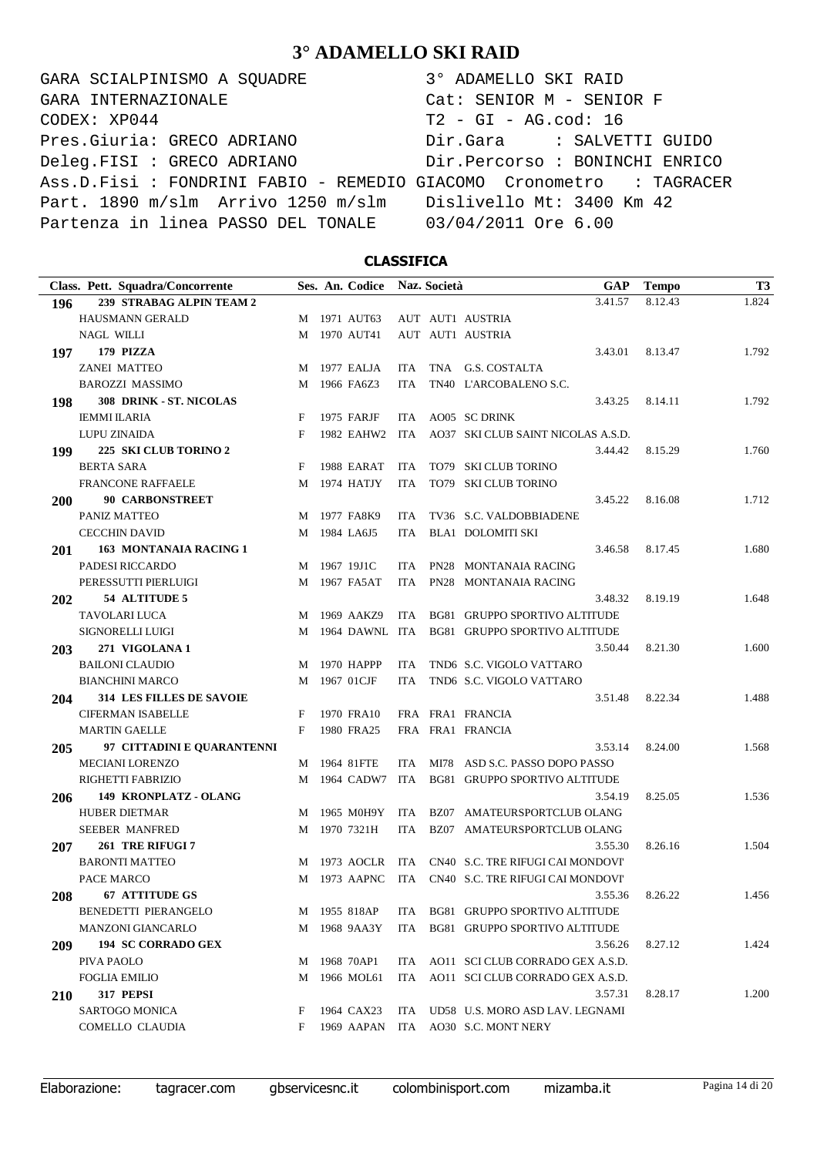GARA SCIALPINISMO A SQUADRE 3° ADAMELLO SKI RAID CODEX: XP044 T2 - GI - AG.cod: 16 Pres.Giuria: GRECO ADRIANO Dir.Gara : SALVETTI GUIDO Deleg.FISI : GRECO ADRIANO Dir.Percorso : BONINCHI ENRICO Ass.D.Fisi : FONDRINI FABIO - REMEDIO GIACOMO Cronometro : TAGRACER Part. 1890 m/slm Arrivo 1250 m/slm Dislivello Mt: 3400 Km 42 Partenza in linea PASSO DEL TONALE 03/04/2011 Ore 6.00 GARA INTERNAZIONALE Cat: SENIOR M - SENIOR F

### **CLASSIFICA**

| Class. Pett. Squadra/Concorrente       |   | Ses. An. Codice |            | Naz. Società |                                      | <b>GAP</b> | <b>Tempo</b> | T <sub>3</sub> |
|----------------------------------------|---|-----------------|------------|--------------|--------------------------------------|------------|--------------|----------------|
| 239 STRABAG ALPIN TEAM 2<br>196        |   |                 |            |              | 3.41.57                              |            | 8.12.43      | 1.824          |
| <b>HAUSMANN GERALD</b>                 |   | M 1971 AUT63    |            |              | AUT AUT1 AUSTRIA                     |            |              |                |
| <b>NAGL WILLI</b>                      | M | 1970 AUT41      |            |              | AUT AUT1 AUSTRIA                     |            |              |                |
| 179 PIZZA<br>197                       |   |                 |            |              | 3.43.01                              |            | 8.13.47      | 1.792          |
| <b>ZANEI MATTEO</b>                    | M | 1977 EALJA      | ITA.       |              | TNA G.S. COSTALTA                    |            |              |                |
| <b>BAROZZI MASSIMO</b>                 | M | 1966 FA6Z3      | <b>ITA</b> |              | TN40 L'ARCOBALENO S.C.               |            |              |                |
| 308 DRINK - ST. NICOLAS<br>198         |   |                 |            |              | 3.43.25                              |            | 8.14.11      | 1.792          |
| <b>IEMMI ILARIA</b>                    | F | 1975 FARJF      | ITA        |              | AO05 SC DRINK                        |            |              |                |
| <b>LUPU ZINAIDA</b>                    | F | 1982 EAHW2 ITA  |            |              | AO37 SKI CLUB SAINT NICOLAS A.S.D.   |            |              |                |
| 225 SKI CLUB TORINO 2<br>199           |   |                 |            |              | 3.44.42                              |            | 8.15.29      | 1.760          |
| <b>BERTA SARA</b>                      | F | 1988 EARAT      | ITA.       |              | TO79 SKI CLUB TORINO                 |            |              |                |
| <b>FRANCONE RAFFAELE</b>               | M | 1974 HATJY      | <b>ITA</b> |              | TO79 SKI CLUB TORINO                 |            |              |                |
| <b>90 CARBONSTREET</b><br><b>200</b>   |   |                 |            |              | 3.45.22                              |            | 8.16.08      | 1.712          |
| PANIZ MATTEO                           | M | 1977 FA8K9      | ITA.       |              | TV36 S.C. VALDOBBIADENE              |            |              |                |
| <b>CECCHIN DAVID</b>                   | M | 1984 LA6J5      | ITA        |              | <b>BLA1 DOLOMITI SKI</b>             |            |              |                |
| 163 MONTANAIA RACING 1<br><b>201</b>   |   |                 |            |              | 3.46.58                              |            | 8.17.45      | 1.680          |
| PADESI RICCARDO                        | M | 1967 19J1C      | ITA        |              | PN28 MONTANAIA RACING                |            |              |                |
| PERESSUTTI PIERLUIGI                   | M | 1967 FA5AT      | ITA.       |              | PN28 MONTANAIA RACING                |            |              |                |
| 54 ALTITUDE 5<br>202                   |   |                 |            |              | 3.48.32                              |            | 8.19.19      | 1.648          |
| TAVOLARI LUCA                          | M | 1969 AAKZ9      | ITA        |              | BG81 GRUPPO SPORTIVO ALTITUDE        |            |              |                |
| SIGNORELLI LUIGI                       | M | 1964 DAWNL ITA  |            |              | BG81 GRUPPO SPORTIVO ALTITUDE        |            |              |                |
| 271 VIGOLANA 1<br>203                  |   |                 |            |              | 3.50.44                              |            | 8.21.30      | 1.600          |
| <b>BAILONI CLAUDIO</b>                 | M | 1970 HAPPP      | <b>ITA</b> |              | TND6 S.C. VIGOLO VATTARO             |            |              |                |
| <b>BIANCHINI MARCO</b>                 | M | 1967 01CJF      | <b>ITA</b> |              | TND6 S.C. VIGOLO VATTARO             |            |              |                |
| <b>314 LES FILLES DE SAVOIE</b><br>204 |   |                 |            |              | 3.51.48                              |            | 8.22.34      | 1.488          |
| <b>CIFERMAN ISABELLE</b>               | F | 1970 FRA10      |            |              | FRA FRA1 FRANCIA                     |            |              |                |
| <b>MARTIN GAELLE</b>                   | F | 1980 FRA25      |            |              | FRA FRA1 FRANCIA                     |            |              |                |
| 97 CITTADINI E QUARANTENNI<br>205      |   |                 |            |              | 3.53.14                              |            | 8.24.00      | 1.568          |
| <b>MECIANI LORENZO</b>                 | M | 1964 81FTE      | ITA        |              | MI78 ASD S.C. PASSO DOPO PASSO       |            |              |                |
| RIGHETTI FABRIZIO                      | M | 1964 CADW7      | ITA        |              | BG81 GRUPPO SPORTIVO ALTITUDE        |            |              |                |
| 149 KRONPLATZ - OLANG<br>206           |   |                 |            |              | 3.54.19                              |            | 8.25.05      | 1.536          |
| HUBER DIETMAR                          | M | 1965 M0H9Y      | ITA        |              | BZ07 AMATEURSPORTCLUB OLANG          |            |              |                |
| <b>SEEBER MANFRED</b>                  | M | 1970 7321H      | ITA        |              | BZ07 AMATEURSPORTCLUB OLANG          |            |              |                |
| 261 TRE RIFUGI 7<br>207                |   |                 |            |              | 3.55.30                              |            | 8.26.16      | 1.504          |
| <b>BARONTI MATTEO</b>                  | M | 1973 AOCLR      | ITA        |              | CN40 S.C. TRE RIFUGI CAI MONDOVI     |            |              |                |
| PACE MARCO                             |   | M 1973 AAPNC    |            |              | ITA CN40 S.C. TRE RIFUGI CAI MONDOVI |            |              |                |
| <b>67 ATTITUDE GS</b><br>208           |   |                 |            |              | 3.55.36                              |            | 8.26.22      | 1.456          |
| BENEDETTI PIERANGELO                   |   | M 1955 818AP    |            |              | ITA BG81 GRUPPO SPORTIVO ALTITUDE    |            |              |                |
| MANZONI GIANCARLO                      |   | M 1968 9AA3Y    | ITA        |              | BG81 GRUPPO SPORTIVO ALTITUDE        |            |              |                |
| 194 SC CORRADO GEX<br>209              |   |                 |            |              | 3.56.26                              |            | 8.27.12      | 1.424          |
| PIVA PAOLO                             | M | 1968 70AP1      |            |              | ITA AO11 SCI CLUB CORRADO GEX A.S.D. |            |              |                |
| <b>FOGLIA EMILIO</b>                   | M | 1966 MOL61      |            |              | ITA AO11 SCI CLUB CORRADO GEX A.S.D. |            |              |                |
| 317 PEPSI<br><b>210</b>                |   |                 |            |              | 3.57.31                              |            | 8.28.17      | 1.200          |
| SARTOGO MONICA                         | F | 1964 CAX23      |            |              | ITA UD58 U.S. MORO ASD LAV. LEGNAMI  |            |              |                |
| COMELLO CLAUDIA                        | F | 1969 AAPAN      |            |              | ITA AO30 S.C. MONT NERY              |            |              |                |

Elaborazione: tagracer.com gbservicesnc.it colombinisport.com mizamba.it Pagina 14 di 20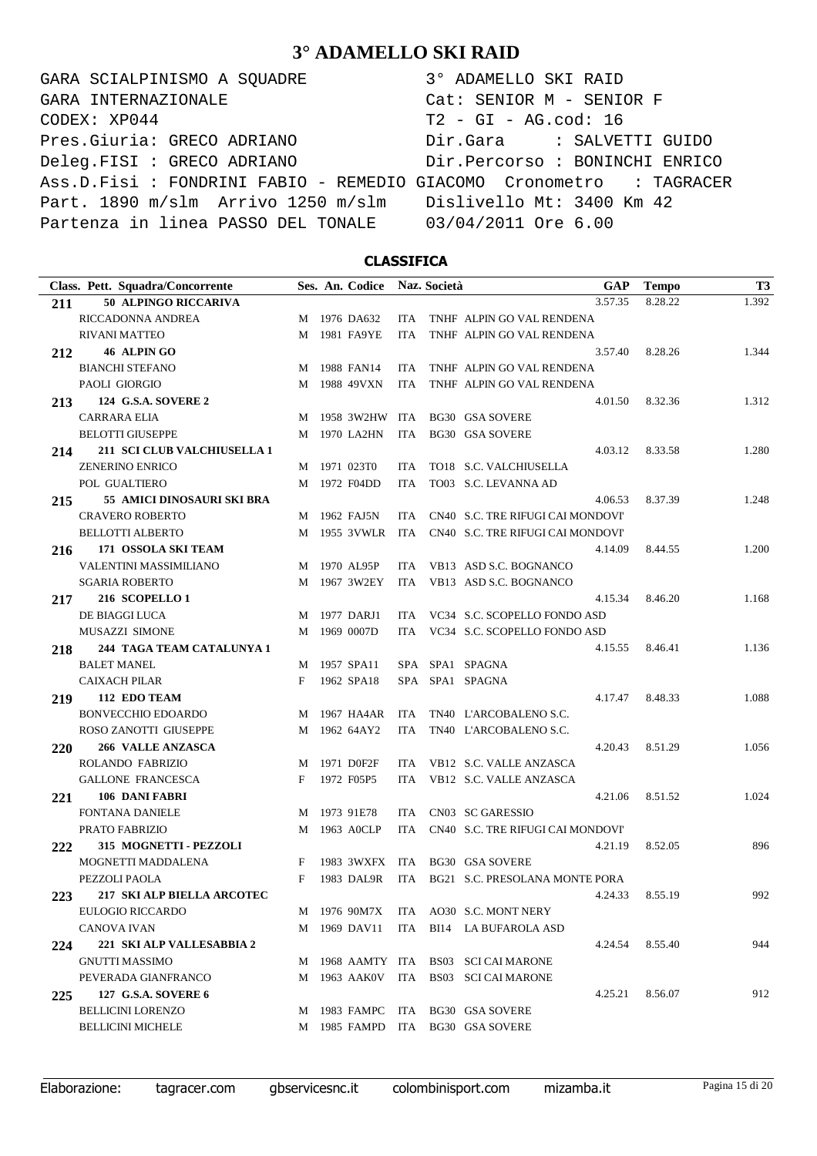GARA SCIALPINISMO A SQUADRE  $CODEX: XP044$ Pres.Giuria: GRECO ADRIANO Deleg.FISI : GRECO ADRIANO Ass.D.Fisi : FONDRINI FABIO - REMEDIO G Part. 1890 m/slm Arrivo 1250 m/slm Partenza in linea PASSO DEL TONALE GARA INTERNAZIONALE

| 3° ADAMELLO SKI RAID           |
|--------------------------------|
| Cat: SENIOR M - SENIOR F       |
| $T2 - GI - AG.cod: 16$         |
| Dir.Gara : SALVETTI GUIDO      |
| Dir.Percorso : BONINCHI ENRICO |
| GIACOMO Cronometro : TAGRACER  |
| Dislivello Mt: 3400 Km 42      |
| 03/04/2011 Ore 6.00            |

### **CLASSIFICA**

| Class. Pett. Squadra/Concorrente          |   | Ses. An. Codice |            | Naz. Società | <b>GAP</b>                           | <b>Tempo</b>    | T <sub>3</sub> |
|-------------------------------------------|---|-----------------|------------|--------------|--------------------------------------|-----------------|----------------|
| <b>50 ALPINGO RICCARIVA</b><br>211        |   |                 |            |              | 3.57.35                              | 8.28.22         | 1.392          |
| RICCADONNA ANDREA                         |   | M 1976 DA632    | ITA.       |              | TNHF ALPIN GO VAL RENDENA            |                 |                |
| <b>RIVANI MATTEO</b>                      | M | 1981 FA9YE      | <b>ITA</b> |              | TNHF ALPIN GO VAL RENDENA            |                 |                |
| 46 ALPIN GO<br>212                        |   |                 |            |              | 3.57.40                              | 8.28.26         | 1.344          |
| <b>BIANCHI STEFANO</b>                    |   | M 1988 FAN14    | ITA.       |              | TNHF ALPIN GO VAL RENDENA            |                 |                |
| <b>PAOLI GIORGIO</b>                      |   | M 1988 49VXN    | ITA        |              | TNHF ALPIN GO VAL RENDENA            |                 |                |
| 124 G.S.A. SOVERE 2<br>213                |   |                 |            |              | 4.01.50                              | 8.32.36         | 1.312          |
| <b>CARRARA ELIA</b>                       | M | 1958 3W2HW ITA  |            |              | <b>BG30 GSA SOVERE</b>               |                 |                |
| <b>BELOTTI GIUSEPPE</b>                   |   | M 1970 LA2HN    | ITA        |              | <b>BG30 GSA SOVERE</b>               |                 |                |
| <b>211 SCI CLUB VALCHIUSELLA 1</b><br>214 |   |                 |            |              | 4.03.12                              | 8.33.58         | 1.280          |
| <b>ZENERINO ENRICO</b>                    |   | M 1971 023T0    | ITA.       |              | TO18 S.C. VALCHIUSELLA               |                 |                |
| POL GUALTIERO                             |   | M 1972 F04DD    | <b>ITA</b> |              | TO03 S.C. LEVANNA AD                 |                 |                |
| 215<br>55 AMICI DINOSAURI SKI BRA         |   |                 |            |              | 4.06.53                              | 8.37.39         | 1.248          |
| <b>CRAVERO ROBERTO</b>                    |   | M 1962 FAJ5N    | ITA.       |              | CN40 S.C. TRE RIFUGI CAI MONDOVI'    |                 |                |
| BELLOTTI ALBERTO                          |   | M 1955 3VWLR    | ITA        |              | CN40 S.C. TRE RIFUGI CAI MONDOVI'    |                 |                |
| 171 OSSOLA SKI TEAM<br>216                |   |                 |            |              | 4.14.09                              | 8.44.55         | 1.200          |
| VALENTINI MASSIMILIANO                    | M | 1970 AL95P      | ITA.       |              | VB13 ASD S.C. BOGNANCO               |                 |                |
| <b>SGARIA ROBERTO</b>                     |   | M 1967 3W2EY    | ITA        |              | VB13 ASD S.C. BOGNANCO               |                 |                |
| 216 SCOPELLO 1<br>217                     |   |                 |            |              | 4.15.34                              | 8.46.20         | 1.168          |
| DE BIAGGI LUCA                            | M | 1977 DARJ1      | ITA.       |              | VC34 S.C. SCOPELLO FONDO ASD         |                 |                |
| MUSAZZI SIMONE                            | M | 1969 0007D      |            |              | ITA VC34 S.C. SCOPELLO FONDO ASD     |                 |                |
| 244 TAGA TEAM CATALUNYA 1<br>218          |   |                 |            |              | 4.15.55                              | 8.46.41         | 1.136          |
| <b>BALET MANEL</b>                        |   | M 1957 SPA11    |            |              | SPA SPA1 SPAGNA                      |                 |                |
| <b>CAIXACH PILAR</b>                      | F | 1962 SPA18      |            |              | SPA SPA1 SPAGNA                      |                 |                |
| 112 EDO TEAM<br>219                       |   |                 |            |              | 4.17.47                              | 8.48.33         | 1.088          |
| <b>BONVECCHIO EDOARDO</b>                 | M | 1967 HA4AR      | ITA        |              | TN40 L'ARCOBALENO S.C.               |                 |                |
| ROSO ZANOTTI GIUSEPPE                     |   | M 1962 64AY2    | <b>ITA</b> |              | TN40 L'ARCOBALENO S.C.               |                 |                |
| <b>266 VALLE ANZASCA</b><br><b>220</b>    |   |                 |            |              | 4.20.43                              | 8.51.29         | 1.056          |
| ROLANDO FABRIZIO                          |   | M 1971 D0F2F    | <b>ITA</b> |              | VB12 S.C. VALLE ANZASCA              |                 |                |
| GALLONE FRANCESCA                         | F | 1972 F05P5      | ITA.       |              | VB12 S.C. VALLE ANZASCA              |                 |                |
| 106 DANI FABRI<br>221                     |   |                 |            |              | 4.21.06                              | 8.51.52         | 1.024          |
| <b>FONTANA DANIELE</b>                    | M | 1973 91E78      | <b>ITA</b> |              | CN03 SC GARESSIO                     |                 |                |
| PRATO FABRIZIO                            | M | 1963 AOCLP      | <b>ITA</b> |              | CN40 S.C. TRE RIFUGI CAI MONDOVI'    |                 |                |
| 315 MOGNETTI - PEZZOLI<br>222             |   |                 |            |              | 4.21.19                              | 8.52.05         | 896            |
| MOGNETTI MADDALENA                        | F | 1983 3WXFX      | ITA        |              | <b>BG30 GSA SOVERE</b>               |                 |                |
| PEZZOLI PAOLA                             | F | 1983 DAL9R      | <b>ITA</b> |              | BG21 S.C. PRESOLANA MONTE PORA       |                 |                |
| 217 SKI ALP BIELLA ARCOTEC<br>223         |   |                 |            |              |                                      | 4.24.33 8.55.19 | 992            |
| <b>EULOGIO RICCARDO</b>                   |   |                 |            |              | M 1976 90M7X ITA AO30 S.C. MONT NERY |                 |                |
| <b>CANOVA IVAN</b>                        |   | M 1969 DAV11    |            |              | ITA BI14 LA BUFAROLA ASD             |                 |                |
| 221 SKI ALP VALLESABBIA 2<br>224          |   |                 |            |              | 4.24.54                              | 8.55.40         | 944            |
| <b>GNUTTI MASSIMO</b>                     |   |                 |            |              | M 1968 AAMTY ITA BS03 SCI CAI MARONE |                 |                |
| PEVERADA GIANFRANCO                       |   |                 |            |              | M 1963 AAK0V ITA BS03 SCI CAI MARONE |                 |                |
| 127 G.S.A. SOVERE 6<br>225                |   |                 |            |              | 4.25.21                              | 8.56.07         | 912            |
| <b>BELLICINI LORENZO</b>                  |   |                 |            |              | M 1983 FAMPC ITA BG30 GSA SOVERE     |                 |                |
| <b>BELLICINI MICHELE</b>                  |   |                 |            |              | M 1985 FAMPD ITA BG30 GSA SOVERE     |                 |                |
|                                           |   |                 |            |              |                                      |                 |                |

Elaborazione: tagracer.com gbservicesnc.it colombinisport.com mizamba.it Pagina 15 di 20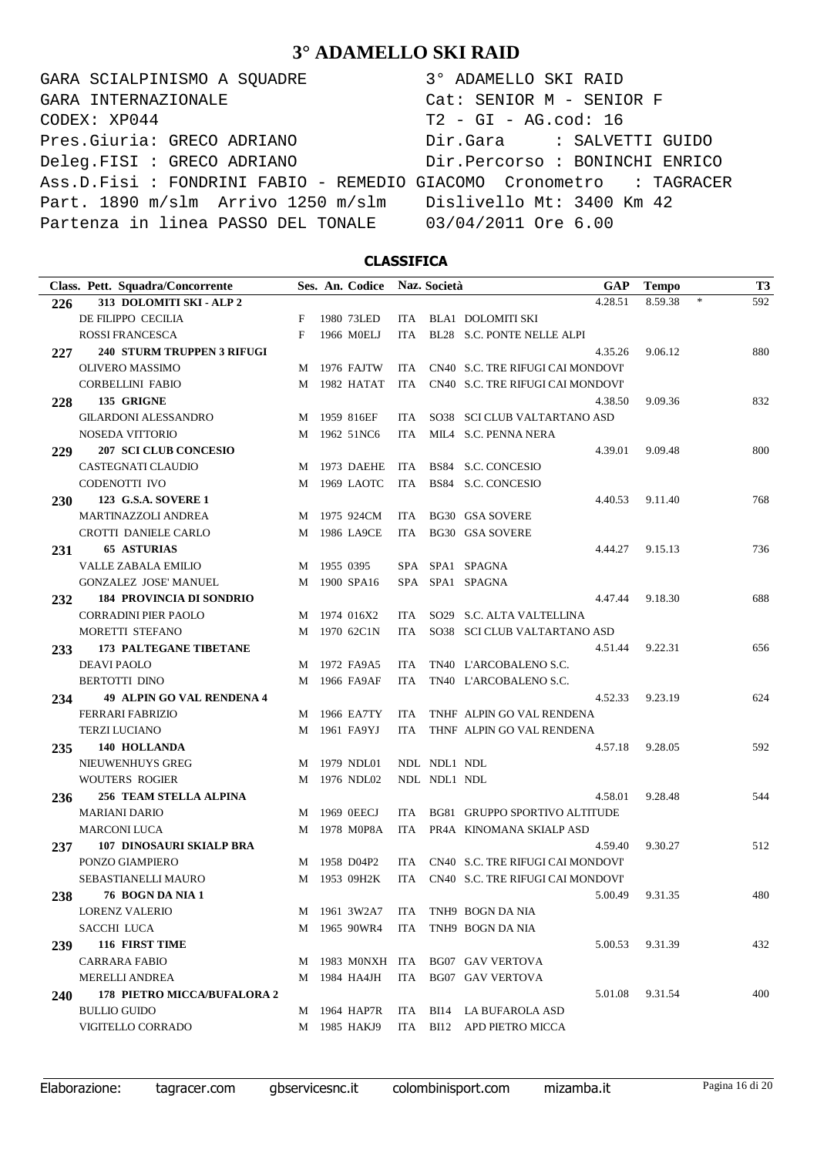GARA SCIALPINISMO A SQUADRE 3° ADAMELLO SKI RAID CODEX: XP044 T2 - GI - AG.cod: 16 Pres.Giuria: GRECO ADRIANO Dir.Gara : SALVETTI GUIDO Deleg.FISI : GRECO ADRIANO Dir.Percorso : BONINCHI ENRICO Ass.D.Fisi : FONDRINI FABIO - REMEDIO GIACOMO Cronometro : TAGRACER Part. 1890 m/slm Arrivo 1250 m/slm Dislivello Mt: 3400 Km 42 Partenza in linea PASSO DEL TONALE 03/04/2011 Ore 6.00 GARA INTERNAZIONALE Cat: SENIOR M - SENIOR F

### **CLASSIFICA**

|     | Class. Pett. Squadra/Concorrente   |   |             | Ses. An. Codice  |            | Naz. Società | GAP                               | <b>Tempo</b> |        | <b>T3</b> |
|-----|------------------------------------|---|-------------|------------------|------------|--------------|-----------------------------------|--------------|--------|-----------|
| 226 | 313 DOLOMITI SKI - ALP 2           |   |             |                  |            |              | 4.28.51                           | 8.59.38      | $\ast$ | 592       |
|     | DE FILIPPO CECILIA                 | F |             | 1980 73LED       | ITA        |              | BLA1 DOLOMITI SKI                 |              |        |           |
|     | ROSSI FRANCESCA                    | F |             | 1966 M0ELJ       | <b>ITA</b> |              | BL28 S.C. PONTE NELLE ALPI        |              |        |           |
| 227 | <b>240 STURM TRUPPEN 3 RIFUGI</b>  |   |             |                  |            |              | 4.35.26                           | 9.06.12      |        | 880       |
|     | OLIVERO MASSIMO                    |   |             | M 1976 FAJTW     | ITA.       |              | CN40 S.C. TRE RIFUGI CAI MONDOVI' |              |        |           |
|     | <b>CORBELLINI FABIO</b>            | M |             | 1982 HATAT       | <b>ITA</b> |              | CN40 S.C. TRE RIFUGI CAI MONDOVI' |              |        |           |
| 228 | 135 GRIGNE                         |   |             |                  |            |              | 4.38.50                           | 9.09.36      |        | 832       |
|     | <b>GILARDONI ALESSANDRO</b>        |   |             | M 1959 816EF     | ITA        |              | SO38 SCI CLUB VALTARTANO ASD      |              |        |           |
|     | <b>NOSEDA VITTORIO</b>             | M |             | 1962 51NC6       | <b>ITA</b> |              | MILA S.C. PENNA NERA              |              |        |           |
| 229 | <b>207 SCI CLUB CONCESIO</b>       |   |             |                  |            |              | 4.39.01                           | 9.09.48      |        | 800       |
|     | CASTEGNATI CLAUDIO                 |   |             | M 1973 DAEHE     | ITA        |              | BS84 S.C. CONCESIO                |              |        |           |
|     | CODENOTTI IVO                      | M |             | 1969 LAOTC       | ITA        |              | BS84 S.C. CONCESIO                |              |        |           |
| 230 | 123 G.S.A. SOVERE 1                |   |             |                  |            |              | 4.40.53                           | 9.11.40      |        | 768       |
|     | MARTINAZZOLI ANDREA                |   |             | M 1975 924CM     | ITA        |              | <b>BG30 GSA SOVERE</b>            |              |        |           |
|     | CROTTI DANIELE CARLO               | M |             | 1986 LA9CE       | <b>ITA</b> |              | <b>BG30 GSA SOVERE</b>            |              |        |           |
| 231 | <b>65 ASTURIAS</b>                 |   |             |                  |            |              | 4.44.27                           | 9.15.13      |        | 736       |
|     | <b>VALLE ZABALA EMILIO</b>         |   | M 1955 0395 |                  |            |              | SPA SPA1 SPAGNA                   |              |        |           |
|     | GONZALEZ JOSE' MANUEL              | M |             | 1900 SPA16       |            |              | SPA SPA1 SPAGNA                   |              |        |           |
| 232 | <b>184 PROVINCIA DI SONDRIO</b>    |   |             |                  |            |              | 4.47.44                           | 9.18.30      |        | 688       |
|     | <b>CORRADINI PIER PAOLO</b>        |   |             | M 1974 016X2     | ITA.       |              | SO29 S.C. ALTA VALTELLINA         |              |        |           |
|     | MORETTI STEFANO                    | М |             | 1970 62C1N       | ITA        |              | SO38 SCI CLUB VALTARTANO ASD      |              |        |           |
| 233 | 173 PALTEGANE TIBETANE             |   |             |                  |            |              | 4.51.44                           | 9.22.31      |        | 656       |
|     | <b>DEAVI PAOLO</b>                 |   |             | M 1972 FA9A5     | <b>ITA</b> |              | TN40 L'ARCOBALENO S.C.            |              |        |           |
|     | <b>BERTOTTI DINO</b>               | М |             | 1966 FA9AF       | <b>ITA</b> |              | TN40 L'ARCOBALENO S.C.            |              |        |           |
| 234 | 49 ALPIN GO VAL RENDENA 4          |   |             |                  |            |              | 4.52.33                           | 9.23.19      |        | 624       |
|     | <b>FERRARI FABRIZIO</b>            |   |             | M 1966 EA7TY     | <b>ITA</b> |              | TNHF ALPIN GO VAL RENDENA         |              |        |           |
|     | <b>TERZI LUCIANO</b>               | М |             | 1961 FA9YJ       | <b>ITA</b> |              | THNF ALPIN GO VAL RENDENA         |              |        |           |
| 235 | 140 HOLLANDA                       |   |             |                  |            |              | 4.57.18                           | 9.28.05      |        | 592       |
|     | NIEUWENHUYS GREG                   |   |             | M 1979 NDL01     |            | NDL NDL1 NDL |                                   |              |        |           |
|     | <b>WOUTERS ROGIER</b>              | М |             | 1976 NDL02       |            | NDL NDL1 NDL |                                   |              |        |           |
| 236 | <b>256 TEAM STELLA ALPINA</b>      |   |             |                  |            |              | 4.58.01                           | 9.28.48      |        | 544       |
|     | <b>MARIANI DARIO</b>               |   |             | M 1969 0EECJ     | ITA.       |              | BG81 GRUPPO SPORTIVO ALTITUDE     |              |        |           |
|     | <b>MARCONI LUCA</b>                | М |             | 1978 M0P8A       | <b>ITA</b> |              | PR4A KINOMANA SKIALP ASD          |              |        |           |
| 237 | <b>107 DINOSAURI SKIALP BRA</b>    |   |             |                  |            |              | 4.59.40                           | 9.30.27      |        | 512       |
|     | PONZO GIAMPIERO                    |   |             | M 1958 D04P2     | ITA.       |              | CN40 S.C. TRE RIFUGI CAI MONDOVI' |              |        |           |
|     | SEBASTIANELLI MAURO                |   |             | M 1953 09H2K     | ITA        |              | CN40 S.C. TRE RIFUGI CAI MONDOVI' |              |        |           |
| 238 | 76 BOGN DA NIA 1                   |   |             |                  |            |              | 5.00.49                           | 9.31.35      |        | 480       |
|     | <b>LORENZ VALERIO</b>              |   |             | M 1961 3W2A7     | ITA        |              | TNH9 BOGN DA NIA                  |              |        |           |
|     | SACCHI LUCA                        |   |             | M 1965 90WR4     | ITA        |              | TNH9 BOGN DA NIA                  |              |        |           |
| 239 | 116 FIRST TIME                     |   |             |                  |            |              | 5.00.53                           | 9.31.39      |        | 432       |
|     | <b>CARRARA FABIO</b>               |   |             | M 1983 M0NXH ITA |            |              | <b>BG07 GAV VERTOVA</b>           |              |        |           |
|     | MERELLI ANDREA                     |   |             | M 1984 HA4JH     | ITA        |              | <b>BG07 GAV VERTOVA</b>           |              |        |           |
| 240 | <b>178 PIETRO MICCA/BUFALORA 2</b> |   |             |                  |            |              | 5.01.08                           | 9.31.54      |        | 400       |
|     | <b>BULLIO GUIDO</b>                |   |             | M 1964 HAP7R     | ITA        | BI14         | LA BUFAROLA ASD                   |              |        |           |
|     | VIGITELLO CORRADO                  |   |             | M 1985 HAKJ9     | ITA        |              | BI12 APD PIETRO MICCA             |              |        |           |
|     |                                    |   |             |                  |            |              |                                   |              |        |           |

Elaborazione: tagracer.com gbservicesnc.it colombinisport.com mizamba.it Pagina 16 di 20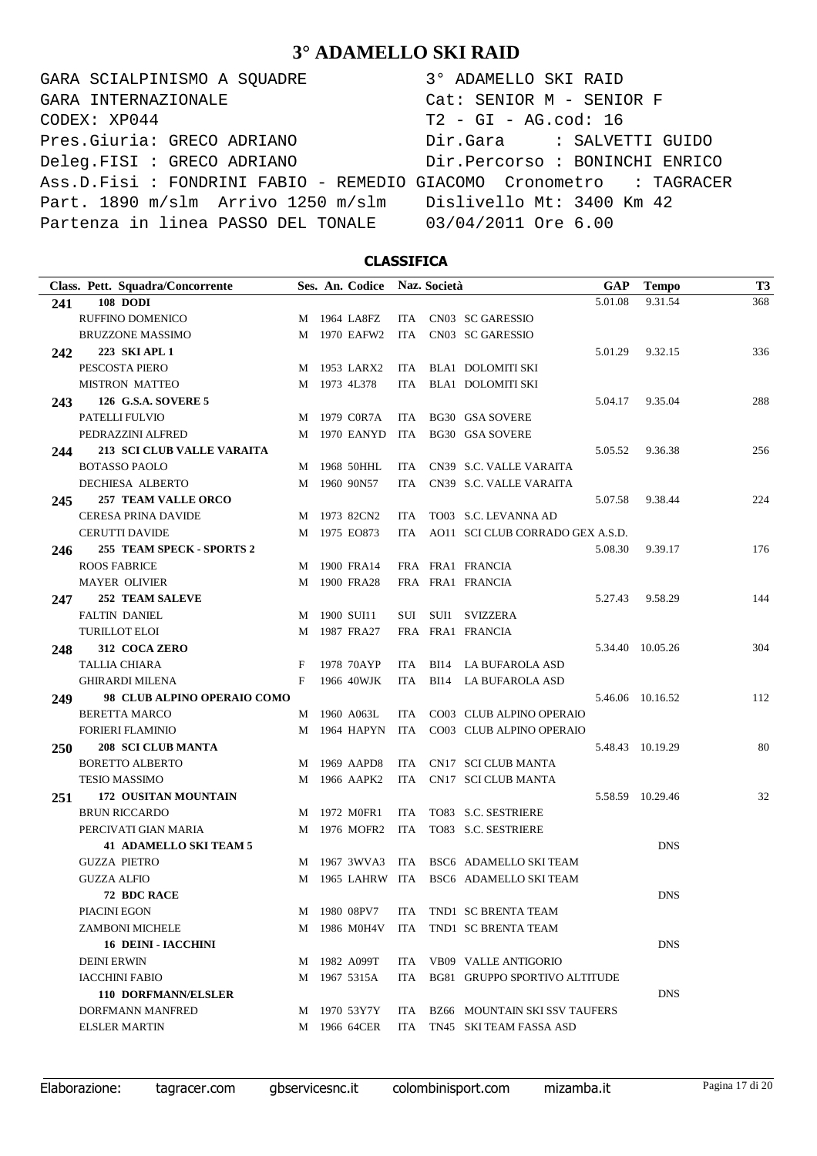GARA SCIALPINISMO A SQUADRE 3° ADAMELLO SKI RAID CODEX: XP044 T2 - GI - AG.cod: 16 Pres.Giuria: GRECO ADRIANO Dir.Gara : SALVETTI GUIDO Deleg.FISI : GRECO ADRIANO Dir.Percorso : BONINCHI ENRICO Ass.D.Fisi : FONDRINI FABIO - REMEDIO GIACOMO Cronometro : TAGRACER Part. 1890 m/slm Arrivo 1250 m/slm Dislivello Mt: 3400 Km 42 Partenza in linea PASSO DEL TONALE 03/04/2011 Ore 6.00 GARA INTERNAZIONALE Cat: SENIOR M - SENIOR F

#### **CLASSIFICA**

| Class. Pett. Squadra/Concorrente   |   | Ses. An. Codice Naz. Società |            |                                        | <b>GAP</b> | <b>Tempo</b>     | T <sub>3</sub> |
|------------------------------------|---|------------------------------|------------|----------------------------------------|------------|------------------|----------------|
| <b>108 DODI</b><br>241             |   |                              |            |                                        | 5.01.08    | 9.31.54          | 368            |
| RUFFINO DOMENICO                   |   | M 1964 LA8FZ                 |            | ITA CN03 SC GARESSIO                   |            |                  |                |
| <b>BRUZZONE MASSIMO</b>            |   | M 1970 EAFW2                 |            | ITA CN03 SC GARESSIO                   |            |                  |                |
| 223 SKI APL 1<br>242               |   |                              |            |                                        | 5.01.29    | 9.32.15          | 336            |
| PESCOSTA PIERO                     |   | M 1953 LARX2                 |            | ITA BLA1 DOLOMITI SKI                  |            |                  |                |
| <b>MISTRON MATTEO</b>              |   | M 1973 4L378                 | ITA        | <b>BLA1 DOLOMITI SKI</b>               |            |                  |                |
| <b>126 G.S.A. SOVERE 5</b><br>243  |   |                              |            |                                        | 5.04.17    | 9.35.04          | 288            |
| PATELLI FULVIO                     |   | M 1979 C0R7A                 | ITA        | BG30 GSA SOVERE                        |            |                  |                |
| PEDRAZZINI ALFRED                  |   | M 1970 EANYD                 | ITA        | <b>BG30 GSA SOVERE</b>                 |            |                  |                |
| 213 SCI CLUB VALLE VARAITA<br>244  |   |                              |            |                                        | 5.05.52    | 9.36.38          | 256            |
| <b>BOTASSO PAOLO</b>               |   | M 1968 50HHL                 | ITA        | CN39 S.C. VALLE VARAITA                |            |                  |                |
| DECHIESA ALBERTO                   |   | M 1960 90N57                 |            | ITA CN39 S.C. VALLE VARAITA            |            |                  |                |
| <b>257 TEAM VALLE ORCO</b><br>245  |   |                              |            |                                        | 5.07.58    | 9.38.44          | 224            |
| CERESA PRINA DAVIDE                |   | M 1973 82CN2                 | <b>ITA</b> | TO03 S.C. LEVANNA AD                   |            |                  |                |
| <b>CERUTTI DAVIDE</b>              |   | M 1975 EO873                 |            | ITA AO11 SCI CLUB CORRADO GEX A.S.D.   |            |                  |                |
| 255 TEAM SPECK - SPORTS 2<br>246   |   |                              |            |                                        | 5.08.30    | 9.39.17          | 176            |
| <b>ROOS FABRICE</b>                |   | M 1900 FRA14                 |            | FRA FRA1 FRANCIA                       |            |                  |                |
| <b>MAYER OLIVIER</b>               |   | M 1900 FRA28                 |            | FRA FRA1 FRANCIA                       |            |                  |                |
| <b>252 TEAM SALEVE</b><br>247      |   |                              |            |                                        | 5.27.43    | 9.58.29          | 144            |
| <b>FALTIN DANIEL</b>               |   | M 1900 SUI11                 |            | SUI SUI1 SVIZZERA                      |            |                  |                |
| <b>TURILLOT ELOI</b>               |   | M 1987 FRA27                 |            | FRA FRA1 FRANCIA                       |            |                  |                |
| 312 COCA ZERO<br>248               |   |                              |            |                                        |            | 5.34.40 10.05.26 | 304            |
| <b>TALLIA CHIARA</b>               | F | 1978 70AYP                   | ITA        | BI14 LA BUFAROLA ASD                   |            |                  |                |
| <b>GHIRARDI MILENA</b>             | F | 1966 40WJK                   | ITA        | BI14 LA BUFAROLA ASD                   |            |                  |                |
| 98 CLUB ALPINO OPERAIO COMO<br>249 |   |                              |            |                                        |            | 5.46.06 10.16.52 | 112            |
| <b>BERETTA MARCO</b>               |   | M 1960 A063L                 | ITA        | CO03 CLUB ALPINO OPERAIO               |            |                  |                |
| <b>FORIERI FLAMINIO</b>            |   | M 1964 HAPYN                 |            | ITA CO03 CLUB ALPINO OPERAIO           |            |                  |                |
| 208 SCI CLUB MANTA<br><b>250</b>   |   |                              |            |                                        |            | 5.48.43 10.19.29 | 80             |
| <b>BORETTO ALBERTO</b>             |   | M 1969 AAPD8                 | ITA        | CN17 SCI CLUB MANTA                    |            |                  |                |
| <b>TESIO MASSIMO</b>               |   | M 1966 AAPK2                 |            | ITA CN17 SCI CLUB MANTA                |            |                  |                |
| 172 OUSITAN MOUNTAIN<br>251        |   |                              |            |                                        |            | 5.58.59 10.29.46 | 32             |
| <b>BRUN RICCARDO</b>               |   | M 1972 M0FR1                 | ITA        | TO83 S.C. SESTRIERE                    |            |                  |                |
| PERCIVATI GIAN MARIA               |   | M 1976 MOFR2                 | ITA        | TO83 S.C. SESTRIERE                    |            |                  |                |
| <b>41 ADAMELLO SKI TEAM 5</b>      |   |                              |            |                                        |            | <b>DNS</b>       |                |
| <b>GUZZA PIETRO</b>                |   | M 1967 3WVA3                 | ITA        | BSC6 ADAMELLO SKI TEAM                 |            |                  |                |
| <b>GUZZA ALFIO</b>                 |   |                              |            | M 1965 LAHRW ITA BSC6 ADAMELLO SKITEAM |            |                  |                |
| 72 BDC RACE                        |   |                              |            |                                        |            | <b>DNS</b>       |                |
| PIACINI EGON                       |   | M 1980 08PV7                 | ITA.       | TND1 SC BRENTA TEAM                    |            |                  |                |
| <b>ZAMBONI MICHELE</b>             |   | M 1986 M0H4V                 | ITA        | TND1 SC BRENTA TEAM                    |            |                  |                |
| <b>16 DEINI - IACCHINI</b>         |   |                              |            |                                        |            | <b>DNS</b>       |                |
| <b>DEINI ERWIN</b>                 |   | M 1982 A099T                 | ITA        | VB09 VALLE ANTIGORIO                   |            |                  |                |
| <b>IACCHINI FABIO</b>              |   | M 1967 5315A                 | ITA        | BG81 GRUPPO SPORTIVO ALTITUDE          |            |                  |                |
| <b>110 DORFMANN/ELSLER</b>         |   |                              |            |                                        |            | <b>DNS</b>       |                |
| DORFMANN MANFRED                   |   | M 1970 53Y7Y                 |            | ITA BZ66 MOUNTAIN SKI SSV TAUFERS      |            |                  |                |
| <b>ELSLER MARTIN</b>               |   | M 1966 64CER                 | ITA        | TN45 SKI TEAM FASSA ASD                |            |                  |                |

Elaborazione: tagracer.com gbservicesnc.it colombinisport.com mizamba.it Pagina 17 di 20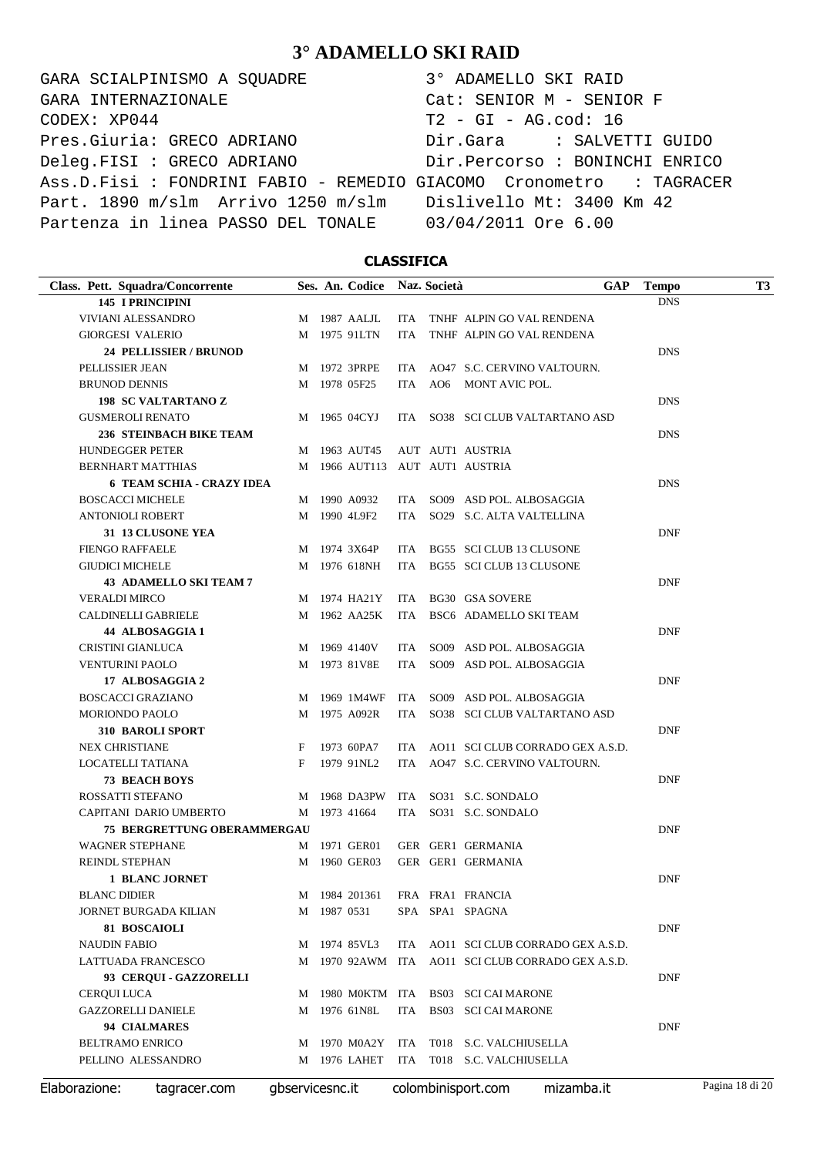GARA SCIALPINISMO A SQUADRE 3° ADAMELLO SKI RAID CODEX: XP044 T2 - GI - AG.cod: 16 Pres.Giuria: GRECO ADRIANO Dir.Gara : SALVETTI GUIDO Deleg.FISI : GRECO ADRIANO Dir.Percorso : BONINCHI ENRICO Ass.D.Fisi : FONDRINI FABIO - REMEDIO GIACOMO Cronometro : TAGRACER Part. 1890 m/slm Arrivo 1250 m/slm Dislivello Mt: 3400 Km 42 Partenza in linea PASSO DEL TONALE 03/04/2011 Ore 6.00 GARA INTERNAZIONALE Cat: SENIOR M - SENIOR F

### **CLASSIFICA**

| Class. Pett. Squadra/Concorrente   |   |                 | Ses. An. Codice |            | Naz. Società | <b>GAP</b>                       | <b>Tempo</b> | <b>T3</b>       |
|------------------------------------|---|-----------------|-----------------|------------|--------------|----------------------------------|--------------|-----------------|
| <b>145 I PRINCIPINI</b>            |   |                 |                 |            |              |                                  | <b>DNS</b>   |                 |
| VIVIANI ALESSANDRO                 |   |                 | M 1987 AALJL    | ITA        |              | TNHF ALPIN GO VAL RENDENA        |              |                 |
| <b>GIORGESI VALERIO</b>            | M |                 | 1975 91LTN      | <b>ITA</b> |              | TNHF ALPIN GO VAL RENDENA        |              |                 |
| <b>24 PELLISSIER / BRUNOD</b>      |   |                 |                 |            |              |                                  | <b>DNS</b>   |                 |
| PELLISSIER JEAN                    | M |                 | 1972 3PRPE      | ITA        |              | AO47 S.C. CERVINO VALTOURN.      |              |                 |
| <b>BRUNOD DENNIS</b>               | M |                 | 1978 05F25      | <b>ITA</b> |              | AO6 MONT AVIC POL.               |              |                 |
| <b>198 SC VALTARTANO Z</b>         |   |                 |                 |            |              |                                  | <b>DNS</b>   |                 |
| <b>GUSMEROLI RENATO</b>            |   |                 | M 1965 04CYJ    |            |              | ITA SO38 SCI CLUB VALTARTANO ASD |              |                 |
| 236 STEINBACH BIKE TEAM            |   |                 |                 |            |              |                                  | <b>DNS</b>   |                 |
| <b>HUNDEGGER PETER</b>             |   |                 | M 1963 AUT45    |            |              | AUT AUT1 AUSTRIA                 |              |                 |
| BERNHART MATTHIAS                  | М |                 |                 |            |              | 1966 AUT113 AUT AUT1 AUSTRIA     |              |                 |
| <b>6 TEAM SCHIA - CRAZY IDEA</b>   |   |                 |                 |            |              |                                  | <b>DNS</b>   |                 |
| <b>BOSCACCI MICHELE</b>            |   |                 | M 1990 A0932    |            |              | ITA SO09 ASD POL. ALBOSAGGIA     |              |                 |
| ANTONIOLI ROBERT                   | М |                 | 1990 4L9F2      | ITA.       |              | SO29 S.C. ALTA VALTELLINA        |              |                 |
| 31 13 CLUSONE YEA                  |   |                 |                 |            |              |                                  | <b>DNF</b>   |                 |
| <b>FIENGO RAFFAELE</b>             | M |                 | 1974 3X64P      | ITA        |              | BG55 SCI CLUB 13 CLUSONE         |              |                 |
| <b>GIUDICI MICHELE</b>             | M |                 | 1976 618NH      | ITA        |              | BG55 SCI CLUB 13 CLUSONE         |              |                 |
| <b>43 ADAMELLO SKI TEAM 7</b>      |   |                 |                 |            |              |                                  | <b>DNF</b>   |                 |
| <b>VERALDI MIRCO</b>               |   |                 | M 1974 HA21Y    | ITA        |              | <b>BG30 GSA SOVERE</b>           |              |                 |
| CALDINELLI GABRIELE                | M |                 | 1962 AA25K      | ITA        |              | BSC6 ADAMELLO SKI TEAM           |              |                 |
| 44 ALBOSAGGIA 1                    |   |                 |                 |            |              |                                  | <b>DNF</b>   |                 |
| CRISTINI GIANLUCA                  | M |                 | 1969 4140V      | ITA        |              | SO09 ASD POL. ALBOSAGGIA         |              |                 |
| VENTURINI PAOLO                    | М |                 | 1973 81V8E      | ITA        |              | SO09 ASD POL. ALBOSAGGIA         |              |                 |
| 17 ALBOSAGGIA 2                    |   |                 |                 |            |              |                                  | <b>DNF</b>   |                 |
| <b>BOSCACCI GRAZIANO</b>           | M |                 | 1969 1M4WF      | ITA        |              | SO09 ASD POL. ALBOSAGGIA         |              |                 |
| MORIONDO PAOLO                     | М |                 | 1975 A092R      | ITA        |              | SO38 SCI CLUB VALTARTANO ASD     |              |                 |
| <b>310 BAROLI SPORT</b>            |   |                 |                 |            |              |                                  | <b>DNF</b>   |                 |
| <b>NEX CHRISTIANE</b>              | F |                 | 1973 60PA7      | ITA        |              | AO11 SCI CLUB CORRADO GEX A.S.D. |              |                 |
| LOCATELLI TATIANA                  | F |                 | 1979 91NL2      | ITA        |              | AO47 S.C. CERVINO VALTOURN.      |              |                 |
| <b>73 BEACH BOYS</b>               |   |                 |                 |            |              |                                  | <b>DNF</b>   |                 |
| ROSSATTI STEFANO                   | M |                 | 1968 DA3PW      | ITA        |              | SO31 S.C. SONDALO                |              |                 |
| CAPITANI DARIO UMBERTO             |   |                 | M 1973 41664    | ITA        |              | SO31 S.C. SONDALO                |              |                 |
| <b>75 BERGRETTUNG OBERAMMERGAU</b> |   |                 |                 |            |              |                                  | <b>DNF</b>   |                 |
| <b>WAGNER STEPHANE</b>             |   |                 | M 1971 GER01    |            |              | GER GER1 GERMANIA                |              |                 |
| REINDL STEPHAN                     | M |                 | 1960 GER03      |            |              | GER GER1 GERMANIA                |              |                 |
| <b>1 BLANC JORNET</b>              |   |                 |                 |            |              |                                  | <b>DNF</b>   |                 |
| <b>BLANC DIDIER</b>                | M |                 | 1984 201361     |            |              | FRA FRA1 FRANCIA                 |              |                 |
| JORNET BURGADA KILIAN              | М |                 | 1987 0531       |            |              | SPA SPA1 SPAGNA                  |              |                 |
| 81 BOSCAIOLI                       |   |                 |                 |            |              |                                  | <b>DNF</b>   |                 |
| <b>NAUDIN FABIO</b>                | М |                 | 1974 85VL3      | ITA        |              | AO11 SCI CLUB CORRADO GEX A.S.D. |              |                 |
| LATTUADA FRANCESCO                 | М |                 | 1970 92AWM ITA  |            |              | AO11 SCI CLUB CORRADO GEX A.S.D. |              |                 |
| 93 CERQUI - GAZZORELLI             |   |                 |                 |            |              |                                  | <b>DNF</b>   |                 |
| CERQUI LUCA                        | М |                 | 1980 MOKTM ITA  |            |              | <b>BS03 SCI CAI MARONE</b>       |              |                 |
| <b>GAZZORELLI DANIELE</b>          | M |                 | 1976 61N8L      | ITA        |              | <b>BS03 SCI CAI MARONE</b>       |              |                 |
| 94 CIALMARES                       |   |                 |                 |            |              |                                  | <b>DNF</b>   |                 |
| <b>BELTRAMO ENRICO</b>             | М |                 | 1970 M0A2Y      | ITA        | T018         | <b>S.C. VALCHIUSELLA</b>         |              |                 |
| PELLINO ALESSANDRO                 | М |                 | 1976 LAHET      | ITA        |              | T018 S.C. VALCHIUSELLA           |              |                 |
| Elaborazione:<br>tagracer.com      |   | gbservicesnc.it |                 |            |              | colombinisport.com<br>mizamba.it |              | Pagina 18 di 20 |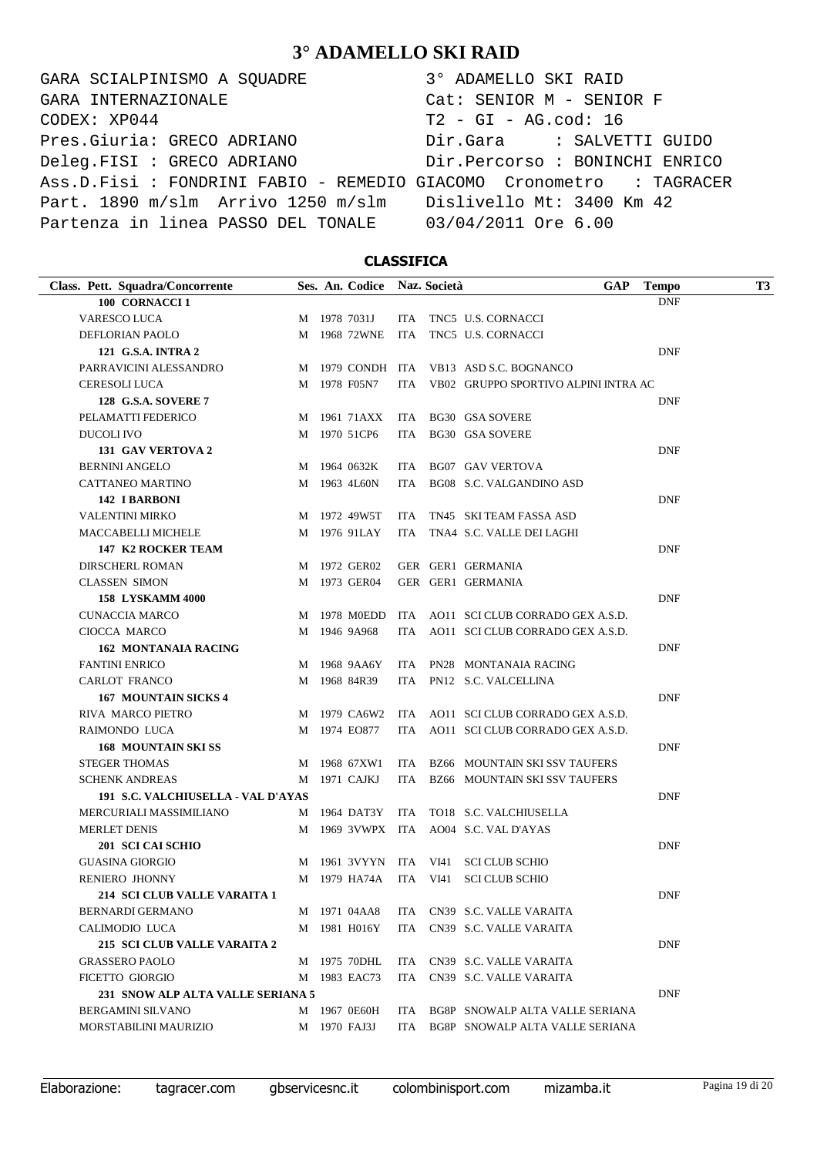GARA SCIALPINISMO A SQUADRE 3° ADAMELLO SKI RAID CODEX: XP044 T2 - GI - AG.cod: 16 Pres.Giuria: GRECO ADRIANO Dir.Gara : SALVETTI GUIDO Deleg.FISI : GRECO ADRIANO Dir.Percorso : BONINCHI ENRICO Ass.D.Fisi : FONDRINI FABIO - REMEDIO GIACOMO Cronometro : TAGRACER Part. 1890 m/slm Arrivo 1250 m/slm Dislivello Mt: 3400 Km 42 Partenza in linea PASSO DEL TONALE 03/04/2011 Ore 6.00 GARA INTERNAZIONALE Cat: SENIOR M - SENIOR F

### **CLASSIFICA**

| Class. Pett. Squadra/Concorrente    |   | Ses. An. Codice |      | Naz. Società | <b>GAP</b>                            | <b>Tempo</b> | T <sub>3</sub> |
|-------------------------------------|---|-----------------|------|--------------|---------------------------------------|--------------|----------------|
| 100 CORNACCI1                       |   |                 |      |              |                                       | <b>DNF</b>   |                |
| VARESCO LUCA                        | M | 1978 7031J      |      |              | ITA TNC5 U.S. CORNACCI                |              |                |
| DEFLORIAN PAOLO                     | М | 1968 72WNE      | ITA  |              | TNC5 U.S. CORNACCI                    |              |                |
| 121 G.S.A. INTRA 2                  |   |                 |      |              |                                       | <b>DNF</b>   |                |
| PARRAVICINI ALESSANDRO              | M |                 |      |              | 1979 CONDH ITA VB13 ASD S.C. BOGNANCO |              |                |
| CERESOLI LUCA                       | М | 1978 F05N7      | ITA  |              | VB02 GRUPPO SPORTIVO ALPINI INTRA AC  |              |                |
| <b>128 G.S.A. SOVERE 7</b>          |   |                 |      |              |                                       | <b>DNF</b>   |                |
| PELAMATTI FEDERICO                  | M | 1961 71AXX      | ITA  |              | BG30 GSA SOVERE                       |              |                |
| DUCOLI IVO                          | M | 1970 51CP6      | ITA  |              | <b>BG30 GSA SOVERE</b>                |              |                |
| 131 GAV VERTOVA 2                   |   |                 |      |              |                                       | <b>DNF</b>   |                |
| <b>BERNINI ANGELO</b>               | M | 1964 0632K      | ITA  |              | <b>BG07 GAV VERTOVA</b>               |              |                |
| CATTANEO MARTINO                    | М | 1963 4L60N      | ITA  |              | BG08 S.C. VALGANDINO ASD              |              |                |
| 142 I BARBONI                       |   |                 |      |              |                                       | <b>DNF</b>   |                |
| <b>VALENTINI MIRKO</b>              | M | 1972 49W5T      | ITA  |              | TN45 SKI TEAM FASSA ASD               |              |                |
| MACCABELLI MICHELE                  | M | 1976 91LAY      | ITA  |              | TNA4 S.C. VALLE DEI LAGHI             |              |                |
| 147 K2 ROCKER TEAM                  |   |                 |      |              |                                       | <b>DNF</b>   |                |
| <b>DIRSCHERL ROMAN</b>              | M | 1972 GER02      |      |              | GER GER1 GERMANIA                     |              |                |
| <b>CLASSEN SIMON</b>                | М | 1973 GER04      |      |              | GER GER1 GERMANIA                     |              |                |
| <b>158 LYSKAMM 4000</b>             |   |                 |      |              |                                       | <b>DNF</b>   |                |
| <b>CUNACCIA MARCO</b>               | M | 1978 M0EDD      |      |              | ITA AO11 SCI CLUB CORRADO GEX A.S.D.  |              |                |
| CIOCCA MARCO                        | M | 1946 9A968      | ITA  |              | AO11 SCI CLUB CORRADO GEX A.S.D.      |              |                |
| 162 MONTANAIA RACING                |   |                 |      |              |                                       | <b>DNF</b>   |                |
| <b>FANTINI ENRICO</b>               | M | 1968 9AA6Y      | ITA  |              | PN28 MONTANAIA RACING                 |              |                |
| <b>CARLOT FRANCO</b>                | M | 1968 84R39      | ITA  |              | PN12 S.C. VALCELLINA                  |              |                |
| <b>167 MOUNTAIN SICKS 4</b>         |   |                 |      |              |                                       | <b>DNF</b>   |                |
| <b>RIVA MARCO PIETRO</b>            | M | 1979 CA6W2      | ITA  |              | AO11 SCI CLUB CORRADO GEX A.S.D.      |              |                |
| RAIMONDO LUCA                       | M | 1974 EO877      | ITA  |              | AO11 SCI CLUB CORRADO GEX A.S.D.      |              |                |
| 168 MOUNTAIN SKI SS                 |   |                 |      |              |                                       | <b>DNF</b>   |                |
| <b>STEGER THOMAS</b>                | M | 1968 67XW1      | ITA. |              | <b>BZ66 MOUNTAIN SKI SSV TAUFERS</b>  |              |                |
| <b>SCHENK ANDREAS</b>               | M | 1971 CAJKJ      | ITA  |              | <b>BZ66 MOUNTAIN SKI SSV TAUFERS</b>  |              |                |
| 191 S.C. VALCHIUSELLA - VAL D'AYAS  |   |                 |      |              |                                       | <b>DNF</b>   |                |
| MERCURIALI MASSIMILIANO             |   | M 1964 DAT3Y    | ITA  |              | TO18 S.C. VALCHIUSELLA                |              |                |
| <b>MERLET DENIS</b>                 | M | 1969 3VWPX ITA  |      |              | AO04 S.C. VAL D'AYAS                  |              |                |
| 201 SCI CAI SCHIO                   |   |                 |      |              |                                       | <b>DNF</b>   |                |
| <b>GUASINA GIORGIO</b>              | M | 1961 3VYYN      | ITA  | VI41         | <b>SCI CLUB SCHIO</b>                 |              |                |
| RENIERO JHONNY                      | M | 1979 HA74A      |      | ITA VI41     | <b>SCI CLUB SCHIO</b>                 |              |                |
| <b>214 SCI CLUB VALLE VARAITA 1</b> |   |                 |      |              |                                       | DNF          |                |
| <b>BERNARDI GERMANO</b>             |   | M 1971 04AA8    | ITA. |              | CN39 S.C. VALLE VARAITA               |              |                |
| CALIMODIO LUCA                      | М | 1981 H016Y      | ITA  |              | CN39 S.C. VALLE VARAITA               |              |                |
| 215 SCI CLUB VALLE VARAITA 2        |   |                 |      |              |                                       | <b>DNF</b>   |                |
| <b>GRASSERO PAOLO</b>               |   | M 1975 70DHL    | ITA. |              | CN39 S.C. VALLE VARAITA               |              |                |
| FICETTO GIORGIO                     | M | 1983 EAC73      | ITA  |              | CN39 S.C. VALLE VARAITA               |              |                |
| 231 SNOW ALP ALTA VALLE SERIANA 5   |   |                 |      |              |                                       | DNF          |                |
| BERGAMINI SILVANO                   |   | M 1967 0E60H    | ITA  |              | BG8P SNOWALP ALTA VALLE SERIANA       |              |                |
| MORSTABILINI MAURIZIO               | M | 1970 FAJ3J      | ITA  |              | BG8P SNOWALP ALTA VALLE SERIANA       |              |                |

Elaborazione: tagracer.com gbservicesnc.it colombinisport.com mizamba.it Pagina 19 di 20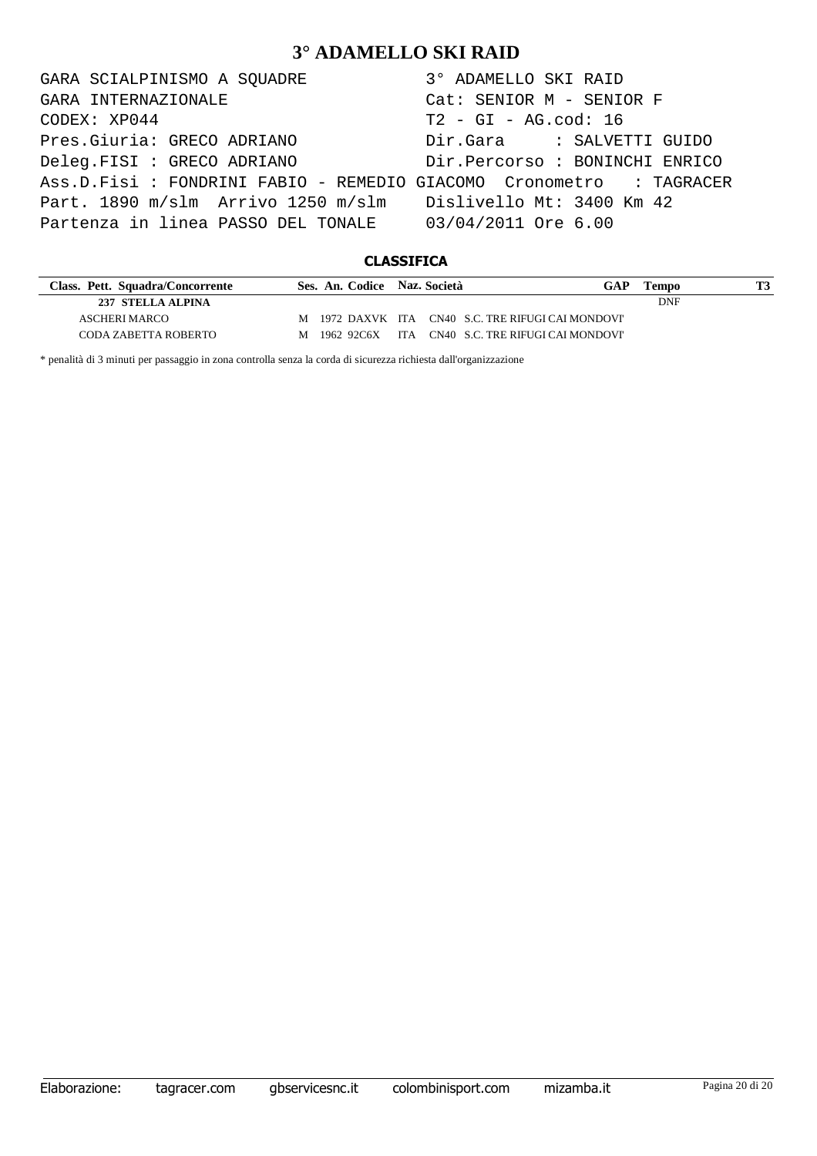| GARA SCIALPINISMO A SQUADRE                                         | 3° ADAMELLO SKI RAID      |
|---------------------------------------------------------------------|---------------------------|
| GARA INTERNAZIONALE                                                 | Cat: SENIOR M - SENIOR F  |
| CODEX: XP044                                                        | $T2 - GI - AG.cod: 16$    |
| Pres.Giuria: GRECO ADRIANO                                          | Dir.Gara : SALVETTI GUIDO |
|                                                                     |                           |
| Ass.D.Fisi : FONDRINI FABIO - REMEDIO GIACOMO Cronometro : TAGRACER |                           |
| Part. 1890 m/slm Arrivo 1250 m/slm Dislivello Mt: 3400 Km 42        |                           |
| Partenza in linea PASSO DEL TONALE 03/04/2011 Ore 6.00              |                           |

### **CLASSIFICA**

| Class. Pett. Squadra/Concorrente | Ses. An. Codice Naz. Società |  | GAP                                                | Tempo |  |
|----------------------------------|------------------------------|--|----------------------------------------------------|-------|--|
| 237 STELLA ALPINA                |                              |  |                                                    | DNF   |  |
| ASCHERI MARCO                    |                              |  | M 1972 DAXVK ITA CN40 S.C. TRE RIFUGI CAI MONDOVI' |       |  |
| CODA ZABETTA ROBERTO             | M 1962 92C6X                 |  | ITA CN40 S.C. TRE RIFUGI CAI MONDOVI'              |       |  |

\* penalità di 3 minuti per passaggio in zona controlla senza la corda di sicurezza richiesta dall'organizzazione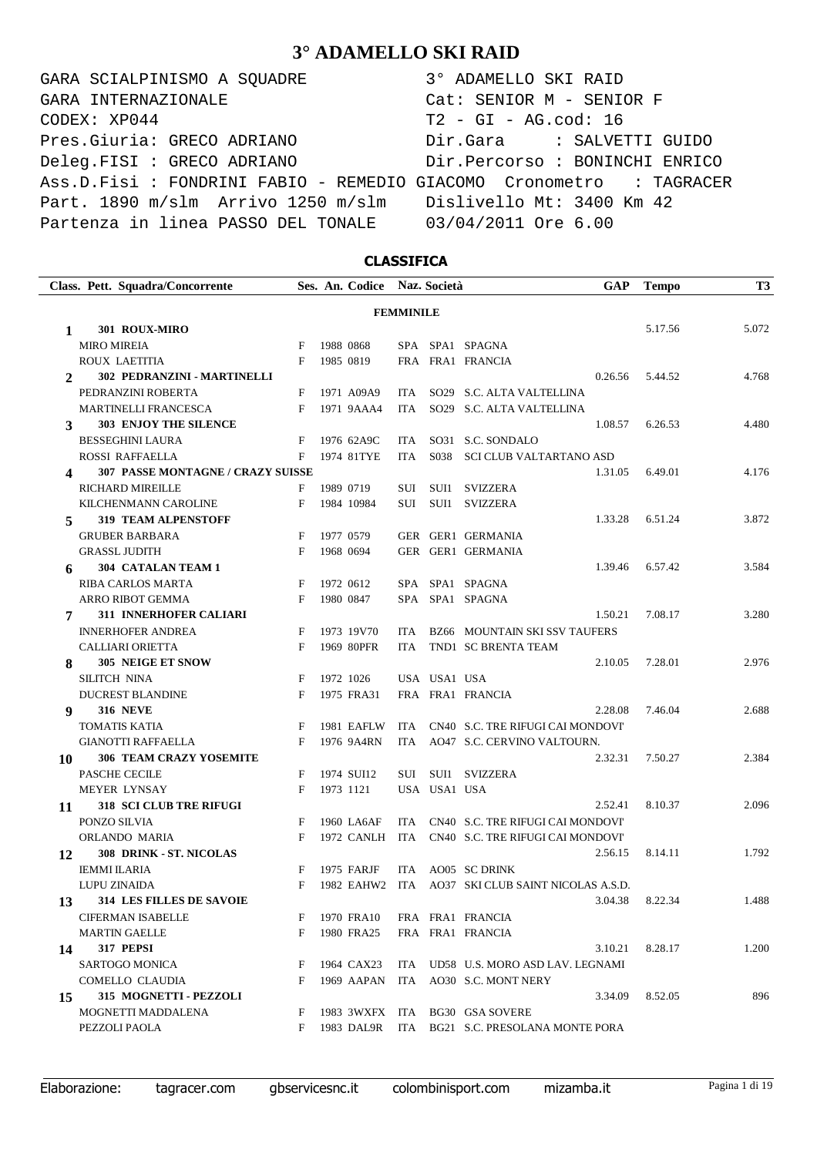GARA SCIALPINISMO A SQUADRE 3° ADAMELLO SKI RAID CODEX: XP044 T2 - GI - AG.cod: 16 Pres.Giuria: GRECO ADRIANO Dir.Gara : SALVETTI GUIDO Deleg.FISI : GRECO ADRIANO Dir.Percorso : BONINCHI ENRICO Ass.D.Fisi : FONDRINI FABIO - REMEDIO GIACOMO Cronometro : TAGRACER Part. 1890 m/slm Arrivo 1250 m/slm Dislivello Mt: 3400 Km 42 Partenza in linea PASSO DEL TONALE 03/04/2011 Ore 6.00 GARA INTERNAZIONALE Cat: SENIOR M - SENIOR F

### **CLASSIFICA**

|    | Class. Pett. Squadra/Concorrente         |   | Ses. An. Codice Naz. Società |                  |                   | <b>GAP</b>                           | <b>Tempo</b> | <b>T3</b> |
|----|------------------------------------------|---|------------------------------|------------------|-------------------|--------------------------------------|--------------|-----------|
|    |                                          |   |                              | <b>FEMMINILE</b> |                   |                                      |              |           |
| 1  | 301 ROUX-MIRO                            |   |                              |                  |                   |                                      | 5.17.56      | 5.072     |
|    | <b>MIRO MIREIA</b>                       | F | 1988 0868                    |                  |                   | SPA SPA1 SPAGNA                      |              |           |
|    | ROUX LAETITIA                            | F | 1985 0819                    |                  |                   | FRA FRA1 FRANCIA                     |              |           |
| 2  | 302 PEDRANZINI - MARTINELLI              |   |                              |                  |                   | 0.26.56                              | 5.44.52      | 4.768     |
|    | PEDRANZINI ROBERTA                       | F | 1971 A09A9                   | <b>ITA</b>       |                   | SO29 S.C. ALTA VALTELLINA            |              |           |
|    | <b>MARTINELLI FRANCESCA</b>              | F | 1971 9AAA4                   | <b>ITA</b>       |                   | SO29 S.C. ALTA VALTELLINA            |              |           |
| 3  | <b>303 ENJOY THE SILENCE</b>             |   |                              |                  |                   | 1.08.57                              | 6.26.53      | 4.480     |
|    | <b>BESSEGHINI LAURA</b>                  | F | 1976 62A9C                   | ITA              |                   | SO31 S.C. SONDALO                    |              |           |
|    | ROSSI RAFFAELLA                          | F | 1974 81TYE                   | ITA              | S <sub>0</sub> 38 | SCI CLUB VALTARTANO ASD              |              |           |
| 4  | <b>307 PASSE MONTAGNE / CRAZY SUISSE</b> |   |                              |                  |                   | 1.31.05                              | 6.49.01      | 4.176     |
|    | RICHARD MIREILLE                         | F | 1989 0719                    | SUI              | SUI1              | <b>SVIZZERA</b>                      |              |           |
|    | KILCHENMANN CAROLINE                     | F | 1984 10984                   | SUI              | SUI1              | <b>SVIZZERA</b>                      |              |           |
| 5  | <b>319 TEAM ALPENSTOFF</b>               |   |                              |                  |                   | 1.33.28                              | 6.51.24      | 3.872     |
|    | <b>GRUBER BARBARA</b>                    | F | 1977 0579                    |                  |                   | GER GER1 GERMANIA                    |              |           |
|    | <b>GRASSL JUDITH</b>                     | F | 1968 0694                    |                  |                   | GER GER1 GERMANIA                    |              |           |
| 6  | 304 CATALAN TEAM 1                       |   |                              |                  |                   | 1.39.46                              | 6.57.42      | 3.584     |
|    | RIBA CARLOS MARTA                        | F | 1972 0612                    |                  |                   | SPA SPA1 SPAGNA                      |              |           |
|    | ARRO RIBOT GEMMA                         | F | 1980 0847                    |                  |                   | SPA SPA1 SPAGNA                      |              |           |
| 7  | 311 INNERHOFER CALIARI                   |   |                              |                  |                   | 1.50.21                              | 7.08.17      | 3.280     |
|    | <b>INNERHOFER ANDREA</b>                 | F | 1973 19V70                   | ITA              |                   | <b>BZ66 MOUNTAIN SKI SSV TAUFERS</b> |              |           |
|    | <b>CALLIARI ORIETTA</b>                  | F | 1969 80PFR                   | <b>ITA</b>       |                   | TND1 SC BRENTA TEAM                  |              |           |
| 8  | 305 NEIGE ET SNOW                        |   |                              |                  |                   | 2.10.05                              | 7.28.01      | 2.976     |
|    | SILITCH NINA                             | F | 1972 1026                    |                  | USA USA1 USA      |                                      |              |           |
|    | <b>DUCREST BLANDINE</b>                  | F | 1975 FRA31                   |                  |                   | FRA FRA1 FRANCIA                     |              |           |
| 9  | <b>316 NEVE</b>                          |   |                              |                  |                   | 2.28.08                              | 7.46.04      | 2.688     |
|    | <b>TOMATIS KATIA</b>                     | F | 1981 EAFLW                   | ITA              |                   | CN40 S.C. TRE RIFUGI CAI MONDOVI'    |              |           |
|    | <b>GIANOTTI RAFFAELLA</b>                | F | 1976 9A4RN                   | <b>ITA</b>       |                   | AO47 S.C. CERVINO VALTOURN.          |              |           |
| 10 | <b>306 TEAM CRAZY YOSEMITE</b>           |   |                              |                  |                   | 2.32.31                              | 7.50.27      | 2.384     |
|    | PASCHE CECILE                            | F | 1974 SUI12                   | SUI              | SUI1              | SVIZZERA                             |              |           |
|    | <b>MEYER LYNSAY</b>                      | F | 1973 1121                    |                  | USA USA1 USA      |                                      |              |           |
| 11 | <b>318 SCI CLUB TRE RIFUGI</b>           |   |                              |                  |                   | 2.52.41                              | 8.10.37      | 2.096     |
|    | PONZO SILVIA                             | F | 1960 LA6AF                   | <b>ITA</b>       |                   | CN40 S.C. TRE RIFUGI CAI MONDOVI'    |              |           |
|    | ORLANDO MARIA                            | F | 1972 CANLH                   | ITA              |                   | CN40 S.C. TRE RIFUGI CAI MONDOVI'    |              |           |
| 12 | 308 DRINK - ST. NICOLAS                  |   |                              |                  |                   | 2.56.15                              | 8.14.11      | 1.792     |
|    | <b>IEMMI ILARIA</b>                      | F | 1975 FARJF                   | <b>ITA</b>       |                   | AO05 SC DRINK                        |              |           |
|    | LUPU ZINAIDA                             | F | 1982 EAHW2 ITA               |                  |                   | AO37 SKI CLUB SAINT NICOLAS A.S.D.   |              |           |
| 13 | <b>314 LES FILLES DE SAVOIE</b>          |   |                              |                  |                   | 3.04.38                              | 8.22.34      | 1.488     |
|    | <b>CIFERMAN ISABELLE</b>                 | F | 1970 FRA10                   |                  |                   | FRA FRA1 FRANCIA                     |              |           |
|    | <b>MARTIN GAELLE</b>                     | F | 1980 FRA25                   |                  |                   | FRA FRA1 FRANCIA                     |              |           |
| 14 | 317 PEPSI                                |   |                              |                  |                   | 3.10.21                              | 8.28.17      | 1.200     |
|    | SARTOGO MONICA                           | F | 1964 CAX23                   |                  |                   | ITA UD58 U.S. MORO ASD LAV. LEGNAMI  |              |           |
|    | COMELLO CLAUDIA                          | F | 1969 AAPAN                   | ITA              |                   | AO30 S.C. MONT NERY                  |              |           |
| 15 | 315 MOGNETTI - PEZZOLI                   |   |                              |                  |                   | 3.34.09                              | 8.52.05      | 896       |
|    | MOGNETTI MADDALENA                       | F | 1983 3WXFX ITA               |                  |                   | <b>BG30 GSA SOVERE</b>               |              |           |
|    | PEZZOLI PAOLA                            | F | 1983 DAL9R                   | <b>ITA</b>       |                   | BG21 S.C. PRESOLANA MONTE PORA       |              |           |
|    |                                          |   |                              |                  |                   |                                      |              |           |

Elaborazione: tagracer.com gbservicesnc.it colombinisport.com mizamba.it Pagina 1 di 19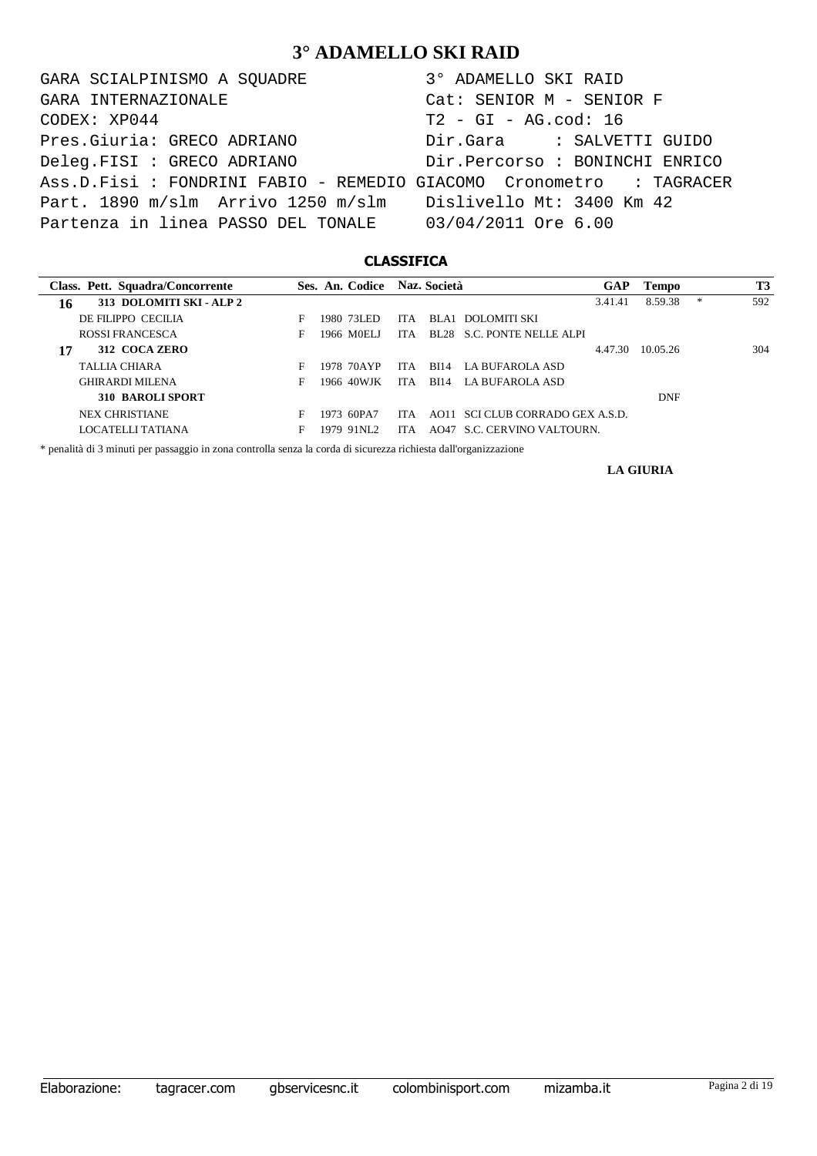GARA SCIALPINISMO A SQUADRE 3° ADAMELLO SKI RAID CODEX: XP044 T2 - GI - AG.cod: 16 Pres.Giuria: GRECO ADRIANO Dir.Gara : SALVETTI GUIDO Deleg.FISI : GRECO ADRIANO Dir.Percorso : BONINCHI ENRICO Ass.D.Fisi : FONDRINI FABIO - REMEDIO GIACOMO Cronometro : TAGRACER Part. 1890 m/slm Arrivo 1250 m/slm Dislivello Mt: 3400 Km 42 Partenza in linea PASSO DEL TONALE 03/04/2011 Ore 6.00 GARA INTERNAZIONALE Cat: SENIOR M - SENIOR F

### **CLASSIFICA**

| Class. Pett. Squadra/Concorrente |   | Ses. An. Codice Naz. Società |      |             |                                  | <b>GAP</b> | <b>Tempo</b> |   | T3  |
|----------------------------------|---|------------------------------|------|-------------|----------------------------------|------------|--------------|---|-----|
| 313 DOLOMITI SKI - ALP 2<br>16   |   |                              |      |             |                                  | 3.41.41    | 8.59.38      | * | 592 |
| DE FILIPPO CECILIA               | F | 1980–731.ED                  | ITA. |             | BLA1 DOLOMITI SKI                |            |              |   |     |
| ROSSI FRANCESCA                  | F | 1966 MOELI                   | ITA. |             | BL28 S.C. PONTE NELLE ALPI       |            |              |   |     |
| 312 COCA ZERO<br>17              |   |                              |      |             |                                  | 4.47.30    | 10.05.26     |   | 304 |
| TALLIA CHIARA                    | F | 1978 70AYP                   | IT A | <b>BI14</b> | LA BUFAROLA ASD                  |            |              |   |     |
| <b>GHIRARDI MILENA</b>           | F | 1966 40WJK                   | ITA. | BI14        | LA BUFAROLA ASD                  |            |              |   |     |
| <b>310 BAROLI SPORT</b>          |   |                              |      |             |                                  |            | DNF          |   |     |
| <b>NEX CHRISTIANE</b>            | F | 1973 60PA7                   | ITA. |             | AO11 SCI CLUB CORRADO GEX A.S.D. |            |              |   |     |
| LOCATELLI TATIANA                |   | 1979-91NL2                   | ITA. |             | AO47 S.C. CERVINO VALTOURN.      |            |              |   |     |

\* penalità di 3 minuti per passaggio in zona controlla senza la corda di sicurezza richiesta dall'organizzazione

**LA GIURIA**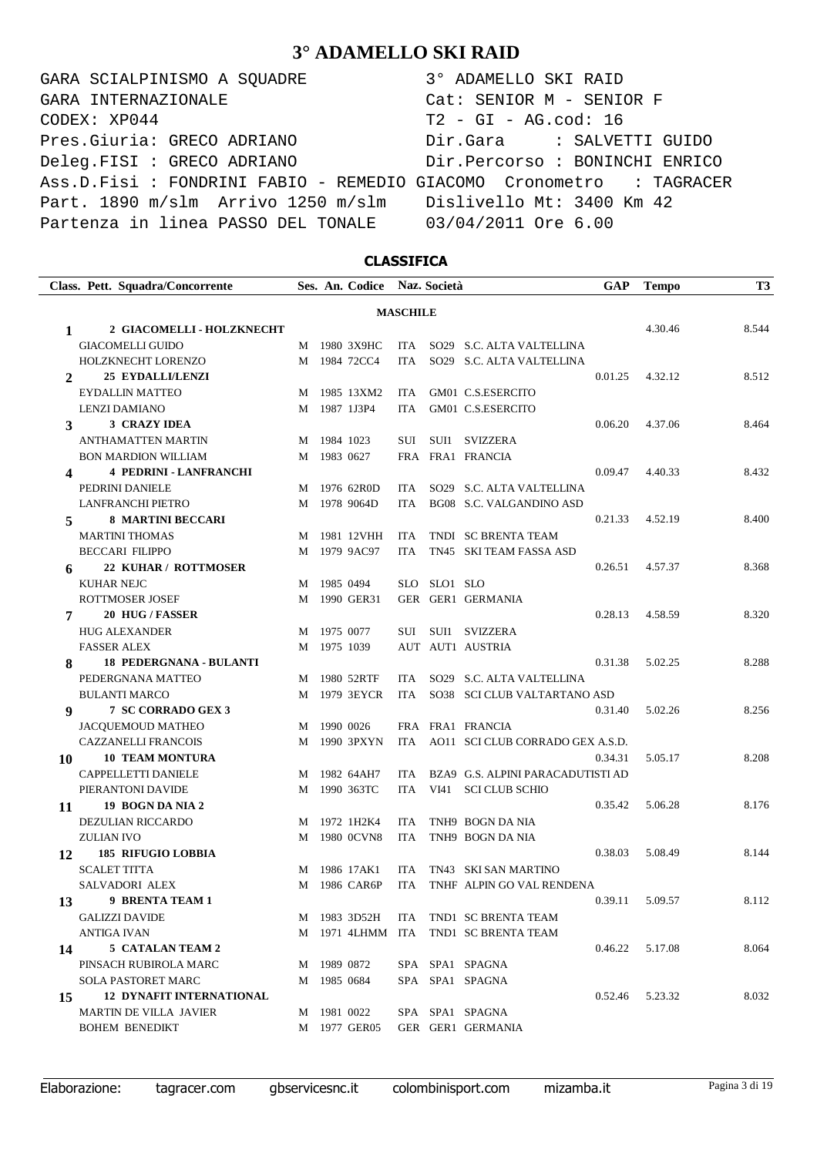GARA SCIALPINISMO A SQUADRE 3° ADAMELLO SKI RAID CODEX: XP044 T2 - GI - AG.cod: 16 Pres.Giuria: GRECO ADRIANO Dir.Gara : SALVETTI GUIDO Deleg.FISI : GRECO ADRIANO Dir.Percorso : BONINCHI ENRICO Ass.D.Fisi : FONDRINI FABIO - REMEDIO GIACOMO Cronometro : TAGRACER Part. 1890 m/slm Arrivo 1250 m/slm Dislivello Mt: 3400 Km 42 Partenza in linea PASSO DEL TONALE 03/04/2011 Ore 6.00 GARA INTERNAZIONALE Cat: SENIOR M - SENIOR F

### **CLASSIFICA**

|              | Class. Pett. Squadra/Concorrente |   |             | Ses. An. Codice Naz. Società |                 |              |                                      | <b>GAP</b> | <b>Tempo</b>    | <b>T3</b> |
|--------------|----------------------------------|---|-------------|------------------------------|-----------------|--------------|--------------------------------------|------------|-----------------|-----------|
|              |                                  |   |             |                              | <b>MASCHILE</b> |              |                                      |            |                 |           |
| 1            | 2 GIACOMELLI - HOLZKNECHT        |   |             |                              |                 |              |                                      |            | 4.30.46         | 8.544     |
|              | <b>GIACOMELLI GUIDO</b>          | M |             | 1980 3X9HC                   | ITA             |              | SO29 S.C. ALTA VALTELLINA            |            |                 |           |
|              | HOLZKNECHT LORENZO               | M |             | 1984 72CC4                   | <b>ITA</b>      |              | SO29 S.C. ALTA VALTELLINA            |            |                 |           |
| $\mathbf{2}$ | <b>25 EYDALLI/LENZI</b>          |   |             |                              |                 |              |                                      | 0.01.25    | 4.32.12         | 8.512     |
|              | <b>EYDALLIN MATTEO</b>           | M |             | 1985 13XM2                   | ITA             |              | GM01 C.S.ESERCITO                    |            |                 |           |
|              | <b>LENZI DAMIANO</b>             | M |             | 1987 1J3P4                   | ITA             |              | GM01 C.S.ESERCITO                    |            |                 |           |
| 3            | 3 CRAZY IDEA                     |   |             |                              |                 |              |                                      | 0.06.20    | 4.37.06         | 8.464     |
|              | <b>ANTHAMATTEN MARTIN</b>        | M | 1984 1023   |                              | SUI             |              | SUI1 SVIZZERA                        |            |                 |           |
|              | <b>BON MARDION WILLIAM</b>       |   | M 1983 0627 |                              |                 |              | FRA FRA1 FRANCIA                     |            |                 |           |
| 4            | <b>4 PEDRINI - LANFRANCHI</b>    |   |             |                              |                 |              |                                      | 0.09.47    | 4.40.33         | 8.432     |
|              | PEDRINI DANIELE                  | M |             | 1976 62R0D                   | ITA             |              | SO29 S.C. ALTA VALTELLINA            |            |                 |           |
|              | <b>LANFRANCHI PIETRO</b>         |   |             | M 1978 9064D                 | <b>ITA</b>      |              | BG08 S.C. VALGANDINO ASD             |            |                 |           |
| 5            | <b>8 MARTINI BECCARI</b>         |   |             |                              |                 |              |                                      | 0.21.33    | 4.52.19         | 8.400     |
|              | <b>MARTINI THOMAS</b>            | M |             | 1981 12VHH                   | ITA             |              | TNDI SC BRENTA TEAM                  |            |                 |           |
|              | <b>BECCARI FILIPPO</b>           | M |             | 1979 9AC97                   | ITA.            |              | TN45 SKI TEAM FASSA ASD              |            |                 |           |
| 6            | 22 KUHAR / ROTTMOSER             |   |             |                              |                 |              |                                      | 0.26.51    | 4.57.37         | 8.368     |
|              | <b>KUHAR NEJC</b>                | M | 1985 0494   |                              |                 | SLO SLO1 SLO |                                      |            |                 |           |
|              | ROTTMOSER JOSEF                  | M |             | 1990 GER31                   |                 |              | GER GER1 GERMANIA                    |            |                 |           |
| 7            | 20 HUG / FASSER                  |   |             |                              |                 |              |                                      | 0.28.13    | 4.58.59         | 8.320     |
|              | <b>HUG ALEXANDER</b>             | M | 1975 0077   |                              | SUI             |              | SUI1 SVIZZERA                        |            |                 |           |
|              | <b>FASSER ALEX</b>               |   | M 1975 1039 |                              |                 |              | AUT AUT1 AUSTRIA                     |            |                 |           |
| 8            | <b>18 PEDERGNANA - BULANTI</b>   |   |             |                              |                 |              |                                      | 0.31.38    | 5.02.25         | 8.288     |
|              | PEDERGNANA MATTEO                | M |             | 1980 52RTF                   | ITA             |              | SO29 S.C. ALTA VALTELLINA            |            |                 |           |
|              | <b>BULANTI MARCO</b>             | M |             | 1979 3EYCR                   | ITA             |              | SO38 SCI CLUB VALTARTANO ASD         |            |                 |           |
| 9            | 7 SC CORRADO GEX 3               |   |             |                              |                 |              |                                      | 0.31.40    | 5.02.26         | 8.256     |
|              | <b>JACQUEMOUD MATHEO</b>         | M | 1990 0026   |                              |                 |              | FRA FRA1 FRANCIA                     |            |                 |           |
|              | <b>CAZZANELLI FRANCOIS</b>       | M |             | 1990 3PXYN                   |                 |              | ITA AO11 SCI CLUB CORRADO GEX A.S.D. |            |                 |           |
| 10           | <b>10 TEAM MONTURA</b>           |   |             |                              |                 |              |                                      | 0.34.31    | 5.05.17         | 8.208     |
|              | <b>CAPPELLETTI DANIELE</b>       | M |             | 1982 64AH7                   | ITA             |              | BZA9 G.S. ALPINI PARACADUTISTI AD    |            |                 |           |
|              | PIERANTONI DAVIDE                | M |             | 1990 363TC                   | ITA             | VI41         | <b>SCI CLUB SCHIO</b>                |            |                 |           |
| 11           | 19 BOGN DA NIA 2                 |   |             |                              |                 |              |                                      | 0.35.42    | 5.06.28         | 8.176     |
|              | DEZULIAN RICCARDO                | M |             | 1972 1H2K4                   | ITA             |              | TNH9 BOGN DA NIA                     |            |                 |           |
|              | ZULIAN IVO                       | M |             | 1980 OCVN8                   | ITA             |              | TNH9 BOGN DA NIA                     |            |                 |           |
| 12           | <b>185 RIFUGIO LOBBIA</b>        |   |             |                              |                 |              |                                      | 0.38.03    | 5.08.49         | 8.144     |
|              | <b>SCALET TITTA</b>              |   |             | M 1986 17AK1                 |                 |              | ITA TN43 SKI SAN MARTINO             |            |                 |           |
|              | SALVADORI ALEX                   |   |             | M 1986 CAR6P                 |                 |              | ITA TNHF ALPIN GO VAL RENDENA        |            |                 |           |
| 13           | 9 BRENTA TEAM 1                  |   |             |                              |                 |              |                                      | 0.39.11    | 5.09.57         | 8.112     |
|              | <b>GALIZZI DAVIDE</b>            |   |             | M 1983 3D52H                 |                 |              | ITA TND1 SC BRENTA TEAM              |            |                 |           |
|              | ANTIGA IVAN                      |   |             |                              |                 |              | M 1971 4LHMM ITA TND1 SC BRENTA TEAM |            |                 |           |
| 14           | 5 CATALAN TEAM 2                 |   |             |                              |                 |              |                                      | 0.46.22    | 5.17.08         | 8.064     |
|              | PINSACH RUBIROLA MARC            |   | M 1989 0872 |                              |                 |              | SPA SPA1 SPAGNA                      |            |                 |           |
|              | SOLA PASTORET MARC               |   | M 1985 0684 |                              |                 |              | SPA SPA1 SPAGNA                      |            |                 |           |
| 15           | <b>12 DYNAFIT INTERNATIONAL</b>  |   |             |                              |                 |              |                                      |            | 0.52.46 5.23.32 | 8.032     |
|              | MARTIN DE VILLA JAVIER           |   | M 1981 0022 |                              |                 |              | SPA SPA1 SPAGNA                      |            |                 |           |
|              | <b>BOHEM BENEDIKT</b>            |   |             | M 1977 GER05                 |                 |              | GER GER1 GERMANIA                    |            |                 |           |

Elaborazione: tagracer.com gbservicesnc.it colombinisport.com mizamba.it Pagina 3 di 19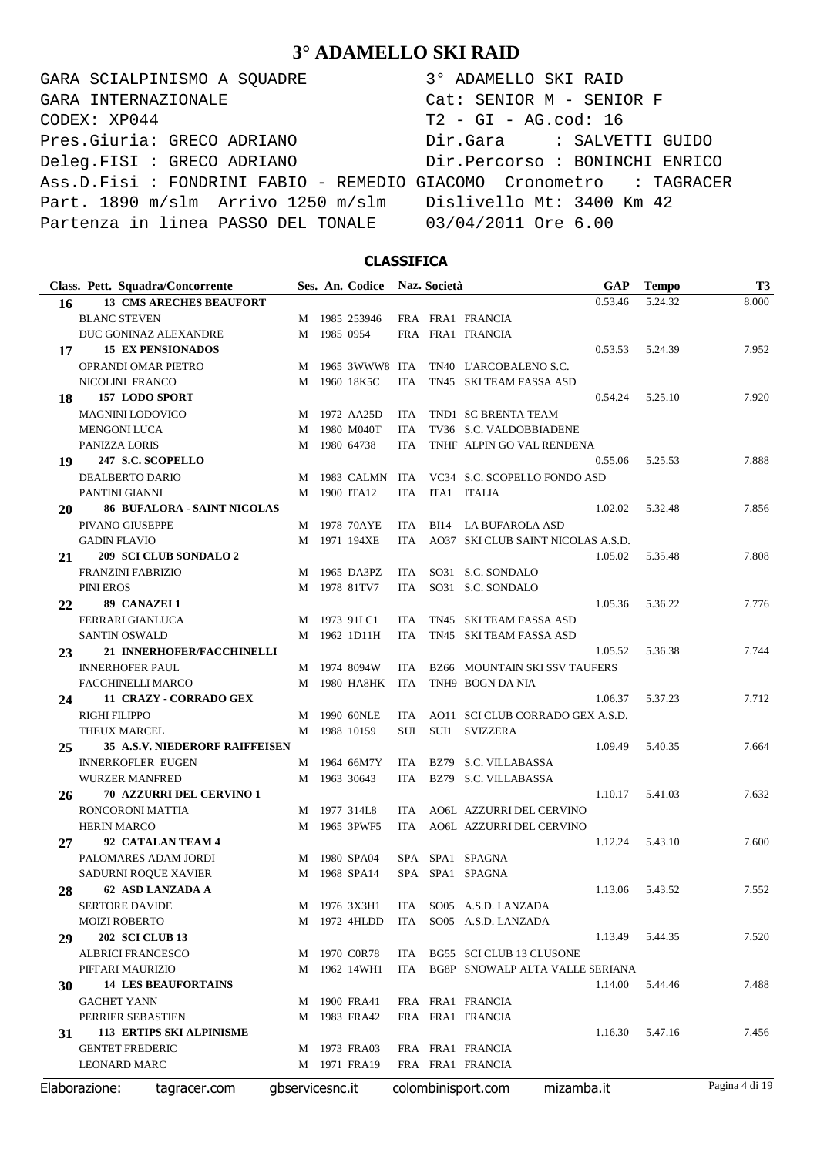GARA SCIALPINISMO A SQUADRE 3° ADAMELLO SKI RAID CODEX: XP044 T2 - GI - AG.cod: 16 Pres.Giuria: GRECO ADRIANO Dir.Gara : SALVETTI GUIDO Deleg.FISI : GRECO ADRIANO Dir.Percorso : BONINCHI ENRICO Ass.D.Fisi : FONDRINI FABIO - REMEDIO GIACOMO Cronometro : TAGRACER Part. 1890 m/slm Arrivo 1250 m/slm Dislivello Mt: 3400 Km 42 Partenza in linea PASSO DEL TONALE 03/04/2011 Ore 6.00 GARA INTERNAZIONALE Cat: SENIOR M - SENIOR F

### **CLASSIFICA**

|    | Class. Pett. Squadra/Concorrente      |                 | Ses. An. Codice |            | Naz. Società | <b>GAP</b>                           | <b>Tempo</b>    | <b>T3</b>      |
|----|---------------------------------------|-----------------|-----------------|------------|--------------|--------------------------------------|-----------------|----------------|
| 16 | <b>13 CMS ARECHES BEAUFORT</b>        |                 |                 |            |              | 0.53.46                              | 5.24.32         | 8.000          |
|    | <b>BLANC STEVEN</b>                   |                 | M 1985 253946   |            |              | FRA FRA1 FRANCIA                     |                 |                |
|    | DUC GONINAZ ALEXANDRE                 | M               | 1985 0954       |            |              | FRA FRA1 FRANCIA                     |                 |                |
| 17 | <b>15 EX PENSIONADOS</b>              |                 |                 |            |              | 0.53.53                              | 5.24.39         | 7.952          |
|    | OPRANDI OMAR PIETRO                   | М               | 1965 3WWW8 ITA  |            |              | TN40 L'ARCOBALENO S.C.               |                 |                |
|    | NICOLINI FRANCO                       | М               | 1960 18K5C      | <b>ITA</b> |              | TN45 SKI TEAM FASSA ASD              |                 |                |
| 18 | 157 LODO SPORT                        |                 |                 |            |              | 0.54.24                              | 5.25.10         | 7.920          |
|    | <b>MAGNINI LODOVICO</b>               |                 | M 1972 AA25D    | <b>ITA</b> |              | TND1 SC BRENTA TEAM                  |                 |                |
|    | <b>MENGONI LUCA</b>                   |                 | M 1980 M040T    | <b>ITA</b> |              | TV36 S.C. VALDOBBIADENE              |                 |                |
|    | PANIZZA LORIS                         | M               | 1980 64738      | <b>ITA</b> |              | TNHF ALPIN GO VAL RENDENA            |                 |                |
| 19 | 247 S.C. SCOPELLO                     |                 |                 |            |              | 0.55.06                              | 5.25.53         | 7.888          |
|    | <b>DEALBERTO DARIO</b>                | M               | 1983 CALMN      | ITA        |              | VC34 S.C. SCOPELLO FONDO ASD         |                 |                |
|    | PANTINI GIANNI                        | M               | 1900 ITA12      | <b>ITA</b> |              | ITA1 ITALIA                          |                 |                |
| 20 | <b>86 BUFALORA - SAINT NICOLAS</b>    |                 |                 |            |              | 1.02.02                              | 5.32.48         | 7.856          |
|    | PIVANO GIUSEPPE                       |                 | M 1978 70AYE    | ITA        |              | BI14 LA BUFAROLA ASD                 |                 |                |
|    | <b>GADIN FLAVIO</b>                   |                 | M 1971 194XE    | <b>ITA</b> |              | AO37 SKI CLUB SAINT NICOLAS A.S.D.   |                 |                |
|    | 209 SCI CLUB SONDALO 2                |                 |                 |            |              | 1.05.02                              | 5.35.48         | 7.808          |
| 21 |                                       |                 |                 |            |              |                                      |                 |                |
|    | <b>FRANZINI FABRIZIO</b>              | M               | 1965 DA3PZ      | ITA        |              | SO31 S.C. SONDALO                    |                 |                |
|    | <b>PINI EROS</b>                      | M               | 1978 81TV7      | <b>ITA</b> |              | SO31 S.C. SONDALO                    |                 |                |
| 22 | 89 CANAZEI 1                          |                 |                 |            |              | 1.05.36                              | 5.36.22         | 7.776          |
|    | <b>FERRARI GIANLUCA</b>               |                 | M 1973 91LC1    | ITA        |              | TN45 SKI TEAM FASSA ASD              |                 |                |
|    | <b>SANTIN OSWALD</b>                  |                 | M 1962 1D11H    | <b>ITA</b> |              | TN45 SKI TEAM FASSA ASD              |                 |                |
| 23 | 21 INNERHOFER/FACCHINELLI             |                 |                 |            |              | 1.05.52                              | 5.36.38         | 7.744          |
|    | <b>INNERHOFER PAUL</b>                |                 | M 1974 8094W    | <b>ITA</b> |              | <b>BZ66 MOUNTAIN SKI SSV TAUFERS</b> |                 |                |
|    | FACCHINELLI MARCO                     | M               | 1980 HA8HK      | <b>ITA</b> |              | TNH9 BOGN DA NIA                     |                 |                |
| 24 | 11 CRAZY - CORRADO GEX                |                 |                 |            |              | 1.06.37                              | 5.37.23         | 7.712          |
|    | <b>RIGHI FILIPPO</b>                  | M               | 1990 60NLE      | ITA        |              | AO11 SCI CLUB CORRADO GEX A.S.D.     |                 |                |
|    | THEUX MARCEL                          | M               | 1988 10159      | SUI        |              | SUI1 SVIZZERA                        |                 |                |
| 25 | <b>35 A.S.V. NIEDERORF RAIFFEISEN</b> |                 |                 |            |              | 1.09.49                              | 5.40.35         | 7.664          |
|    | <b>INNERKOFLER EUGEN</b>              |                 | M 1964 66M7Y    | ITA        |              | BZ79 S.C. VILLABASSA                 |                 |                |
|    | <b>WURZER MANFRED</b>                 | М               | 1963 30643      | ITA        |              | BZ79 S.C. VILLABASSA                 |                 |                |
| 26 | <b>70 AZZURRI DEL CERVINO 1</b>       |                 |                 |            |              | 1.10.17                              | 5.41.03         | 7.632          |
|    | RONCORONI MATTIA                      | M               | 1977 314L8      | <b>ITA</b> |              | AO6L AZZURRI DEL CERVINO             |                 |                |
|    | <b>HERIN MARCO</b>                    | M               | 1965 3PWF5      | <b>ITA</b> |              | AO6L AZZURRI DEL CERVINO             |                 |                |
| 27 | 92 CATALAN TEAM 4                     |                 |                 |            |              | 1.12.24                              | 5.43.10         | 7.600          |
|    | PALOMARES ADAM JORDI                  |                 | M 1980 SPA04    |            |              | SPA SPA1 SPAGNA                      |                 |                |
|    | SADURNI ROQUE XAVIER                  |                 | M 1968 SPA14    |            |              | SPA SPA1 SPAGNA                      |                 |                |
|    | 28 62 ASD LANZADA A                   |                 |                 |            |              |                                      | 1.13.06 5.43.52 | 7.552          |
|    | <b>SERTORE DAVIDE</b>                 |                 | M 1976 3X3H1    | ITA        |              | SO05 A.S.D. LANZADA                  |                 |                |
|    | <b>MOIZI ROBERTO</b>                  | M               | 1972 4HLDD      | <b>ITA</b> |              | SO05 A.S.D. LANZADA                  |                 |                |
| 29 | <b>202 SCI CLUB 13</b>                |                 |                 |            |              | 1.13.49                              | 5.44.35         | 7.520          |
|    | <b>ALBRICI FRANCESCO</b>              |                 | M 1970 C0R78    | ITA        |              | BG55 SCI CLUB 13 CLUSONE             |                 |                |
|    | PIFFARI MAURIZIO                      |                 | M 1962 14WH1    | ITA        |              | BG8P SNOWALP ALTA VALLE SERIANA      |                 |                |
| 30 | <b>14 LES BEAUFORTAINS</b>            |                 |                 |            |              | 1.14.00                              | 5.44.46         | 7.488          |
|    | <b>GACHET YANN</b>                    |                 | M 1900 FRA41    |            |              | FRA FRA1 FRANCIA                     |                 |                |
|    | PERRIER SEBASTIEN                     | М               | 1983 FRA42      |            |              | FRA FRA1 FRANCIA                     |                 |                |
| 31 | <b>113 ERTIPS SKI ALPINISME</b>       |                 |                 |            |              | 1.16.30                              | 5.47.16         | 7.456          |
|    | <b>GENTET FREDERIC</b>                |                 | M 1973 FRA03    |            |              | FRA FRA1 FRANCIA                     |                 |                |
|    | <b>LEONARD MARC</b>                   |                 | M 1971 FRA19    |            |              | FRA FRA1 FRANCIA                     |                 |                |
|    |                                       |                 |                 |            |              |                                      |                 |                |
|    | Elaborazione:<br>tagracer.com         | gbservicesnc.it |                 |            |              | mizamba.it<br>colombinisport.com     |                 | Pagina 4 di 19 |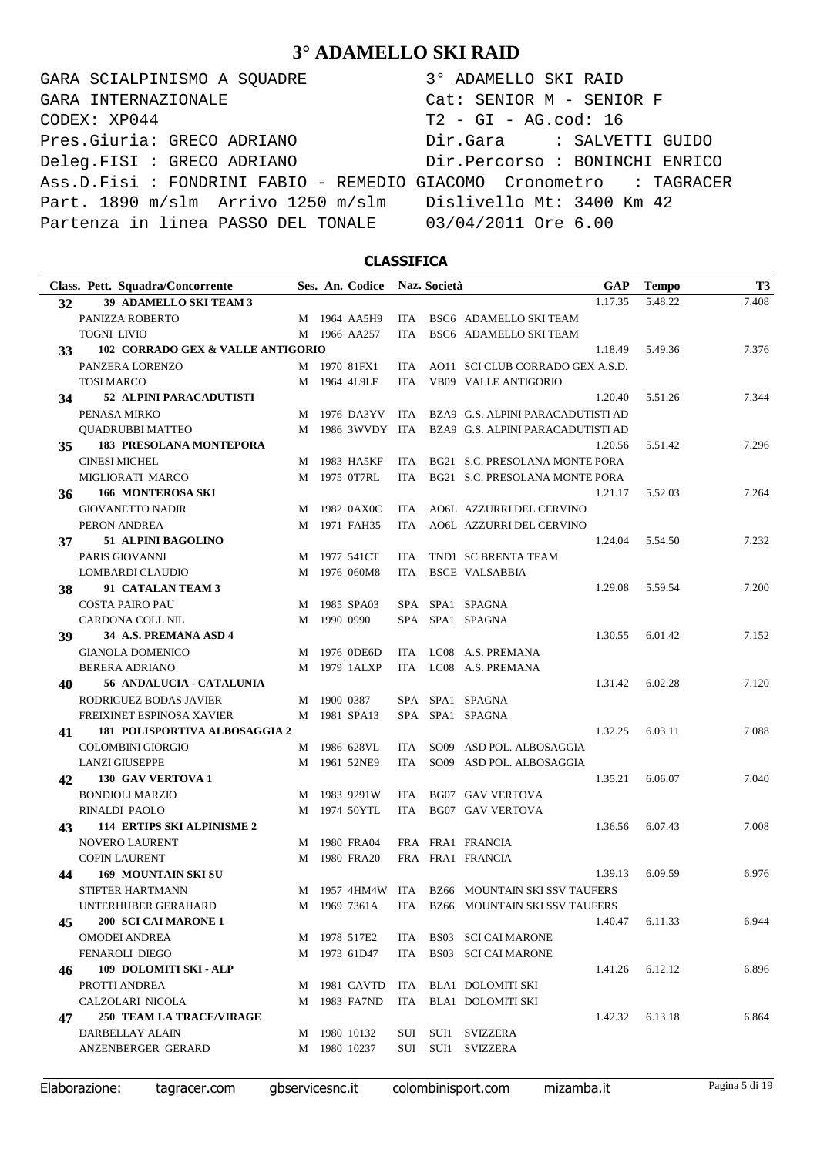GARA SCIALPINISMO A SQUADRE 3° ADAMELLO SKI RAID CODEX: XP044 T2 - GI - AG.cod: 16 Pres.Giuria: GRECO ADRIANO Dir.Gara : SALVETTI GUIDO Deleg.FISI : GRECO ADRIANO Dir.Percorso : BONINCHI ENRICO Ass.D.Fisi : FONDRINI FABIO - REMEDIO GIACOMO Cronometro : TAGRACER Part. 1890 m/slm Arrivo 1250 m/slm Dislivello Mt: 3400 Km 42 Partenza in linea PASSO DEL TONALE 03/04/2011 Ore 6.00 GARA INTERNAZIONALE Cat: SENIOR M - SENIOR F

### **CLASSIFICA**

|    | Class. Pett. Squadra/Concorrente              |   |             | Ses. An. Codice            |            | Naz. Società | <b>GAP</b>                                         | <b>Tempo</b> | T <sub>3</sub> |
|----|-----------------------------------------------|---|-------------|----------------------------|------------|--------------|----------------------------------------------------|--------------|----------------|
| 32 | 39 ADAMELLO SKI TEAM 3                        |   |             |                            |            |              | 1.17.35                                            | 5.48.22      | 7.408          |
|    | PANIZZA ROBERTO                               |   |             | M 1964 AA5H9               | ITA        |              | BSC6 ADAMELLO SKI TEAM                             |              |                |
|    | <b>TOGNI LIVIO</b>                            |   |             | M 1966 AA257               | ITA        |              | BSC6 ADAMELLO SKI TEAM                             |              |                |
| 33 | 102 CORRADO GEX & VALLE ANTIGORIO             |   |             |                            |            |              | 1.18.49                                            | 5.49.36      | 7.376          |
|    | PANZERA LORENZO                               |   |             | M 1970 81FX1               |            |              | ITA AO11 SCI CLUB CORRADO GEX A.S.D.               |              |                |
|    | <b>TOSI MARCO</b>                             |   |             | M 1964 4L9LF               | <b>ITA</b> |              | <b>VB09 VALLE ANTIGORIO</b>                        |              |                |
| 34 | 52 ALPINI PARACADUTISTI                       |   |             |                            |            |              | 1.20.40                                            | 5.51.26      | 7.344          |
|    | PENASA MIRKO                                  | M |             | 1976 DA3YV                 | ITA        |              | BZA9 G.S. ALPINI PARACADUTISTI AD                  |              |                |
|    | QUADRUBBI MATTEO                              |   |             |                            |            |              | M 1986 3WVDY ITA BZA9 G.S. ALPINI PARACADUTISTI AD |              |                |
| 35 | <b>183 PRESOLANA MONTEPORA</b>                |   |             |                            |            |              | 1.20.56                                            | 5.51.42      | 7.296          |
|    | <b>CINESI MICHEL</b>                          | М |             | 1983 HA5KF                 | ITA.       |              | BG21 S.C. PRESOLANA MONTE PORA                     |              |                |
|    | MIGLIORATI MARCO                              |   |             | M 1975 0T7RL               | ITA        |              | BG21 S.C. PRESOLANA MONTE PORA                     |              |                |
| 36 | <b>166 MONTEROSA SKI</b>                      |   |             |                            |            |              | 1.21.17                                            | 5.52.03      | 7.264          |
|    | <b>GIOVANETTO NADIR</b>                       | M |             | 1982 0AX0C                 | ITA.       |              | AO6L AZZURRI DEL CERVINO                           |              |                |
|    | PERON ANDREA                                  | M |             | 1971 FAH35                 | ITA.       |              | AO6L AZZURRI DEL CERVINO                           |              |                |
| 37 | 51 ALPINI BAGOLINO                            |   |             |                            |            |              | 1.24.04                                            | 5.54.50      | 7.232          |
|    | PARIS GIOVANNI                                | M |             | 1977 541CT                 | ITA.       |              | TND1 SC BRENTA TEAM                                |              |                |
|    | <b>LOMBARDI CLAUDIO</b>                       | М |             | 1976 060M8                 | <b>ITA</b> |              | <b>BSCE VALSABBIA</b>                              |              |                |
| 38 | 91 CATALAN TEAM 3                             |   |             |                            |            |              | 1.29.08                                            | 5.59.54      | 7.200          |
|    | <b>COSTA PAIRO PAU</b>                        |   |             | M 1985 SPA03               |            |              | SPA SPA1 SPAGNA                                    |              |                |
|    | CARDONA COLL NIL                              | M | 1990 0990   |                            |            |              | SPA SPA1 SPAGNA                                    |              |                |
| 39 | 34 A.S. PREMANA ASD 4                         |   |             |                            |            |              | 1.30.55                                            | 6.01.42      | 7.152          |
|    | <b>GIANOLA DOMENICO</b>                       |   |             | M 1976 0DE6D               |            |              | ITA LC08 A.S. PREMANA                              |              |                |
|    | <b>BERERA ADRIANO</b>                         | M |             | 1979 1ALXP                 |            |              | ITA LC08 A.S. PREMANA                              |              |                |
| 40 | 56 ANDALUCIA - CATALUNIA                      |   |             |                            |            |              | 1.31.42                                            | 6.02.28      | 7.120          |
|    | RODRIGUEZ BODAS JAVIER                        |   | M 1900 0387 |                            |            |              | SPA SPA1 SPAGNA                                    |              |                |
|    | FREIXINET ESPINOSA XAVIER                     |   |             | M 1981 SPA13               |            |              | SPA SPA1 SPAGNA                                    |              |                |
| 41 | 181 POLISPORTIVA ALBOSAGGIA 2                 |   |             |                            |            |              | 1.32.25                                            | 6.03.11      | 7.088          |
|    | <b>COLOMBINI GIORGIO</b>                      | M |             | 1986 628VL                 | ITA.       |              | SO09 ASD POL. ALBOSAGGIA                           |              |                |
|    | <b>LANZI GIUSEPPE</b>                         | М |             | 1961 52NE9                 | <b>ITA</b> |              | SO09 ASD POL. ALBOSAGGIA                           |              |                |
| 42 | 130 GAV VERTOVA 1                             |   |             |                            |            |              | 1.35.21                                            | 6.06.07      | 7.040          |
|    | <b>BONDIOLI MARZIO</b>                        | M |             | 1983 9291W                 | ITA        |              | <b>BG07 GAV VERTOVA</b>                            |              |                |
|    | RINALDI PAOLO                                 |   |             | M 1974 50YTL               | ITA        |              | <b>BG07 GAV VERTOVA</b>                            |              |                |
| 43 | <b>114 ERTIPS SKI ALPINISME 2</b>             |   |             |                            |            |              | 1.36.56                                            | 6.07.43      | 7.008          |
|    | <b>NOVERO LAURENT</b><br><b>COPIN LAURENT</b> |   |             | M 1980 FRA04<br>1980 FRA20 |            |              | FRA FRA1 FRANCIA<br>FRA FRA1 FRANCIA               |              |                |
|    | 169 MOUNTAIN SKI SU                           | M |             |                            |            |              | 1.39.13                                            | 6.09.59      | 6.976          |
| 44 | STIFTER HARTMANN                              |   |             |                            |            |              | M 1957 4HM4W ITA BZ66 MOUNTAIN SKI SSV TAUFERS     |              |                |
|    | UNTERHUBER GERAHARD                           |   |             | M 1969 7361A               |            |              | ITA BZ66 MOUNTAIN SKI SSV TAUFERS                  |              |                |
| 45 | 200 SCI CAI MARONE 1                          |   |             |                            |            |              | 1.40.47                                            | 6.11.33      | 6.944          |
|    | <b>OMODEI ANDREA</b>                          |   |             | M 1978 517E2               |            |              | ITA BS03 SCI CAI MARONE                            |              |                |
|    | <b>FENAROLI DIEGO</b>                         |   |             | M 1973 61D47               |            |              | ITA BS03 SCI CAI MARONE                            |              |                |
| 46 | 109 DOLOMITI SKI - ALP                        |   |             |                            |            |              | 1.41.26                                            | 6.12.12      | 6.896          |
|    | PROTTI ANDREA                                 |   |             | M 1981 CAVTD               |            |              | ITA BLA1 DOLOMITI SKI                              |              |                |
|    | CALZOLARI NICOLA                              |   |             | M 1983 FA7ND               |            |              | ITA BLA1 DOLOMITI SKI                              |              |                |
| 47 | <b>250 TEAM LA TRACE/VIRAGE</b>               |   |             |                            |            |              | 1.42.32                                            | 6.13.18      | 6.864          |
|    | DARBELLAY ALAIN                               |   |             | M 1980 10132               |            |              | SUI SUI1 SVIZZERA                                  |              |                |
|    | ANZENBERGER GERARD                            |   |             | M 1980 10237               |            |              | SUI SUI1 SVIZZERA                                  |              |                |
|    |                                               |   |             |                            |            |              |                                                    |              |                |

Elaborazione: tagracer.com gbservicesnc.it colombinisport.com mizamba.it Pagina 5 di 19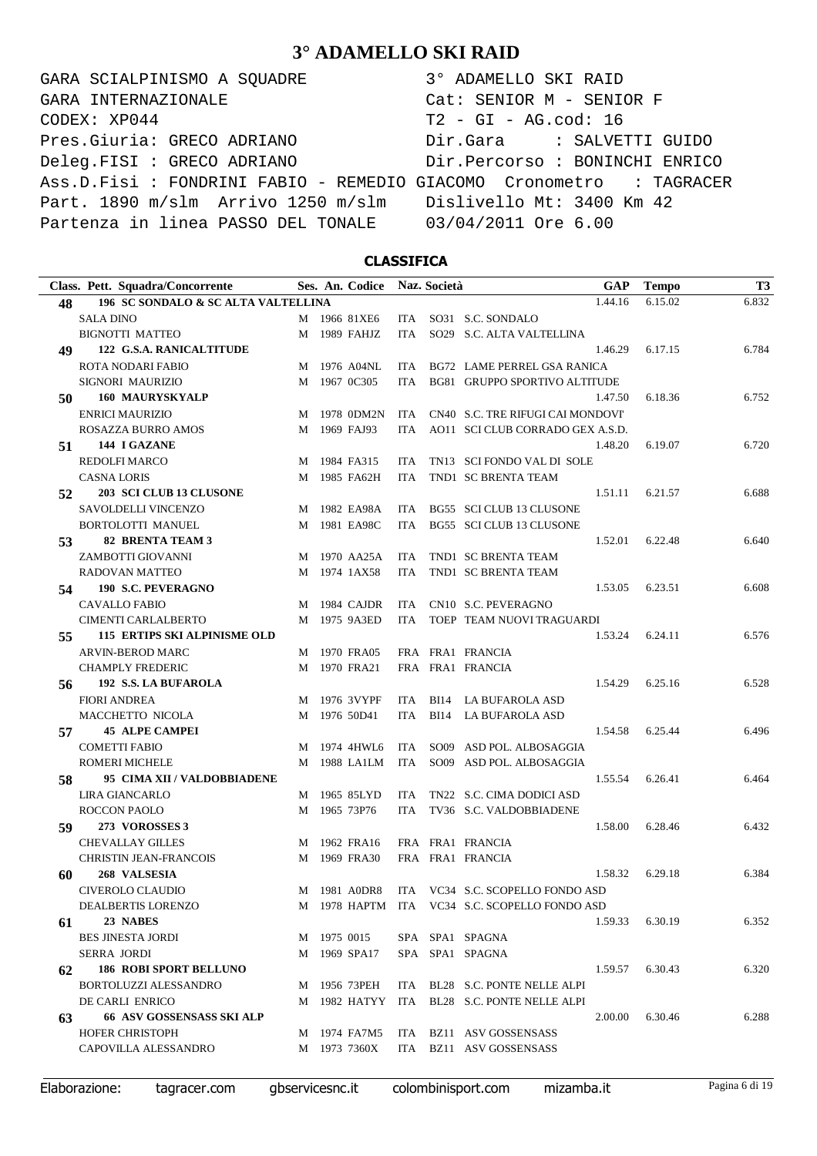GARA SCIALPINISMO A SQUADRE  $CODEX: XP044$ Pres.Giuria: GRECO ADRIANO Deleg.FISI : GRECO ADRIANO Ass.D.Fisi : FONDRINI FABIO - REMEDIO G Part. 1890 m/slm Arrivo 1250 m/slm Partenza in linea PASSO DEL TONALE GARA INTERNAZIONALE

| 3° ADAMELLO SKI RAID            |
|---------------------------------|
| $Cat:$ SENIOR $M -$ SENIOR F    |
| $T2 - GI - AG.cod: 16$          |
| Dir.Gara : SALVETTI GUIDO       |
| Dir. Percorso : BONINCHI ENRICO |
| GIACOMO Cronometro : TAGRACER   |
| Dislivello Mt: 3400 Km 42       |
| 03/04/2011 Ore 6.00             |

### **CLASSIFICA**

|    | Class. Pett. Squadra/Concorrente    |   | Ses. An. Codice Naz. Società |            |             | GAP                                           | <b>Tempo</b> | T <sub>3</sub> |
|----|-------------------------------------|---|------------------------------|------------|-------------|-----------------------------------------------|--------------|----------------|
| 48 | 196 SC SONDALO & SC ALTA VALTELLINA |   |                              |            |             | 1.44.16                                       | 6.15.02      | 6.832          |
|    | <b>SALA DINO</b>                    |   | M 1966 81XE6                 | ITA        |             | SO31 S.C. SONDALO                             |              |                |
|    | <b>BIGNOTTI MATTEO</b>              |   | M 1989 FAHJZ                 | <b>ITA</b> |             | SO29 S.C. ALTA VALTELLINA                     |              |                |
| 49 | 122 G.S.A. RANICALTITUDE            |   |                              |            |             | 1.46.29                                       | 6.17.15      | 6.784          |
|    | <b>ROTA NODARI FABIO</b>            |   | M 1976 A04NL                 | ITA.       |             | BG72 LAME PERREL GSA RANICA                   |              |                |
|    | SIGNORI MAURIZIO                    | M | 1967 0C305                   | <b>ITA</b> |             | BG81 GRUPPO SPORTIVO ALTITUDE                 |              |                |
| 50 | <b>160 MAURYSKYALP</b>              |   |                              |            |             | 1.47.50                                       | 6.18.36      | 6.752          |
|    | <b>ENRICI MAURIZIO</b>              |   | M 1978 0DM2N                 | <b>ITA</b> |             | CN40 S.C. TRE RIFUGI CAI MONDOVI'             |              |                |
|    | ROSAZZA BURRO AMOS                  | M | 1969 FAJ93                   | ITA        |             | AO11 SCI CLUB CORRADO GEX A.S.D.              |              |                |
| 51 | 144 I GAZANE                        |   |                              |            |             | 1.48.20                                       | 6.19.07      | 6.720          |
|    | <b>REDOLFI MARCO</b>                |   | M 1984 FA315                 | ITA.       |             | TN13 SCI FONDO VAL DI SOLE                    |              |                |
|    | <b>CASNA LORIS</b>                  |   | M 1985 FA62H                 | ITA        |             | TND1 SC BRENTA TEAM                           |              |                |
| 52 | 203 SCI CLUB 13 CLUSONE             |   |                              |            |             | 1.51.11                                       | 6.21.57      | 6.688          |
|    | SAVOLDELLI VINCENZO                 |   | M 1982 EA98A                 | ITA.       |             | BG55 SCI CLUB 13 CLUSONE                      |              |                |
|    | <b>BORTOLOTTI MANUEL</b>            |   | M 1981 EA98C                 | <b>ITA</b> |             | BG55 SCI CLUB 13 CLUSONE                      |              |                |
| 53 | <b>82 BRENTA TEAM 3</b>             |   |                              |            |             | 1.52.01                                       | 6.22.48      | 6.640          |
|    | ZAMBOTTI GIOVANNI                   |   | M 1970 AA25A                 | ITA        |             | TND1 SC BRENTA TEAM                           |              |                |
|    | RADOVAN MATTEO                      |   | M 1974 1AX58                 | ITA.       |             | TND1 SC BRENTA TEAM                           |              |                |
| 54 | 190 S.C. PEVERAGNO                  |   |                              |            |             | 1.53.05                                       | 6.23.51      | 6.608          |
|    | <b>CAVALLO FABIO</b>                |   | M 1984 CAJDR                 | ITA        |             | CN10 S.C. PEVERAGNO                           |              |                |
|    | <b>CIMENTI CARLALBERTO</b>          |   | M 1975 9A3ED                 | ITA        |             | TOEP TEAM NUOVI TRAGUARDI                     |              |                |
| 55 | <b>115 ERTIPS SKI ALPINISME OLD</b> |   |                              |            |             | 1.53.24                                       | 6.24.11      | 6.576          |
|    | <b>ARVIN-BEROD MARC</b>             |   | M 1970 FRA05                 |            |             | FRA FRA1 FRANCIA                              |              |                |
|    | <b>CHAMPLY FREDERIC</b>             |   | M 1970 FRA21                 |            |             | FRA FRA1 FRANCIA                              |              |                |
| 56 | 192 S.S. LA BUFAROLA                |   |                              |            |             | 1.54.29                                       | 6.25.16      | 6.528          |
|    | <b>FIORI ANDREA</b>                 |   | M 1976 3VYPF                 | ITA        | <b>BI14</b> | LA BUFAROLA ASD                               |              |                |
|    | MACCHETTO NICOLA                    |   | M 1976 50D41                 | ITA        |             | BI14 LA BUFAROLA ASD                          |              |                |
| 57 | <b>45 ALPE CAMPEI</b>               |   |                              |            |             | 1.54.58                                       | 6.25.44      | 6.496          |
|    | <b>COMETTI FABIO</b>                |   | M 1974 4HWL6                 | <b>ITA</b> |             | SO09 ASD POL. ALBOSAGGIA                      |              |                |
|    | <b>ROMERI MICHELE</b>               |   | M 1988 LA1LM                 | ITA        |             | SO09 ASD POL. ALBOSAGGIA                      |              |                |
| 58 | 95 CIMA XII / VALDOBBIADENE         |   |                              |            |             | 1.55.54                                       | 6.26.41      | 6.464          |
|    | LIRA GIANCARLO                      |   | M 1965 85LYD                 | ITA        |             | TN22 S.C. CIMA DODICI ASD                     |              |                |
|    | <b>ROCCON PAOLO</b>                 |   | M 1965 73P76                 | ITA        |             | TV36 S.C. VALDOBBIADENE                       |              |                |
| 59 | 273 VOROSSES 3                      |   |                              |            |             | 1.58.00                                       | 6.28.46      | 6.432          |
|    | <b>CHEVALLAY GILLES</b>             | M | 1962 FRA16                   |            |             | FRA FRA1 FRANCIA                              |              |                |
|    | <b>CHRISTIN JEAN-FRANCOIS</b>       | M | 1969 FRA30                   |            |             | FRA FRA1 FRANCIA                              |              |                |
|    | 268 VALSESIA                        |   |                              |            |             | 1.58.32                                       | 6.29.18      | 6.384          |
| 60 |                                     |   |                              |            |             |                                               |              |                |
|    | CIVEROLO CLAUDIO                    |   | M 1981 A0DR8                 |            |             | ITA VC34 S.C. SCOPELLO FONDO ASD              |              |                |
|    | DEALBERTIS LORENZO                  |   |                              |            |             | M 1978 HAPTM ITA VC34 S.C. SCOPELLO FONDO ASD |              |                |
| 61 | 23 NABES                            |   |                              |            |             | 1.59.33                                       | 6.30.19      | 6.352          |
|    | <b>BES JINESTA JORDI</b>            |   | M 1975 0015                  |            |             | SPA SPA1 SPAGNA                               |              |                |
|    | <b>SERRA JORDI</b>                  |   | M 1969 SPA17                 |            |             | SPA SPA1 SPAGNA                               |              |                |
| 62 | <b>186 ROBI SPORT BELLUNO</b>       |   |                              |            |             | 1.59.57                                       | 6.30.43      | 6.320          |
|    | BORTOLUZZI ALESSANDRO               |   | M 1956 73PEH                 | ITA        |             | BL28 S.C. PONTE NELLE ALPI                    |              |                |
|    | DE CARLI ENRICO                     |   | M 1982 HATYY                 | ITA        |             | BL28 S.C. PONTE NELLE ALPI                    |              |                |
| 63 | <b>66 ASV GOSSENSASS SKI ALP</b>    |   |                              |            |             | 2.00.00                                       | 6.30.46      | 6.288          |
|    | HOFER CHRISTOPH                     |   | M 1974 FA7M5                 | ITA.       |             | BZ11 ASV GOSSENSASS                           |              |                |
|    | CAPOVILLA ALESSANDRO                |   | M 1973 7360X                 | <b>ITA</b> |             | BZ11 ASV GOSSENSASS                           |              |                |
|    |                                     |   |                              |            |             |                                               |              |                |

Elaborazione: tagracer.com gbservicesnc.it colombinisport.com mizamba.it Pagina 6 di 19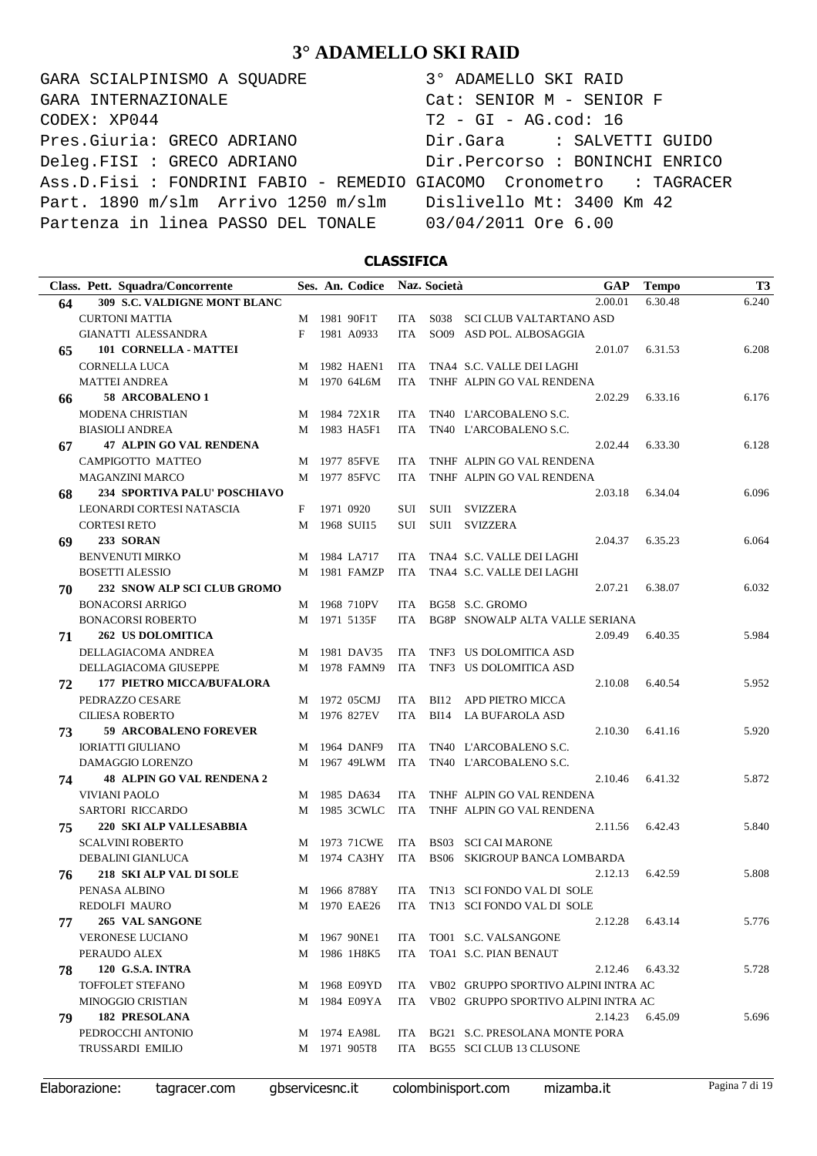GARA SCIALPINISMO A SQUADRE 3° ADAMELLO SKI RAID CODEX: XP044 T2 - GI - AG.cod: 16 Pres.Giuria: GRECO ADRIANO Dir.Gara : SALVETTI GUIDO Deleg.FISI : GRECO ADRIANO Dir.Percorso : BONINCHI ENRICO Ass.D.Fisi : FONDRINI FABIO - REMEDIO GIACOMO Cronometro : TAGRACER Part. 1890 m/slm Arrivo 1250 m/slm Dislivello Mt: 3400 Km 42 Partenza in linea PASSO DEL TONALE 03/04/2011 Ore 6.00 GARA INTERNAZIONALE Cat: SENIOR M - SENIOR F

### **CLASSIFICA**

|    | Class. Pett. Squadra/Concorrente    |   | Ses. An. Codice |            | Naz. Società | <b>GAP</b>                                  | <b>Tempo</b> | T <sub>3</sub> |
|----|-------------------------------------|---|-----------------|------------|--------------|---------------------------------------------|--------------|----------------|
| 64 | <b>309 S.C. VALDIGNE MONT BLANC</b> |   |                 |            |              | 2.00.01                                     | 6.30.48      | 6.240          |
|    | <b>CURTONI MATTIA</b>               |   | M 1981 90F1T    |            |              | ITA S038 SCI CLUB VALTARTANO ASD            |              |                |
|    | GIANATTI ALESSANDRA                 | F | 1981 A0933      | ITA.       |              | SO09 ASD POL. ALBOSAGGIA                    |              |                |
| 65 | 101 CORNELLA - MATTEI               |   |                 |            |              | 2.01.07                                     | 6.31.53      | 6.208          |
|    | <b>CORNELLA LUCA</b>                | M | 1982 HAEN1      | ITA        |              | TNA4 S.C. VALLE DEI LAGHI                   |              |                |
|    | <b>MATTEI ANDREA</b>                |   | M 1970 64L6M    | <b>ITA</b> |              | TNHF ALPIN GO VAL RENDENA                   |              |                |
| 66 | 58 ARCOBALENO 1                     |   |                 |            |              | 2.02.29                                     | 6.33.16      | 6.176          |
|    | MODENA CHRISTIAN                    |   | M 1984 72X1R    | ITA        |              | TN40 L'ARCOBALENO S.C.                      |              |                |
|    | <b>BIASIOLI ANDREA</b>              |   | M 1983 HA5F1    | ITA.       |              | TN40 L'ARCOBALENO S.C.                      |              |                |
| 67 | <b>47 ALPIN GO VAL RENDENA</b>      |   |                 |            |              | 2.02.44                                     | 6.33.30      | 6.128          |
|    | CAMPIGOTTO MATTEO                   | M | 1977 85FVE      | <b>ITA</b> |              | TNHF ALPIN GO VAL RENDENA                   |              |                |
|    | <b>MAGANZINI MARCO</b>              | M | 1977 85FVC      | <b>ITA</b> |              | TNHF ALPIN GO VAL RENDENA                   |              |                |
| 68 | 234 SPORTIVA PALU' POSCHIAVO        |   |                 |            |              | 2.03.18                                     | 6.34.04      | 6.096          |
|    | LEONARDI CORTESI NATASCIA           | F | 1971 0920       | SUI        |              | SUI1 SVIZZERA                               |              |                |
|    | <b>CORTESI RETO</b>                 | M | 1968 SUI15      | SUI        | SUI1         | SVIZZERA                                    |              |                |
| 69 | <b>233 SORAN</b>                    |   |                 |            |              | 2.04.37                                     | 6.35.23      | 6.064          |
|    | <b>BENVENUTI MIRKO</b>              | М | 1984 LA717      | ITA.       |              | TNA4 S.C. VALLE DEI LAGHI                   |              |                |
|    | <b>BOSETTI ALESSIO</b>              | M | 1981 FAMZP      | <b>ITA</b> |              | TNA4 S.C. VALLE DEI LAGHI                   |              |                |
| 70 | 232 SNOW ALP SCI CLUB GROMO         |   |                 |            |              | 2.07.21                                     | 6.38.07      | 6.032          |
|    | <b>BONACORSI ARRIGO</b>             | M | 1968 710PV      | ITA        |              | BG58 S.C. GROMO                             |              |                |
|    | <b>BONACORSI ROBERTO</b>            |   | M 1971 5135F    | ITA        |              | BG8P SNOWALP ALTA VALLE SERIANA             |              |                |
| 71 | <b>262 US DOLOMITICA</b>            |   |                 |            |              | 2.09.49                                     | 6.40.35      | 5.984          |
|    | DELLAGIACOMA ANDREA                 |   | M 1981 DAV35    | ITA        |              | TNF3 US DOLOMITICA ASD                      |              |                |
|    | DELLAGIACOMA GIUSEPPE               | M | 1978 FAMN9      | <b>ITA</b> |              | TNF3 US DOLOMITICA ASD                      |              |                |
| 72 | <b>177 PIETRO MICCA/BUFALORA</b>    |   |                 |            |              | 2.10.08                                     | 6.40.54      | 5.952          |
|    | PEDRAZZO CESARE                     | M | 1972 05CMJ      | <b>ITA</b> |              | BI12 APD PIETRO MICCA                       |              |                |
|    | <b>CILIESA ROBERTO</b>              | M | 1976 827EV      | ITA        |              | BI14 LA BUFAROLA ASD                        |              |                |
| 73 | <b>59 ARCOBALENO FOREVER</b>        |   |                 |            |              | 2.10.30                                     | 6.41.16      | 5.920          |
|    | <b>IORIATTI GIULIANO</b>            | M | 1964 DANF9      | <b>ITA</b> |              | TN40 L'ARCOBALENO S.C.                      |              |                |
|    | DAMAGGIO LORENZO                    | M | 1967 49LWM      | ITA        |              | TN40 L'ARCOBALENO S.C.                      |              |                |
| 74 | <b>48 ALPIN GO VAL RENDENA 2</b>    |   |                 |            |              | 2.10.46                                     | 6.41.32      | 5.872          |
|    | <b>VIVIANI PAOLO</b>                | M | 1985 DA634      | <b>ITA</b> |              | TNHF ALPIN GO VAL RENDENA                   |              |                |
|    | SARTORI RICCARDO                    | M | 1985 3CWLC      | ITA        |              | TNHF ALPIN GO VAL RENDENA                   |              |                |
| 75 | 220 SKI ALP VALLESABBIA             |   |                 |            |              | 2.11.56                                     | 6.42.43      | 5.840          |
|    | <b>SCALVINI ROBERTO</b>             | M | 1973 71CWE      | ITA        |              | <b>BS03 SCI CAI MARONE</b>                  |              |                |
|    | DEBALINI GIANLUCA                   |   | M 1974 CA3HY    | ITA        |              | BS06 SKIGROUP BANCA LOMBARDA                |              |                |
| 76 | 218 SKI ALP VAL DI SOLE             |   |                 |            |              | 2.12.13                                     | 6.42.59      | 5.808          |
|    | PENASA ALBINO                       |   |                 |            |              | M 1966 8788Y ITA TN13 SCI FONDO VAL DI SOLE |              |                |
|    | REDOLFI MAURO                       |   | M 1970 EAE26    |            |              | ITA TN13 SCI FONDO VAL DI SOLE              |              |                |
| 77 | 265 VAL SANGONE                     |   |                 |            |              | 2.12.28                                     | 6.43.14      | 5.776          |
|    | VERONESE LUCIANO                    |   | M 1967 90NE1    |            |              | ITA TO01 S.C. VALSANGONE                    |              |                |
|    | PERAUDO ALEX                        |   | M 1986 1H8K5    | ITA        |              | TOA1 S.C. PIAN BENAUT                       |              |                |
| 78 | <b>120 G.S.A. INTRA</b>             |   |                 |            |              | 2.12.46                                     | 6.43.32      | 5.728          |
|    | <b>TOFFOLET STEFANO</b>             |   | M 1968 E09YD    |            |              | ITA VB02 GRUPPO SPORTIVO ALPINI INTRA AC    |              |                |
|    | <b>MINOGGIO CRISTIAN</b>            |   | M 1984 E09YA    |            |              | ITA VB02 GRUPPO SPORTIVO ALPINI INTRA AC    |              |                |
| 79 | <b>182 PRESOLANA</b>                |   |                 |            |              | 2.14.23                                     | 6.45.09      | 5.696          |
|    | PEDROCCHI ANTONIO                   |   | M 1974 EA98L    |            |              | ITA BG21 S.C. PRESOLANA MONTE PORA          |              |                |
|    | <b>TRUSSARDI EMILIO</b>             |   | M 1971 905T8    |            |              | ITA BG55 SCI CLUB 13 CLUSONE                |              |                |
|    |                                     |   |                 |            |              |                                             |              |                |

Elaborazione: tagracer.com gbservicesnc.it colombinisport.com mizamba.it Pagina 7 di 19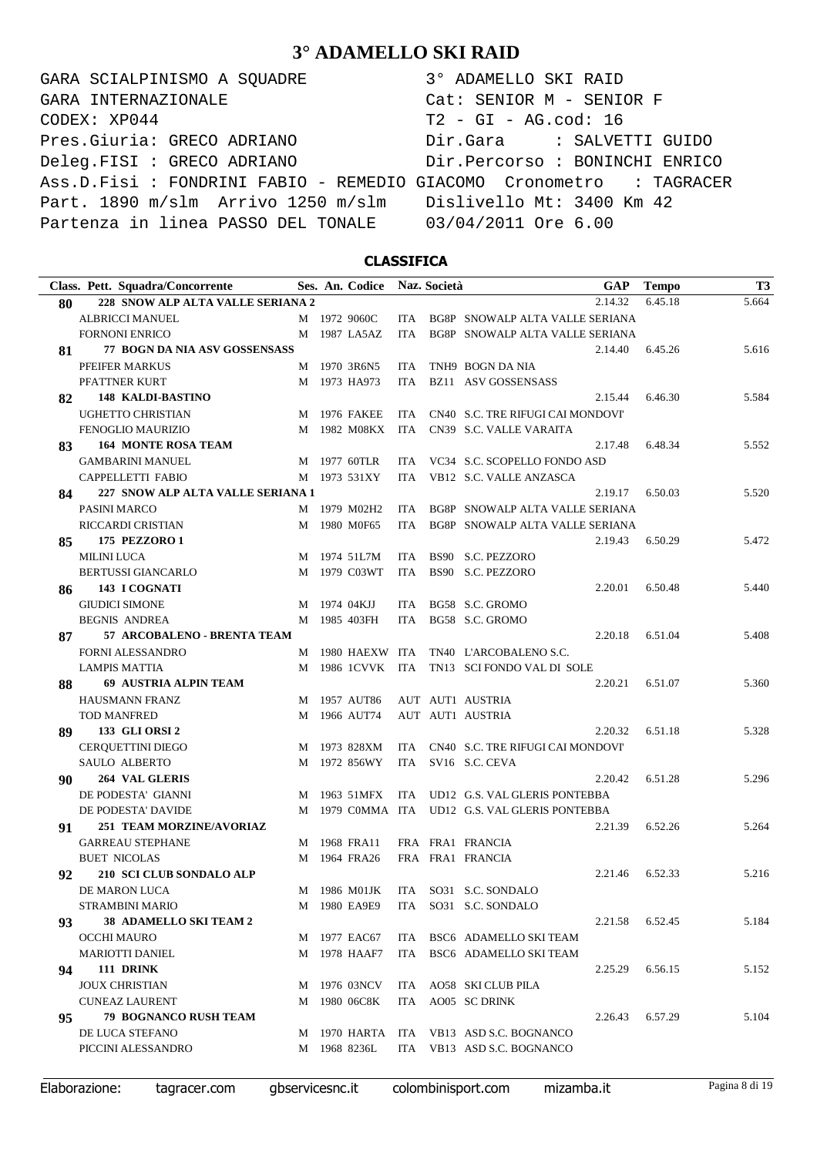GARA SCIALPINISMO A SQUADRE 3° ADAMELLO SKI RAID CODEX: XP044 T2 - GI - AG.cod: 16 Pres.Giuria: GRECO ADRIANO Dir.Gara : SALVETTI GUIDO Deleg.FISI : GRECO ADRIANO Dir.Percorso : BONINCHI ENRICO Ass.D.Fisi : FONDRINI FABIO - REMEDIO GIACOMO Cronometro : TAGRACER Part. 1890 m/slm Arrivo 1250 m/slm Dislivello Mt: 3400 Km 42 Partenza in linea PASSO DEL TONALE 03/04/2011 Ore 6.00 GARA INTERNAZIONALE Cat: SENIOR M - SENIOR F

### **CLASSIFICA**

|    | Class. Pett. Squadra/Concorrente     |   | Ses. An. Codice |            | Naz. Società |                                                | <b>GAP</b> | <b>Tempo</b>    | <b>T3</b> |
|----|--------------------------------------|---|-----------------|------------|--------------|------------------------------------------------|------------|-----------------|-----------|
| 80 | 228 SNOW ALP ALTA VALLE SERIANA 2    |   |                 |            |              | 2.14.32                                        |            | 6.45.18         | 5.664     |
|    | <b>ALBRICCI MANUEL</b>               |   | M 1972 9060C    | ITA        |              | BG8P SNOWALP ALTA VALLE SERIANA                |            |                 |           |
|    | <b>FORNONI ENRICO</b>                |   | M 1987 LA5AZ    | ITA        |              | BG8P SNOWALP ALTA VALLE SERIANA                |            |                 |           |
| 81 | <b>77 BOGN DA NIA ASV GOSSENSASS</b> |   |                 |            |              | 2.14.40                                        |            | 6.45.26         | 5.616     |
|    | PFEIFER MARKUS                       |   | M 1970 3R6N5    | ITA        |              | TNH9 BOGN DA NIA                               |            |                 |           |
|    | PFATTNER KURT                        |   | M 1973 HA973    | ITA        |              | BZ11 ASV GOSSENSASS                            |            |                 |           |
| 82 | <b>148 KALDI-BASTINO</b>             |   |                 |            |              | 2.15.44                                        |            | 6.46.30         | 5.584     |
|    | <b>UGHETTO CHRISTIAN</b>             | M | 1976 FAKEE      | ITA        |              | CN40 S.C. TRE RIFUGI CAI MONDOVI               |            |                 |           |
|    | FENOGLIO MAURIZIO                    |   | M 1982 M08KX    | ITA        |              | CN39 S.C. VALLE VARAITA                        |            |                 |           |
| 83 | <b>164 MONTE ROSA TEAM</b>           |   |                 |            |              | 2.17.48                                        |            | 6.48.34         | 5.552     |
|    | <b>GAMBARINI MANUEL</b>              |   | M 1977 60TLR    | ITA        |              | VC34 S.C. SCOPELLO FONDO ASD                   |            |                 |           |
|    | CAPPELLETTI FABIO                    |   | M 1973 531XY    | ITA.       |              | VB12 S.C. VALLE ANZASCA                        |            |                 |           |
| 84 | 227 SNOW ALP ALTA VALLE SERIANA 1    |   |                 |            |              | 2.19.17                                        |            | 6.50.03         | 5.520     |
|    | PASINI MARCO                         |   | M 1979 M02H2    | ITA        |              | BG8P SNOWALP ALTA VALLE SERIANA                |            |                 |           |
|    | RICCARDI CRISTIAN                    |   | M 1980 M0F65    | <b>ITA</b> |              | BG8P SNOWALP ALTA VALLE SERIANA                |            |                 |           |
| 85 | <b>175 PEZZORO 1</b>                 |   |                 |            |              | 2.19.43                                        |            | 6.50.29         | 5.472     |
|    | <b>MILINI LUCA</b>                   |   | M 1974 51L7M    | ITA        |              | BS90 S.C. PEZZORO                              |            |                 |           |
|    | <b>BERTUSSI GIANCARLO</b>            |   | M 1979 C03WT    | ITA        |              | BS90 S.C. PEZZORO                              |            |                 |           |
| 86 | 143 I COGNATI                        |   |                 |            |              | 2.20.01                                        |            | 6.50.48         | 5.440     |
|    | <b>GIUDICI SIMONE</b>                |   | M 1974 04KJJ    | ITA        |              | BG58 S.C. GROMO                                |            |                 |           |
|    | <b>BEGNIS ANDREA</b>                 |   | M 1985 403FH    | ITA        |              | BG58 S.C. GROMO                                |            |                 |           |
| 87 | 57 ARCOBALENO - BRENTA TEAM          |   |                 |            |              | 2.20.18                                        |            | 6.51.04         | 5.408     |
|    | <b>FORNI ALESSANDRO</b>              |   |                 |            |              | M 1980 HAEXW ITA TN40 L'ARCOBALENO S.C.        |            |                 |           |
|    | <b>LAMPIS MATTIA</b>                 | М | 1986 1CVVK ITA  |            |              | TN13 SCI FONDO VAL DI SOLE                     |            |                 |           |
| 88 | <b>69 AUSTRIA ALPIN TEAM</b>         |   |                 |            |              | 2.20.21                                        |            | 6.51.07         | 5.360     |
|    | <b>HAUSMANN FRANZ</b>                | М | 1957 AUT86      |            |              | AUT AUT1 AUSTRIA                               |            |                 |           |
|    | <b>TOD MANFRED</b>                   | М | 1966 AUT74      |            |              | AUT AUT1 AUSTRIA                               |            |                 |           |
| 89 | <b>133 GLI ORSI 2</b>                |   |                 |            |              | 2.20.32                                        |            | 6.51.18         | 5.328     |
|    | <b>CERQUETTINI DIEGO</b>             | M | 1973 828XM      | ITA        |              | CN40 S.C. TRE RIFUGI CAI MONDOVI'              |            |                 |           |
|    | SAULO ALBERTO                        | М | 1972 856WY      | ITA        |              | SV16 S.C. CEVA                                 |            |                 |           |
| 90 | <b>264 VAL GLERIS</b>                |   |                 |            |              | 2.20.42                                        |            | 6.51.28         | 5.296     |
|    | DE PODESTA' GIANNI                   | M | 1963 51MFX      |            |              | ITA UD12 G.S. VAL GLERIS PONTEBBA              |            |                 |           |
|    | DE PODESTA' DAVIDE                   |   |                 |            |              | M 1979 COMMA ITA UD12 G.S. VAL GLERIS PONTEBBA |            |                 |           |
| 91 | <b>251 TEAM MORZINE/AVORIAZ</b>      |   |                 |            |              | 2.21.39                                        |            | 6.52.26         | 5.264     |
|    | <b>GARREAU STEPHANE</b>              | М | 1968 FRA11      |            |              | FRA FRA1 FRANCIA                               |            |                 |           |
|    | <b>BUET NICOLAS</b>                  |   | M 1964 FRA26    |            |              | FRA FRA1 FRANCIA                               |            |                 |           |
| 92 | 210 SCI CLUB SONDALO ALP             |   |                 |            |              | 2.21.46                                        |            | 6.52.33         | 5.216     |
|    | DE MARON LUCA                        |   |                 |            |              | M 1986 M01JK ITA SO31 S.C. SONDALO             |            |                 |           |
|    | STRAMBINI MARIO                      |   |                 |            |              | M 1980 EA9E9 ITA SO31 S.C. SONDALO             |            |                 |           |
| 93 | <b>38 ADAMELLO SKI TEAM 2</b>        |   |                 |            |              |                                                |            | 2.21.58 6.52.45 | 5.184     |
|    | OCCHI MAURO                          |   | M 1977 EAC67    |            |              | ITA BSC6 ADAMELLO SKI TEAM                     |            |                 |           |
|    | <b>MARIOTTI DANIEL</b>               |   | M 1978 HAAF7    |            |              | ITA BSC6 ADAMELLO SKI TEAM                     |            |                 |           |
| 94 | 111 DRINK                            |   |                 |            |              | 2.25.29                                        |            | 6.56.15         | 5.152     |
|    | <b>JOUX CHRISTIAN</b>                |   | M 1976 03NCV    |            |              | ITA AO58 SKI CLUB PILA                         |            |                 |           |
|    | <b>CUNEAZ LAURENT</b>                |   | M 1980 06C8K    |            |              | ITA AO05 SC DRINK                              |            |                 |           |
| 95 | 79 BOGNANCO RUSH TEAM                |   |                 |            |              | 2.26.43                                        |            | 6.57.29         | 5.104     |
|    | DE LUCA STEFANO                      |   |                 |            |              | M 1970 HARTA ITA VB13 ASD S.C. BOGNANCO        |            |                 |           |
|    | PICCINI ALESSANDRO                   |   | M 1968 8236L    |            |              | ITA VB13 ASD S.C. BOGNANCO                     |            |                 |           |
|    |                                      |   |                 |            |              |                                                |            |                 |           |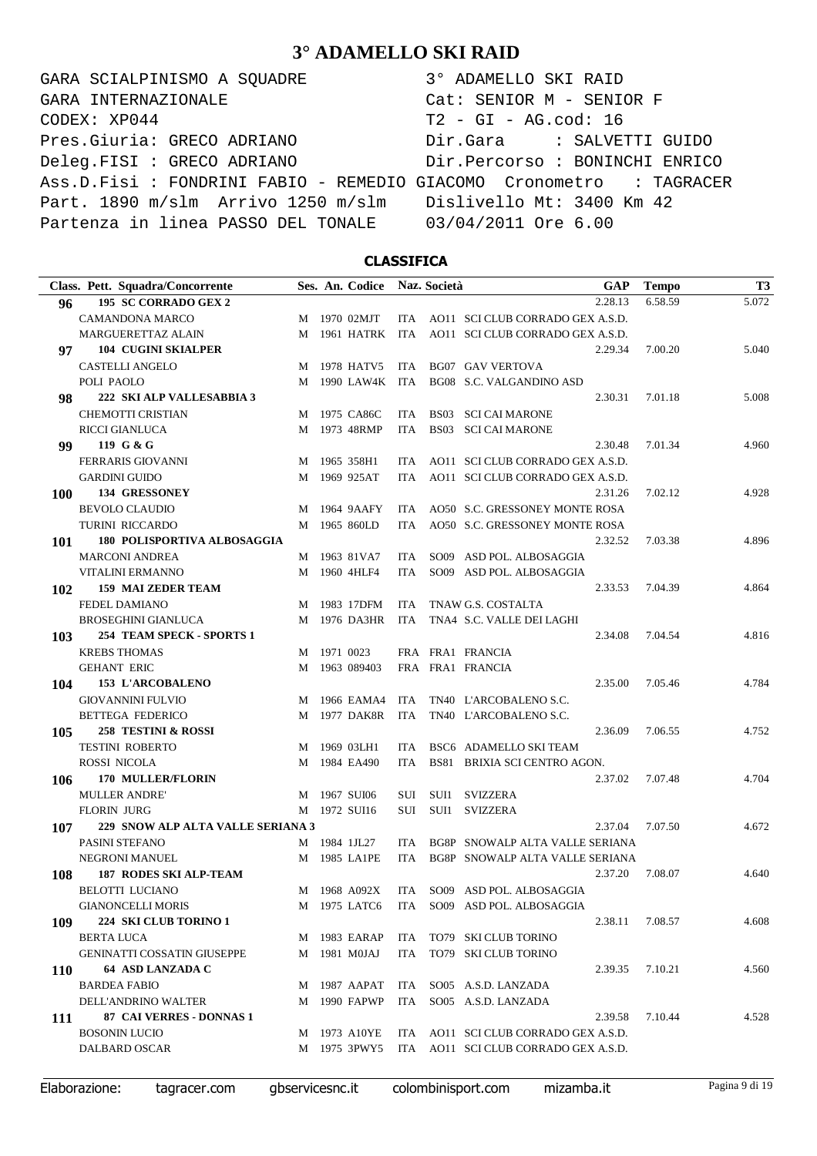GARA SCIALPINISMO A SQUADRE 3° ADAMELLO SKI RAID CODEX: XP044 T2 - GI - AG.cod: 16 Pres.Giuria: GRECO ADRIANO Dir.Gara : SALVETTI GUIDO Deleg.FISI : GRECO ADRIANO Dir.Percorso : BONINCHI ENRICO Ass.D.Fisi : FONDRINI FABIO - REMEDIO GIACOMO Cronometro : TAGRACER Part. 1890 m/slm Arrivo 1250 m/slm Dislivello Mt: 3400 Km 42 Partenza in linea PASSO DEL TONALE 03/04/2011 Ore 6.00 GARA INTERNAZIONALE Cat: SENIOR M - SENIOR F

### **CLASSIFICA**

|            | Class. Pett. Squadra/Concorrente   |   |             | Ses. An. Codice |            | Naz. Società | GAP                                       | <b>Tempo</b> | T <sub>3</sub> |
|------------|------------------------------------|---|-------------|-----------------|------------|--------------|-------------------------------------------|--------------|----------------|
| 96         | 195 SC CORRADO GEX 2               |   |             |                 |            |              | 2.28.13                                   | 6.58.59      | 5.072          |
|            | <b>CAMANDONA MARCO</b>             |   |             | M 1970 02MJT    |            |              | ITA AO11 SCI CLUB CORRADO GEX A.S.D.      |              |                |
|            | MARGUERETTAZ ALAIN                 | M |             | 1961 HATRK ITA  |            |              | AO11 SCI CLUB CORRADO GEX A.S.D.          |              |                |
| 97         | <b>104 CUGINI SKIALPER</b>         |   |             |                 |            |              | 2.29.34                                   | 7.00.20      | 5.040          |
|            | <b>CASTELLI ANGELO</b>             | M |             | 1978 HATV5      | ITA        |              | <b>BG07 GAV VERTOVA</b>                   |              |                |
|            | POLI PAOLO                         | M |             | 1990 LAW4K ITA  |            |              | BG08 S.C. VALGANDINO ASD                  |              |                |
| 98         | 222 SKI ALP VALLESABBIA 3          |   |             |                 |            |              | 2.30.31                                   | 7.01.18      | 5.008          |
|            | CHEMOTTI CRISTIAN                  |   |             | M 1975 CA86C    | ITA        |              | <b>BS03 SCI CAI MARONE</b>                |              |                |
|            | RICCI GIANLUCA                     |   |             | M 1973 48RMP    | <b>ITA</b> |              | <b>BS03 SCI CAI MARONE</b>                |              |                |
| 99         | 119 G & G                          |   |             |                 |            |              | 2.30.48                                   | 7.01.34      | 4.960          |
|            | <b>FERRARIS GIOVANNI</b>           |   |             | M 1965 358H1    | ITA        |              | AO11 SCI CLUB CORRADO GEX A.S.D.          |              |                |
|            | <b>GARDINI GUIDO</b>               | M |             | 1969 925AT      | ITA.       |              | AO11 SCI CLUB CORRADO GEX A.S.D.          |              |                |
| 100        | <b>134 GRESSONEY</b>               |   |             |                 |            |              | 2.31.26                                   | 7.02.12      | 4.928          |
|            | <b>BEVOLO CLAUDIO</b>              | M |             | 1964 9AAFY      | ITA.       |              | AO50 S.C. GRESSONEY MONTE ROSA            |              |                |
|            | TURINI RICCARDO                    | M |             | 1965 860LD      | ITA.       |              | AO50 S.C. GRESSONEY MONTE ROSA            |              |                |
| 101        | <b>180 POLISPORTIVA ALBOSAGGIA</b> |   |             |                 |            |              | 2.32.52                                   | 7.03.38      | 4.896          |
|            | <b>MARCONI ANDREA</b>              |   |             | M 1963 81VA7    | ITA.       |              | SO09 ASD POL. ALBOSAGGIA                  |              |                |
|            | VITALINI ERMANNO                   | M |             | 1960 4HLF4      | <b>ITA</b> |              | SO09 ASD POL. ALBOSAGGIA                  |              |                |
| 102        | <b>159 MAI ZEDER TEAM</b>          |   |             |                 |            |              | 2.33.53                                   | 7.04.39      | 4.864          |
|            | FEDEL DAMIANO                      | M |             | 1983 17DFM      | ITA        |              | TNAW G.S. COSTALTA                        |              |                |
|            | <b>BROSEGHINI GIANLUCA</b>         | M |             | 1976 DA3HR      | ITA        |              | TNA4 S.C. VALLE DEI LAGHI                 |              |                |
| 103        | 254 TEAM SPECK - SPORTS 1          |   |             |                 |            |              | 2.34.08                                   | 7.04.54      | 4.816          |
|            | <b>KREBS THOMAS</b>                |   | M 1971 0023 |                 |            |              | FRA FRA1 FRANCIA                          |              |                |
|            | <b>GEHANT ERIC</b>                 |   |             | M 1963 089403   |            |              | FRA FRA1 FRANCIA                          |              |                |
| 104        | 153 L'ARCOBALENO                   |   |             |                 |            |              | 2.35.00                                   | 7.05.46      | 4.784          |
|            | <b>GIOVANNINI FULVIO</b>           | M |             | 1966 EAMA4      | ITA        |              | TN40 L'ARCOBALENO S.C.                    |              |                |
|            | <b>BETTEGA FEDERICO</b>            | M |             | 1977 DAK8R      | ITA        |              | TN40 L'ARCOBALENO S.C.                    |              |                |
| 105        | 258 TESTINI & ROSSI                |   |             |                 |            |              | 2.36.09                                   | 7.06.55      | 4.752          |
|            | <b>TESTINI ROBERTO</b>             | M |             | 1969 03LH1      | ITA.       |              | BSC6 ADAMELLO SKI TEAM                    |              |                |
|            | ROSSI NICOLA                       | M |             | 1984 EA490      | ITA.       |              | BS81 BRIXIA SCI CENTRO AGON.              |              |                |
| 106        | <b>170 MULLER/FLORIN</b>           |   |             |                 |            |              | 2.37.02                                   | 7.07.48      | 4.704          |
|            | <b>MULLER ANDRE'</b>               |   |             | M 1967 SUI06    | SUI        | SUI1         | SVIZZERA                                  |              |                |
|            | <b>FLORIN JURG</b>                 | M |             | 1972 SUI16      | SUI        | SUI1         | SVIZZERA                                  |              |                |
| 107        | 229 SNOW ALP ALTA VALLE SERIANA 3  |   |             |                 |            |              | 2.37.04                                   | 7.07.50      | 4.672          |
|            | PASINI STEFANO                     |   |             | M 1984 1JL27    | ITA.       |              | BG8P SNOWALP ALTA VALLE SERIANA           |              |                |
|            | <b>NEGRONI MANUEL</b>              |   |             | M 1985 LA1PE    | <b>ITA</b> |              | BG8P SNOWALP ALTA VALLE SERIANA           |              |                |
| 108        | <b>187 RODES SKI ALP-TEAM</b>      |   |             |                 |            |              | 2.37.20                                   | 7.08.07      | 4.640          |
|            | BELOTTI LUCIANO                    |   |             |                 |            |              | M 1968 A092X ITA SO09 ASD POL. ALBOSAGGIA |              |                |
|            | <b>GIANONCELLI MORIS</b>           |   |             |                 |            |              | M 1975 LATC6 ITA SO09 ASD POL. ALBOSAGGIA |              |                |
| 109        | 224 SKI CLUB TORINO 1              |   |             |                 |            |              | 2.38.11                                   | 7.08.57      | 4.608          |
|            | BERTA LUCA                         |   |             | M 1983 EARAP    |            |              | ITA TO79 SKI CLUB TORINO                  |              |                |
|            | <b>GENINATTI COSSATIN GIUSEPPE</b> |   |             | M 1981 MOJAJ    |            |              | ITA TO79 SKI CLUB TORINO                  |              |                |
| <b>110</b> | 64 ASD LANZADA C                   |   |             |                 |            |              | 2.39.35                                   | 7.10.21      | 4.560          |
|            | <b>BARDEA FABIO</b>                |   |             | M 1987 AAPAT    |            |              | ITA SO05 A.S.D. LANZADA                   |              |                |
|            | DELL'ANDRINO WALTER                |   |             | M 1990 FAPWP    |            |              | ITA SO05 A.S.D. LANZADA                   |              |                |
| 111        | 87 CAI VERRES - DONNAS 1           |   |             |                 |            |              | 2.39.58                                   | 7.10.44      | 4.528          |
|            | <b>BOSONIN LUCIO</b>               |   |             | M 1973 A10YE    |            |              | ITA AO11 SCI CLUB CORRADO GEX A.S.D.      |              |                |
|            | DALBARD OSCAR                      |   |             | M 1975 3PWY5    |            |              | ITA AO11 SCI CLUB CORRADO GEX A.S.D.      |              |                |
|            |                                    |   |             |                 |            |              |                                           |              |                |

Elaborazione: tagracer.com gbservicesnc.it colombinisport.com mizamba.it Pagina 9 di 19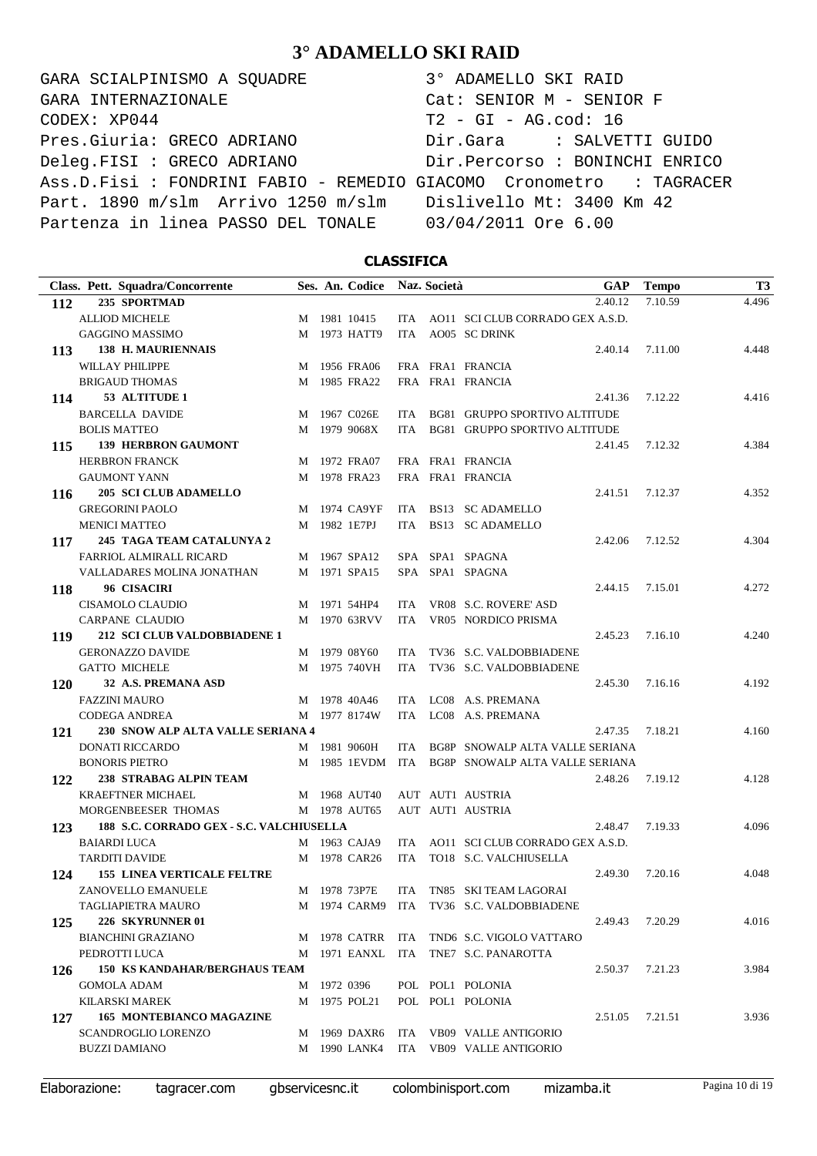GARA SCIALPINISMO A SQUADRE 3° ADAMELLO SKI RAID CODEX: XP044 T2 - GI - AG.cod: 16 Pres.Giuria: GRECO ADRIANO Dir.Gara : SALVETTI GUIDO Deleg.FISI : GRECO ADRIANO Dir.Percorso : BONINCHI ENRICO Ass.D.Fisi : FONDRINI FABIO - REMEDIO GIACOMO Cronometro : TAGRACER Part. 1890 m/slm Arrivo 1250 m/slm Dislivello Mt: 3400 Km 42 Partenza in linea PASSO DEL TONALE 03/04/2011 Ore 6.00 GARA INTERNAZIONALE Cat: SENIOR M - SENIOR F

### **CLASSIFICA**

| Class. Pett. Squadra/Concorrente                |   |             | Ses. An. Codice Naz. Società |            | GAP                                              | <b>Tempo</b> | <b>T3</b> |
|-------------------------------------------------|---|-------------|------------------------------|------------|--------------------------------------------------|--------------|-----------|
| 235 SPORTMAD<br>112                             |   |             |                              |            | 2.40.12                                          | 7.10.59      | 4.496     |
| <b>ALLIOD MICHELE</b>                           |   |             | M 1981 10415                 |            | ITA AO11 SCI CLUB CORRADO GEX A.S.D.             |              |           |
| <b>GAGGINO MASSIMO</b>                          |   |             | M 1973 HATT9                 | ITA.       | AO05 SC DRINK                                    |              |           |
| <b>138 H. MAURIENNAIS</b><br>113                |   |             |                              |            | 2.40.14                                          | 7.11.00      | 4.448     |
| WILLAY PHILIPPE                                 |   |             | M 1956 FRA06                 |            | FRA FRA1 FRANCIA                                 |              |           |
| <b>BRIGAUD THOMAS</b>                           |   |             | M 1985 FRA22                 |            | FRA FRA1 FRANCIA                                 |              |           |
| 53 ALTITUDE 1<br>114                            |   |             |                              |            | 2.41.36                                          | 7.12.22      | 4.416     |
| <b>BARCELLA DAVIDE</b>                          | М |             | 1967 C026E                   | ITA.       | BG81 GRUPPO SPORTIVO ALTITUDE                    |              |           |
| <b>BOLIS MATTEO</b>                             | M |             | 1979 9068X                   | ITA.       | <b>BG81 GRUPPO SPORTIVO ALTITUDE</b>             |              |           |
| <b>139 HERBRON GAUMONT</b><br>115               |   |             |                              |            | 2.41.45                                          | 7.12.32      | 4.384     |
| <b>HERBRON FRANCK</b>                           | М |             | 1972 FRA07                   |            | FRA FRA1 FRANCIA                                 |              |           |
| <b>GAUMONT YANN</b>                             | М |             | 1978 FRA23                   |            | FRA FRA1 FRANCIA                                 |              |           |
| <b>205 SCI CLUB ADAMELLO</b><br>116             |   |             |                              |            | 2.41.51                                          | 7.12.37      | 4.352     |
| <b>GREGORINI PAOLO</b>                          |   |             | M 1974 CA9YF                 | ITA        | BS13 SC ADAMELLO                                 |              |           |
| <b>MENICI MATTEO</b>                            |   |             | M 1982 1E7PJ                 | ITA        | BS13 SC ADAMELLO                                 |              |           |
| 245 TAGA TEAM CATALUNYA 2<br>117                |   |             |                              |            | 2.42.06                                          | 7.12.52      | 4.304     |
| FARRIOL ALMIRALL RICARD                         |   |             | M 1967 SPA12                 |            | SPA SPA1 SPAGNA                                  |              |           |
| VALLADARES MOLINA JONATHAN                      |   |             | M 1971 SPA15                 |            | SPA SPA1 SPAGNA                                  |              |           |
| 96 CISACIRI<br>118                              |   |             |                              |            | 2.44.15                                          | 7.15.01      | 4.272     |
| <b>CISAMOLO CLAUDIO</b>                         |   |             | M 1971 54HP4                 | ITA        | VR08 S.C. ROVERE' ASD                            |              |           |
| <b>CARPANE CLAUDIO</b>                          |   |             | M 1970 63RVV                 | <b>ITA</b> | VR05 NORDICO PRISMA                              |              |           |
| 212 SCI CLUB VALDOBBIADENE 1<br>119             |   |             |                              |            | 2.45.23                                          | 7.16.10      | 4.240     |
| <b>GERONAZZO DAVIDE</b>                         |   |             | M 1979 08Y60                 | <b>ITA</b> | TV36 S.C. VALDOBBIADENE                          |              |           |
| <b>GATTO MICHELE</b>                            |   |             | M 1975 740VH                 | <b>ITA</b> | TV36 S.C. VALDOBBIADENE                          |              |           |
| 32 A.S. PREMANA ASD<br>120                      |   |             |                              |            | 2.45.30                                          | 7.16.16      | 4.192     |
| <b>FAZZINI MAURO</b>                            |   |             | M 1978 40A46                 | ITA.       | LC08 A.S. PREMANA                                |              |           |
| <b>CODEGA ANDREA</b>                            |   |             | M 1977 8174W                 | <b>ITA</b> | LC08 A.S. PREMANA                                |              |           |
| 230 SNOW ALP ALTA VALLE SERIANA 4<br>121        |   |             |                              |            | 2.47.35                                          | 7.18.21      | 4.160     |
| <b>DONATI RICCARDO</b>                          |   |             | M 1981 9060H                 | ITA        | BG8P SNOWALP ALTA VALLE SERIANA                  |              |           |
| <b>BONORIS PIETRO</b>                           |   |             |                              |            | M 1985 1EVDM ITA BG8P SNOWALP ALTA VALLE SERIANA |              |           |
| 238 STRABAG ALPIN TEAM<br>122                   |   |             |                              |            | 2.48.26                                          | 7.19.12      | 4.128     |
| <b>KRAEFTNER MICHAEL</b>                        |   |             | M 1968 AUT40                 |            | AUT AUT1 AUSTRIA                                 |              |           |
| MORGENBEESER THOMAS                             |   |             | M 1978 AUT65                 |            | AUT AUT1 AUSTRIA                                 |              |           |
| 188 S.C. CORRADO GEX - S.C. VALCHIUSELLA<br>123 |   |             |                              |            | 2.48.47                                          | 7.19.33      | 4.096     |
| <b>BAIARDI LUCA</b>                             |   |             | M 1963 CAJA9                 | ITA.       | AO11 SCI CLUB CORRADO GEX A.S.D.                 |              |           |
| <b>TARDITI DAVIDE</b>                           |   |             | M 1978 CAR26                 | <b>ITA</b> | TO18 S.C. VALCHIUSELLA                           |              |           |
| <b>155 LINEA VERTICALE FELTRE</b><br>124        |   |             |                              |            | 2.49.30                                          | 7.20.16      | 4.048     |
| ZANOVELLO EMANUELE                              |   |             | M 1978 73P7E                 | ITA        | TN85 SKI TEAM LAGORAI                            |              |           |
| TAGLIAPIETRA MAURO                              |   |             | M 1974 CARM9                 | ITA        | TV36 S.C. VALDOBBIADENE                          |              |           |
| 226 SKYRUNNER 01<br>125                         |   |             |                              |            | 2.49.43                                          | 7.20.29      | 4.016     |
| <b>BIANCHINI GRAZIANO</b>                       |   |             | M 1978 CATRR ITA             |            | TND6 S.C. VIGOLO VATTARO                         |              |           |
| PEDROTTI LUCA                                   |   |             | M 1971 EANXL ITA             |            | TNE7 S.C. PANAROTTA                              |              |           |
| <b>150 KS KANDAHAR/BERGHAUS TEAM</b><br>126     |   |             |                              |            | 2.50.37                                          | 7.21.23      | 3.984     |
| <b>GOMOLA ADAM</b>                              |   | M 1972 0396 |                              |            | POL POL1 POLONIA                                 |              |           |
| <b>KILARSKI MAREK</b>                           |   |             | M 1975 POL21                 |            | POL POL1 POLONIA                                 |              |           |
| <b>165 MONTEBIANCO MAGAZINE</b><br>127          |   |             |                              |            | 2.51.05                                          | 7.21.51      | 3.936     |
| <b>SCANDROGLIO LORENZO</b>                      |   |             | M 1969 DAXR6                 |            | ITA VB09 VALLE ANTIGORIO                         |              |           |
| <b>BUZZI DAMIANO</b>                            |   |             | M 1990 LANK4                 |            | ITA VB09 VALLE ANTIGORIO                         |              |           |
|                                                 |   |             |                              |            |                                                  |              |           |

Elaborazione: tagracer.com gbservicesnc.it colombinisport.com mizamba.it Pagina 10 di 19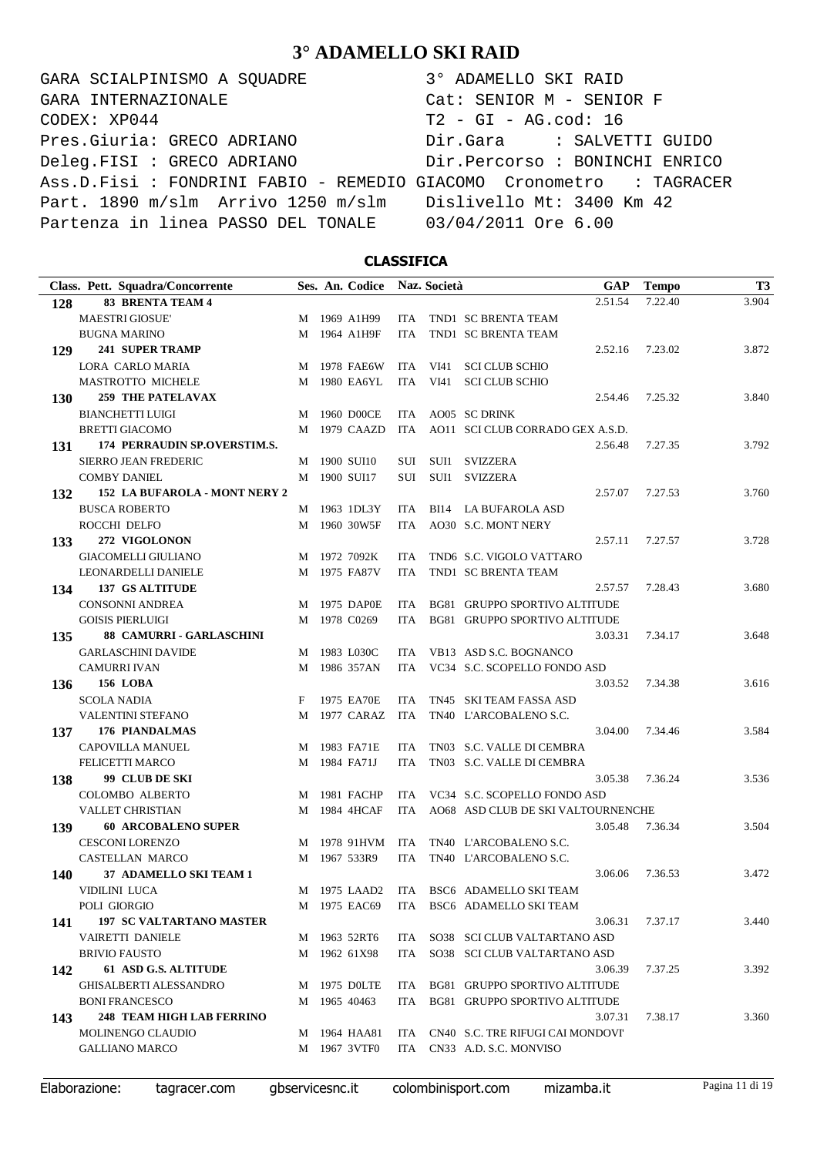GARA SCIALPINISMO A SQUADRE 3° ADAMELLO SKI RAID CODEX: XP044 T2 - GI - AG.cod: 16 Pres.Giuria: GRECO ADRIANO Dir.Gara : SALVETTI GUIDO Deleg.FISI : GRECO ADRIANO Dir.Percorso : BONINCHI ENRICO Ass.D.Fisi : FONDRINI FABIO - REMEDIO GIACOMO Cronometro : TAGRACER Part. 1890 m/slm Arrivo 1250 m/slm Dislivello Mt: 3400 Km 42 Partenza in linea PASSO DEL TONALE 03/04/2011 Ore 6.00 GARA INTERNAZIONALE Cat: SENIOR M - SENIOR F

### **CLASSIFICA**

| Class. Pett. Squadra/Concorrente        |   | Ses. An. Codice |            | Naz. Società |                                         | GAP | <b>Tempo</b> | T <sub>3</sub> |
|-----------------------------------------|---|-----------------|------------|--------------|-----------------------------------------|-----|--------------|----------------|
| <b>83 BRENTA TEAM 4</b><br>128          |   |                 |            |              | 2.51.54                                 |     | 7.22.40      | 3.904          |
| <b>MAESTRI GIOSUE'</b>                  |   | M 1969 A1H99    | ITA.       |              | TND1 SC BRENTA TEAM                     |     |              |                |
| <b>BUGNA MARINO</b>                     | М | 1964 A1H9F      | <b>ITA</b> |              | TND1 SC BRENTA TEAM                     |     |              |                |
| <b>241 SUPER TRAMP</b><br>129           |   |                 |            |              | 2.52.16                                 |     | 7.23.02      | 3.872          |
| LORA CARLO MARIA                        | M | 1978 FAE6W      | ITA.       | VI41         | <b>SCI CLUB SCHIO</b>                   |     |              |                |
| MASTROTTO MICHELE                       | М | 1980 EA6YL      | ITA        | VI41         | <b>SCI CLUB SCHIO</b>                   |     |              |                |
| <b>259 THE PATELAVAX</b><br><b>130</b>  |   |                 |            |              | 2.54.46                                 |     | 7.25.32      | 3.840          |
| <b>BIANCHETTI LUIGI</b>                 | M | 1960 D00CE      | ITA        |              | AO05 SC DRINK                           |     |              |                |
| <b>BRETTI GIACOMO</b>                   |   | M 1979 CAAZD    | ITA        |              | AO11 SCI CLUB CORRADO GEX A.S.D.        |     |              |                |
| 174 PERRAUDIN SP.OVERSTIM.S.<br>131     |   |                 |            |              | 2.56.48                                 |     | 7.27.35      | 3.792          |
| <b>SIERRO JEAN FREDERIC</b>             | M | 1900 SUI10      | SUI        |              | SUI1 SVIZZERA                           |     |              |                |
| <b>COMBY DANIEL</b>                     | M | 1900 SUI17      | SUI        | SUI1         | <b>SVIZZERA</b>                         |     |              |                |
| 152 LA BUFAROLA - MONT NERY 2<br>132    |   |                 |            |              | 2.57.07                                 |     | 7.27.53      | 3.760          |
| <b>BUSCA ROBERTO</b>                    |   | M 1963 1DL3Y    | ITA        |              | BI14 LA BUFAROLA ASD                    |     |              |                |
| ROCCHI DELFO                            |   | M 1960 30W5F    | ITA        |              | AO30 S.C. MONT NERY                     |     |              |                |
| 272 VIGOLONON<br>133                    |   |                 |            |              | 2.57.11                                 |     | 7.27.57      | 3.728          |
| <b>GIACOMELLI GIULIANO</b>              |   | M 1972 7092K    | <b>ITA</b> |              | TND6 S.C. VIGOLO VATTARO                |     |              |                |
| LEONARDELLI DANIELE                     |   | M 1975 FA87V    | <b>ITA</b> |              | TND1 SC BRENTA TEAM                     |     |              |                |
| 137 GS ALTITUDE<br>134                  |   |                 |            |              | 2.57.57                                 |     | 7.28.43      | 3.680          |
| <b>CONSONNI ANDREA</b>                  | M | 1975 DAP0E      | ITA        |              | BG81 GRUPPO SPORTIVO ALTITUDE           |     |              |                |
| <b>GOISIS PIERLUIGI</b>                 | М | 1978 C0269      | <b>ITA</b> |              | BG81 GRUPPO SPORTIVO ALTITUDE           |     |              |                |
| 88 CAMURRI - GARLASCHINI<br>135         |   |                 |            |              | 3.03.31                                 |     | 7.34.17      | 3.648          |
| <b>GARLASCHINI DAVIDE</b>               |   | M 1983 L030C    | ITA.       |              | VB13 ASD S.C. BOGNANCO                  |     |              |                |
| <b>CAMURRI IVAN</b>                     |   | M 1986 357AN    | <b>ITA</b> |              | VC34 S.C. SCOPELLO FONDO ASD            |     |              |                |
| <b>156 LOBA</b><br>136                  |   |                 |            |              | 3.03.52                                 |     | 7.34.38      | 3.616          |
| <b>SCOLA NADIA</b>                      | F | 1975 EA70E      | ITA.       |              | TN45 SKI TEAM FASSA ASD                 |     |              |                |
| <b>VALENTINI STEFANO</b>                | М | 1977 CARAZ      | ITA        |              | TN40 L'ARCOBALENO S.C.                  |     |              |                |
| 176 PIANDALMAS<br>137                   |   |                 |            |              | 3.04.00                                 |     | 7.34.46      | 3.584          |
| CAPOVILLA MANUEL                        |   | M 1983 FA71E    | ITA.       |              | TN03 S.C. VALLE DI CEMBRA               |     |              |                |
| FELICETTI MARCO                         | M | 1984 FA71J      | ITA        |              | TN03 S.C. VALLE DI CEMBRA               |     |              |                |
| 99 CLUB DE SKI<br>138                   |   |                 |            |              | 3.05.38                                 |     | 7.36.24      | 3.536          |
| <b>COLOMBO ALBERTO</b>                  | M | 1981 FACHP      | ITA.       |              | VC34 S.C. SCOPELLO FONDO ASD            |     |              |                |
| <b>VALLET CHRISTIAN</b>                 | М | 1984 4HCAF      | ITA.       |              | AO68 ASD CLUB DE SKI VALTOURNENCHE      |     |              |                |
| <b>60 ARCOBALENO SUPER</b><br>139       |   |                 |            |              | 3.05.48                                 |     | 7.36.34      | 3.504          |
| <b>CESCONI LORENZO</b>                  | M | 1978 91HVM      | ITA        |              | TN40 L'ARCOBALENO S.C.                  |     |              |                |
| <b>CASTELLAN MARCO</b>                  |   | M 1967 533R9    | <b>ITA</b> |              | TN40 L'ARCOBALENO S.C.                  |     |              |                |
| 37 ADAMELLO SKI TEAM 1<br>140           |   |                 |            |              | 3.06.06                                 |     | 7.36.53      | 3.472          |
| VIDILINI LUCA                           |   |                 |            |              | M 1975 LAAD2 ITA BSC6 ADAMELLO SKI TEAM |     |              |                |
| POLI GIORGIO                            |   | M 1975 EAC69    |            |              | ITA BSC6 ADAMELLO SKI TEAM              |     |              |                |
| <b>197 SC VALTARTANO MASTER</b><br>141  |   |                 |            |              | 3.06.31                                 |     | 7.37.17      | 3.440          |
| VAIRETTI DANIELE                        |   | M 1963 52RT6    |            |              | ITA SO38 SCI CLUB VALTARTANO ASD        |     |              |                |
| <b>BRIVIO FAUSTO</b>                    |   | M 1962 61X98    | ITA        |              | SO38 SCI CLUB VALTARTANO ASD            |     |              |                |
| 61 ASD G.S. ALTITUDE<br>142             |   |                 |            |              | 3.06.39                                 |     | 7.37.25      | 3.392          |
| <b>GHISALBERTI ALESSANDRO</b>           |   | M 1975 DOLTE    |            |              | ITA BG81 GRUPPO SPORTIVO ALTITUDE       |     |              |                |
| <b>BONI FRANCESCO</b>                   |   | M 1965 40463    |            |              | ITA BG81 GRUPPO SPORTIVO ALTITUDE       |     |              |                |
| <b>248 TEAM HIGH LAB FERRINO</b><br>143 |   |                 |            |              | 3.07.31                                 |     | 7.38.17      | 3.360          |
| MOLINENGO CLAUDIO                       |   | M 1964 HAA81    |            |              | ITA CN40 S.C. TRE RIFUGI CAI MONDOVI'   |     |              |                |
| <b>GALLIANO MARCO</b>                   |   | M 1967 3VTF0    |            |              | ITA CN33 A.D. S.C. MONVISO              |     |              |                |
|                                         |   |                 |            |              |                                         |     |              |                |

Elaborazione: tagracer.com gbservicesnc.it colombinisport.com mizamba.it Pagina 11 di 19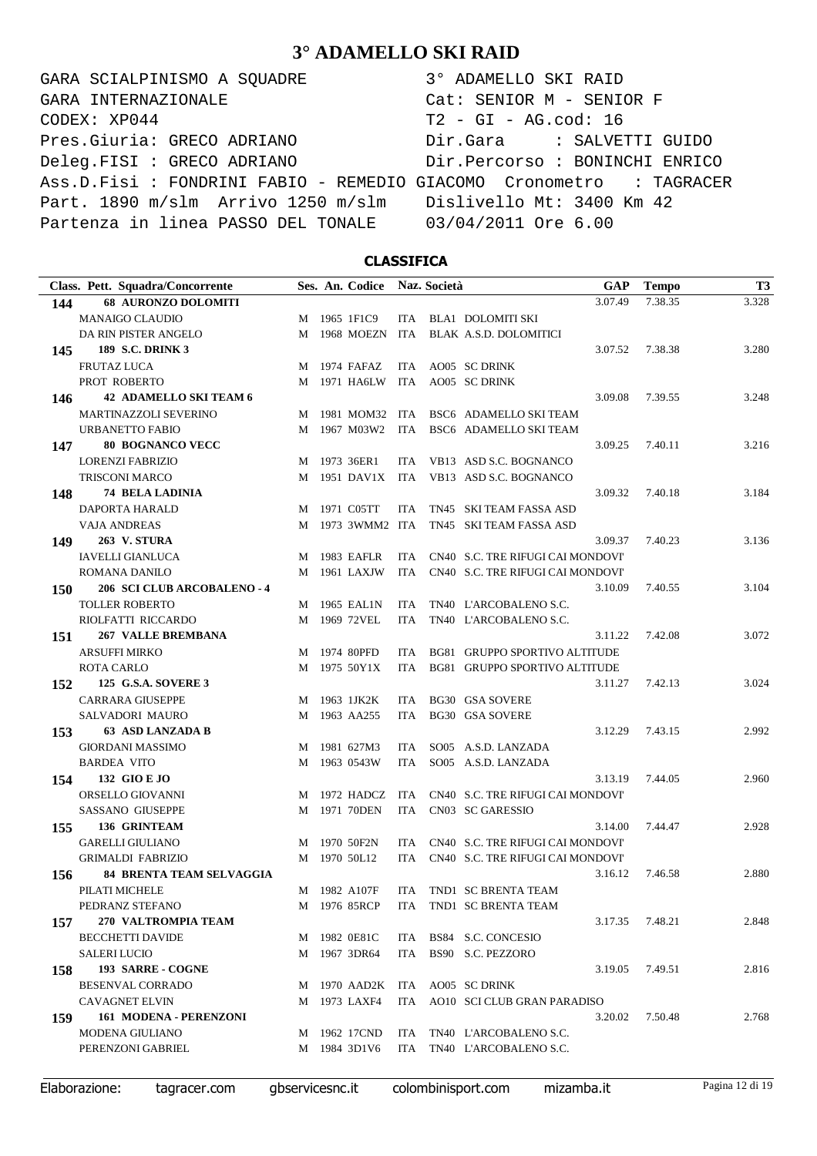GARA SCIALPINISMO A SQUADRE 3° ADAMELLO SKI RAID CODEX: XP044 T2 - GI - AG.cod: 16 Pres.Giuria: GRECO ADRIANO Dir.Gara : SALVETTI GUIDO Deleg.FISI : GRECO ADRIANO Dir.Percorso : BONINCHI ENRICO Ass.D.Fisi : FONDRINI FABIO - REMEDIO GIACOMO Cronometro : TAGRACER Part. 1890 m/slm Arrivo 1250 m/slm Dislivello Mt: 3400 Km 42 Partenza in linea PASSO DEL TONALE 03/04/2011 Ore 6.00 GARA INTERNAZIONALE Cat: SENIOR M - SENIOR F

### **CLASSIFICA**

|     | Class. Pett. Squadra/Concorrente   |   | Ses. An. Codice Naz. Società |            |                                   | <b>GAP</b> | <b>Tempo</b> | T <sub>3</sub> |
|-----|------------------------------------|---|------------------------------|------------|-----------------------------------|------------|--------------|----------------|
| 144 | <b>68 AURONZO DOLOMITI</b>         |   |                              |            |                                   | 3.07.49    | 7.38.35      | 3.328          |
|     | <b>MANAIGO CLAUDIO</b>             |   | M 1965 1F1C9                 |            | ITA BLA1 DOLOMITI SKI             |            |              |                |
|     | DA RIN PISTER ANGELO               |   | M 1968 MOEZN ITA             |            | BLAK A.S.D. DOLOMITICI            |            |              |                |
| 145 | <b>189 S.C. DRINK 3</b>            |   |                              |            |                                   | 3.07.52    | 7.38.38      | 3.280          |
|     | <b>FRUTAZ LUCA</b>                 | M | 1974 FAFAZ                   | ITA        | AO05 SC DRINK                     |            |              |                |
|     | PROT ROBERTO                       | M | 1971 HA6LW                   | ITA        | AO05 SC DRINK                     |            |              |                |
| 146 | 42 ADAMELLO SKI TEAM 6             |   |                              |            |                                   | 3.09.08    | 7.39.55      | 3.248          |
|     | MARTINAZZOLI SEVERINO              | M | 1981 MOM32 ITA               |            | BSC6 ADAMELLO SKI TEAM            |            |              |                |
|     | <b>URBANETTO FABIO</b>             | M | 1967 M03W2 ITA               |            | BSC6 ADAMELLO SKI TEAM            |            |              |                |
| 147 | <b>80 BOGNANCO VECC</b>            |   |                              |            |                                   | 3.09.25    | 7.40.11      | 3.216          |
|     | <b>LORENZI FABRIZIO</b>            |   | M 1973 36ER1                 | ITA.       | VB13 ASD S.C. BOGNANCO            |            |              |                |
|     | <b>TRISCONI MARCO</b>              |   | M 1951 DAV1X ITA             |            | VB13 ASD S.C. BOGNANCO            |            |              |                |
| 148 | <b>74 BELA LADINIA</b>             |   |                              |            |                                   | 3.09.32    | 7.40.18      | 3.184          |
|     | DAPORTA HARALD                     | M | 1971 C05TT                   | ITA.       | TN45 SKI TEAM FASSA ASD           |            |              |                |
|     | <b>VAJA ANDREAS</b>                |   | M 1973 3WMM2 ITA             |            | TN45 SKI TEAM FASSA ASD           |            |              |                |
| 149 | <b>263 V. STURA</b>                |   |                              |            |                                   | 3.09.37    | 7.40.23      | 3.136          |
|     | <b>IAVELLI GIANLUCA</b>            | M | 1983 EAFLR                   | ITA.       | CN40 S.C. TRE RIFUGI CAI MONDOVI' |            |              |                |
|     | ROMANA DANILO                      | M | 1961 LAXJW                   | ITA        | CN40 S.C. TRE RIFUGI CAI MONDOVI' |            |              |                |
| 150 | <b>206 SCI CLUB ARCOBALENO - 4</b> |   |                              |            |                                   | 3.10.09    | 7.40.55      | 3.104          |
|     | <b>TOLLER ROBERTO</b>              | M | 1965 EAL1N                   | <b>ITA</b> | TN40 L'ARCOBALENO S.C.            |            |              |                |
|     | RIOLFATTI RICCARDO                 | M | 1969 72VEL                   | <b>ITA</b> | TN40 L'ARCOBALENO S.C.            |            |              |                |
| 151 | <b>267 VALLE BREMBANA</b>          |   |                              |            |                                   | 3.11.22    | 7.42.08      | 3.072          |
|     | <b>ARSUFFI MIRKO</b>               | M | 1974 80PFD                   | ITA.       | BG81 GRUPPO SPORTIVO ALTITUDE     |            |              |                |
|     | <b>ROTA CARLO</b>                  |   | M 1975 50Y1X                 | <b>ITA</b> | BG81 GRUPPO SPORTIVO ALTITUDE     |            |              |                |
| 152 | 125 G.S.A. SOVERE 3                |   |                              |            |                                   | 3.11.27    | 7.42.13      | 3.024          |
|     | <b>CARRARA GIUSEPPE</b>            | M | 1963 1JK2K                   | ITA.       | <b>BG30 GSA SOVERE</b>            |            |              |                |
|     | SALVADORI MAURO                    | M | 1963 AA255                   | <b>ITA</b> | <b>BG30 GSA SOVERE</b>            |            |              |                |
| 153 | <b>63 ASD LANZADA B</b>            |   |                              |            |                                   | 3.12.29    | 7.43.15      | 2.992          |
|     | <b>GIORDANI MASSIMO</b>            |   | M 1981 627M3                 | ITA        | SO05 A.S.D. LANZADA               |            |              |                |
|     | <b>BARDEA VITO</b>                 | M | 1963 0543W                   | ITA        | SO05 A.S.D. LANZADA               |            |              |                |
| 154 | 132 GIO E JO                       |   |                              |            |                                   | 3.13.19    | 7.44.05      | 2.960          |
|     | ORSELLO GIOVANNI                   |   | M 1972 HADCZ                 | ITA        | CN40 S.C. TRE RIFUGI CAI MONDOVI' |            |              |                |
|     | <b>SASSANO GIUSEPPE</b>            | M | 1971 70DEN                   | ITA        | CN03 SC GARESSIO                  |            |              |                |
| 155 | 136 GRINTEAM                       |   |                              |            |                                   | 3.14.00    | 7.44.47      | 2.928          |
|     | <b>GARELLI GIULIANO</b>            | M | 1970 50F2N                   | ITA.       | CN40 S.C. TRE RIFUGI CAI MONDOVI' |            |              |                |
|     | <b>GRIMALDI FABRIZIO</b>           | M | 1970 50L12                   | ITA        | CN40 S.C. TRE RIFUGI CAI MONDOVI' |            |              |                |
| 156 | <b>84 BRENTA TEAM SELVAGGIA</b>    |   |                              |            |                                   | 3.16.12    | 7.46.58      | 2.880          |
|     | PILATI MICHELE                     |   | M 1982 A107F                 |            | ITA TND1 SC BRENTA TEAM           |            |              |                |
|     | PEDRANZ STEFANO                    |   | M 1976 85RCP                 |            | ITA TND1 SC BRENTA TEAM           |            |              |                |
| 157 | 270 VALTROMPIA TEAM                |   |                              |            |                                   | 3.17.35    | 7.48.21      | 2.848          |
|     | <b>BECCHETTI DAVIDE</b>            |   | M 1982 0E81C                 |            | ITA BS84 S.C. CONCESIO            |            |              |                |
|     | <b>SALERI LUCIO</b>                |   | M 1967 3DR64                 | ITA        | BS90 S.C. PEZZORO                 |            |              |                |
| 158 | 193 SARRE - COGNE                  |   |                              |            |                                   | 3.19.05    | 7.49.51      | 2.816          |
|     | BESENVAL CORRADO                   |   |                              |            | M 1970 AAD2K ITA AO05 SC DRINK    |            |              |                |
|     | <b>CAVAGNET ELVIN</b>              |   | M 1973 LAXF4                 |            | ITA AO10 SCI CLUB GRAN PARADISO   |            |              |                |
| 159 | 161 MODENA - PERENZONI             |   |                              |            |                                   | 3.20.02    | 7.50.48      | 2.768          |
|     | <b>MODENA GIULIANO</b>             |   | M 1962 17CND                 | ITA        | TN40 L'ARCOBALENO S.C.            |            |              |                |
|     | PERENZONI GABRIEL                  |   | M 1984 3D1V6                 | ITA.       | TN40 L'ARCOBALENO S.C.            |            |              |                |
|     |                                    |   |                              |            |                                   |            |              |                |

Elaborazione: tagracer.com gbservicesnc.it colombinisport.com mizamba.it Pagina 12 di 19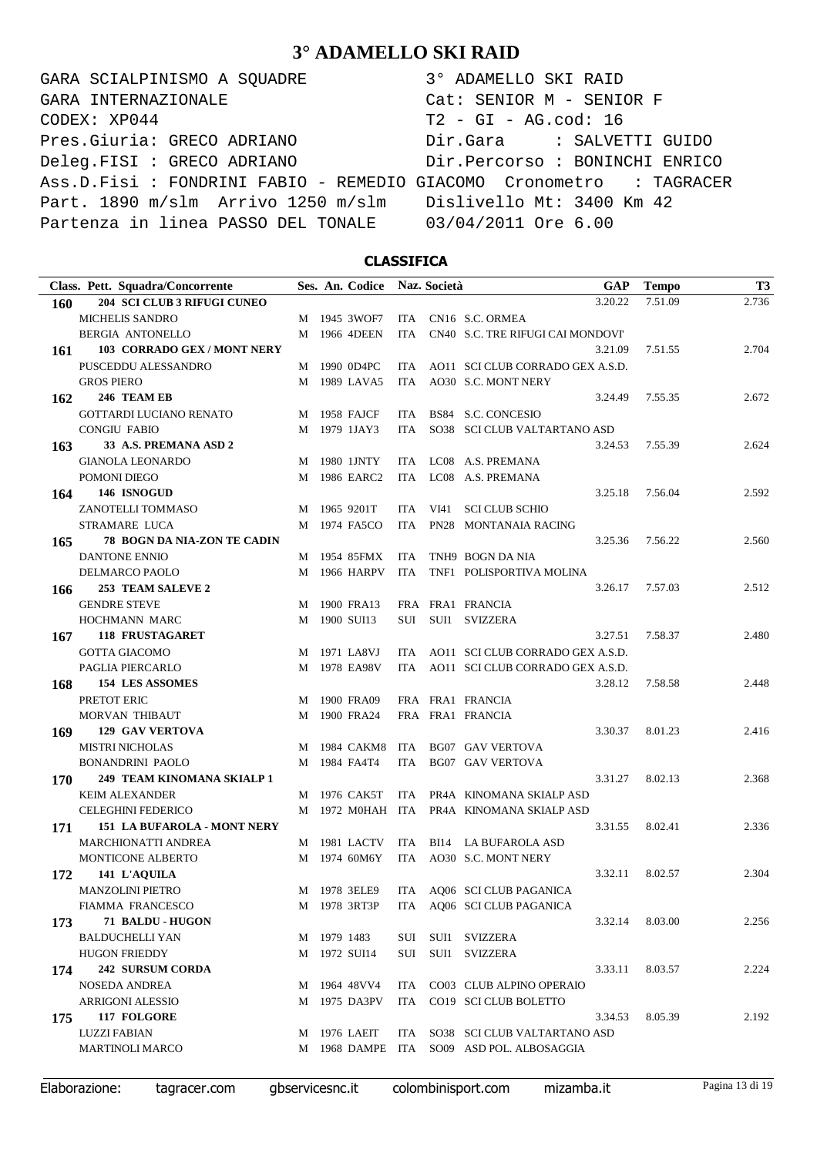GARA SCIALPINISMO A SQUADRE 3° ADAMELLO SKI RAID CODEX: XP044 T2 - GI - AG.cod: 16 Pres.Giuria: GRECO ADRIANO Dir.Gara : SALVETTI GUIDO Deleg.FISI : GRECO ADRIANO Dir.Percorso : BONINCHI ENRICO Ass.D.Fisi : FONDRINI FABIO - REMEDIO GIACOMO Cronometro : TAGRACER Part. 1890 m/slm Arrivo 1250 m/slm Dislivello Mt: 3400 Km 42 Partenza in linea PASSO DEL TONALE 03/04/2011 Ore 6.00 GARA INTERNAZIONALE Cat: SENIOR M - SENIOR F

### **CLASSIFICA**

| Class. Pett. Squadra/Concorrente          |   | Ses. An. Codice |            | Naz. Società |                                           | <b>GAP</b> | <b>Tempo</b> | <b>T3</b> |
|-------------------------------------------|---|-----------------|------------|--------------|-------------------------------------------|------------|--------------|-----------|
| 204 SCI CLUB 3 RIFUGI CUNEO<br>160        |   |                 |            |              |                                           | 3.20.22    | 7.51.09      | 2.736     |
| <b>MICHELIS SANDRO</b>                    |   | M 1945 3WOF7    |            |              | ITA CN16 S.C. ORMEA                       |            |              |           |
| <b>BERGIA ANTONELLO</b>                   | М | 1966 4DEEN      | ITA        |              | CN40 S.C. TRE RIFUGI CAI MONDOVI'         |            |              |           |
| 103 CORRADO GEX / MONT NERY<br>161        |   |                 |            |              |                                           | 3.21.09    | 7.51.55      | 2.704     |
| PUSCEDDU ALESSANDRO                       |   | M 1990 0D4PC    |            |              | ITA AO11 SCI CLUB CORRADO GEX A.S.D.      |            |              |           |
| <b>GROS PIERO</b>                         |   | M 1989 LAVA5    | ITA        |              | AO30 S.C. MONT NERY                       |            |              |           |
| 246 TEAM EB<br>162                        |   |                 |            |              |                                           | 3.24.49    | 7.55.35      | 2.672     |
| GOTTARDI LUCIANO RENATO                   | M | 1958 FAJCF      | ITA        |              | BS84 S.C. CONCESIO                        |            |              |           |
| <b>CONGIU FABIO</b>                       |   | M 1979 1JAY3    | ITA        |              | SO38 SCI CLUB VALTARTANO ASD              |            |              |           |
| 33 A.S. PREMANA ASD 2<br>163              |   |                 |            |              |                                           | 3.24.53    | 7.55.39      | 2.624     |
| <b>GIANOLA LEONARDO</b>                   | M | 1980 1JNTY      |            |              | ITA LC08 A.S. PREMANA                     |            |              |           |
| POMONI DIEGO                              |   | M 1986 EARC2    |            |              | ITA LC08 A.S. PREMANA                     |            |              |           |
| 146 ISNOGUD<br>164                        |   |                 |            |              |                                           | 3.25.18    | 7.56.04      | 2.592     |
| ZANOTELLI TOMMASO                         | M | 1965 9201T      | ITA.       | VI41         | <b>SCI CLUB SCHIO</b>                     |            |              |           |
| STRAMARE LUCA                             | М | 1974 FA5CO      | ITA        |              | PN28 MONTANAIA RACING                     |            |              |           |
| 78 BOGN DA NIA-ZON TE CADIN<br>165        |   |                 |            |              |                                           | 3.25.36    | 7.56.22      | 2.560     |
| DANTONE ENNIO                             | M | 1954 85FMX      | ITA        |              | TNH9 BOGN DA NIA                          |            |              |           |
| DELMARCO PAOLO                            | М | 1966 HARPV      | ITA        |              | TNF1 POLISPORTIVA MOLINA                  |            |              |           |
| 253 TEAM SALEVE 2<br>166                  |   |                 |            |              |                                           | 3.26.17    | 7.57.03      | 2.512     |
| <b>GENDRE STEVE</b>                       | M | 1900 FRA13      |            |              | FRA FRA1 FRANCIA                          |            |              |           |
| HOCHMANN MARC                             | М | 1900 SUI13      |            |              | SUI SUI1 SVIZZERA                         |            |              |           |
| <b>118 FRUSTAGARET</b><br>167             |   |                 |            |              |                                           | 3.27.51    | 7.58.37      | 2.480     |
| <b>GOTTA GIACOMO</b>                      |   | M 1971 LA8VJ    |            |              | ITA AO11 SCI CLUB CORRADO GEX A.S.D.      |            |              |           |
| PAGLIA PIERCARLO                          | M | 1978 EA98V      | ITA        |              | AO11 SCI CLUB CORRADO GEX A.S.D.          |            |              |           |
| <b>154 LES ASSOMES</b><br>168             |   |                 |            |              |                                           | 3.28.12    | 7.58.58      | 2.448     |
| PRETOT ERIC                               | M | 1900 FRA09      |            |              | FRA FRA1 FRANCIA                          |            |              |           |
| MORVAN THIBAUT                            | M | 1900 FRA24      |            |              | FRA FRA1 FRANCIA                          |            |              |           |
| <b>129 GAV VERTOVA</b><br>169             |   |                 |            |              |                                           | 3.30.37    | 8.01.23      | 2.416     |
| <b>MISTRI NICHOLAS</b>                    | M | 1984 CAKM8      | ITA        |              | <b>BG07 GAV VERTOVA</b>                   |            |              |           |
| <b>BONANDRINI PAOLO</b>                   | M | 1984 FA4T4      | <b>ITA</b> |              | <b>BG07 GAV VERTOVA</b>                   |            |              |           |
| 249 TEAM KINOMANA SKIALP 1<br>170         |   |                 |            |              |                                           | 3.31.27    | 8.02.13      | 2.368     |
| <b>KEIM ALEXANDER</b>                     | M | 1976 CAK5T      |            |              | ITA PR4A KINOMANA SKIALP ASD              |            |              |           |
| <b>CELEGHINI FEDERICO</b>                 |   |                 |            |              | M 1972 MOHAH ITA PR4A KINOMANA SKIALP ASD |            |              |           |
| <b>151 LA BUFAROLA - MONT NERY</b><br>171 |   |                 |            |              |                                           | 3.31.55    | 8.02.41      | 2.336     |
| <b>MARCHIONATTI ANDREA</b>                |   | M 1981 LACTV    | ITA        |              | BI14 LA BUFAROLA ASD                      |            |              |           |
| MONTICONE ALBERTO                         |   | M 1974 60M6Y    | ITA        |              | AO30 S.C. MONT NERY                       |            |              |           |
| 141 L'AQUILA<br>172                       |   |                 |            |              |                                           | 3.32.11    | 8.02.57      | 2.304     |
| <b>MANZOLINI PIETRO</b>                   |   |                 |            |              | M 1978 3ELE9 ITA AQ06 SCI CLUB PAGANICA   |            |              |           |
| FIAMMA FRANCESCO                          |   |                 |            |              | M 1978 3RT3P ITA AQ06 SCI CLUB PAGANICA   |            |              |           |
| 71 BALDU - HUGON<br>173                   |   |                 |            |              |                                           | 3.32.14    | 8.03.00      | 2.256     |
| <b>BALDUCHELLI YAN</b>                    |   | M 1979 1483     |            |              | SUI SUI1 SVIZZERA                         |            |              |           |
| <b>HUGON FRIEDDY</b>                      |   | M 1972 SUI14    |            |              | SUI SUI1 SVIZZERA                         |            |              |           |
| 242 SURSUM CORDA<br>174                   |   |                 |            |              |                                           | 3.33.11    | 8.03.57      | 2.224     |
| NOSEDA ANDREA                             |   | M 1964 48VV4    |            |              | ITA CO03 CLUB ALPINO OPERAIO              |            |              |           |
| <b>ARRIGONI ALESSIO</b>                   |   | M 1975 DA3PV    |            |              | ITA CO19 SCI CLUB BOLETTO                 |            |              |           |
| 117 FOLGORE<br>175                        |   |                 |            |              |                                           | 3.34.53    | 8.05.39      | 2.192     |
| <b>LUZZI FABIAN</b>                       |   | M 1976 LAEIT    |            |              | ITA SO38 SCI CLUB VALTARTANO ASD          |            |              |           |
| <b>MARTINOLI MARCO</b>                    |   |                 |            |              | M 1968 DAMPE ITA SO09 ASD POL. ALBOSAGGIA |            |              |           |
|                                           |   |                 |            |              |                                           |            |              |           |

Elaborazione: tagracer.com gbservicesnc.it colombinisport.com mizamba.it Pagina 13 di 19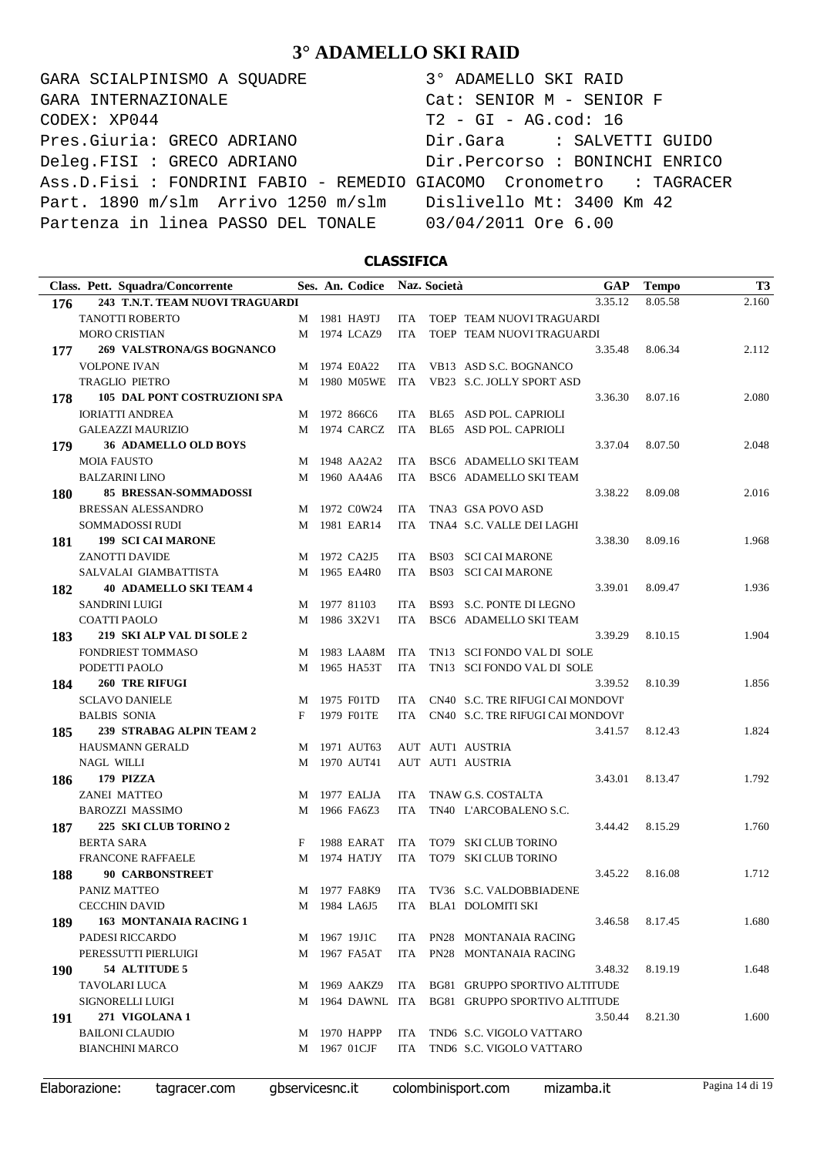GARA SCIALPINISMO A SQUADRE 3° ADAMELLO SKI RAID CODEX: XP044 T2 - GI - AG.cod: 16 Pres.Giuria: GRECO ADRIANO Dir.Gara : SALVETTI GUIDO Deleg.FISI : GRECO ADRIANO Dir.Percorso : BONINCHI ENRICO Ass.D.Fisi : FONDRINI FABIO - REMEDIO GIACOMO Cronometro : TAGRACER Part. 1890 m/slm Arrivo 1250 m/slm Dislivello Mt: 3400 Km 42 Partenza in linea PASSO DEL TONALE 03/04/2011 Ore 6.00 GARA INTERNAZIONALE Cat: SENIOR M - SENIOR F

### **CLASSIFICA**

|     | Class. Pett. Squadra/Concorrente    |   | Ses. An. Codice  |            | Naz. Società |                                          | <b>GAP</b> | <b>Tempo</b> | <b>T3</b> |
|-----|-------------------------------------|---|------------------|------------|--------------|------------------------------------------|------------|--------------|-----------|
| 176 | 243 T.N.T. TEAM NUOVI TRAGUARDI     |   |                  |            |              |                                          | 3.35.12    | 8.05.58      | 2.160     |
|     | <b>TANOTTI ROBERTO</b>              |   | M 1981 HA9TJ     | ITA.       |              | TOEP TEAM NUOVI TRAGUARDI                |            |              |           |
|     | <b>MORO CRISTIAN</b>                |   | M 1974 LCAZ9     | <b>ITA</b> |              | TOEP TEAM NUOVI TRAGUARDI                |            |              |           |
| 177 | 269 VALSTRONA/GS BOGNANCO           |   |                  |            |              |                                          | 3.35.48    | 8.06.34      | 2.112     |
|     | <b>VOLPONE IVAN</b>                 | M | 1974 E0A22       | ITA        |              | VB13 ASD S.C. BOGNANCO                   |            |              |           |
|     | <b>TRAGLIO PIETRO</b>               | M | 1980 M05WE       | ITA        |              | VB23 S.C. JOLLY SPORT ASD                |            |              |           |
| 178 | <b>105 DAL PONT COSTRUZIONI SPA</b> |   |                  |            |              |                                          | 3.36.30    | 8.07.16      | 2.080     |
|     | <b>IORIATTI ANDREA</b>              |   | M 1972 866C6     | ITA        |              | BL65 ASD POL. CAPRIOLI                   |            |              |           |
|     | <b>GALEAZZI MAURIZIO</b>            |   | M 1974 CARCZ     | ITA        |              | BL65 ASD POL. CAPRIOLI                   |            |              |           |
| 179 | <b>36 ADAMELLO OLD BOYS</b>         |   |                  |            |              |                                          | 3.37.04    | 8.07.50      | 2.048     |
|     | <b>MOIA FAUSTO</b>                  |   | M 1948 AA2A2     | ITA.       |              | BSC6 ADAMELLO SKI TEAM                   |            |              |           |
|     | <b>BALZARINI LINO</b>               |   | M 1960 AA4A6     | <b>ITA</b> |              | BSC6 ADAMELLO SKI TEAM                   |            |              |           |
| 180 | <b>85 BRESSAN-SOMMADOSSI</b>        |   |                  |            |              |                                          | 3.38.22    | 8.09.08      | 2.016     |
|     | <b>BRESSAN ALESSANDRO</b>           |   | M 1972 C0W24     | ITA        |              | TNA3 GSA POVO ASD                        |            |              |           |
|     | SOMMADOSSI RUDI                     |   | M 1981 EAR14     | <b>ITA</b> |              | TNA4 S.C. VALLE DEI LAGHI                |            |              |           |
| 181 | <b>199 SCI CAI MARONE</b>           |   |                  |            |              |                                          | 3.38.30    | 8.09.16      | 1.968     |
|     | <b>ZANOTTI DAVIDE</b>               |   | M 1972 CA2J5     | ITA        |              | <b>BS03 SCI CAI MARONE</b>               |            |              |           |
|     | SALVALAI GIAMBATTISTA               |   | M 1965 EA4R0     | ITA        |              | <b>BS03 SCI CAI MARONE</b>               |            |              |           |
| 182 | <b>40 ADAMELLO SKI TEAM 4</b>       |   |                  |            |              |                                          | 3.39.01    | 8.09.47      | 1.936     |
|     | <b>SANDRINI LUIGI</b>               | M | 1977 81103       | <b>ITA</b> |              | BS93 S.C. PONTE DI LEGNO                 |            |              |           |
|     | <b>COATTI PAOLO</b>                 | M | 1986 3X2V1       | <b>ITA</b> |              | BSC6 ADAMELLO SKI TEAM                   |            |              |           |
| 183 | 219 SKI ALP VAL DI SOLE 2           |   |                  |            |              |                                          | 3.39.29    | 8.10.15      | 1.904     |
|     | <b>FONDRIEST TOMMASO</b>            |   | M 1983 LAA8M     | ITA        |              | TN13 SCI FONDO VAL DI SOLE               |            |              |           |
|     | PODETTI PAOLO                       |   | M 1965 HA53T     | <b>ITA</b> |              | TN13 SCI FONDO VAL DI SOLE               |            |              |           |
| 184 | <b>260 TRE RIFUGI</b>               |   |                  |            |              |                                          | 3.39.52    | 8.10.39      | 1.856     |
|     | <b>SCLAVO DANIELE</b>               | M | 1975 F01TD       | <b>ITA</b> |              | CN40 S.C. TRE RIFUGI CAI MONDOVI'        |            |              |           |
|     | <b>BALBIS SONIA</b>                 | F | 1979 F01TE       | <b>ITA</b> |              | CN40 S.C. TRE RIFUGI CAI MONDOVI'        |            |              |           |
| 185 | 239 STRABAG ALPIN TEAM 2            |   |                  |            |              |                                          | 3.41.57    | 8.12.43      | 1.824     |
|     | <b>HAUSMANN GERALD</b>              |   | M 1971 AUT63     |            |              | AUT AUT1 AUSTRIA                         |            |              |           |
|     | <b>NAGL WILLI</b>                   |   | M 1970 AUT41     |            |              | AUT AUT1 AUSTRIA                         |            |              |           |
| 186 | 179 PIZZA                           |   |                  |            |              |                                          | 3.43.01    | 8.13.47      | 1.792     |
|     | <b>ZANEI MATTEO</b>                 |   | M 1977 EALJA     | ITA        |              | TNAW G.S. COSTALTA                       |            |              |           |
|     | <b>BAROZZI MASSIMO</b>              | М | 1966 FA6Z3       | ITA        |              | TN40 L'ARCOBALENO S.C.                   |            |              |           |
| 187 | 225 SKI CLUB TORINO 2               |   |                  |            |              |                                          | 3.44.42    | 8.15.29      | 1.760     |
|     | <b>BERTA SARA</b>                   | F | 1988 EARAT       | <b>ITA</b> |              | TO79 SKI CLUB TORINO                     |            |              |           |
|     | <b>FRANCONE RAFFAELE</b>            |   | M 1974 HATJY     | <b>ITA</b> |              | TO79 SKI CLUB TORINO                     |            |              |           |
| 188 | <b>90 CARBONSTREET</b>              |   |                  |            |              |                                          | 3.45.22    | 8.16.08      | 1.712     |
|     | PANIZ MATTEO                        |   |                  |            |              | M 1977 FA8K9 ITA TV36 S.C. VALDOBBIADENE |            |              |           |
|     | <b>CECCHIN DAVID</b>                |   | M 1984 LA6J5     |            |              | ITA BLA1 DOLOMITI SKI                    |            |              |           |
| 189 | 163 MONTANAIA RACING 1              |   |                  |            |              |                                          | 3.46.58    | 8.17.45      | 1.680     |
|     | PADESI RICCARDO                     |   | M 1967 19J1C     |            |              | ITA PN28 MONTANAIA RACING                |            |              |           |
|     | PERESSUTTI PIERLUIGI                |   | M 1967 FA5AT     | ITA        |              | PN28 MONTANAIA RACING                    |            |              |           |
| 190 | 54 ALTITUDE 5                       |   |                  |            |              |                                          | 3.48.32    | 8.19.19      | 1.648     |
|     | TAVOLARI LUCA                       |   | M 1969 AAKZ9     |            |              | ITA BG81 GRUPPO SPORTIVO ALTITUDE        |            |              |           |
|     | SIGNORELLI LUIGI                    |   | M 1964 DAWNL ITA |            |              | BG81 GRUPPO SPORTIVO ALTITUDE            |            |              |           |
| 191 | 271 VIGOLANA 1                      |   |                  |            |              |                                          | 3.50.44    | 8.21.30      | 1.600     |
|     | <b>BAILONI CLAUDIO</b>              |   | M 1970 HAPPP     | ITA        |              | TND6 S.C. VIGOLO VATTARO                 |            |              |           |
|     | <b>BIANCHINI MARCO</b>              |   | M 1967 01CJF     | ITA        |              | TND6 S.C. VIGOLO VATTARO                 |            |              |           |
|     |                                     |   |                  |            |              |                                          |            |              |           |

Elaborazione: tagracer.com gbservicesnc.it colombinisport.com mizamba.it Pagina 14 di 19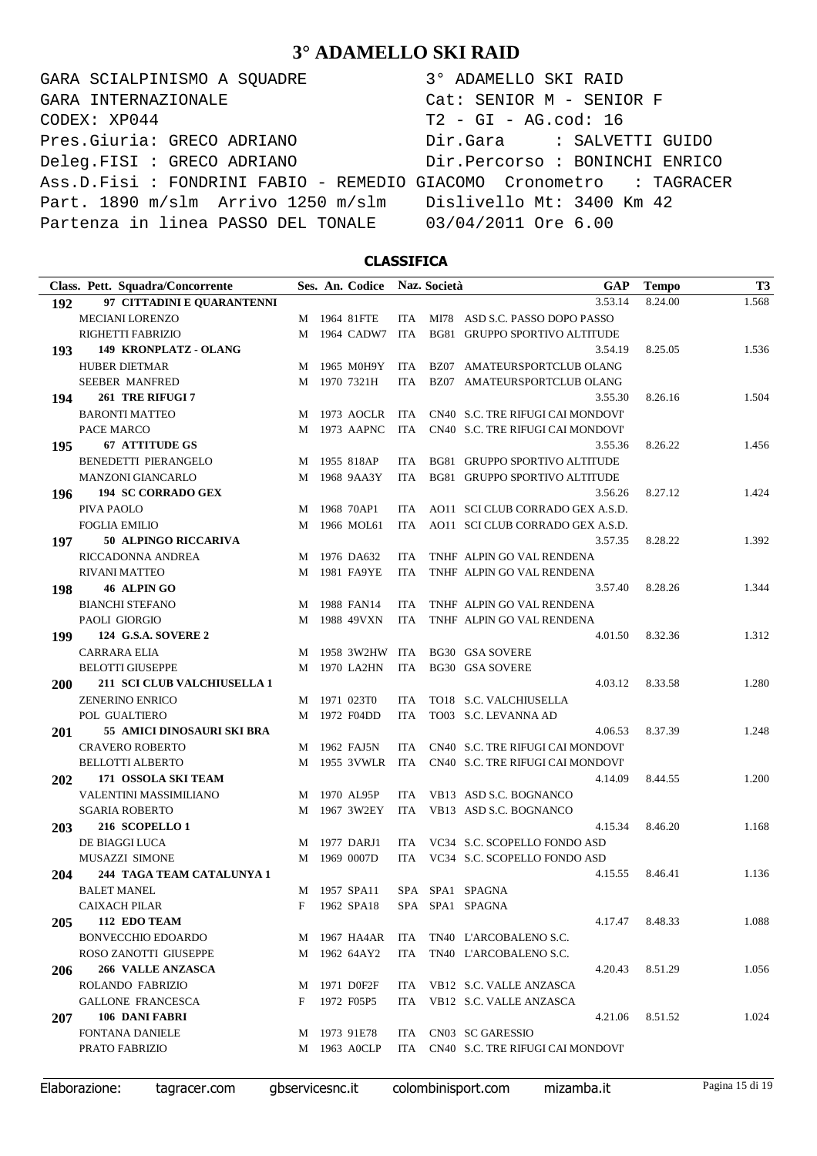GARA SCIALPINISMO A SQUADRE 3° ADAMELLO SKI RAID CODEX: XP044 T2 - GI - AG.cod: 16 Pres.Giuria: GRECO ADRIANO Dir.Gara : SALVETTI GUIDO Deleg.FISI : GRECO ADRIANO Dir.Percorso : BONINCHI ENRICO Ass.D.Fisi : FONDRINI FABIO - REMEDIO GIACOMO Cronometro : TAGRACER Part. 1890 m/slm Arrivo 1250 m/slm Dislivello Mt: 3400 Km 42 Partenza in linea PASSO DEL TONALE 03/04/2011 Ore 6.00 GARA INTERNAZIONALE Cat: SENIOR M - SENIOR F

### **CLASSIFICA**

|            | Class. Pett. Squadra/Concorrente |   | Ses. An. Codice |            | Naz. Società | <b>GAP</b>                           | <b>Tempo</b> | T <sub>3</sub> |
|------------|----------------------------------|---|-----------------|------------|--------------|--------------------------------------|--------------|----------------|
| 192        | 97 CITTADINI E QUARANTENNI       |   |                 |            |              | 3.53.14                              | 8.24.00      | 1.568          |
|            | MECIANI LORENZO                  | М | 1964 81FTE      |            |              | ITA MI78 ASD S.C. PASSO DOPO PASSO   |              |                |
|            | RIGHETTI FABRIZIO                | M | 1964 CADW7      | ITA        |              | BG81 GRUPPO SPORTIVO ALTITUDE        |              |                |
| 193        | 149 KRONPLATZ - OLANG            |   |                 |            |              | 3.54.19                              | 8.25.05      | 1.536          |
|            | <b>HUBER DIETMAR</b>             | M | 1965 M0H9Y      |            |              | ITA BZ07 AMATEURSPORTCLUB OLANG      |              |                |
|            | <b>SEEBER MANFRED</b>            | M | 1970 7321H      | ITA        |              | BZ07 AMATEURSPORTCLUB OLANG          |              |                |
| 194        | 261 TRE RIFUGI 7                 |   |                 |            |              | 3.55.30                              | 8.26.16      | 1.504          |
|            | <b>BARONTI MATTEO</b>            | M | 1973 AOCLR      | ITA        |              | CN40 S.C. TRE RIFUGI CAI MONDOVI'    |              |                |
|            | PACE MARCO                       | M | 1973 AAPNC      | ITA        |              | CN40 S.C. TRE RIFUGI CAI MONDOVI'    |              |                |
| 195        | <b>67 ATTITUDE GS</b>            |   |                 |            |              | 3.55.36                              | 8.26.22      | 1.456          |
|            | <b>BENEDETTI PIERANGELO</b>      | M | 1955 818AP      | ITA        |              | BG81 GRUPPO SPORTIVO ALTITUDE        |              |                |
|            | <b>MANZONI GIANCARLO</b>         | M | 1968 9AA3Y      | ITA        |              | <b>BG81 GRUPPO SPORTIVO ALTITUDE</b> |              |                |
| 196        | <b>194 SC CORRADO GEX</b>        |   |                 |            |              | 3.56.26                              | 8.27.12      | 1.424          |
|            | PIVA PAOLO                       | М | 1968 70AP1      | ITA        |              | AO11 SCI CLUB CORRADO GEX A.S.D.     |              |                |
|            | <b>FOGLIA EMILIO</b>             | М | 1966 MOL61      | ITA        |              | AO11 SCI CLUB CORRADO GEX A.S.D.     |              |                |
| 197        | 50 ALPINGO RICCARIVA             |   |                 |            |              | 3.57.35                              | 8.28.22      | 1.392          |
|            | RICCADONNA ANDREA                | M | 1976 DA632      | ITA.       |              | TNHF ALPIN GO VAL RENDENA            |              |                |
|            | RIVANI MATTEO                    | М | 1981 FA9YE      | <b>ITA</b> |              | TNHF ALPIN GO VAL RENDENA            |              |                |
| 198        | 46 ALPIN GO                      |   |                 |            |              | 3.57.40                              | 8.28.26      | 1.344          |
|            | <b>BIANCHI STEFANO</b>           | M | 1988 FAN14      | ITA.       |              | TNHF ALPIN GO VAL RENDENA            |              |                |
|            | PAOLI GIORGIO                    | M | 1988 49VXN      | <b>ITA</b> |              | TNHF ALPIN GO VAL RENDENA            |              |                |
| 199        | <b>124 G.S.A. SOVERE 2</b>       |   |                 |            |              | 4.01.50                              | 8.32.36      | 1.312          |
|            | <b>CARRARA ELIA</b>              | M | 1958 3W2HW ITA  |            |              | <b>BG30 GSA SOVERE</b>               |              |                |
|            | <b>BELOTTI GIUSEPPE</b>          | М | 1970 LA2HN      | ITA        |              | <b>BG30 GSA SOVERE</b>               |              |                |
| <b>200</b> | 211 SCI CLUB VALCHIUSELLA 1      |   |                 |            |              | 4.03.12                              | 8.33.58      | 1.280          |
|            | <b>ZENERINO ENRICO</b>           |   | M 1971 023T0    | ITA.       |              | TO18 S.C. VALCHIUSELLA               |              |                |
|            | POL GUALTIERO                    | М | 1972 F04DD      | ITA        |              | TO03 S.C. LEVANNA AD                 |              |                |
| 201        | 55 AMICI DINOSAURI SKI BRA       |   |                 |            |              | 4.06.53                              | 8.37.39      | 1.248          |
|            | <b>CRAVERO ROBERTO</b>           | M | 1962 FAJ5N      | ITA        |              | CN40 S.C. TRE RIFUGI CAI MONDOVI'    |              |                |
|            | <b>BELLOTTI ALBERTO</b>          | М | 1955 3VWLR      | ITA        |              | CN40 S.C. TRE RIFUGI CAI MONDOVI'    |              |                |
| 202        | 171 OSSOLA SKI TEAM              |   |                 |            |              | 4.14.09                              | 8.44.55      | 1.200          |
|            | VALENTINI MASSIMILIANO           | M | 1970 AL95P      | ITA        |              | VB13 ASD S.C. BOGNANCO               |              |                |
|            | <b>SGARIA ROBERTO</b>            |   | M 1967 3W2EY    | ITA        |              | VB13 ASD S.C. BOGNANCO               |              |                |
| 203        | <b>216 SCOPELLO 1</b>            |   |                 |            |              | 4.15.34                              | 8.46.20      | 1.168          |
|            | DE BIAGGI LUCA                   | М | 1977 DARJ1      | ITA.       |              | VC34 S.C. SCOPELLO FONDO ASD         |              |                |
|            | MUSAZZI SIMONE                   |   | M 1969 0007D    |            |              | ITA VC34 S.C. SCOPELLO FONDO ASD     |              |                |
| 204        | 244 TAGA TEAM CATALUNYA 1        |   |                 |            |              | 4.15.55                              | 8.46.41      | 1.136          |
|            | <b>BALET MANEL</b>               |   |                 |            |              | M 1957 SPA11 SPA SPA1 SPAGNA         |              |                |
|            | <b>CAIXACH PILAR</b>             | F | 1962 SPA18      |            |              | SPA SPA1 SPAGNA                      |              |                |
| 205        | 112 EDO TEAM                     |   |                 |            |              | 4.17.47                              | 8.48.33      | 1.088          |
|            | <b>BONVECCHIO EDOARDO</b>        | М | 1967 HA4AR      | ITA        |              | TN40 L'ARCOBALENO S.C.               |              |                |
|            | ROSO ZANOTTI GIUSEPPE            | М | 1962 64AY2      | ITA        |              | TN40 L'ARCOBALENO S.C.               |              |                |
| 206        | 266 VALLE ANZASCA                |   |                 |            |              | 4.20.43                              | 8.51.29      | 1.056          |
|            | ROLANDO FABRIZIO                 | M | 1971 D0F2F      |            |              | ITA VB12 S.C. VALLE ANZASCA          |              |                |
|            | <b>GALLONE FRANCESCA</b>         | F | 1972 F05P5      |            |              | ITA VB12 S.C. VALLE ANZASCA          |              |                |
| 207        | 106 DANI FABRI                   |   |                 |            |              | 4.21.06                              | 8.51.52      | 1.024          |
|            | <b>FONTANA DANIELE</b>           |   | M 1973 91E78    |            |              | ITA CN03 SC GARESSIO                 |              |                |
|            | PRATO FABRIZIO                   |   | M 1963 A0CLP    | ITA        |              | CN40 S.C. TRE RIFUGI CAI MONDOVI'    |              |                |
|            |                                  |   |                 |            |              |                                      |              |                |

Elaborazione: tagracer.com gbservicesnc.it colombinisport.com mizamba.it Pagina 15 di 19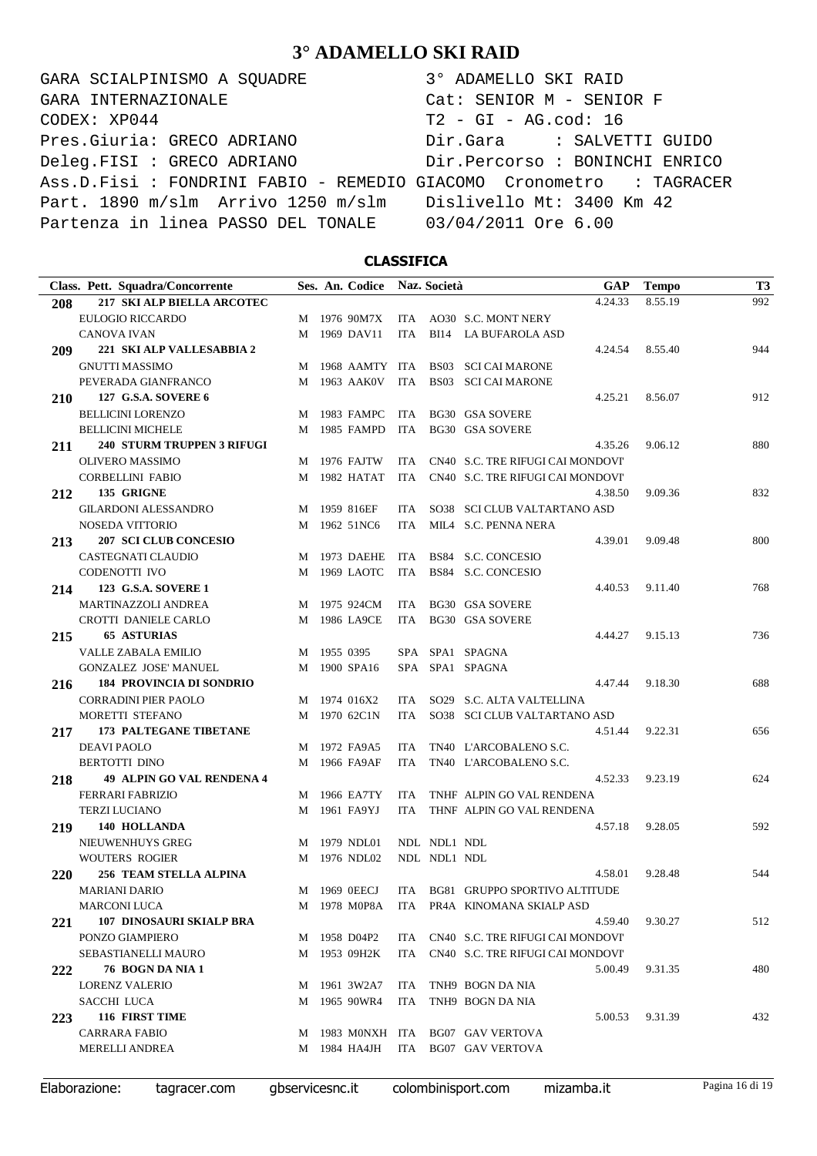GARA SCIALPINISMO A SQUADRE 3° ADAMELLO SKI RAID CODEX: XP044 T2 - GI - AG.cod: 16 Pres.Giuria: GRECO ADRIANO Dir.Gara : SALVETTI GUIDO Deleg.FISI : GRECO ADRIANO Dir.Percorso : BONINCHI ENRICO Ass.D.Fisi : FONDRINI FABIO - REMEDIO GIACOMO Cronometro : TAGRACER Part. 1890 m/slm Arrivo 1250 m/slm Dislivello Mt: 3400 Km 42 Partenza in linea PASSO DEL TONALE 03/04/2011 Ore 6.00 GARA INTERNAZIONALE Cat: SENIOR M - SENIOR F

### **CLASSIFICA**

| Class. Pett. Squadra/Concorrente            |   |             | Ses. An. Codice |            | Naz. Società | <b>GAP</b>                                     | <b>Tempo</b> | T <sub>3</sub> |
|---------------------------------------------|---|-------------|-----------------|------------|--------------|------------------------------------------------|--------------|----------------|
| 217 SKI ALP BIELLA ARCOTEC<br>208           |   |             |                 |            |              | 4.24.33                                        | 8.55.19      | 992            |
| EULOGIO RICCARDO                            |   |             | M 1976 90M7X    |            |              | ITA AO30 S.C. MONT NERY                        |              |                |
| <b>CANOVA IVAN</b>                          | М |             | 1969 DAV11      | <b>ITA</b> |              | BI14 LA BUFAROLA ASD                           |              |                |
| 221 SKI ALP VALLESABBIA 2<br><b>209</b>     |   |             |                 |            |              | 4.24.54                                        | 8.55.40      | 944            |
| <b>GNUTTI MASSIMO</b>                       | M |             |                 |            |              | 1968 AAMTY ITA BS03 SCI CAI MARONE             |              |                |
| PEVERADA GIANFRANCO                         |   |             | M 1963 AAK0V    | ITA        |              | <b>BS03 SCI CAI MARONE</b>                     |              |                |
| 127 G.S.A. SOVERE 6<br><b>210</b>           |   |             |                 |            |              | 4.25.21                                        | 8.56.07      | 912            |
| <b>BELLICINI LORENZO</b>                    | M |             | 1983 FAMPC      | ITA        |              | <b>BG30 GSA SOVERE</b>                         |              |                |
| <b>BELLICINI MICHELE</b>                    |   |             | M 1985 FAMPD    | ITA        |              | <b>BG30 GSA SOVERE</b>                         |              |                |
| <b>240 STURM TRUPPEN 3 RIFUGI</b><br>211    |   |             |                 |            |              | 4.35.26                                        | 9.06.12      | 880            |
| OLIVERO MASSIMO                             |   |             | M 1976 FAJTW    | ITA        |              | CN40 S.C. TRE RIFUGI CAI MONDOVI'              |              |                |
| <b>CORBELLINI FABIO</b>                     |   |             | M 1982 HATAT    | ITA        |              | CN40 S.C. TRE RIFUGI CAI MONDOVI'              |              |                |
| 135 GRIGNE<br>212                           |   |             |                 |            |              | 4.38.50                                        | 9.09.36      | 832            |
| <b>GILARDONI ALESSANDRO</b>                 |   |             | M 1959 816EF    | ITA        |              | SO38 SCI CLUB VALTARTANO ASD                   |              |                |
| <b>NOSEDA VITTORIO</b>                      |   |             | M 1962 51NC6    | ITA        |              | MILA S.C. PENNA NERA                           |              |                |
| <b>207 SCI CLUB CONCESIO</b><br>213         |   |             |                 |            |              | 4.39.01                                        | 9.09.48      | 800            |
| CASTEGNATI CLAUDIO                          | M |             | 1973 DAEHE      | ITA        |              | BS84 S.C. CONCESIO                             |              |                |
| CODENOTTI IVO                               | M |             | 1969 LAOTC      | ITA        |              | BS84 S.C. CONCESIO                             |              |                |
| 123 G.S.A. SOVERE 1<br>214                  |   |             |                 |            |              | 4.40.53                                        | 9.11.40      | 768            |
| <b>MARTINAZZOLI ANDREA</b>                  | M |             | 1975 924CM      | ITA        |              | BG30 GSA SOVERE                                |              |                |
| CROTTI DANIELE CARLO                        |   |             | M 1986 LA9CE    | ITA        |              | <b>BG30 GSA SOVERE</b>                         |              |                |
| <b>65 ASTURIAS</b><br>215                   |   |             |                 |            |              | 4.44.27                                        | 9.15.13      | 736            |
| <b>VALLE ZABALA EMILIO</b>                  |   | M 1955 0395 |                 |            |              | SPA SPA1 SPAGNA                                |              |                |
| GONZALEZ JOSE' MANUEL                       | M |             | 1900 SPA16      |            |              | SPA SPA1 SPAGNA                                |              |                |
| <b>184 PROVINCIA DI SONDRIO</b><br>216      |   |             |                 |            |              | 4.47.44                                        | 9.18.30      | 688            |
| <b>CORRADINI PIER PAOLO</b>                 |   |             | M 1974 016X2    | ITA        |              | SO29 S.C. ALTA VALTELLINA                      |              |                |
| MORETTI STEFANO                             |   |             | M 1970 62C1N    | ITA        |              | SO38 SCI CLUB VALTARTANO ASD                   |              |                |
| <b>173 PALTEGANE TIBETANE</b><br>217        |   |             |                 |            |              | 4.51.44                                        | 9.22.31      | 656            |
| <b>DEAVI PAOLO</b>                          |   |             | M 1972 FA9A5    | ITA.       |              | TN40 L'ARCOBALENO S.C.                         |              |                |
| <b>BERTOTTI DINO</b>                        | М |             | 1966 FA9AF      | ITA        |              | TN40 L'ARCOBALENO S.C.                         |              |                |
| <b>49 ALPIN GO VAL RENDENA 4</b><br>218     |   |             |                 |            |              | 4.52.33                                        | 9.23.19      | 624            |
| <b>FERRARI FABRIZIO</b>                     | M |             | 1966 EA7TY      | ITA.       |              | TNHF ALPIN GO VAL RENDENA                      |              |                |
| <b>TERZI LUCIANO</b>                        | M |             | 1961 FA9YJ      | ITA        |              | THNF ALPIN GO VAL RENDENA                      |              |                |
| 140 HOLLANDA<br>219                         |   |             |                 |            |              | 4.57.18                                        | 9.28.05      | 592            |
| NIEUWENHUYS GREG                            | M |             | 1979 NDL01      |            | NDL NDL1 NDL |                                                |              |                |
| <b>WOUTERS ROGIER</b>                       |   |             | M 1976 NDL02    |            | NDL NDL1 NDL |                                                |              |                |
| <b>256 TEAM STELLA ALPINA</b><br><b>220</b> |   |             |                 |            |              | 4.58.01                                        | 9.28.48      | 544            |
| <b>MARIANI DARIO</b>                        |   |             |                 |            |              | M 1969 OEECJ ITA BG81 GRUPPO SPORTIVO ALTITUDE |              |                |
| <b>MARCONI LUCA</b>                         |   |             |                 |            |              | M 1978 M0P8A ITA PR4A KINOMANA SKIALP ASD      |              |                |
| <b>107 DINOSAURI SKIALP BRA</b><br>221      |   |             |                 |            |              | 4.59.40                                        | 9.30.27      | 512            |
| PONZO GIAMPIERO                             |   |             | M 1958 D04P2    |            |              | ITA CN40 S.C. TRE RIFUGI CAI MONDOVI'          |              |                |
| SEBASTIANELLI MAURO                         |   |             | M 1953 09H2K    |            |              | ITA CN40 S.C. TRE RIFUGI CAI MONDOVI'          |              |                |
| 76 BOGN DA NIA 1<br>222                     |   |             |                 |            |              | 5.00.49                                        | 9.31.35      | 480            |
| LORENZ VALERIO                              |   |             | M 1961 3W2A7    |            |              | ITA TNH9 BOGN DA NIA                           |              |                |
| SACCHI LUCA                                 | M |             | 1965 90WR4      | ITA        |              | TNH9 BOGN DA NIA                               |              |                |
| 116 FIRST TIME<br><b>223</b>                |   |             |                 |            |              | 5.00.53                                        | 9.31.39      | 432            |
| <b>CARRARA FABIO</b>                        |   |             |                 |            |              | M 1983 MONXH ITA BG07 GAV VERTOVA              |              |                |
| <b>MERELLI ANDREA</b>                       |   |             | M 1984 HA4JH    |            |              | ITA BG07 GAV VERTOVA                           |              |                |
|                                             |   |             |                 |            |              |                                                |              |                |

Elaborazione: tagracer.com gbservicesnc.it colombinisport.com mizamba.it Pagina 16 di 19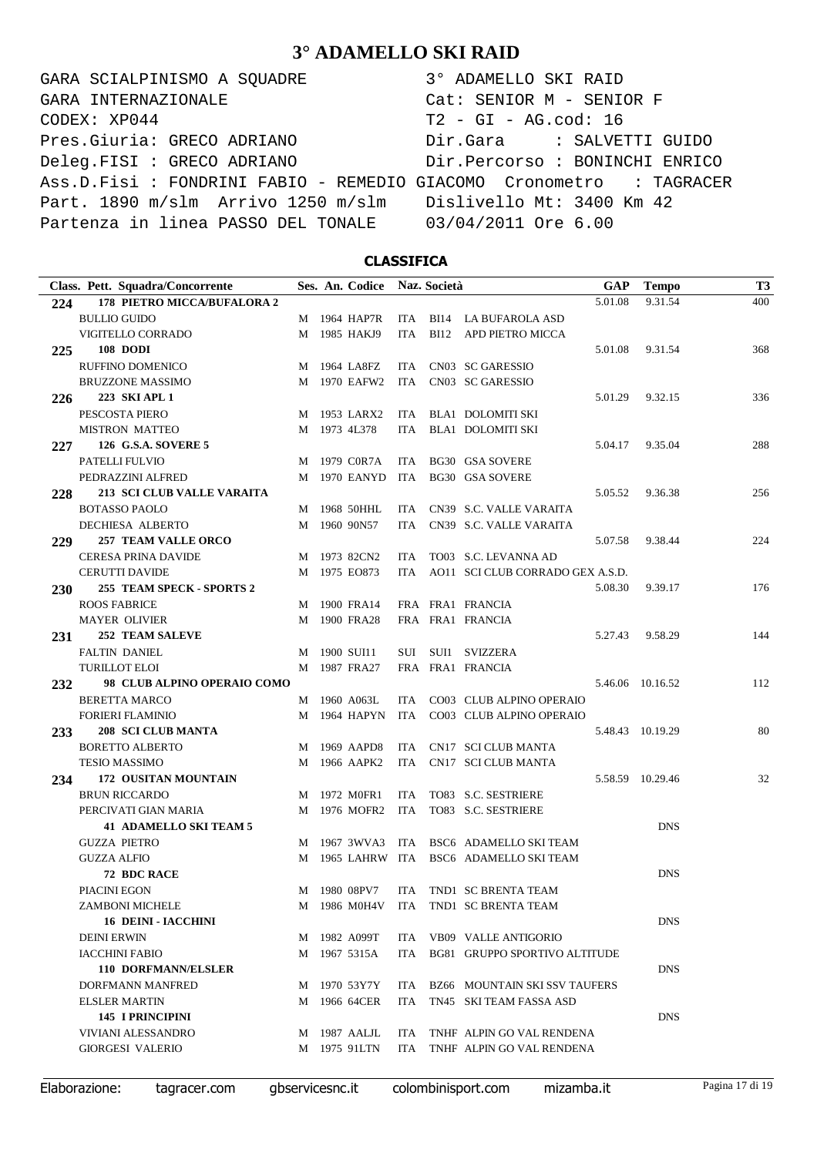GARA SCIALPINISMO A SQUADRE 3° ADAMELLO SKI RAID CODEX: XP044 T2 - GI - AG.cod: 16 Pres.Giuria: GRECO ADRIANO Dir.Gara : SALVETTI GUIDO Deleg.FISI : GRECO ADRIANO Dir.Percorso : BONINCHI ENRICO Ass.D.Fisi : FONDRINI FABIO - REMEDIO GIACOMO Cronometro : TAGRACER Part. 1890 m/slm Arrivo 1250 m/slm Dislivello Mt: 3400 Km 42 Partenza in linea PASSO DEL TONALE 03/04/2011 Ore 6.00 GARA INTERNAZIONALE Cat: SENIOR M - SENIOR F

### **CLASSIFICA**

|            | Class. Pett. Squadra/Concorrente  |   | Ses. An. Codice |            | Naz. Società |                                      | GAP     | <b>Tempo</b>     | T <sub>3</sub> |
|------------|-----------------------------------|---|-----------------|------------|--------------|--------------------------------------|---------|------------------|----------------|
| 224        | 178 PIETRO MICCA/BUFALORA 2       |   |                 |            |              |                                      | 5.01.08 | 9.31.54          | 400            |
|            | <b>BULLIO GUIDO</b>               |   | M 1964 HAP7R    | ITA        |              | BI14 LA BUFAROLA ASD                 |         |                  |                |
|            | VIGITELLO CORRADO                 |   | M 1985 HAKJ9    | <b>ITA</b> | <b>BI12</b>  | APD PIETRO MICCA                     |         |                  |                |
| 225        | <b>108 DODI</b>                   |   |                 |            |              |                                      | 5.01.08 | 9.31.54          | 368            |
|            | RUFFINO DOMENICO                  |   | M 1964 LA8FZ    | ITA        |              | CN03 SC GARESSIO                     |         |                  |                |
|            | <b>BRUZZONE MASSIMO</b>           | М | 1970 EAFW2      | <b>ITA</b> |              | CN03 SC GARESSIO                     |         |                  |                |
| 226        | 223 SKI APL 1                     |   |                 |            |              |                                      | 5.01.29 | 9.32.15          | 336            |
|            | PESCOSTA PIERO                    |   | M 1953 LARX2    | ITA        |              | <b>BLA1 DOLOMITI SKI</b>             |         |                  |                |
|            | <b>MISTRON MATTEO</b>             |   | M 1973 4L378    | ITA        |              | <b>BLA1 DOLOMITI SKI</b>             |         |                  |                |
| 227        | 126 G.S.A. SOVERE 5               |   |                 |            |              |                                      | 5.04.17 | 9.35.04          | 288            |
|            | PATELLI FULVIO                    | M | 1979 C0R7A      | ITA        |              | <b>BG30 GSA SOVERE</b>               |         |                  |                |
|            | PEDRAZZINI ALFRED                 | М | 1970 EANYD      | ITA        |              | <b>BG30 GSA SOVERE</b>               |         |                  |                |
| 228        | <b>213 SCI CLUB VALLE VARAITA</b> |   |                 |            |              |                                      | 5.05.52 | 9.36.38          | 256            |
|            | <b>BOTASSO PAOLO</b>              | M | 1968 50HHL      | ITA.       |              | CN39 S.C. VALLE VARAITA              |         |                  |                |
|            | <b>DECHIESA ALBERTO</b>           |   | M 1960 90N57    | ITA.       |              | CN39 S.C. VALLE VARAITA              |         |                  |                |
| 229        | <b>257 TEAM VALLE ORCO</b>        |   |                 |            |              |                                      | 5.07.58 | 9.38.44          | 224            |
|            | <b>CERESA PRINA DAVIDE</b>        | M | 1973 82CN2      | <b>ITA</b> |              | TO03 S.C. LEVANNA AD                 |         |                  |                |
|            | <b>CERUTTI DAVIDE</b>             |   | M 1975 EO873    | <b>ITA</b> |              | AO11 SCI CLUB CORRADO GEX A.S.D.     |         |                  |                |
| <b>230</b> | 255 TEAM SPECK - SPORTS 2         |   |                 |            |              |                                      | 5.08.30 | 9.39.17          | 176            |
|            | <b>ROOS FABRICE</b>               | M | 1900 FRA14      |            |              | FRA FRA1 FRANCIA                     |         |                  |                |
|            | <b>MAYER OLIVIER</b>              | М | 1900 FRA28      |            |              | FRA FRA1 FRANCIA                     |         |                  |                |
| 231        | <b>252 TEAM SALEVE</b>            |   |                 |            |              |                                      | 5.27.43 | 9.58.29          | 144            |
|            | <b>FALTIN DANIEL</b>              | M | 1900 SUI11      | SUI        |              | SUI1 SVIZZERA                        |         |                  |                |
|            | <b>TURILLOT ELOI</b>              |   | M 1987 FRA27    |            |              | FRA FRA1 FRANCIA                     |         |                  |                |
| 232        | 98 CLUB ALPINO OPERAIO COMO       |   |                 |            |              |                                      |         | 5.46.06 10.16.52 | 112            |
|            | <b>BERETTA MARCO</b>              |   | M 1960 A063L    | ITA.       |              | CO03 CLUB ALPINO OPERAIO             |         |                  |                |
|            | <b>FORIERI FLAMINIO</b>           | М | 1964 HAPYN      | ITA        |              | CO03 CLUB ALPINO OPERAIO             |         |                  |                |
| 233        | <b>208 SCI CLUB MANTA</b>         |   |                 |            |              |                                      |         | 5.48.43 10.19.29 | 80             |
|            | <b>BORETTO ALBERTO</b>            | M | 1969 AAPD8      | ITA.       |              | CN17 SCI CLUB MANTA                  |         |                  |                |
|            | <b>TESIO MASSIMO</b>              | M | 1966 AAPK2      | <b>ITA</b> |              | CN17 SCI CLUB MANTA                  |         |                  |                |
|            | 172 OUSITAN MOUNTAIN              |   |                 |            |              |                                      |         | 5.58.59 10.29.46 | 32             |
| 234        | <b>BRUN RICCARDO</b>              | M | 1972 M0FR1      | ITA        |              | TO83 S.C. SESTRIERE                  |         |                  |                |
|            | PERCIVATI GIAN MARIA              | M | 1976 MOFR2      | ITA        |              | TO83 S.C. SESTRIERE                  |         |                  |                |
|            | <b>41 ADAMELLO SKI TEAM 5</b>     |   |                 |            |              |                                      |         | <b>DNS</b>       |                |
|            | <b>GUZZA PIETRO</b>               |   | 1967 3WVA3      | ITA        |              | BSC6 ADAMELLO SKI TEAM               |         |                  |                |
|            | <b>GUZZA ALFIO</b>                | M | 1965 LAHRW ITA  |            |              |                                      |         |                  |                |
|            | <b>72 BDC RACE</b>                | M |                 |            |              | BSC6 ADAMELLO SKI TEAM               |         | <b>DNS</b>       |                |
|            | PIACINI EGON                      |   | M 1980 08PV7    |            |              | ITA TND1 SC BRENTA TEAM              |         |                  |                |
|            | ZAMBONI MICHELE                   |   |                 |            |              | M 1986 M0H4V ITA TND1 SC BRENTA TEAM |         |                  |                |
|            |                                   |   |                 |            |              |                                      |         | <b>DNS</b>       |                |
|            | <b>16 DEINI - IACCHINI</b>        |   |                 |            |              |                                      |         |                  |                |
|            | <b>DEINI ERWIN</b>                |   | M 1982 A099T    |            |              | ITA VB09 VALLE ANTIGORIO             |         |                  |                |
|            | <b>IACCHINI FABIO</b>             |   | M 1967 5315A    |            |              | ITA BG81 GRUPPO SPORTIVO ALTITUDE    |         |                  |                |
|            | <b>110 DORFMANN/ELSLER</b>        |   |                 |            |              |                                      |         | <b>DNS</b>       |                |
|            | <b>DORFMANN MANFRED</b>           |   | M 1970 53Y7Y    |            |              | ITA BZ66 MOUNTAIN SKI SSV TAUFERS    |         |                  |                |
|            | <b>ELSLER MARTIN</b>              |   | M 1966 64CER    | ITA        |              | TN45 SKI TEAM FASSA ASD              |         |                  |                |
|            | <b>145 I PRINCIPINI</b>           |   |                 |            |              |                                      |         | <b>DNS</b>       |                |
|            | VIVIANI ALESSANDRO                |   | M 1987 AALJL    |            |              | ITA TNHF ALPIN GO VAL RENDENA        |         |                  |                |
|            | <b>GIORGESI VALERIO</b>           |   | M 1975 91LTN    | ITA        |              | TNHF ALPIN GO VAL RENDENA            |         |                  |                |
|            |                                   |   |                 |            |              |                                      |         |                  |                |

Elaborazione: tagracer.com gbservicesnc.it colombinisport.com mizamba.it Pagina 17 di 19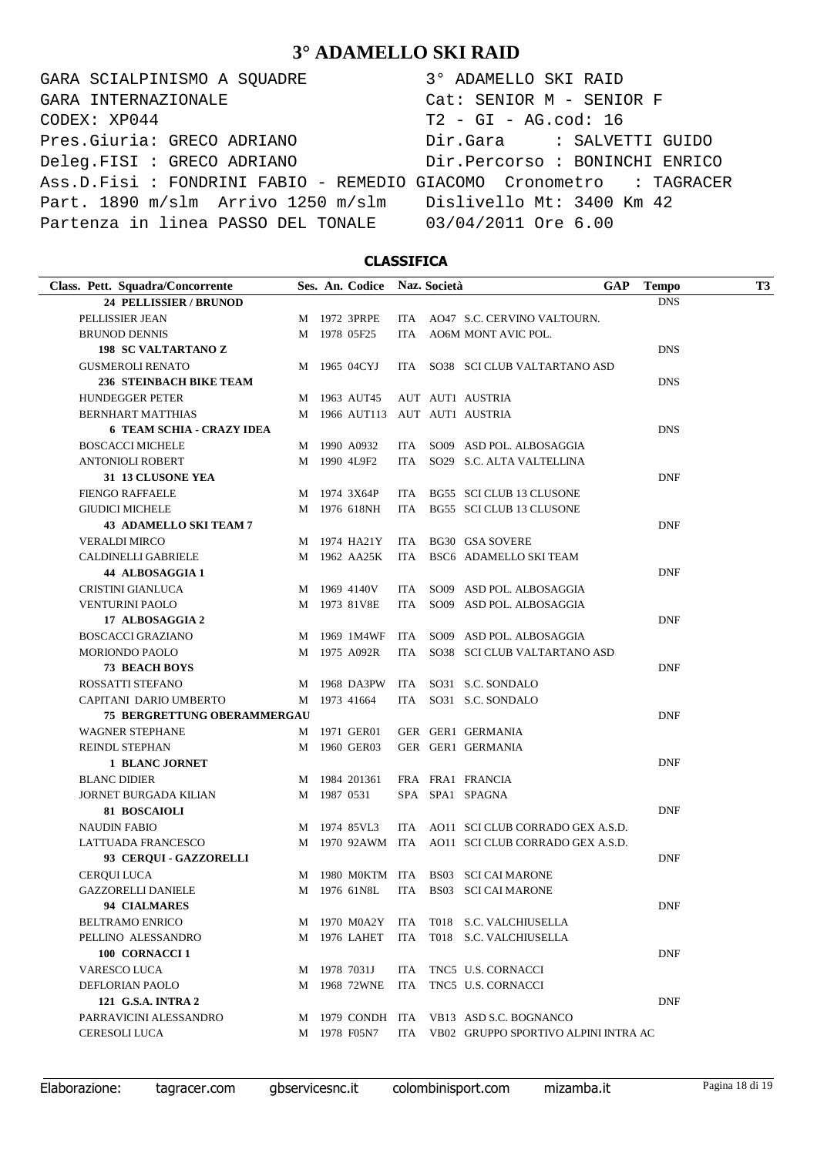GARA SCIALPINISMO A SQUADRE  $CODEX: XP044$ Pres.Giuria: GRECO ADRIANO Deleg.FISI : GRECO ADRIANO Ass.D.Fisi : FONDRINI FABIO - REMEDIO G Part. 1890 m/slm Arrivo 1250 m/slm Partenza in linea PASSO DEL TONALE GARA INTERNAZIONALE

| 3° ADAMELLO SKI RAID            |
|---------------------------------|
| Cat: SENIOR M - SENIOR F        |
| $T2 - GI - AG.cod: 16$          |
| Dir.Gara : SALVETTI GUIDO       |
| Dir. Percorso : BONINCHI ENRICO |
| GIACOMO Cronometro : TAGRACER   |
| Dislivello Mt: 3400 Km 42       |
| 03/04/2011 Ore 6.00             |

### **CLASSIFICA**

| Class. Pett. Squadra/Concorrente   |   | Ses. An. Codice |     | Naz. Società | <b>GAP</b>                                        | <b>Tempo</b> | T3 |
|------------------------------------|---|-----------------|-----|--------------|---------------------------------------------------|--------------|----|
| 24 PELLISSIER / BRUNOD             |   |                 |     |              |                                                   | <b>DNS</b>   |    |
| PELLISSIER JEAN                    |   | M 1972 3PRPE    |     |              | ITA AO47 S.C. CERVINO VALTOURN.                   |              |    |
| <b>BRUNOD DENNIS</b>               |   | M 1978 05F25    |     |              | ITA AO6M MONT AVIC POL.                           |              |    |
| <b>198 SC VALTARTANO Z</b>         |   |                 |     |              |                                                   | <b>DNS</b>   |    |
| <b>GUSMEROLI RENATO</b>            |   | M 1965 04CYJ    |     |              | ITA SO38 SCI CLUB VALTARTANO ASD                  |              |    |
| <b>236 STEINBACH BIKE TEAM</b>     |   |                 |     |              |                                                   | <b>DNS</b>   |    |
| <b>HUNDEGGER PETER</b>             |   | M 1963 AUT45    |     |              | AUT AUT1 AUSTRIA                                  |              |    |
| <b>BERNHART MATTHIAS</b>           |   |                 |     |              | M 1966 AUT113 AUT AUT1 AUSTRIA                    |              |    |
| <b>6 TEAM SCHIA - CRAZY IDEA</b>   |   |                 |     |              |                                                   | <b>DNS</b>   |    |
| <b>BOSCACCI MICHELE</b>            |   | M 1990 A0932    |     |              | ITA SO09 ASD POL. ALBOSAGGIA                      |              |    |
| <b>ANTONIOLI ROBERT</b>            |   | M 1990 4L9F2    |     |              | ITA SO29 S.C. ALTA VALTELLINA                     |              |    |
| 31 13 CLUSONE YEA                  |   |                 |     |              |                                                   | <b>DNF</b>   |    |
| <b>FIENGO RAFFAELE</b>             |   | M 1974 3X64P    |     |              | ITA BG55 SCI CLUB 13 CLUSONE                      |              |    |
| <b>GIUDICI MICHELE</b>             |   | M 1976 618NH    |     |              | ITA BG55 SCI CLUB 13 CLUSONE                      |              |    |
| <b>43 ADAMELLO SKI TEAM 7</b>      |   |                 |     |              |                                                   | <b>DNF</b>   |    |
| <b>VERALDI MIRCO</b>               |   | M 1974 HA21Y    |     |              | ITA BG30 GSA SOVERE                               |              |    |
| <b>CALDINELLI GABRIELE</b>         |   | M 1962 AA25K    |     |              | ITA BSC6 ADAMELLO SKI TEAM                        |              |    |
| 44 ALBOSAGGIA 1                    |   |                 |     |              |                                                   | <b>DNF</b>   |    |
| CRISTINI GIANLUCA                  |   | M 1969 4140V    |     |              | ITA SO09 ASD POL. ALBOSAGGIA                      |              |    |
| <b>VENTURINI PAOLO</b>             |   | M 1973 81V8E    |     |              | ITA SO09 ASD POL. ALBOSAGGIA                      |              |    |
| 17 ALBOSAGGIA 2                    |   |                 |     |              |                                                   | <b>DNF</b>   |    |
| <b>BOSCACCI GRAZIANO</b>           |   | M 1969 1M4WF    | ITA |              | SO09 ASD POL. ALBOSAGGIA                          |              |    |
| <b>MORIONDO PAOLO</b>              |   | M 1975 A092R    |     |              | ITA SO38 SCI CLUB VALTARTANO ASD                  |              |    |
| <b>73 BEACH BOYS</b>               |   |                 |     |              |                                                   | <b>DNF</b>   |    |
| ROSSATTI STEFANO                   |   | M 1968 DA3PW    |     |              | ITA SO31 S.C. SONDALO                             |              |    |
| CAPITANI DARIO UMBERTO             |   | M 1973 41664    |     |              | ITA SO31 S.C. SONDALO                             |              |    |
| <b>75 BERGRETTUNG OBERAMMERGAU</b> |   |                 |     |              |                                                   | <b>DNF</b>   |    |
| <b>WAGNER STEPHANE</b>             |   | M 1971 GER01    |     |              | GER GER1 GERMANIA                                 |              |    |
| REINDL STEPHAN                     | M | 1960 GER03      |     |              | GER GER1 GERMANIA                                 |              |    |
| <b>1 BLANC JORNET</b>              |   |                 |     |              |                                                   | <b>DNF</b>   |    |
| <b>BLANC DIDIER</b>                |   | M 1984 201361   |     |              | FRA FRA1 FRANCIA                                  |              |    |
| <b>JORNET BURGADA KILIAN</b>       |   | M 1987 0531     |     |              | SPA SPA1 SPAGNA                                   |              |    |
| 81 BOSCAIOLI                       |   |                 |     |              |                                                   | <b>DNF</b>   |    |
| <b>NAUDIN FABIO</b>                |   | M 1974 85VL3    |     |              | ITA AO11 SCI CLUB CORRADO GEX A.S.D.              |              |    |
| LATTUADA FRANCESCO                 |   |                 |     |              | M 1970 92AWM ITA AO11 SCI CLUB CORRADO GEX A.S.D. |              |    |
| 93 CERQUI - GAZZORELLI             |   |                 |     |              |                                                   | <b>DNF</b>   |    |
| <b>CEROUI LUCA</b>                 |   |                 |     |              | M 1980 MOKTM ITA BS03 SCI CAI MARONE              |              |    |
| GAZZORELLI DANIELE                 |   |                 |     |              | M 1976 61N8L ITA BS03 SCI CAI MARONE              |              |    |
| <b>94 CIALMARES</b>                |   |                 |     |              |                                                   | <b>DNF</b>   |    |
|                                    |   | M 1970 M0A2Y    |     |              |                                                   |              |    |
| <b>BELTRAMO ENRICO</b>             |   |                 | ITA |              | T018 S.C. VALCHIUSELLA                            |              |    |
| PELLINO ALESSANDRO                 |   | M 1976 LAHET    | ITA |              | T018 S.C. VALCHIUSELLA                            |              |    |
| 100 CORNACCI 1                     |   |                 |     |              |                                                   | DNF          |    |
| VARESCO LUCA                       | M | 1978 7031J      | ITA |              | TNC5 U.S. CORNACCI                                |              |    |
| DEFLORIAN PAOLO                    | М | 1968 72WNE      | ITA |              | TNC5 U.S. CORNACCI                                |              |    |
| 121 G.S.A. INTRA 2                 |   |                 |     |              |                                                   | <b>DNF</b>   |    |
| PARRAVICINI ALESSANDRO             |   |                 |     |              | M 1979 CONDH ITA VB13 ASD S.C. BOGNANCO           |              |    |
| <b>CERESOLI LUCA</b>               |   | M 1978 F05N7    |     |              | ITA VB02 GRUPPO SPORTIVO ALPINI INTRA AC          |              |    |